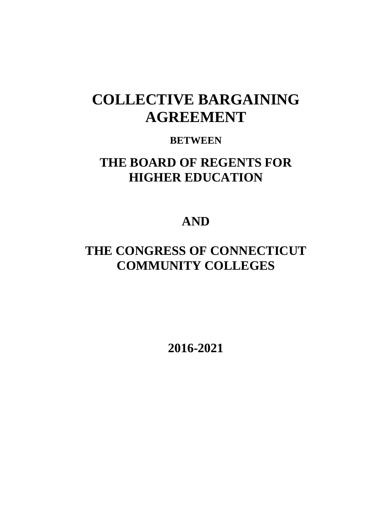# **COLLECTIVE BARGAINING AGREEMENT**

# **BETWEEN**

# **THE BOARD OF REGENTS FOR HIGHER EDUCATION**

# **AND**

# **THE CONGRESS OF CONNECTICUT COMMUNITY COLLEGES**

**2016-2021**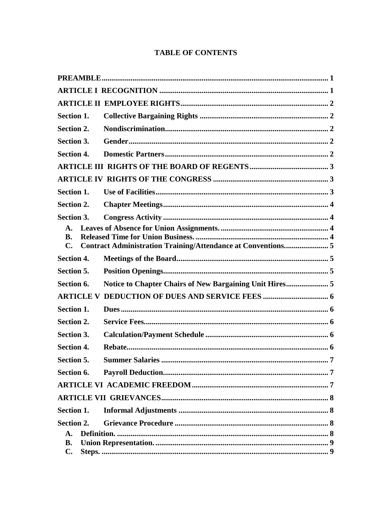# **TABLE OF CONTENTS**

| Section 1.                  |  |
|-----------------------------|--|
| <b>Section 2.</b>           |  |
| <b>Section 3.</b>           |  |
| <b>Section 4.</b>           |  |
|                             |  |
|                             |  |
| Section 1.                  |  |
| <b>Section 2.</b>           |  |
| Section 3.                  |  |
| A.                          |  |
| <b>B.</b><br>$\mathbf{C}$ . |  |
| <b>Section 4.</b>           |  |
| Section 5.                  |  |
| Section 6.                  |  |
|                             |  |
| Section 1.                  |  |
| Section 2.                  |  |
| Section 3.                  |  |
| <b>Section 4.</b>           |  |
| Section 5.                  |  |
| Section 6.                  |  |
|                             |  |
|                             |  |
| Section 1.                  |  |
| Section 2.                  |  |
| $\mathbf{A}$ .              |  |
| <b>B.</b><br>$\mathbf{C}$ . |  |
|                             |  |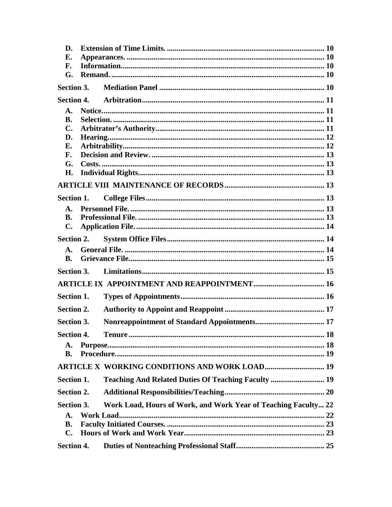| D.                |            |                                                                |  |
|-------------------|------------|----------------------------------------------------------------|--|
| Е.                |            |                                                                |  |
| F.                |            |                                                                |  |
| G.                |            |                                                                |  |
|                   | Section 3. |                                                                |  |
|                   |            |                                                                |  |
| A.                |            |                                                                |  |
| <b>B.</b>         |            |                                                                |  |
| $\mathbf{C}$ .    |            |                                                                |  |
| D.                |            |                                                                |  |
| E.<br>F.          |            |                                                                |  |
| G.                |            |                                                                |  |
| H.                |            |                                                                |  |
|                   |            |                                                                |  |
|                   |            |                                                                |  |
| Section 1.        |            |                                                                |  |
| A.                |            |                                                                |  |
| B.                |            |                                                                |  |
| $\mathbf{C}$ .    |            |                                                                |  |
|                   | Section 2. |                                                                |  |
| <b>A.</b>         |            |                                                                |  |
| <b>B.</b>         |            |                                                                |  |
| Section 3.        |            |                                                                |  |
|                   |            |                                                                |  |
| Section 1.        |            |                                                                |  |
| <b>Section 2.</b> |            |                                                                |  |
| Section 3.        |            |                                                                |  |
| <b>Section 4.</b> |            |                                                                |  |
| A.                |            |                                                                |  |
| <b>B.</b>         |            |                                                                |  |
|                   |            | <b>ARTICLE X WORKING CONDITIONS AND WORK LOAD 19</b>           |  |
| Section 1.        |            | Teaching And Related Duties Of Teaching Faculty  19            |  |
| Section 2.        |            |                                                                |  |
| Section 3.        |            | Work Load, Hours of Work, and Work Year of Teaching Faculty 22 |  |
| $\mathbf{A}$ .    |            |                                                                |  |
| <b>B.</b>         |            |                                                                |  |
| $\mathbf{C}$ .    |            |                                                                |  |
| Section 4.        |            |                                                                |  |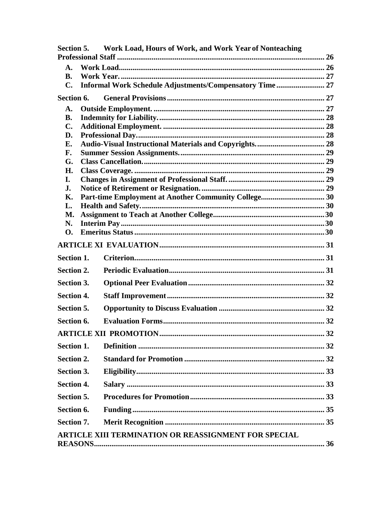|                             | Section 5. Work Load, Hours of Work, and Work Year of Nonteaching |  |  |  |
|-----------------------------|-------------------------------------------------------------------|--|--|--|
|                             |                                                                   |  |  |  |
| A.                          |                                                                   |  |  |  |
| <b>B.</b>                   |                                                                   |  |  |  |
| C.                          | Informal Work Schedule Adjustments/Compensatory Time 27           |  |  |  |
| Section 6.                  |                                                                   |  |  |  |
| A.                          |                                                                   |  |  |  |
| <b>B.</b><br>$\mathbf{C}$ . |                                                                   |  |  |  |
| D.                          |                                                                   |  |  |  |
| Е.                          |                                                                   |  |  |  |
| F.                          |                                                                   |  |  |  |
| G.                          |                                                                   |  |  |  |
| H.                          |                                                                   |  |  |  |
| I.<br>J.                    |                                                                   |  |  |  |
| Κ.                          | Part-time Employment at Another Community College 30              |  |  |  |
| L.                          |                                                                   |  |  |  |
| <b>M.</b>                   |                                                                   |  |  |  |
| N.                          |                                                                   |  |  |  |
| <b>O.</b>                   |                                                                   |  |  |  |
|                             |                                                                   |  |  |  |
| <b>Section 1.</b>           |                                                                   |  |  |  |
| Section 2.                  |                                                                   |  |  |  |
| Section 3.                  |                                                                   |  |  |  |
| <b>Section 4.</b>           |                                                                   |  |  |  |
| Section 5.                  |                                                                   |  |  |  |
| Section 6.                  |                                                                   |  |  |  |
|                             |                                                                   |  |  |  |
| Section 1.                  |                                                                   |  |  |  |
| Section 2.                  |                                                                   |  |  |  |
| Section 3.                  |                                                                   |  |  |  |
| <b>Section 4.</b>           |                                                                   |  |  |  |
| Section 5.                  |                                                                   |  |  |  |
| Section 6.                  |                                                                   |  |  |  |
| Section 7.                  |                                                                   |  |  |  |
|                             | ARTICLE XIII TERMINATION OR REASSIGNMENT FOR SPECIAL              |  |  |  |
|                             |                                                                   |  |  |  |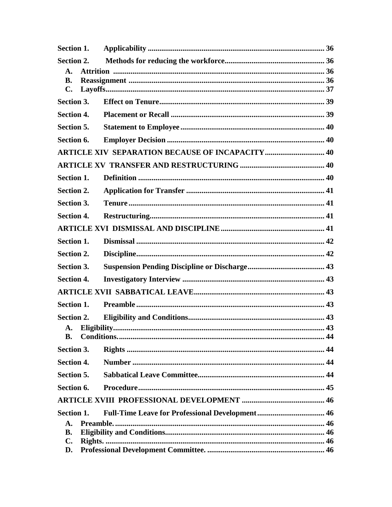| Section 1.                   |                                                         |  |
|------------------------------|---------------------------------------------------------|--|
| Section 2.                   |                                                         |  |
| A.<br><b>B.</b>              |                                                         |  |
| $\mathbf{C}$ .               |                                                         |  |
| Section 3.                   |                                                         |  |
| <b>Section 4.</b>            |                                                         |  |
| Section 5.                   |                                                         |  |
| Section 6.                   |                                                         |  |
|                              | <b>ARTICLE XIV SEPARATION BECAUSE OF INCAPACITY  40</b> |  |
|                              |                                                         |  |
| Section 1.                   |                                                         |  |
| Section 2.                   |                                                         |  |
| Section 3.                   |                                                         |  |
| <b>Section 4.</b>            |                                                         |  |
|                              |                                                         |  |
| Section 1.                   |                                                         |  |
| Section 2.                   |                                                         |  |
| Section 3.                   |                                                         |  |
| <b>Section 4.</b>            |                                                         |  |
|                              |                                                         |  |
| <b>Section 1.</b>            |                                                         |  |
| <b>Section 2.</b>            |                                                         |  |
|                              |                                                         |  |
| <b>B.</b>                    |                                                         |  |
| Section 3.                   |                                                         |  |
| <b>Section 4.</b>            |                                                         |  |
| Section 5.                   |                                                         |  |
| Section 6.                   |                                                         |  |
|                              |                                                         |  |
| Section 1.<br>$\mathbf{A}$ . |                                                         |  |
| <b>B.</b>                    |                                                         |  |
| $\mathbf{C}$ .               |                                                         |  |
| D.                           |                                                         |  |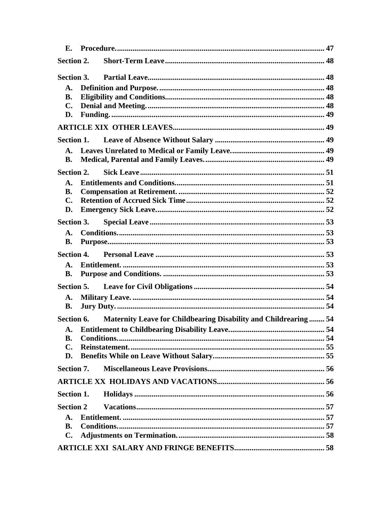| E.               |  |                                                                  |  |
|------------------|--|------------------------------------------------------------------|--|
| Section 2.       |  |                                                                  |  |
| Section 3.       |  |                                                                  |  |
| $\mathbf{A}$ .   |  |                                                                  |  |
| <b>B.</b>        |  |                                                                  |  |
| $\mathbf{C}$ .   |  |                                                                  |  |
| D.               |  |                                                                  |  |
|                  |  |                                                                  |  |
| Section 1.       |  |                                                                  |  |
| $A_{\cdot}$      |  |                                                                  |  |
| В.               |  |                                                                  |  |
| Section 2.       |  |                                                                  |  |
| A.               |  |                                                                  |  |
| <b>B.</b>        |  |                                                                  |  |
| $\mathbf{C}$ .   |  |                                                                  |  |
| D.               |  |                                                                  |  |
| Section 3.       |  |                                                                  |  |
| A.               |  |                                                                  |  |
| <b>B.</b>        |  |                                                                  |  |
|                  |  |                                                                  |  |
| $\mathbf{A}$ .   |  |                                                                  |  |
| В.               |  |                                                                  |  |
| Section 5.       |  |                                                                  |  |
| A.               |  |                                                                  |  |
| <b>B.</b>        |  |                                                                  |  |
| Section 6.       |  | Maternity Leave for Childbearing Disability and Childrearing  54 |  |
|                  |  |                                                                  |  |
| В.               |  |                                                                  |  |
| $\mathbf{C}$ .   |  |                                                                  |  |
| D.               |  |                                                                  |  |
| Section 7.       |  |                                                                  |  |
|                  |  |                                                                  |  |
| Section 1.       |  |                                                                  |  |
| <b>Section 2</b> |  |                                                                  |  |
| $\mathbf{A}$ .   |  |                                                                  |  |
| <b>B.</b>        |  |                                                                  |  |
| $\mathbf{C}$ .   |  |                                                                  |  |
|                  |  |                                                                  |  |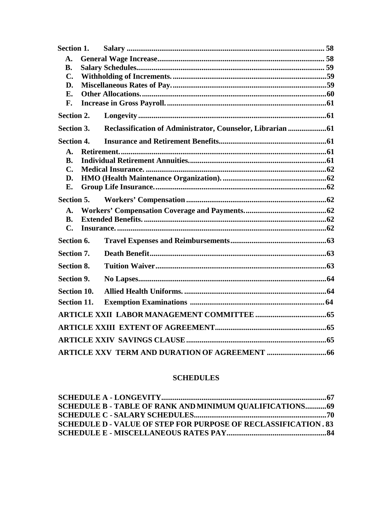| Section 1.        |                                                             |  |
|-------------------|-------------------------------------------------------------|--|
| $\mathbf{A}$ .    |                                                             |  |
| <b>B.</b>         |                                                             |  |
| $C_{\bullet}$     |                                                             |  |
| D.                |                                                             |  |
| E.                |                                                             |  |
| F.                |                                                             |  |
| Section 2.        |                                                             |  |
| Section 3.        | Reclassification of Administrator, Counselor, Librarian  61 |  |
| <b>Section 4.</b> |                                                             |  |
| $\mathbf{A}$ .    |                                                             |  |
| <b>B.</b>         |                                                             |  |
| $\mathbf{C}$ .    |                                                             |  |
| D.                |                                                             |  |
| <b>E.</b>         |                                                             |  |
| Section 5.        |                                                             |  |
| $\mathbf{A}$ .    |                                                             |  |
| <b>B.</b>         |                                                             |  |
| $\mathbf{C}$      |                                                             |  |
| Section 6.        |                                                             |  |
| <b>Section 7.</b> |                                                             |  |
| <b>Section 8.</b> |                                                             |  |
| Section 9.        |                                                             |  |
| Section 10.       |                                                             |  |
| Section 11.       |                                                             |  |
|                   |                                                             |  |
|                   |                                                             |  |
|                   |                                                             |  |
|                   |                                                             |  |

# **SCHEDULES**

| <b>SCHEDULE B - TABLE OF RANK AND MINIMUM OUALIFICATIONS 69</b>       |  |
|-----------------------------------------------------------------------|--|
|                                                                       |  |
| <b>SCHEDULE D - VALUE OF STEP FOR PURPOSE OF RECLASSIFICATION. 83</b> |  |
|                                                                       |  |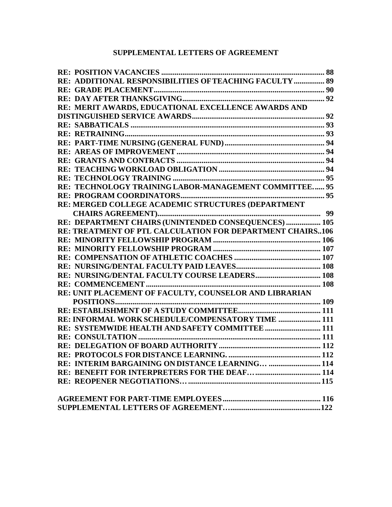# **SUPPLEMENTAL LETTERS OF AGREEMENT**

| RE: ADDITIONAL RESPONSIBILITIES OF TEACHING FACULTY  89   |  |
|-----------------------------------------------------------|--|
|                                                           |  |
|                                                           |  |
| RE: MERIT AWARDS, EDUCATIONAL EXCELLENCE AWARDS AND       |  |
|                                                           |  |
|                                                           |  |
|                                                           |  |
|                                                           |  |
|                                                           |  |
|                                                           |  |
|                                                           |  |
|                                                           |  |
| RE: TECHNOLOGY TRAINING LABOR-MANAGEMENT COMMITTEE 95     |  |
|                                                           |  |
| RE: MERGED COLLEGE ACADEMIC STRUCTURES (DEPARTMENT        |  |
|                                                           |  |
| RE: DEPARTMENT CHAIRS (UNINTENDED CONSEQUENCES)  105      |  |
| RE: TREATMENT OF PTL CALCULATION FOR DEPARTMENT CHAIRS106 |  |
|                                                           |  |
|                                                           |  |
|                                                           |  |
|                                                           |  |
|                                                           |  |
|                                                           |  |
| RE: UNIT PLACEMENT OF FACULTY, COUNSELOR AND LIBRARIAN    |  |
|                                                           |  |
|                                                           |  |
| RE: INFORMAL WORK SCHEDULE/COMPENSATORY TIME  111         |  |
| RE: SYSTEMWIDE HEALTH AND SAFETY COMMITTEE 111            |  |
|                                                           |  |
|                                                           |  |
|                                                           |  |
| RE: INTERIM BARGAINING ON DISTANCE LEARNING  114          |  |
|                                                           |  |
|                                                           |  |
|                                                           |  |
|                                                           |  |
|                                                           |  |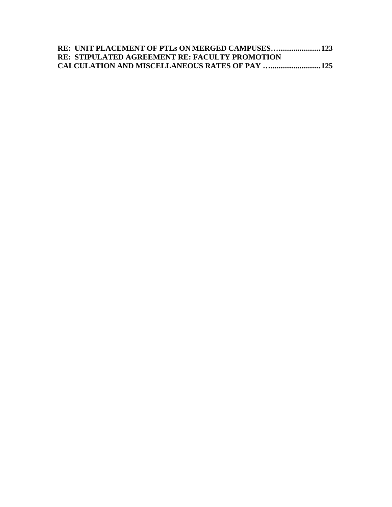| <b>RE: STIPULATED AGREEMENT RE: FACULTY PROMOTION</b>  |  |
|--------------------------------------------------------|--|
| <b>CALCULATION AND MISCELLANEOUS RATES OF PAY  125</b> |  |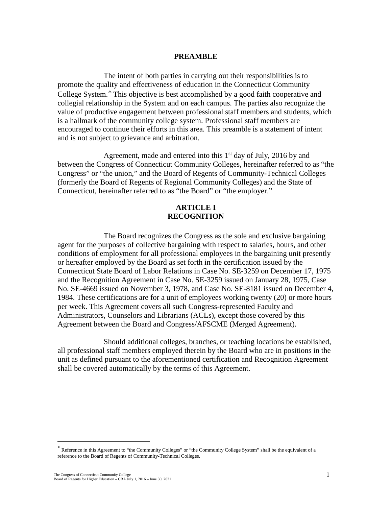#### **PREAMBLE**

<span id="page-9-0"></span>The intent of both parties in carrying out their responsibilities is to promote the quality and effectiveness of education in the Connecticut Community College System.<sup>∗</sup> This objective is best accomplished by a good faith cooperative and collegial relationship in the System and on each campus. The parties also recognize the value of productive engagement between professional staff members and students, which is a hallmark of the community college system. Professional staff members are encouraged to continue their efforts in this area. This preamble is a statement of intent and is not subject to grievance and arbitration.

Agreement, made and entered into this  $1<sup>st</sup>$  day of July, 2016 by and between the Congress of Connecticut Community Colleges, hereinafter referred to as "the Congress" or "the union," and the Board of Regents of Community-Technical Colleges (formerly the Board of Regents of Regional Community Colleges) and the State of Connecticut, hereinafter referred to as "the Board" or "the employer."

#### **ARTICLE I RECOGNITION**

<span id="page-9-1"></span>The Board recognizes the Congress as the sole and exclusive bargaining agent for the purposes of collective bargaining with respect to salaries, hours, and other conditions of employment for all professional employees in the bargaining unit presently or hereafter employed by the Board as set forth in the certification issued by the Connecticut State Board of Labor Relations in Case No. SE-3259 on December 17, 1975 and the Recognition Agreement in Case No. SE-3259 issued on January 28, 1975, Case No. SE-4669 issued on November 3, 1978, and Case No. SE-8181 issued on December 4, 1984. These certifications are for a unit of employees working twenty (20) or more hours per week. This Agreement covers all such Congress-represented Faculty and Administrators, Counselors and Librarians (ACLs), except those covered by this Agreement between the Board and Congress/AFSCME (Merged Agreement).

Should additional colleges, branches, or teaching locations be established, all professional staff members employed therein by the Board who are in positions in the unit as defined pursuant to the aforementioned certification and Recognition Agreement shall be covered automatically by the terms of this Agreement.

<sup>∗</sup> Reference in this Agreement to "the Community Colleges" or "the Community College System" shall be the equivalent of a reference to the Board of Regents of Community-Technical Colleges.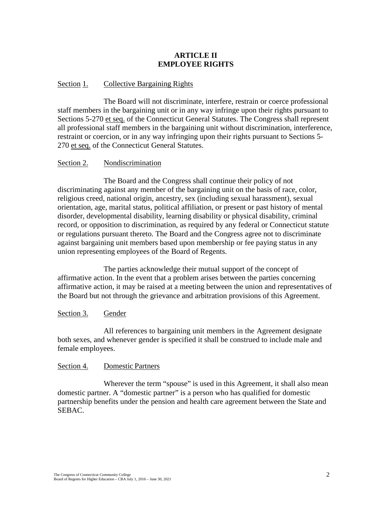# **ARTICLE II EMPLOYEE RIGHTS**

#### <span id="page-10-0"></span>Section 1. Collective Bargaining Rights

The Board will not discriminate, interfere, restrain or coerce professional staff members in the bargaining unit or in any way infringe upon their rights pursuant to Sections 5-270 et seq. of the Connecticut General Statutes. The Congress shall represent all professional staff members in the bargaining unit without discrimination, interference, restraint or coercion, or in any way infringing upon their rights pursuant to Sections 5- 270 et seq. of the Connecticut General Statutes.

#### Section 2. Nondiscrimination

The Board and the Congress shall continue their policy of not discriminating against any member of the bargaining unit on the basis of race, color, religious creed, national origin, ancestry, sex (including sexual harassment), sexual orientation, age, marital status, political affiliation, or present or past history of mental disorder, developmental disability, learning disability or physical disability, criminal record, or opposition to discrimination, as required by any federal or Connecticut statute or regulations pursuant thereto. The Board and the Congress agree not to discriminate against bargaining unit members based upon membership or fee paying status in any union representing employees of the Board of Regents.

The parties acknowledge their mutual support of the concept of affirmative action. In the event that a problem arises between the parties concerning affirmative action, it may be raised at a meeting between the union and representatives of the Board but not through the grievance and arbitration provisions of this Agreement.

#### Section 3. Gender

All references to bargaining unit members in the Agreement designate both sexes, and whenever gender is specified it shall be construed to include male and female employees.

#### Section 4. Domestic Partners

Wherever the term "spouse" is used in this Agreement, it shall also mean domestic partner. A "domestic partner" is a person who has qualified for domestic partnership benefits under the pension and health care agreement between the State and SEBAC.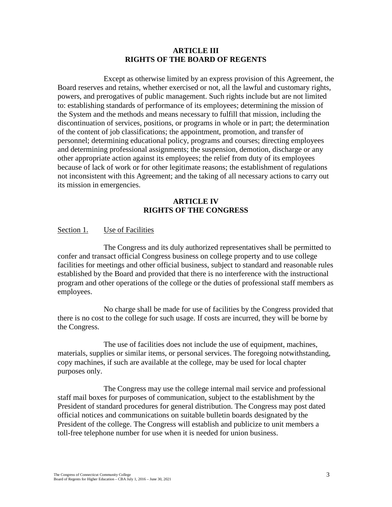#### **ARTICLE III RIGHTS OF THE BOARD OF REGENTS**

Except as otherwise limited by an express provision of this Agreement, the Board reserves and retains, whether exercised or not, all the lawful and customary rights, powers, and prerogatives of public management. Such rights include but are not limited to: establishing standards of performance of its employees; determining the mission of the System and the methods and means necessary to fulfill that mission, including the discontinuation of services, positions, or programs in whole or in part; the determination of the content of job classifications; the appointment, promotion, and transfer of personnel; determining educational policy, programs and courses; directing employees and determining professional assignments; the suspension, demotion, discharge or any other appropriate action against its employees; the relief from duty of its employees because of lack of work or for other legitimate reasons; the establishment of regulations not inconsistent with this Agreement; and the taking of all necessary actions to carry out its mission in emergencies.

# **ARTICLE IV RIGHTS OF THE CONGRESS**

#### <span id="page-11-0"></span>Section 1. Use of Facilities

The Congress and its duly authorized representatives shall be permitted to confer and transact official Congress business on college property and to use college facilities for meetings and other official business, subject to standard and reasonable rules established by the Board and provided that there is no interference with the instructional program and other operations of the college or the duties of professional staff members as employees.

No charge shall be made for use of facilities by the Congress provided that there is no cost to the college for such usage. If costs are incurred, they will be borne by the Congress.

The use of facilities does not include the use of equipment, machines, materials, supplies or similar items, or personal services. The foregoing notwithstanding, copy machines, if such are available at the college, may be used for local chapter purposes only.

The Congress may use the college internal mail service and professional staff mail boxes for purposes of communication, subject to the establishment by the President of standard procedures for general distribution. The Congress may post dated official notices and communications on suitable bulletin boards designated by the President of the college. The Congress will establish and publicize to unit members a toll-free telephone number for use when it is needed for union business.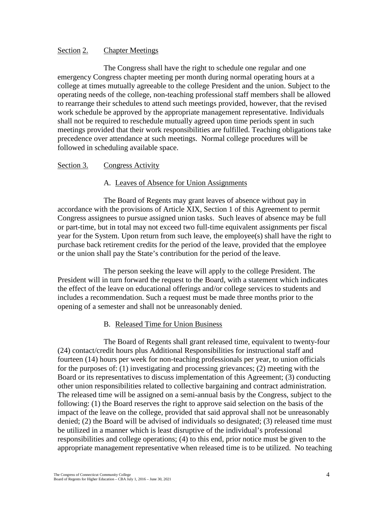#### Section 2. Chapter Meetings

The Congress shall have the right to schedule one regular and one emergency Congress chapter meeting per month during normal operating hours at a college at times mutually agreeable to the college President and the union. Subject to the operating needs of the college, non-teaching professional staff members shall be allowed to rearrange their schedules to attend such meetings provided, however, that the revised work schedule be approved by the appropriate management representative. Individuals shall not be required to reschedule mutually agreed upon time periods spent in such meetings provided that their work responsibilities are fulfilled. Teaching obligations take precedence over attendance at such meetings. Normal college procedures will be followed in scheduling available space.

#### Section 3. Congress Activity

#### A. Leaves of Absence for Union Assignments

The Board of Regents may grant leaves of absence without pay in accordance with the provisions of Article XIX, Section 1 of this Agreement to permit Congress assignees to pursue assigned union tasks. Such leaves of absence may be full or part-time, but in total may not exceed two full-time equivalent assignments per fiscal year for the System. Upon return from such leave, the employee(s) shall have the right to purchase back retirement credits for the period of the leave, provided that the employee or the union shall pay the State's contribution for the period of the leave.

The person seeking the leave will apply to the college President. The President will in turn forward the request to the Board, with a statement which indicates the effect of the leave on educational offerings and/or college services to students and includes a recommendation. Such a request must be made three months prior to the opening of a semester and shall not be unreasonably denied.

#### B. Released Time for Union Business

The Board of Regents shall grant released time, equivalent to twenty-four (24) contact/credit hours plus Additional Responsibilities for instructional staff and fourteen (14) hours per week for non-teaching professionals per year, to union officials for the purposes of: (1) investigating and processing grievances; (2) meeting with the Board or its representatives to discuss implementation of this Agreement; (3) conducting other union responsibilities related to collective bargaining and contract administration. The released time will be assigned on a semi-annual basis by the Congress, subject to the following: (1) the Board reserves the right to approve said selection on the basis of the impact of the leave on the college, provided that said approval shall not be unreasonably denied; (2) the Board will be advised of individuals so designated; (3) released time must be utilized in a manner which is least disruptive of the individual's professional responsibilities and college operations; (4) to this end, prior notice must be given to the appropriate management representative when released time is to be utilized. No teaching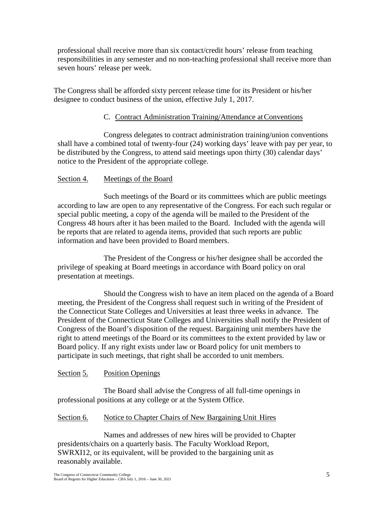professional shall receive more than six contact/credit hours' release from teaching responsibilities in any semester and no non-teaching professional shall receive more than seven hours' release per week.

The Congress shall be afforded sixty percent release time for its President or his/her designee to conduct business of the union, effective July 1, 2017.

# C. Contract Administration Training/Attendance atConventions

Congress delegates to contract administration training/union conventions shall have a combined total of twenty-four (24) working days' leave with pay per year, to be distributed by the Congress, to attend said meetings upon thirty (30) calendar days' notice to the President of the appropriate college.

# Section 4. Meetings of the Board

Such meetings of the Board or its committees which are public meetings according to law are open to any representative of the Congress. For each such regular or special public meeting, a copy of the agenda will be mailed to the President of the Congress 48 hours after it has been mailed to the Board. Included with the agenda will be reports that are related to agenda items, provided that such reports are public information and have been provided to Board members.

The President of the Congress or his/her designee shall be accorded the privilege of speaking at Board meetings in accordance with Board policy on oral presentation at meetings.

Should the Congress wish to have an item placed on the agenda of a Board meeting, the President of the Congress shall request such in writing of the President of the Connecticut State Colleges and Universities at least three weeks in advance. The President of the Connecticut State Colleges and Universities shall notify the President of Congress of the Board's disposition of the request. Bargaining unit members have the right to attend meetings of the Board or its committees to the extent provided by law or Board policy. If any right exists under law or Board policy for unit members to participate in such meetings, that right shall be accorded to unit members.

# Section 5. Position Openings

The Board shall advise the Congress of all full-time openings in professional positions at any college or at the System Office.

# Section 6. Notice to Chapter Chairs of New Bargaining Unit Hires

Names and addresses of new hires will be provided to Chapter presidents/chairs on a quarterly basis. The Faculty Workload Report, SWRXI12, or its equivalent, will be provided to the bargaining unit as reasonably available.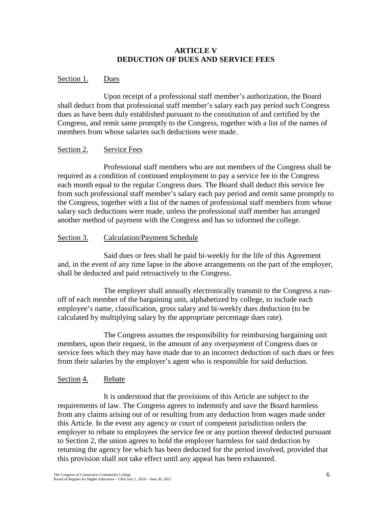## **ARTICLE V DEDUCTION OF DUES AND SERVICE FEES**

# Section 1. Dues

Upon receipt of a professional staff member's authorization, the Board shall deduct from that professional staff member's salary each pay period such Congress dues as have been duly established pursuant to the constitution of and certified by the Congress, and remit same promptly to the Congress, together with a list of the names of members from whose salaries such deductions were made.

#### Section 2. Service Fees

Professional staff members who are not members of the Congress shall be required as a condition of continued employment to pay a service fee to the Congress each month equal to the regular Congress dues. The Board shall deduct this service fee from such professional staff member's salary each pay period and remit same promptly to the Congress, together with a list of the names of professional staff members from whose salary such deductions were made, unless the professional staff member has arranged another method of payment with the Congress and has so informed the college.

# Section 3. Calculation/Payment Schedule

Said dues or fees shall be paid bi-weekly for the life of this Agreement and, in the event of any time lapse in the above arrangements on the part of the employer, shall be deducted and paid retroactively to the Congress.

The employer shall annually electronically transmit to the Congress a runoff of each member of the bargaining unit, alphabetized by college, to include each employee's name, classification, gross salary and bi-weekly dues deduction (to be calculated by multiplying salary by the appropriate percentage dues rate).

The Congress assumes the responsibility for reimbursing bargaining unit members, upon their request, in the amount of any overpayment of Congress dues or service fees which they may have made due to an incorrect deduction of such dues or fees from their salaries by the employer's agent who is responsible for said deduction.

# Section 4. Rebate

It is understood that the provisions of this Article are subject to the requirements of law. The Congress agrees to indemnify and save the Board harmless from any claims arising out of or resulting from any deduction from wages made under this Article. In the event any agency or court of competent jurisdiction orders the employer to rebate to employees the service fee or any portion thereof deducted pursuant to Section 2, the union agrees to hold the employer harmless for said deduction by returning the agency fee which has been deducted for the period involved, provided that this provision shall not take effect until any appeal has been exhausted.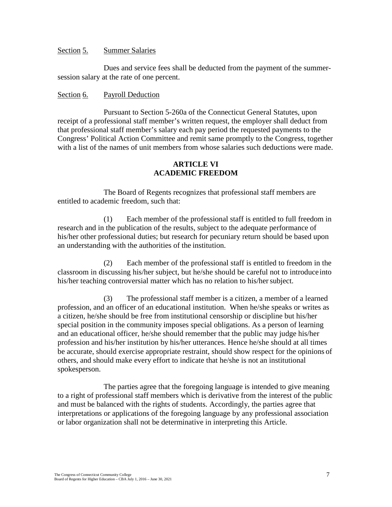#### Section 5. Summer Salaries

Dues and service fees shall be deducted from the payment of the summersession salary at the rate of one percent.

#### Section 6. Payroll Deduction

Pursuant to Section 5-260a of the Connecticut General Statutes, upon receipt of a professional staff member's written request, the employer shall deduct from that professional staff member's salary each pay period the requested payments to the Congress' Political Action Committee and remit same promptly to the Congress, together with a list of the names of unit members from whose salaries such deductions were made.

### **ARTICLE VI ACADEMIC FREEDOM**

<span id="page-15-0"></span>The Board of Regents recognizes that professional staff members are entitled to academic freedom, such that:

(1) Each member of the professional staff is entitled to full freedom in research and in the publication of the results, subject to the adequate performance of his/her other professional duties; but research for pecuniary return should be based upon an understanding with the authorities of the institution.

(2) Each member of the professional staff is entitled to freedom in the classroom in discussing his/her subject, but he/she should be careful not to introduce into his/her teaching controversial matter which has no relation to his/her subject.

(3) The professional staff member is a citizen, a member of a learned profession, and an officer of an educational institution. When he/she speaks or writes as a citizen, he/she should be free from institutional censorship or discipline but his/her special position in the community imposes special obligations. As a person of learning and an educational officer, he/she should remember that the public may judge his/her profession and his/her institution by his/her utterances. Hence he/she should at all times be accurate, should exercise appropriate restraint, should show respect for the opinions of others, and should make every effort to indicate that he/she is not an institutional spokesperson.

The parties agree that the foregoing language is intended to give meaning to a right of professional staff members which is derivative from the interest of the public and must be balanced with the rights of students. Accordingly, the parties agree that interpretations or applications of the foregoing language by any professional association or labor organization shall not be determinative in interpreting this Article.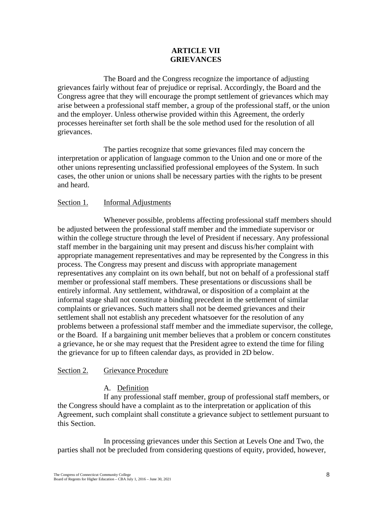# **ARTICLE VII GRIEVANCES**

<span id="page-16-0"></span>The Board and the Congress recognize the importance of adjusting grievances fairly without fear of prejudice or reprisal. Accordingly, the Board and the Congress agree that they will encourage the prompt settlement of grievances which may arise between a professional staff member, a group of the professional staff, or the union and the employer. Unless otherwise provided within this Agreement, the orderly processes hereinafter set forth shall be the sole method used for the resolution of all grievances.

The parties recognize that some grievances filed may concern the interpretation or application of language common to the Union and one or more of the other unions representing unclassified professional employees of the System. In such cases, the other union or unions shall be necessary parties with the rights to be present and heard.

#### Section 1. Informal Adjustments

Whenever possible, problems affecting professional staff members should be adjusted between the professional staff member and the immediate supervisor or within the college structure through the level of President if necessary. Any professional staff member in the bargaining unit may present and discuss his/her complaint with appropriate management representatives and may be represented by the Congress in this process. The Congress may present and discuss with appropriate management representatives any complaint on its own behalf, but not on behalf of a professional staff member or professional staff members. These presentations or discussions shall be entirely informal. Any settlement, withdrawal, or disposition of a complaint at the informal stage shall not constitute a binding precedent in the settlement of similar complaints or grievances. Such matters shall not be deemed grievances and their settlement shall not establish any precedent whatsoever for the resolution of any problems between a professional staff member and the immediate supervisor, the college, or the Board. If a bargaining unit member believes that a problem or concern constitutes a grievance, he or she may request that the President agree to extend the time for filing the grievance for up to fifteen calendar days, as provided in 2D below.

#### Section 2. Grievance Procedure

#### A. Definition

If any professional staff member, group of professional staff members, or the Congress should have a complaint as to the interpretation or application of this Agreement, such complaint shall constitute a grievance subject to settlement pursuant to this Section.

In processing grievances under this Section at Levels One and Two, the parties shall not be precluded from considering questions of equity, provided, however,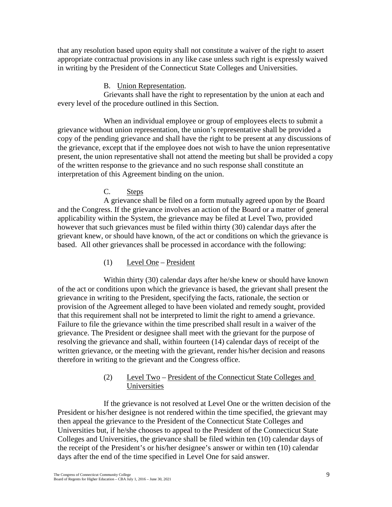that any resolution based upon equity shall not constitute a waiver of the right to assert appropriate contractual provisions in any like case unless such right is expressly waived in writing by the President of the Connecticut State Colleges and Universities.

# B. Union Representation.

Grievants shall have the right to representation by the union at each and every level of the procedure outlined in this Section.

When an individual employee or group of employees elects to submit a grievance without union representation, the union's representative shall be provided a copy of the pending grievance and shall have the right to be present at any discussions of the grievance, except that if the employee does not wish to have the union representative present, the union representative shall not attend the meeting but shall be provided a copy of the written response to the grievance and no such response shall constitute an interpretation of this Agreement binding on the union.

# C. Steps

A grievance shall be filed on a form mutually agreed upon by the Board and the Congress. If the grievance involves an action of the Board or a matter of general applicability within the System, the grievance may be filed at Level Two, provided however that such grievances must be filed within thirty (30) calendar days after the grievant knew, or should have known, of the act or conditions on which the grievance is based. All other grievances shall be processed in accordance with the following:

(1) Level One – President

Within thirty (30) calendar days after he/she knew or should have known of the act or conditions upon which the grievance is based, the grievant shall present the grievance in writing to the President, specifying the facts, rationale, the section or provision of the Agreement alleged to have been violated and remedy sought, provided that this requirement shall not be interpreted to limit the right to amend a grievance. Failure to file the grievance within the time prescribed shall result in a waiver of the grievance. The President or designee shall meet with the grievant for the purpose of resolving the grievance and shall, within fourteen (14) calendar days of receipt of the written grievance, or the meeting with the grievant, render his/her decision and reasons therefore in writing to the grievant and the Congress office.

# (2) Level Two – President of the Connecticut State Colleges and Universities

If the grievance is not resolved at Level One or the written decision of the President or his/her designee is not rendered within the time specified, the grievant may then appeal the grievance to the President of the Connecticut State Colleges and Universities but, if he/she chooses to appeal to the President of the Connecticut State Colleges and Universities, the grievance shall be filed within ten (10) calendar days of the receipt of the President's or his/her designee's answer or within ten (10) calendar days after the end of the time specified in Level One for said answer.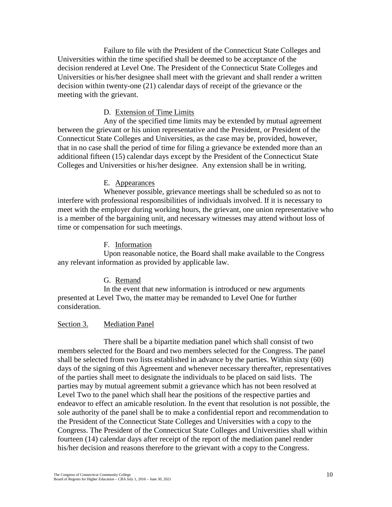Failure to file with the President of the Connecticut State Colleges and Universities within the time specified shall be deemed to be acceptance of the decision rendered at Level One. The President of the Connecticut State Colleges and Universities or his/her designee shall meet with the grievant and shall render a written decision within twenty-one (21) calendar days of receipt of the grievance or the meeting with the grievant.

#### D. Extension of Time Limits

Any of the specified time limits may be extended by mutual agreement between the grievant or his union representative and the President, or President of the Connecticut State Colleges and Universities, as the case may be, provided, however, that in no case shall the period of time for filing a grievance be extended more than an additional fifteen (15) calendar days except by the President of the Connecticut State Colleges and Universities or his/her designee. Any extension shall be in writing.

#### E. Appearances

Whenever possible, grievance meetings shall be scheduled so as not to interfere with professional responsibilities of individuals involved. If it is necessary to meet with the employer during working hours, the grievant, one union representative who is a member of the bargaining unit, and necessary witnesses may attend without loss of time or compensation for such meetings.

#### F. Information

Upon reasonable notice, the Board shall make available to the Congress any relevant information as provided by applicable law.

#### G. Remand

In the event that new information is introduced or new arguments presented at Level Two, the matter may be remanded to Level One for further consideration.

#### Section 3. Mediation Panel

There shall be a bipartite mediation panel which shall consist of two members selected for the Board and two members selected for the Congress. The panel shall be selected from two lists established in advance by the parties. Within sixty (60) days of the signing of this Agreement and whenever necessary thereafter, representatives of the parties shall meet to designate the individuals to be placed on said lists. The parties may by mutual agreement submit a grievance which has not been resolved at Level Two to the panel which shall hear the positions of the respective parties and endeavor to effect an amicable resolution. In the event that resolution is not possible, the sole authority of the panel shall be to make a confidential report and recommendation to the President of the Connecticut State Colleges and Universities with a copy to the Congress. The President of the Connecticut State Colleges and Universities shall within fourteen (14) calendar days after receipt of the report of the mediation panel render his/her decision and reasons therefore to the grievant with a copy to the Congress.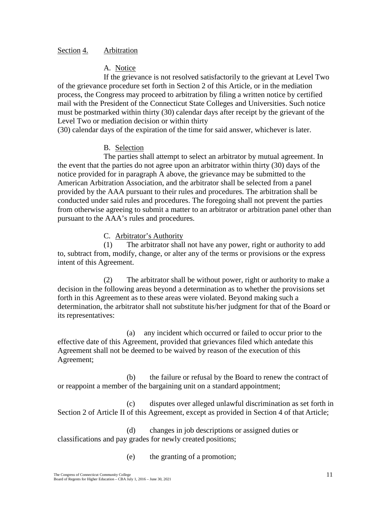#### Section 4. Arbitration

### A. Notice

If the grievance is not resolved satisfactorily to the grievant at Level Two of the grievance procedure set forth in Section 2 of this Article, or in the mediation process, the Congress may proceed to arbitration by filing a written notice by certified mail with the President of the Connecticut State Colleges and Universities. Such notice must be postmarked within thirty (30) calendar days after receipt by the grievant of the Level Two or mediation decision or within thirty

(30) calendar days of the expiration of the time for said answer, whichever is later.

# B. Selection

The parties shall attempt to select an arbitrator by mutual agreement. In the event that the parties do not agree upon an arbitrator within thirty (30) days of the notice provided for in paragraph A above, the grievance may be submitted to the American Arbitration Association, and the arbitrator shall be selected from a panel provided by the AAA pursuant to their rules and procedures. The arbitration shall be conducted under said rules and procedures. The foregoing shall not prevent the parties from otherwise agreeing to submit a matter to an arbitrator or arbitration panel other than pursuant to the AAA's rules and procedures.

# C. Arbitrator's Authority

(1) The arbitrator shall not have any power, right or authority to add to, subtract from, modify, change, or alter any of the terms or provisions or the express intent of this Agreement.

(2) The arbitrator shall be without power, right or authority to make a decision in the following areas beyond a determination as to whether the provisions set forth in this Agreement as to these areas were violated. Beyond making such a determination, the arbitrator shall not substitute his/her judgment for that of the Board or its representatives:

(a) any incident which occurred or failed to occur prior to the effective date of this Agreement, provided that grievances filed which antedate this Agreement shall not be deemed to be waived by reason of the execution of this Agreement;

(b) the failure or refusal by the Board to renew the contract of or reappoint a member of the bargaining unit on a standard appointment;

(c) disputes over alleged unlawful discrimination as set forth in Section 2 of Article II of this Agreement, except as provided in Section 4 of that Article;

(d) changes in job descriptions or assigned duties or classifications and pay grades for newly created positions;

(e) the granting of a promotion;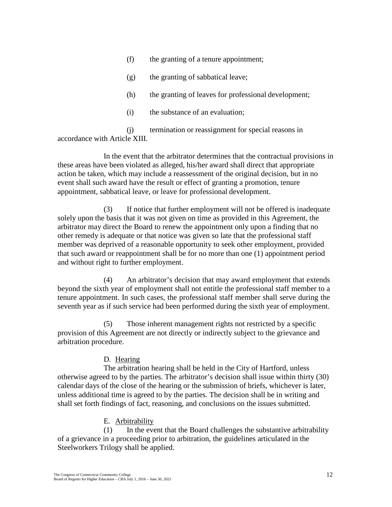- (f) the granting of a tenure appointment;
- (g) the granting of sabbatical leave;
- (h) the granting of leaves for professional development;
- (i) the substance of an evaluation;

(j) termination or reassignment for special reasons in accordance with Article XIII.

In the event that the arbitrator determines that the contractual provisions in these areas have been violated as alleged, his/her award shall direct that appropriate action be taken, which may include a reassessment of the original decision, but in no event shall such award have the result or effect of granting a promotion, tenure appointment, sabbatical leave, or leave for professional development.

(3) If notice that further employment will not be offered is inadequate solely upon the basis that it was not given on time as provided in this Agreement, the arbitrator may direct the Board to renew the appointment only upon a finding that no other remedy is adequate or that notice was given so late that the professional staff member was deprived of a reasonable opportunity to seek other employment, provided that such award or reappointment shall be for no more than one (1) appointment period and without right to further employment.

(4) An arbitrator's decision that may award employment that extends beyond the sixth year of employment shall not entitle the professional staff member to a tenure appointment. In such cases, the professional staff member shall serve during the seventh year as if such service had been performed during the sixth year of employment.

(5) Those inherent management rights not restricted by a specific provision of this Agreement are not directly or indirectly subject to the grievance and arbitration procedure.

# D. Hearing

The arbitration hearing shall be held in the City of Hartford, unless otherwise agreed to by the parties. The arbitrator's decision shall issue within thirty (30) calendar days of the close of the hearing or the submission of briefs, whichever is later, unless additional time is agreed to by the parties. The decision shall be in writing and shall set forth findings of fact, reasoning, and conclusions on the issues submitted.

# E. Arbitrability

(1) In the event that the Board challenges the substantive arbitrability of a grievance in a proceeding prior to arbitration, the guidelines articulated in the Steelworkers Trilogy shall be applied.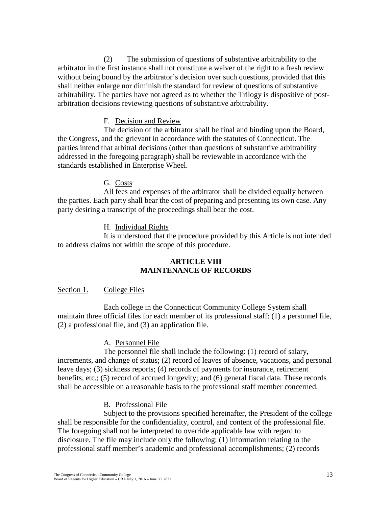(2) The submission of questions of substantive arbitrability to the arbitrator in the first instance shall not constitute a waiver of the right to a fresh review without being bound by the arbitrator's decision over such questions, provided that this shall neither enlarge nor diminish the standard for review of questions of substantive arbitrability. The parties have not agreed as to whether the Trilogy is dispositive of postarbitration decisions reviewing questions of substantive arbitrability.

#### F. Decision and Review

The decision of the arbitrator shall be final and binding upon the Board, the Congress, and the grievant in accordance with the statutes of Connecticut. The parties intend that arbitral decisions (other than questions of substantive arbitrability addressed in the foregoing paragraph) shall be reviewable in accordance with the standards established in Enterprise Wheel.

# G. Costs

All fees and expenses of the arbitrator shall be divided equally between the parties. Each party shall bear the cost of preparing and presenting its own case. Any party desiring a transcript of the proceedings shall bear the cost.

# H. Individual Rights

<span id="page-21-0"></span>It is understood that the procedure provided by this Article is not intended to address claims not within the scope of this procedure.

#### **ARTICLE VIII MAINTENANCE OF RECORDS**

#### Section 1. College Files

Each college in the Connecticut Community College System shall maintain three official files for each member of its professional staff: (1) a personnel file, (2) a professional file, and (3) an application file.

# A. Personnel File

The personnel file shall include the following: (1) record of salary, increments, and change of status; (2) record of leaves of absence, vacations, and personal leave days; (3) sickness reports; (4) records of payments for insurance, retirement benefits, etc.; (5) record of accrued longevity; and (6) general fiscal data. These records shall be accessible on a reasonable basis to the professional staff member concerned.

# B. Professional File

Subject to the provisions specified hereinafter, the President of the college shall be responsible for the confidentiality, control, and content of the professional file. The foregoing shall not be interpreted to override applicable law with regard to disclosure. The file may include only the following: (1) information relating to the professional staff member's academic and professional accomplishments; (2) records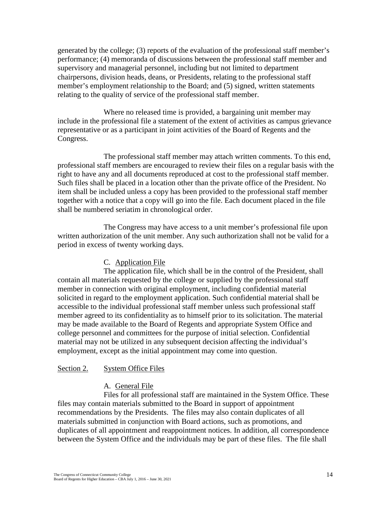generated by the college; (3) reports of the evaluation of the professional staff member's performance; (4) memoranda of discussions between the professional staff member and supervisory and managerial personnel, including but not limited to department chairpersons, division heads, deans, or Presidents, relating to the professional staff member's employment relationship to the Board; and (5) signed, written statements relating to the quality of service of the professional staff member.

Where no released time is provided, a bargaining unit member may include in the professional file a statement of the extent of activities as campus grievance representative or as a participant in joint activities of the Board of Regents and the Congress.

The professional staff member may attach written comments. To this end, professional staff members are encouraged to review their files on a regular basis with the right to have any and all documents reproduced at cost to the professional staff member. Such files shall be placed in a location other than the private office of the President. No item shall be included unless a copy has been provided to the professional staff member together with a notice that a copy will go into the file. Each document placed in the file shall be numbered seriatim in chronological order.

The Congress may have access to a unit member's professional file upon written authorization of the unit member. Any such authorization shall not be valid for a period in excess of twenty working days.

# C. Application File

The application file, which shall be in the control of the President, shall contain all materials requested by the college or supplied by the professional staff member in connection with original employment, including confidential material solicited in regard to the employment application. Such confidential material shall be accessible to the individual professional staff member unless such professional staff member agreed to its confidentiality as to himself prior to its solicitation. The material may be made available to the Board of Regents and appropriate System Office and college personnel and committees for the purpose of initial selection. Confidential material may not be utilized in any subsequent decision affecting the individual's employment, except as the initial appointment may come into question.

# Section 2. System Office Files

# A. General File

Files for all professional staff are maintained in the System Office. These files may contain materials submitted to the Board in support of appointment recommendations by the Presidents. The files may also contain duplicates of all materials submitted in conjunction with Board actions, such as promotions, and duplicates of all appointment and reappointment notices. In addition, all correspondence between the System Office and the individuals may be part of these files. The file shall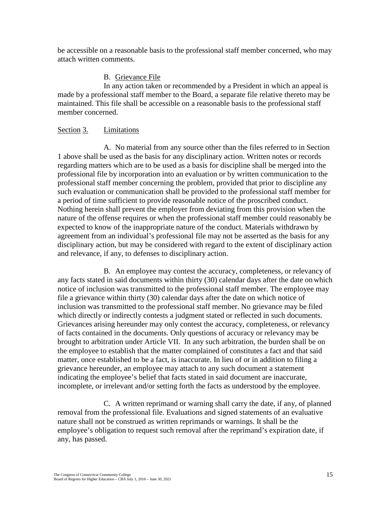be accessible on a reasonable basis to the professional staff member concerned, who may attach written comments.

# B. Grievance File

In any action taken or recommended by a President in which an appeal is made by a professional staff member to the Board, a separate file relative thereto may be maintained. This file shall be accessible on a reasonable basis to the professional staff member concerned.

### Section 3. Limitations

A. No material from any source other than the files referred to in Section 1 above shall be used as the basis for any disciplinary action. Written notes or records regarding matters which are to be used as a basis for discipline shall be merged into the professional file by incorporation into an evaluation or by written communication to the professional staff member concerning the problem, provided that prior to discipline any such evaluation or communication shall be provided to the professional staff member for a period of time sufficient to provide reasonable notice of the proscribed conduct. Nothing herein shall prevent the employer from deviating from this provision when the nature of the offense requires or when the professional staff member could reasonably be expected to know of the inappropriate nature of the conduct. Materials withdrawn by agreement from an individual's professional file may not be asserted as the basis for any disciplinary action, but may be considered with regard to the extent of disciplinary action and relevance, if any, to defenses to disciplinary action.

B. An employee may contest the accuracy, completeness, or relevancy of any facts stated in said documents within thirty (30) calendar days after the date on which notice of inclusion was transmitted to the professional staff member. The employee may file a grievance within thirty (30) calendar days after the date on which notice of inclusion was transmitted to the professional staff member. No grievance may be filed which directly or indirectly contests a judgment stated or reflected in such documents. Grievances arising hereunder may only contest the accuracy, completeness, or relevancy of facts contained in the documents. Only questions of accuracy or relevancy may be brought to arbitration under Article VII. In any such arbitration, the burden shall be on the employee to establish that the matter complained of constitutes a fact and that said matter, once established to be a fact, is inaccurate. In lieu of or in addition to filing a grievance hereunder, an employee may attach to any such document a statement indicating the employee's belief that facts stated in said document are inaccurate, incomplete, or irrelevant and/or setting forth the facts as understood by the employee.

C. A written reprimand or warning shall carry the date, if any, of planned removal from the professional file. Evaluations and signed statements of an evaluative nature shall not be construed as written reprimands or warnings. It shall be the employee's obligation to request such removal after the reprimand's expiration date, if any, has passed.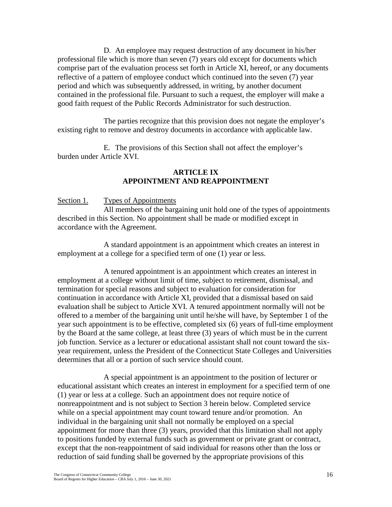D. An employee may request destruction of any document in his/her professional file which is more than seven (7) years old except for documents which comprise part of the evaluation process set forth in Article XI, hereof, or any documents reflective of a pattern of employee conduct which continued into the seven (7) year period and which was subsequently addressed, in writing, by another document contained in the professional file. Pursuant to such a request, the employer will make a good faith request of the Public Records Administrator for such destruction.

The parties recognize that this provision does not negate the employer's existing right to remove and destroy documents in accordance with applicable law.

<span id="page-24-0"></span>E. The provisions of this Section shall not affect the employer's burden under Article XVI.

# **ARTICLE IX APPOINTMENT AND REAPPOINTMENT**

#### Section 1. Types of Appointments

All members of the bargaining unit hold one of the types of appointments described in this Section. No appointment shall be made or modified except in accordance with the Agreement.

A standard appointment is an appointment which creates an interest in employment at a college for a specified term of one (1) year or less.

A tenured appointment is an appointment which creates an interest in employment at a college without limit of time, subject to retirement, dismissal, and termination for special reasons and subject to evaluation for consideration for continuation in accordance with Article XI, provided that a dismissal based on said evaluation shall be subject to Article XVI. A tenured appointment normally will not be offered to a member of the bargaining unit until he/she will have, by September 1 of the year such appointment is to be effective, completed six (6) years of full-time employment by the Board at the same college, at least three (3) years of which must be in the current job function. Service as a lecturer or educational assistant shall not count toward the sixyear requirement, unless the President of the Connecticut State Colleges and Universities determines that all or a portion of such service should count.

A special appointment is an appointment to the position of lecturer or educational assistant which creates an interest in employment for a specified term of one (1) year or less at a college. Such an appointment does not require notice of nonreappointment and is not subject to Section 3 herein below. Completed service while on a special appointment may count toward tenure and/or promotion. An individual in the bargaining unit shall not normally be employed on a special appointment for more than three (3) years, provided that this limitation shall not apply to positions funded by external funds such as government or private grant or contract, except that the non-reappointment of said individual for reasons other than the loss or reduction of said funding shall be governed by the appropriate provisions of this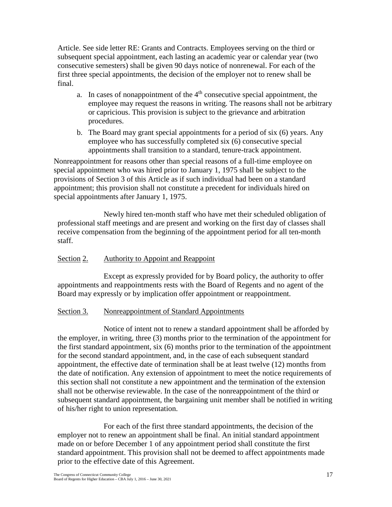Article. See side letter RE: Grants and Contracts. Employees serving on the third or subsequent special appointment, each lasting an academic year or calendar year (two consecutive semesters) shall be given 90 days notice of nonrenewal. For each of the first three special appointments, the decision of the employer not to renew shall be final.

- a. In cases of nonappointment of the  $4<sup>th</sup>$  consecutive special appointment, the employee may request the reasons in writing. The reasons shall not be arbitrary or capricious. This provision is subject to the grievance and arbitration procedures.
- b. The Board may grant special appointments for a period of six (6) years. Any employee who has successfully completed six (6) consecutive special appointments shall transition to a standard, tenure-track appointment.

Nonreappointment for reasons other than special reasons of a full-time employee on special appointment who was hired prior to January 1, 1975 shall be subject to the provisions of Section 3 of this Article as if such individual had been on a standard appointment; this provision shall not constitute a precedent for individuals hired on special appointments after January 1, 1975.

Newly hired ten-month staff who have met their scheduled obligation of professional staff meetings and are present and working on the first day of classes shall receive compensation from the beginning of the appointment period for all ten-month staff.

#### Section 2. Authority to Appoint and Reappoint

Except as expressly provided for by Board policy, the authority to offer appointments and reappointments rests with the Board of Regents and no agent of the Board may expressly or by implication offer appointment or reappointment.

#### Section 3. Nonreappointment of Standard Appointments

Notice of intent not to renew a standard appointment shall be afforded by the employer, in writing, three (3) months prior to the termination of the appointment for the first standard appointment, six (6) months prior to the termination of the appointment for the second standard appointment, and, in the case of each subsequent standard appointment, the effective date of termination shall be at least twelve (12) months from the date of notification. Any extension of appointment to meet the notice requirements of this section shall not constitute a new appointment and the termination of the extension shall not be otherwise reviewable. In the case of the nonreappointment of the third or subsequent standard appointment, the bargaining unit member shall be notified in writing of his/her right to union representation.

For each of the first three standard appointments, the decision of the employer not to renew an appointment shall be final. An initial standard appointment made on or before December 1 of any appointment period shall constitute the first standard appointment. This provision shall not be deemed to affect appointments made prior to the effective date of this Agreement.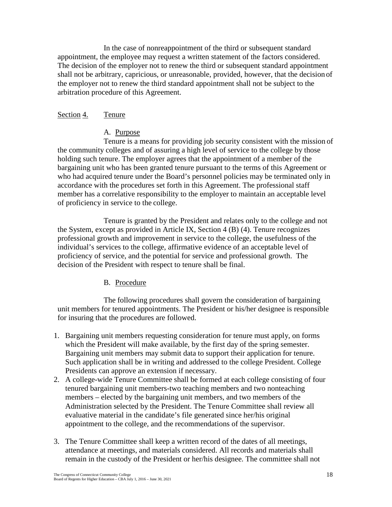In the case of nonreappointment of the third or subsequent standard appointment, the employee may request a written statement of the factors considered. The decision of the employer not to renew the third or subsequent standard appointment shall not be arbitrary, capricious, or unreasonable, provided, however, that the decision of the employer not to renew the third standard appointment shall not be subject to the arbitration procedure of this Agreement.

#### Section 4. Tenure

#### A. Purpose

Tenure is a means for providing job security consistent with the mission of the community colleges and of assuring a high level of service to the college by those holding such tenure. The employer agrees that the appointment of a member of the bargaining unit who has been granted tenure pursuant to the terms of this Agreement or who had acquired tenure under the Board's personnel policies may be terminated only in accordance with the procedures set forth in this Agreement. The professional staff member has a correlative responsibility to the employer to maintain an acceptable level of proficiency in service to the college.

Tenure is granted by the President and relates only to the college and not the System, except as provided in Article IX, Section 4 (B) (4). Tenure recognizes professional growth and improvement in service to the college, the usefulness of the individual's services to the college, affirmative evidence of an acceptable level of proficiency of service, and the potential for service and professional growth. The decision of the President with respect to tenure shall be final.

#### B. Procedure

The following procedures shall govern the consideration of bargaining unit members for tenured appointments. The President or his/her designee is responsible for insuring that the procedures are followed.

- 1. Bargaining unit members requesting consideration for tenure must apply, on forms which the President will make available, by the first day of the spring semester. Bargaining unit members may submit data to support their application for tenure. Such application shall be in writing and addressed to the college President. College Presidents can approve an extension if necessary.
- 2. A college-wide Tenure Committee shall be formed at each college consisting of four tenured bargaining unit members-two teaching members and two nonteaching members – elected by the bargaining unit members, and two members of the Administration selected by the President. The Tenure Committee shall review all evaluative material in the candidate's file generated since her/his original appointment to the college, and the recommendations of the supervisor.
- 3. The Tenure Committee shall keep a written record of the dates of all meetings, attendance at meetings, and materials considered. All records and materials shall remain in the custody of the President or her/his designee. The committee shall not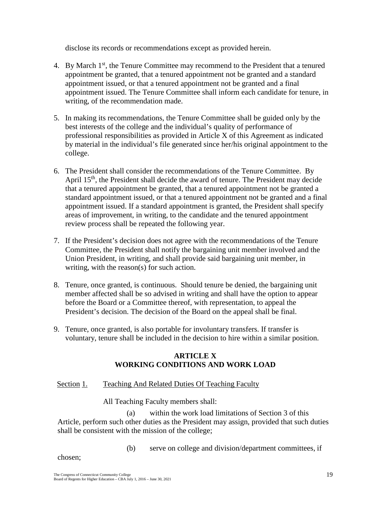disclose its records or recommendations except as provided herein.

- 4. By March 1st, the Tenure Committee may recommend to the President that a tenured appointment be granted, that a tenured appointment not be granted and a standard appointment issued, or that a tenured appointment not be granted and a final appointment issued. The Tenure Committee shall inform each candidate for tenure, in writing, of the recommendation made.
- 5. In making its recommendations, the Tenure Committee shall be guided only by the best interests of the college and the individual's quality of performance of professional responsibilities as provided in Article X of this Agreement as indicated by material in the individual's file generated since her/his original appointment to the college.
- 6. The President shall consider the recommendations of the Tenure Committee. By April 15<sup>th</sup>, the President shall decide the award of tenure. The President may decide that a tenured appointment be granted, that a tenured appointment not be granted a standard appointment issued, or that a tenured appointment not be granted and a final appointment issued. If a standard appointment is granted, the President shall specify areas of improvement, in writing, to the candidate and the tenured appointment review process shall be repeated the following year.
- 7. If the President's decision does not agree with the recommendations of the Tenure Committee, the President shall notify the bargaining unit member involved and the Union President, in writing, and shall provide said bargaining unit member, in writing, with the reason(s) for such action.
- 8. Tenure, once granted, is continuous. Should tenure be denied, the bargaining unit member affected shall be so advised in writing and shall have the option to appear before the Board or a Committee thereof, with representation, to appeal the President's decision. The decision of the Board on the appeal shall be final.
- 9. Tenure, once granted, is also portable for involuntary transfers. If transfer is voluntary, tenure shall be included in the decision to hire within a similar position.

# **ARTICLE X WORKING CONDITIONS AND WORK LOAD**

```
Section 1. Teaching And Related Duties Of Teaching Faculty
```
All Teaching Faculty members shall:

(a) within the work load limitations of Section 3 of this Article, perform such other duties as the President may assign, provided that such duties shall be consistent with the mission of the college;

(b) serve on college and division/department committees, if

chosen;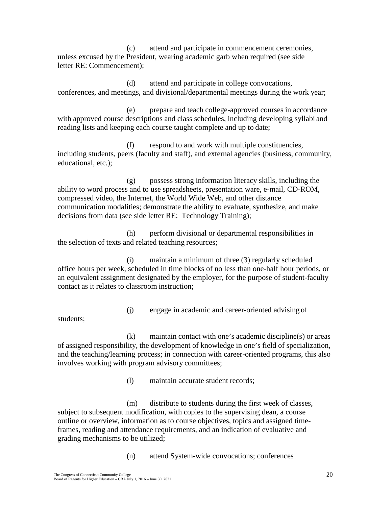(c) attend and participate in commencement ceremonies, unless excused by the President, wearing academic garb when required (see side letter RE: Commencement);

(d) attend and participate in college convocations, conferences, and meetings, and divisional/departmental meetings during the work year;

(e) prepare and teach college-approved courses in accordance with approved course descriptions and class schedules, including developing syllabi and reading lists and keeping each course taught complete and up to date;

(f) respond to and work with multiple constituencies, including students, peers (faculty and staff), and external agencies (business, community, educational, etc.);

(g) possess strong information literacy skills, including the ability to word process and to use spreadsheets, presentation ware, e-mail, CD-ROM, compressed video, the Internet, the World Wide Web, and other distance communication modalities; demonstrate the ability to evaluate, synthesize, and make decisions from data (see side letter RE: Technology Training);

(h) perform divisional or departmental responsibilities in the selection of texts and related teaching resources;

(i) maintain a minimum of three (3) regularly scheduled office hours per week, scheduled in time blocks of no less than one-half hour periods, or an equivalent assignment designated by the employer, for the purpose of student-faculty contact as it relates to classroom instruction;

(j) engage in academic and career-oriented advising of

students;

(k) maintain contact with one's academic discipline(s) or areas of assigned responsibility, the development of knowledge in one's field of specialization, and the teaching/learning process; in connection with career-oriented programs, this also involves working with program advisory committees;

(l) maintain accurate student records;

(m) distribute to students during the first week of classes, subject to subsequent modification, with copies to the supervising dean, a course outline or overview, information as to course objectives, topics and assigned timeframes, reading and attendance requirements, and an indication of evaluative and grading mechanisms to be utilized;

(n) attend System-wide convocations; conferences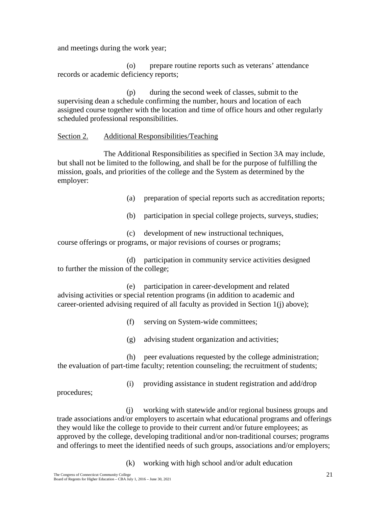and meetings during the work year;

(o) prepare routine reports such as veterans' attendance records or academic deficiency reports;

(p) during the second week of classes, submit to the supervising dean a schedule confirming the number, hours and location of each assigned course together with the location and time of office hours and other regularly scheduled professional responsibilities.

#### Section 2. Additional Responsibilities/Teaching

The Additional Responsibilities as specified in Section 3A may include, but shall not be limited to the following, and shall be for the purpose of fulfilling the mission, goals, and priorities of the college and the System as determined by the employer:

(a) preparation of special reports such as accreditation reports;

(b) participation in special college projects, surveys, studies;

(c) development of new instructional techniques, course offerings or programs, or major revisions of courses or programs;

(d) participation in community service activities designed to further the mission of the college;

(e) participation in career-development and related advising activities or special retention programs (in addition to academic and career-oriented advising required of all faculty as provided in Section 1(j) above);

(f) serving on System-wide committees;

(g) advising student organization and activities;

(h) peer evaluations requested by the college administration; the evaluation of part-time faculty; retention counseling; the recruitment of students;

(i) providing assistance in student registration and add/drop

procedures;

(j) working with statewide and/or regional business groups and trade associations and/or employers to ascertain what educational programs and offerings they would like the college to provide to their current and/or future employees; as approved by the college, developing traditional and/or non-traditional courses; programs and offerings to meet the identified needs of such groups, associations and/or employers;

(k) working with high school and/or adult education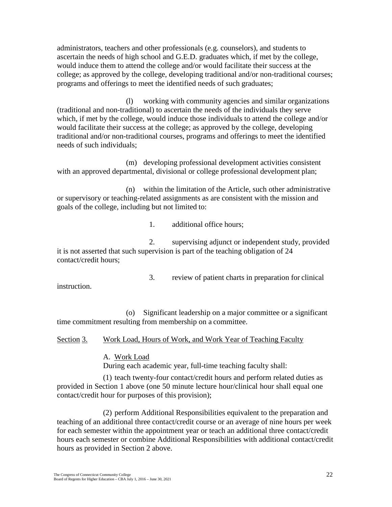administrators, teachers and other professionals (e.g. counselors), and students to ascertain the needs of high school and G.E.D. graduates which, if met by the college, would induce them to attend the college and/or would facilitate their success at the college; as approved by the college, developing traditional and/or non-traditional courses; programs and offerings to meet the identified needs of such graduates;

(l) working with community agencies and similar organizations (traditional and non-traditional) to ascertain the needs of the individuals they serve which, if met by the college, would induce those individuals to attend the college and/or would facilitate their success at the college; as approved by the college, developing traditional and/or non-traditional courses, programs and offerings to meet the identified needs of such individuals;

(m) developing professional development activities consistent with an approved departmental, divisional or college professional development plan;

(n) within the limitation of the Article, such other administrative or supervisory or teaching-related assignments as are consistent with the mission and goals of the college, including but not limited to:

1. additional office hours;

2. supervising adjunct or independent study, provided it is not asserted that such supervision is part of the teaching obligation of 24 contact/credit hours;

3. review of patient charts in preparation for clinical

instruction.

(o) Significant leadership on a major committee or a significant time commitment resulting from membership on a committee.

Section 3. Work Load, Hours of Work, and Work Year of Teaching Faculty

A. Work Load

During each academic year, full-time teaching faculty shall:

(1) teach twenty-four contact/credit hours and perform related duties as provided in Section 1 above (one 50 minute lecture hour/clinical hour shall equal one contact/credit hour for purposes of this provision);

(2) perform Additional Responsibilities equivalent to the preparation and teaching of an additional three contact/credit course or an average of nine hours per week for each semester within the appointment year or teach an additional three contact/credit hours each semester or combine Additional Responsibilities with additional contact/credit hours as provided in Section 2 above.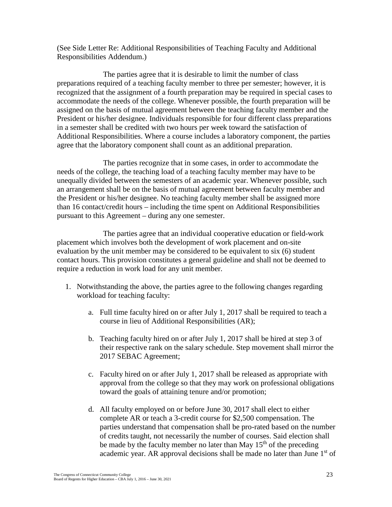(See Side Letter Re: Additional Responsibilities of Teaching Faculty and Additional Responsibilities Addendum.)

The parties agree that it is desirable to limit the number of class preparations required of a teaching faculty member to three per semester; however, it is recognized that the assignment of a fourth preparation may be required in special cases to accommodate the needs of the college. Whenever possible, the fourth preparation will be assigned on the basis of mutual agreement between the teaching faculty member and the President or his/her designee. Individuals responsible for four different class preparations in a semester shall be credited with two hours per week toward the satisfaction of Additional Responsibilities. Where a course includes a laboratory component, the parties agree that the laboratory component shall count as an additional preparation.

The parties recognize that in some cases, in order to accommodate the needs of the college, the teaching load of a teaching faculty member may have to be unequally divided between the semesters of an academic year. Whenever possible, such an arrangement shall be on the basis of mutual agreement between faculty member and the President or his/her designee. No teaching faculty member shall be assigned more than 16 contact/credit hours – including the time spent on Additional Responsibilities pursuant to this Agreement – during any one semester.

The parties agree that an individual cooperative education or field-work placement which involves both the development of work placement and on-site evaluation by the unit member may be considered to be equivalent to six (6) student contact hours. This provision constitutes a general guideline and shall not be deemed to require a reduction in work load for any unit member.

- 1. Notwithstanding the above, the parties agree to the following changes regarding workload for teaching faculty:
	- a. Full time faculty hired on or after July 1, 2017 shall be required to teach a course in lieu of Additional Responsibilities (AR);
	- b. Teaching faculty hired on or after July 1, 2017 shall be hired at step 3 of their respective rank on the salary schedule. Step movement shall mirror the 2017 SEBAC Agreement;
	- c. Faculty hired on or after July 1, 2017 shall be released as appropriate with approval from the college so that they may work on professional obligations toward the goals of attaining tenure and/or promotion;
	- d. All faculty employed on or before June 30, 2017 shall elect to either complete AR or teach a 3-credit course for \$2,500 compensation. The parties understand that compensation shall be pro-rated based on the number of credits taught, not necessarily the number of courses. Said election shall be made by the faculty member no later than May 15<sup>th</sup> of the preceding academic year. AR approval decisions shall be made no later than June 1<sup>st</sup> of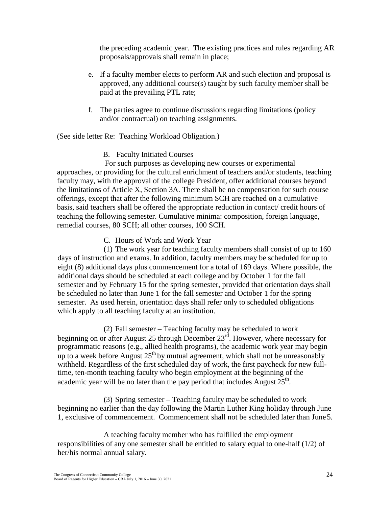the preceding academic year. The existing practices and rules regarding AR proposals/approvals shall remain in place;

- e. If a faculty member elects to perform AR and such election and proposal is approved, any additional course(s) taught by such faculty member shall be paid at the prevailing PTL rate;
- f. The parties agree to continue discussions regarding limitations (policy and/or contractual) on teaching assignments.

(See side letter Re: Teaching Workload Obligation.)

# B. Faculty Initiated Courses

For such purposes as developing new courses or experimental approaches, or providing for the cultural enrichment of teachers and/or students, teaching faculty may, with the approval of the college President, offer additional courses beyond the limitations of Article X, Section 3A. There shall be no compensation for such course offerings, except that after the following minimum SCH are reached on a cumulative basis, said teachers shall be offered the appropriate reduction in contact/ credit hours of teaching the following semester. Cumulative minima: composition, foreign language, remedial courses, 80 SCH; all other courses, 100 SCH.

# C. Hours of Work and Work Year

(1) The work year for teaching faculty members shall consist of up to 160 days of instruction and exams. In addition, faculty members may be scheduled for up to eight (8) additional days plus commencement for a total of 169 days. Where possible, the additional days should be scheduled at each college and by October 1 for the fall semester and by February 15 for the spring semester, provided that orientation days shall be scheduled no later than June 1 for the fall semester and October 1 for the spring semester. As used herein, orientation days shall refer only to scheduled obligations which apply to all teaching faculty at an institution.

(2) Fall semester – Teaching faculty may be scheduled to work beginning on or after August 25 through December 23<sup>rd</sup>. However, where necessary for programmatic reasons (e.g., allied health programs), the academic work year may begin up to a week before August  $25<sup>th</sup>$  by mutual agreement, which shall not be unreasonably withheld. Regardless of the first scheduled day of work, the first paycheck for new fulltime, ten-month teaching faculty who begin employment at the beginning of the academic year will be no later than the pay period that includes August  $25<sup>th</sup>$ .

(3) Spring semester – Teaching faculty may be scheduled to work beginning no earlier than the day following the Martin Luther King holiday through June 1, exclusive of commencement. Commencement shall not be scheduled later than June5.

A teaching faculty member who has fulfilled the employment responsibilities of any one semester shall be entitled to salary equal to one-half (1/2) of her/his normal annual salary.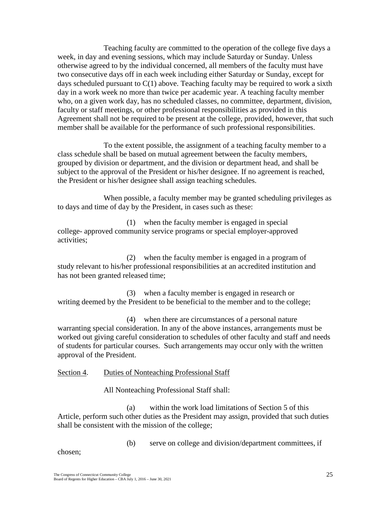Teaching faculty are committed to the operation of the college five days a week, in day and evening sessions, which may include Saturday or Sunday. Unless otherwise agreed to by the individual concerned, all members of the faculty must have two consecutive days off in each week including either Saturday or Sunday, except for days scheduled pursuant to  $C(1)$  above. Teaching faculty may be required to work a sixth day in a work week no more than twice per academic year. A teaching faculty member who, on a given work day, has no scheduled classes, no committee, department, division, faculty or staff meetings, or other professional responsibilities as provided in this Agreement shall not be required to be present at the college, provided, however, that such member shall be available for the performance of such professional responsibilities.

To the extent possible, the assignment of a teaching faculty member to a class schedule shall be based on mutual agreement between the faculty members, grouped by division or department, and the division or department head, and shall be subject to the approval of the President or his/her designee. If no agreement is reached, the President or his/her designee shall assign teaching schedules.

When possible, a faculty member may be granted scheduling privileges as to days and time of day by the President, in cases such as these:

(1) when the faculty member is engaged in special college- approved community service programs or special employer-approved activities;

(2) when the faculty member is engaged in a program of study relevant to his/her professional responsibilities at an accredited institution and has not been granted released time;

(3) when a faculty member is engaged in research or writing deemed by the President to be beneficial to the member and to the college;

(4) when there are circumstances of a personal nature warranting special consideration. In any of the above instances, arrangements must be worked out giving careful consideration to schedules of other faculty and staff and needs of students for particular courses. Such arrangements may occur only with the written approval of the President.

#### Section 4. Duties of Nonteaching Professional Staff

All Nonteaching Professional Staff shall:

(a) within the work load limitations of Section 5 of this Article, perform such other duties as the President may assign, provided that such duties shall be consistent with the mission of the college;

(b) serve on college and division/department committees, if

chosen;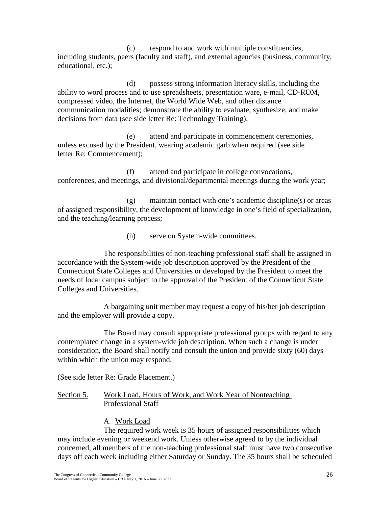(c) respond to and work with multiple constituencies, including students, peers (faculty and staff), and external agencies (business, community, educational, etc.);

(d) possess strong information literacy skills, including the ability to word process and to use spreadsheets, presentation ware, e-mail, CD-ROM, compressed video, the Internet, the World Wide Web, and other distance communication modalities; demonstrate the ability to evaluate, synthesize, and make decisions from data (see side letter Re: Technology Training);

(e) attend and participate in commencement ceremonies, unless excused by the President, wearing academic garb when required (see side letter Re: Commencement);

(f) attend and participate in college convocations, conferences, and meetings, and divisional/departmental meetings during the work year;

(g) maintain contact with one's academic discipline(s) or areas of assigned responsibility, the development of knowledge in one's field of specialization, and the teaching/learning process;

(h) serve on System-wide committees.

The responsibilities of non-teaching professional staff shall be assigned in accordance with the System-wide job description approved by the President of the Connecticut State Colleges and Universities or developed by the President to meet the needs of local campus subject to the approval of the President of the Connecticut State Colleges and Universities.

A bargaining unit member may request a copy of his/her job description and the employer will provide a copy.

The Board may consult appropriate professional groups with regard to any contemplated change in a system-wide job description. When such a change is under consideration, the Board shall notify and consult the union and provide sixty (60) days within which the union may respond.

(See side letter Re: Grade Placement.)

Section 5. Work Load, Hours of Work, and Work Year of Nonteaching Professional Staff

# A. Work Load

The required work week is 35 hours of assigned responsibilities which may include evening or weekend work. Unless otherwise agreed to by the individual concerned, all members of the non-teaching professional staff must have two consecutive days off each week including either Saturday or Sunday. The 35 hours shall be scheduled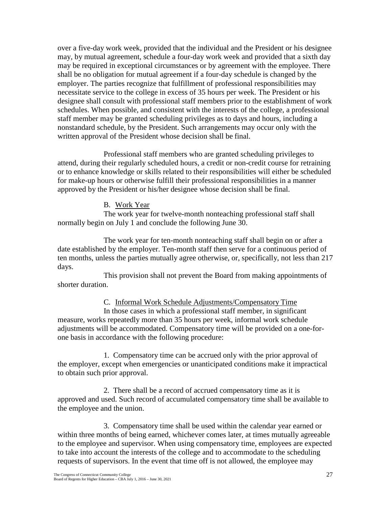over a five-day work week, provided that the individual and the President or his designee may, by mutual agreement, schedule a four-day work week and provided that a sixth day may be required in exceptional circumstances or by agreement with the employee. There shall be no obligation for mutual agreement if a four-day schedule is changed by the employer. The parties recognize that fulfillment of professional responsibilities may necessitate service to the college in excess of 35 hours per week. The President or his designee shall consult with professional staff members prior to the establishment of work schedules. When possible, and consistent with the interests of the college, a professional staff member may be granted scheduling privileges as to days and hours, including a nonstandard schedule, by the President. Such arrangements may occur only with the written approval of the President whose decision shall be final.

Professional staff members who are granted scheduling privileges to attend, during their regularly scheduled hours, a credit or non-credit course for retraining or to enhance knowledge or skills related to their responsibilities will either be scheduled for make-up hours or otherwise fulfill their professional responsibilities in a manner approved by the President or his/her designee whose decision shall be final.

#### B. Work Year

The work year for twelve-month nonteaching professional staff shall normally begin on July 1 and conclude the following June 30.

The work year for ten-month nonteaching staff shall begin on or after a date established by the employer. Ten-month staff then serve for a continuous period of ten months, unless the parties mutually agree otherwise, or, specifically, not less than 217 days.

This provision shall not prevent the Board from making appointments of shorter duration.

C. Informal Work Schedule Adjustments/Compensatory Time

In those cases in which a professional staff member, in significant measure, works repeatedly more than 35 hours per week, informal work schedule adjustments will be accommodated. Compensatory time will be provided on a one-forone basis in accordance with the following procedure:

1. Compensatory time can be accrued only with the prior approval of the employer, except when emergencies or unanticipated conditions make it impractical to obtain such prior approval.

2. There shall be a record of accrued compensatory time as it is approved and used. Such record of accumulated compensatory time shall be available to the employee and the union.

3. Compensatory time shall be used within the calendar year earned or within three months of being earned, whichever comes later, at times mutually agreeable to the employee and supervisor. When using compensatory time, employees are expected to take into account the interests of the college and to accommodate to the scheduling requests of supervisors. In the event that time off is not allowed, the employee may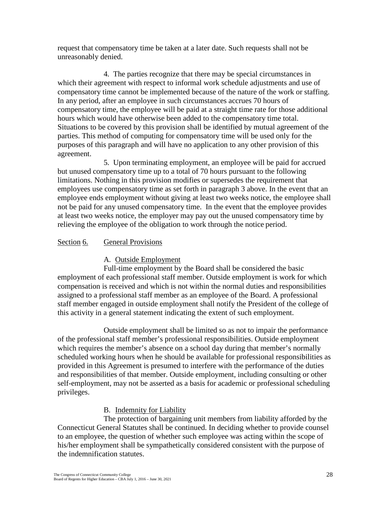request that compensatory time be taken at a later date. Such requests shall not be unreasonably denied.

4. The parties recognize that there may be special circumstances in which their agreement with respect to informal work schedule adjustments and use of compensatory time cannot be implemented because of the nature of the work or staffing. In any period, after an employee in such circumstances accrues 70 hours of compensatory time, the employee will be paid at a straight time rate for those additional hours which would have otherwise been added to the compensatory time total. Situations to be covered by this provision shall be identified by mutual agreement of the parties. This method of computing for compensatory time will be used only for the purposes of this paragraph and will have no application to any other provision of this agreement.

5. Upon terminating employment, an employee will be paid for accrued but unused compensatory time up to a total of 70 hours pursuant to the following limitations. Nothing in this provision modifies or supersedes the requirement that employees use compensatory time as set forth in paragraph 3 above. In the event that an employee ends employment without giving at least two weeks notice, the employee shall not be paid for any unused compensatory time. In the event that the employee provides at least two weeks notice, the employer may pay out the unused compensatory time by relieving the employee of the obligation to work through the notice period.

## Section 6. General Provisions

#### A. Outside Employment

Full-time employment by the Board shall be considered the basic employment of each professional staff member. Outside employment is work for which compensation is received and which is not within the normal duties and responsibilities assigned to a professional staff member as an employee of the Board. A professional staff member engaged in outside employment shall notify the President of the college of this activity in a general statement indicating the extent of such employment.

Outside employment shall be limited so as not to impair the performance of the professional staff member's professional responsibilities. Outside employment which requires the member's absence on a school day during that member's normally scheduled working hours when he should be available for professional responsibilities as provided in this Agreement is presumed to interfere with the performance of the duties and responsibilities of that member. Outside employment, including consulting or other self-employment, may not be asserted as a basis for academic or professional scheduling privileges.

## B. Indemnity for Liability

The protection of bargaining unit members from liability afforded by the Connecticut General Statutes shall be continued. In deciding whether to provide counsel to an employee, the question of whether such employee was acting within the scope of his/her employment shall be sympathetically considered consistent with the purpose of the indemnification statutes.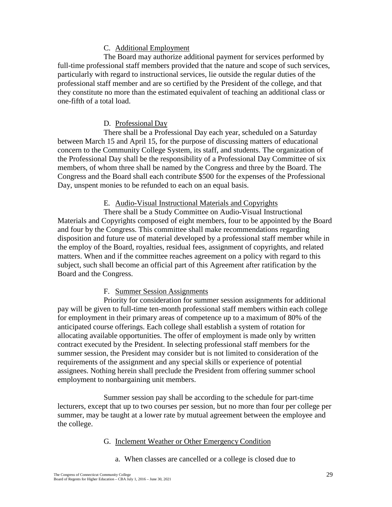### C. Additional Employment

The Board may authorize additional payment for services performed by full-time professional staff members provided that the nature and scope of such services, particularly with regard to instructional services, lie outside the regular duties of the professional staff member and are so certified by the President of the college, and that they constitute no more than the estimated equivalent of teaching an additional class or one-fifth of a total load.

#### D. Professional Day

There shall be a Professional Day each year, scheduled on a Saturday between March 15 and April 15, for the purpose of discussing matters of educational concern to the Community College System, its staff, and students. The organization of the Professional Day shall be the responsibility of a Professional Day Committee of six members, of whom three shall be named by the Congress and three by the Board. The Congress and the Board shall each contribute \$500 for the expenses of the Professional Day, unspent monies to be refunded to each on an equal basis.

#### E. Audio-Visual Instructional Materials and Copyrights

There shall be a Study Committee on Audio-Visual Instructional Materials and Copyrights composed of eight members, four to be appointed by the Board and four by the Congress. This committee shall make recommendations regarding disposition and future use of material developed by a professional staff member while in the employ of the Board, royalties, residual fees, assignment of copyrights, and related matters. When and if the committee reaches agreement on a policy with regard to this subject, such shall become an official part of this Agreement after ratification by the Board and the Congress.

#### F. Summer Session Assignments

Priority for consideration for summer session assignments for additional pay will be given to full-time ten-month professional staff members within each college for employment in their primary areas of competence up to a maximum of 80% of the anticipated course offerings. Each college shall establish a system of rotation for allocating available opportunities. The offer of employment is made only by written contract executed by the President. In selecting professional staff members for the summer session, the President may consider but is not limited to consideration of the requirements of the assignment and any special skills or experience of potential assignees. Nothing herein shall preclude the President from offering summer school employment to nonbargaining unit members.

Summer session pay shall be according to the schedule for part-time lecturers, except that up to two courses per session, but no more than four per college per summer, may be taught at a lower rate by mutual agreement between the employee and the college.

#### G. Inclement Weather or Other Emergency Condition

a. When classes are cancelled or a college is closed due to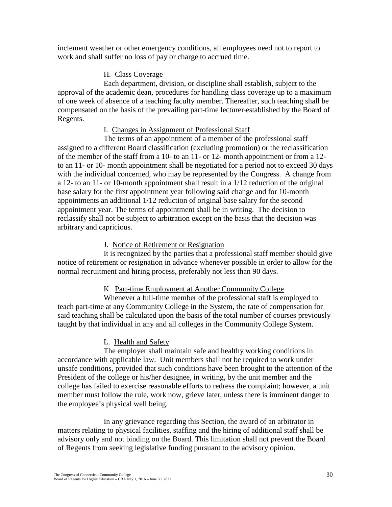inclement weather or other emergency conditions, all employees need not to report to work and shall suffer no loss of pay or charge to accrued time.

#### H. Class Coverage

Each department, division, or discipline shall establish, subject to the approval of the academic dean, procedures for handling class coverage up to a maximum of one week of absence of a teaching faculty member. Thereafter, such teaching shall be compensated on the basis of the prevailing part-time lecturer established by the Board of Regents.

### I. Changes in Assignment of Professional Staff

The terms of an appointment of a member of the professional staff assigned to a different Board classification (excluding promotion) or the reclassification of the member of the staff from a 10- to an 11- or 12- month appointment or from a 12 to an 11- or 10- month appointment shall be negotiated for a period not to exceed 30 days with the individual concerned, who may be represented by the Congress. A change from a 12- to an 11- or 10-month appointment shall result in a 1/12 reduction of the original base salary for the first appointment year following said change and for 10-month appointments an additional 1/12 reduction of original base salary for the second appointment year. The terms of appointment shall be in writing. The decision to reclassify shall not be subject to arbitration except on the basis that the decision was arbitrary and capricious.

### J. Notice of Retirement or Resignation

It is recognized by the parties that a professional staff member should give notice of retirement or resignation in advance whenever possible in order to allow for the normal recruitment and hiring process, preferably not less than 90 days.

## K. Part-time Employment at Another Community College

Whenever a full-time member of the professional staff is employed to teach part-time at any Community College in the System, the rate of compensation for said teaching shall be calculated upon the basis of the total number of courses previously taught by that individual in any and all colleges in the Community College System.

## L. Health and Safety

The employer shall maintain safe and healthy working conditions in accordance with applicable law. Unit members shall not be required to work under unsafe conditions, provided that such conditions have been brought to the attention of the President of the college or his/her designee, in writing, by the unit member and the college has failed to exercise reasonable efforts to redress the complaint; however, a unit member must follow the rule, work now, grieve later, unless there is imminent danger to the employee's physical well being.

In any grievance regarding this Section, the award of an arbitrator in matters relating to physical facilities, staffing and the hiring of additional staff shall be advisory only and not binding on the Board. This limitation shall not prevent the Board of Regents from seeking legislative funding pursuant to the advisory opinion.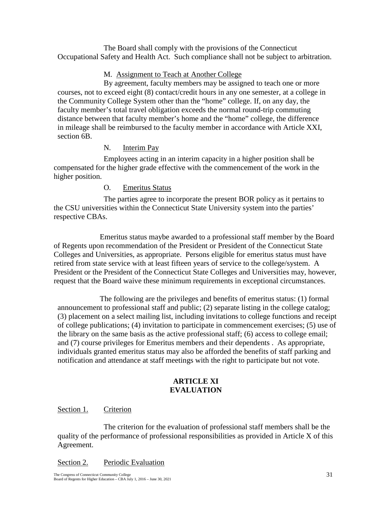The Board shall comply with the provisions of the Connecticut Occupational Safety and Health Act. Such compliance shall not be subject to arbitration.

### M. Assignment to Teach at Another College

By agreement, faculty members may be assigned to teach one or more courses, not to exceed eight (8) contact/credit hours in any one semester, at a college in the Community College System other than the "home" college. If, on any day, the faculty member's total travel obligation exceeds the normal round-trip commuting distance between that faculty member's home and the "home" college, the difference in mileage shall be reimbursed to the faculty member in accordance with Article XXI, section 6B.

### N. **Interim Pay**

Employees acting in an interim capacity in a higher position shall be compensated for the higher grade effective with the commencement of the work in the higher position.

### O. Emeritus Status

The parties agree to incorporate the present BOR policy as it pertains to the CSU universities within the Connecticut State University system into the parties' respective CBAs.

Emeritus status maybe awarded to a professional staff member by the Board of Regents upon recommendation of the President or President of the Connecticut State Colleges and Universities, as appropriate. Persons eligible for emeritus status must have retired from state service with at least fifteen years of service to the college/system. A President or the President of the Connecticut State Colleges and Universities may, however, request that the Board waive these minimum requirements in exceptional circumstances.

The following are the privileges and benefits of emeritus status: (1) formal announcement to professional staff and public; (2) separate listing in the college catalog; (3) placement on a select mailing list, including invitations to college functions and receipt of college publications; (4) invitation to participate in commencement exercises; (5) use of the library on the same basis as the active professional staff; (6) access to college email; and (7) course privileges for Emeritus members and their dependents . As appropriate, individuals granted emeritus status may also be afforded the benefits of staff parking and notification and attendance at staff meetings with the right to participate but not vote.

# **ARTICLE XI EVALUATION**

#### Section 1. Criterion

The criterion for the evaluation of professional staff members shall be the quality of the performance of professional responsibilities as provided in Article X of this Agreement.

Section 2. Periodic Evaluation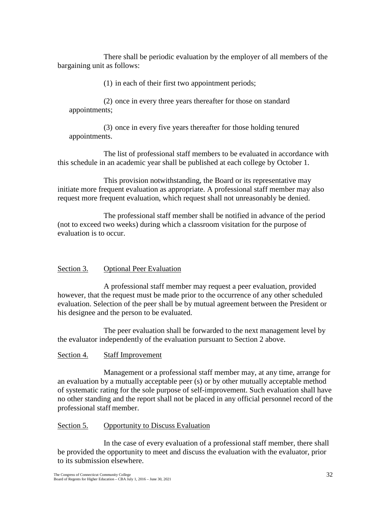There shall be periodic evaluation by the employer of all members of the bargaining unit as follows:

(1) in each of their first two appointment periods;

(2) once in every three years thereafter for those on standard appointments;

(3) once in every five years thereafter for those holding tenured appointments.

The list of professional staff members to be evaluated in accordance with this schedule in an academic year shall be published at each college by October 1.

This provision notwithstanding, the Board or its representative may initiate more frequent evaluation as appropriate. A professional staff member may also request more frequent evaluation, which request shall not unreasonably be denied.

The professional staff member shall be notified in advance of the period (not to exceed two weeks) during which a classroom visitation for the purpose of evaluation is to occur.

## Section 3. Optional Peer Evaluation

A professional staff member may request a peer evaluation, provided however, that the request must be made prior to the occurrence of any other scheduled evaluation. Selection of the peer shall be by mutual agreement between the President or his designee and the person to be evaluated.

The peer evaluation shall be forwarded to the next management level by the evaluator independently of the evaluation pursuant to Section 2 above.

## Section 4. Staff Improvement

Management or a professional staff member may, at any time, arrange for an evaluation by a mutually acceptable peer (s) or by other mutually acceptable method of systematic rating for the sole purpose of self-improvement. Such evaluation shall have no other standing and the report shall not be placed in any official personnel record of the professional staff member.

## Section 5. Opportunity to Discuss Evaluation

In the case of every evaluation of a professional staff member, there shall be provided the opportunity to meet and discuss the evaluation with the evaluator, prior to its submission elsewhere.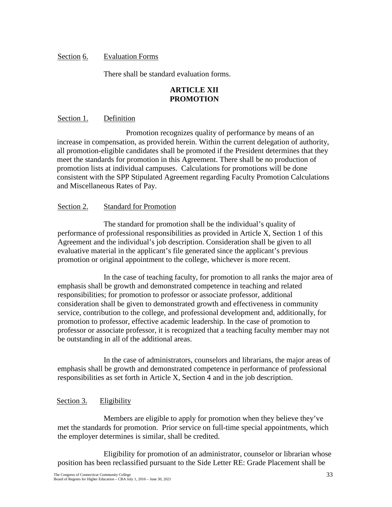### Section 6. Evaluation Forms

There shall be standard evaluation forms.

### **ARTICLE XII PROMOTION**

#### Section 1. Definition

Promotion recognizes quality of performance by means of an increase in compensation, as provided herein. Within the current delegation of authority, all promotion-eligible candidates shall be promoted if the President determines that they meet the standards for promotion in this Agreement. There shall be no production of promotion lists at individual campuses. Calculations for promotions will be done consistent with the SPP Stipulated Agreement regarding Faculty Promotion Calculations and Miscellaneous Rates of Pay.

#### Section 2. Standard for Promotion

The standard for promotion shall be the individual's quality of performance of professional responsibilities as provided in Article X, Section 1 of this Agreement and the individual's job description. Consideration shall be given to all evaluative material in the applicant's file generated since the applicant's previous promotion or original appointment to the college, whichever is more recent.

In the case of teaching faculty, for promotion to all ranks the major area of emphasis shall be growth and demonstrated competence in teaching and related responsibilities; for promotion to professor or associate professor, additional consideration shall be given to demonstrated growth and effectiveness in community service, contribution to the college, and professional development and, additionally, for promotion to professor, effective academic leadership. In the case of promotion to professor or associate professor, it is recognized that a teaching faculty member may not be outstanding in all of the additional areas.

In the case of administrators, counselors and librarians, the major areas of emphasis shall be growth and demonstrated competence in performance of professional responsibilities as set forth in Article X, Section 4 and in the job description.

#### Section 3. Eligibility

Members are eligible to apply for promotion when they believe they've met the standards for promotion. Prior service on full-time special appointments, which the employer determines is similar, shall be credited.

Eligibility for promotion of an administrator, counselor or librarian whose position has been reclassified pursuant to the Side Letter RE: Grade Placement shall be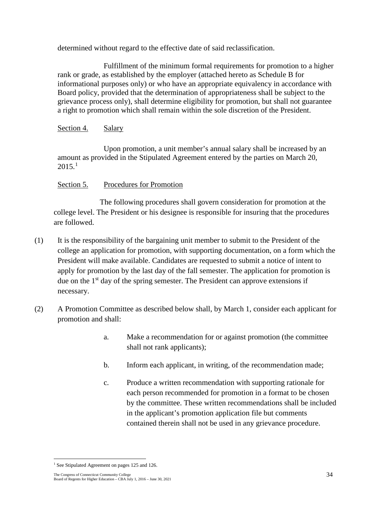determined without regard to the effective date of said reclassification.

Fulfillment of the minimum formal requirements for promotion to a higher rank or grade, as established by the employer (attached hereto as Schedule B for informational purposes only) or who have an appropriate equivalency in accordance with Board policy, provided that the determination of appropriateness shall be subject to the grievance process only), shall determine eligibility for promotion, but shall not guarantee a right to promotion which shall remain within the sole discretion of the President.

## Section 4. Salary

Upon promotion, a unit member's annual salary shall be increased by an amount as provided in the Stipulated Agreement entered by the parties on March 20,  $2015.<sup>1</sup>$  $2015.<sup>1</sup>$  $2015.<sup>1</sup>$ 

## Section 5. Procedures for Promotion

The following procedures shall govern consideration for promotion at the college level. The President or his designee is responsible for insuring that the procedures are followed.

- (1) It is the responsibility of the bargaining unit member to submit to the President of the college an application for promotion, with supporting documentation, on a form which the President will make available. Candidates are requested to submit a notice of intent to apply for promotion by the last day of the fall semester. The application for promotion is due on the 1<sup>st</sup> day of the spring semester. The President can approve extensions if necessary.
- (2) A Promotion Committee as described below shall, by March 1, consider each applicant for promotion and shall:
	- a. Make a recommendation for or against promotion (the committee shall not rank applicants);
	- b. Inform each applicant, in writing, of the recommendation made;
	- c. Produce a written recommendation with supporting rationale for each person recommended for promotion in a format to be chosen by the committee. These written recommendations shall be included in the applicant's promotion application file but comments contained therein shall not be used in any grievance procedure.

<span id="page-42-0"></span><sup>&</sup>lt;sup>1</sup> See Stipulated Agreement on pages 125 and 126.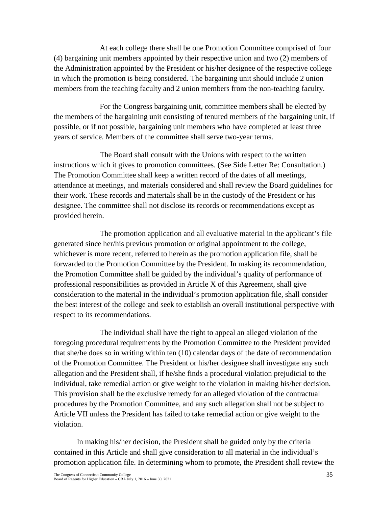At each college there shall be one Promotion Committee comprised of four (4) bargaining unit members appointed by their respective union and two (2) members of the Administration appointed by the President or his/her designee of the respective college in which the promotion is being considered. The bargaining unit should include 2 union members from the teaching faculty and 2 union members from the non-teaching faculty.

For the Congress bargaining unit, committee members shall be elected by the members of the bargaining unit consisting of tenured members of the bargaining unit, if possible, or if not possible, bargaining unit members who have completed at least three years of service. Members of the committee shall serve two-year terms.

The Board shall consult with the Unions with respect to the written instructions which it gives to promotion committees. (See Side Letter Re: Consultation.) The Promotion Committee shall keep a written record of the dates of all meetings, attendance at meetings, and materials considered and shall review the Board guidelines for their work. These records and materials shall be in the custody of the President or his designee. The committee shall not disclose its records or recommendations except as provided herein.

The promotion application and all evaluative material in the applicant's file generated since her/his previous promotion or original appointment to the college, whichever is more recent, referred to herein as the promotion application file, shall be forwarded to the Promotion Committee by the President. In making its recommendation, the Promotion Committee shall be guided by the individual's quality of performance of professional responsibilities as provided in Article X of this Agreement, shall give consideration to the material in the individual's promotion application file, shall consider the best interest of the college and seek to establish an overall institutional perspective with respect to its recommendations.

The individual shall have the right to appeal an alleged violation of the foregoing procedural requirements by the Promotion Committee to the President provided that she/he does so in writing within ten (10) calendar days of the date of recommendation of the Promotion Committee. The President or his/her designee shall investigate any such allegation and the President shall, if he/she finds a procedural violation prejudicial to the individual, take remedial action or give weight to the violation in making his/her decision. This provision shall be the exclusive remedy for an alleged violation of the contractual procedures by the Promotion Committee, and any such allegation shall not be subject to Article VII unless the President has failed to take remedial action or give weight to the violation.

In making his/her decision, the President shall be guided only by the criteria contained in this Article and shall give consideration to all material in the individual's promotion application file. In determining whom to promote, the President shall review the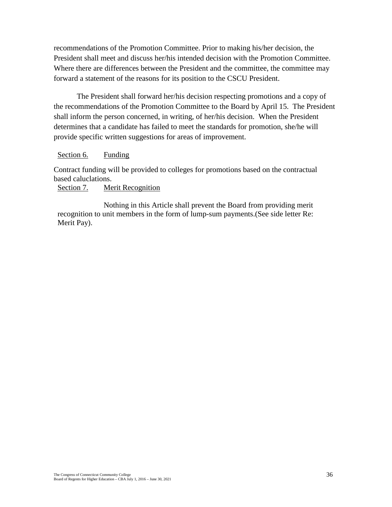recommendations of the Promotion Committee. Prior to making his/her decision, the President shall meet and discuss her/his intended decision with the Promotion Committee. Where there are differences between the President and the committee, the committee may forward a statement of the reasons for its position to the CSCU President.

The President shall forward her/his decision respecting promotions and a copy of the recommendations of the Promotion Committee to the Board by April 15. The President shall inform the person concerned, in writing, of her/his decision. When the President determines that a candidate has failed to meet the standards for promotion, she/he will provide specific written suggestions for areas of improvement.

#### Section 6. Funding

Contract funding will be provided to colleges for promotions based on the contractual based caluclations.

#### Section 7. Merit Recognition

Nothing in this Article shall prevent the Board from providing merit recognition to unit members in the form of lump-sum payments.(See side letter Re: Merit Pay).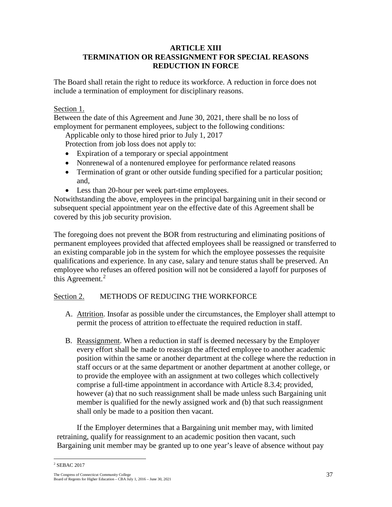### **ARTICLE XIII TERMINATION OR REASSIGNMENT FOR SPECIAL REASONS REDUCTION IN FORCE**

The Board shall retain the right to reduce its workforce. A reduction in force does not include a termination of employment for disciplinary reasons.

Section 1.

Between the date of this Agreement and June 30, 2021, there shall be no loss of employment for permanent employees, subject to the following conditions:

Applicable only to those hired prior to July 1, 2017

Protection from job loss does not apply to:

- Expiration of a temporary or special appointment
- Nonrenewal of a nontenured employee for performance related reasons
- Termination of grant or other outside funding specified for a particular position; and,
- Less than 20-hour per week part-time employees.

Notwithstanding the above, employees in the principal bargaining unit in their second or subsequent special appointment year on the effective date of this Agreement shall be covered by this job security provision.

The foregoing does not prevent the BOR from restructuring and eliminating positions of permanent employees provided that affected employees shall be reassigned or transferred to an existing comparable job in the system for which the employee possesses the requisite qualifications and experience. In any case, salary and tenure status shall be preserved. An employee who refuses an offered position will not be considered a layoff for purposes of this Agreement.<sup>[2](#page-45-0)</sup>

## Section 2. METHODS OF REDUCING THE WORKFORCE

- A. Attrition. Insofar as possible under the circumstances, the Employer shall attempt to permit the process of attrition to effectuate the required reduction in staff.
- B. Reassignment. When a reduction in staff is deemed necessary by the Employer every effort shall be made to reassign the affected employee to another academic position within the same or another department at the college where the reduction in staff occurs or at the same department or another department at another college, or to provide the employee with an assignment at two colleges which collectively comprise a full-time appointment in accordance with Article 8.3.4; provided, however (a) that no such reassignment shall be made unless such Bargaining unit member is qualified for the newly assigned work and (b) that such reassignment shall only be made to a position then vacant.

If the Employer determines that a Bargaining unit member may, with limited retraining, qualify for reassignment to an academic position then vacant, such Bargaining unit member may be granted up to one year's leave of absence without pay

<span id="page-45-0"></span>The Congress of Connecticut Community College 37 Board of Regents for Higher Education – CBA July 1, 2016 – June 30, 2021 <sup>2</sup> SEBAC 2017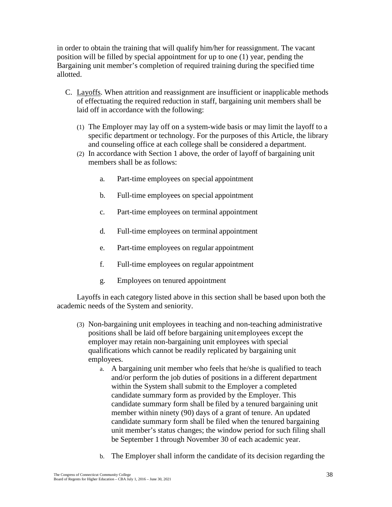in order to obtain the training that will qualify him/her for reassignment. The vacant position will be filled by special appointment for up to one (1) year, pending the Bargaining unit member's completion of required training during the specified time allotted.

- C. Layoffs. When attrition and reassignment are insufficient or inapplicable methods of effectuating the required reduction in staff, bargaining unit members shall be laid off in accordance with the following:
	- (1) The Employer may lay off on a system-wide basis or may limit the layoff to a specific department or technology. For the purposes of this Article, the library and counseling office at each college shall be considered a department.
	- (2) In accordance with Section 1 above, the order of layoff of bargaining unit members shall be as follows:
		- a. Part-time employees on special appointment
		- b. Full-time employees on special appointment
		- c. Part-time employees on terminal appointment
		- d. Full-time employees on terminal appointment
		- e. Part-time employees on regular appointment
		- f. Full-time employees on regular appointment
		- g. Employees on tenured appointment

Layoffs in each category listed above in this section shall be based upon both the academic needs of the System and seniority.

- (3) Non-bargaining unit employees in teaching and non-teaching administrative positions shall be laid off before bargaining unit employees except the employer may retain non-bargaining unit employees with special qualifications which cannot be readily replicated by bargaining unit employees.
	- a. A bargaining unit member who feels that he/she is qualified to teach and/or perform the job duties of positions in a different department within the System shall submit to the Employer a completed candidate summary form as provided by the Employer. This candidate summary form shall be filed by a tenured bargaining unit member within ninety (90) days of a grant of tenure. An updated candidate summary form shall be filed when the tenured bargaining unit member's status changes; the window period for such filing shall be September 1 through November 30 of each academic year.
	- b. The Employer shall inform the candidate of its decision regarding the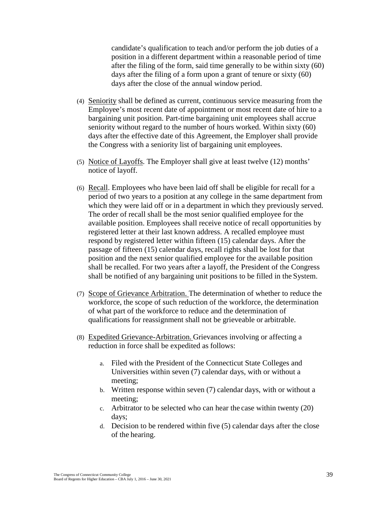candidate's qualification to teach and/or perform the job duties of a position in a different department within a reasonable period of time after the filing of the form, said time generally to be within sixty (60) days after the filing of a form upon a grant of tenure or sixty (60) days after the close of the annual window period.

- (4) Seniority shall be defined as current, continuous service measuring from the Employee's most recent date of appointment or most recent date of hire to a bargaining unit position. Part-time bargaining unit employees shall accrue seniority without regard to the number of hours worked. Within sixty (60) days after the effective date of this Agreement, the Employer shall provide the Congress with a seniority list of bargaining unit employees.
- (5) Notice of Layoffs. The Employer shall give at least twelve (12) months' notice of layoff.
- (6) Recall. Employees who have been laid off shall be eligible for recall for a period of two years to a position at any college in the same department from which they were laid off or in a department in which they previously served. The order of recall shall be the most senior qualified employee for the available position. Employees shall receive notice of recall opportunities by registered letter at their last known address. A recalled employee must respond by registered letter within fifteen (15) calendar days. After the passage of fifteen (15) calendar days, recall rights shall be lost for that position and the next senior qualified employee for the available position shall be recalled. For two years after a layoff, the President of the Congress shall be notified of any bargaining unit positions to be filled in the System.
- (7) Scope of Grievance Arbitration. The determination of whether to reduce the workforce, the scope of such reduction of the workforce, the determination of what part of the workforce to reduce and the determination of qualifications for reassignment shall not be grieveable or arbitrable.
- (8) Expedited Grievance-Arbitration. Grievances involving or affecting a reduction in force shall be expedited as follows:
	- a. Filed with the President of the Connecticut State Colleges and Universities within seven (7) calendar days, with or without a meeting;
	- b. Written response within seven (7) calendar days, with or without a meeting;
	- c. Arbitrator to be selected who can hear the case within twenty (20) days;
	- d. Decision to be rendered within five (5) calendar days after the close of the hearing.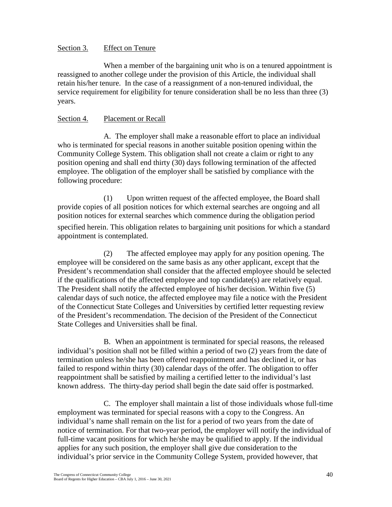### Section 3. Effect on Tenure

When a member of the bargaining unit who is on a tenured appointment is reassigned to another college under the provision of this Article, the individual shall retain his/her tenure. In the case of a reassignment of a non-tenured individual, the service requirement for eligibility for tenure consideration shall be no less than three (3) years.

### Section 4. Placement or Recall

A. The employer shall make a reasonable effort to place an individual who is terminated for special reasons in another suitable position opening within the Community College System. This obligation shall not create a claim or right to any position opening and shall end thirty (30) days following termination of the affected employee. The obligation of the employer shall be satisfied by compliance with the following procedure:

(1) Upon written request of the affected employee, the Board shall provide copies of all position notices for which external searches are ongoing and all position notices for external searches which commence during the obligation period specified herein. This obligation relates to bargaining unit positions for which a standard appointment is contemplated.

(2) The affected employee may apply for any position opening. The employee will be considered on the same basis as any other applicant, except that the President's recommendation shall consider that the affected employee should be selected if the qualifications of the affected employee and top candidate(s) are relatively equal. The President shall notify the affected employee of his/her decision. Within five (5) calendar days of such notice, the affected employee may file a notice with the President of the Connecticut State Colleges and Universities by certified letter requesting review of the President's recommendation. The decision of the President of the Connecticut State Colleges and Universities shall be final.

B. When an appointment is terminated for special reasons, the released individual's position shall not be filled within a period of two (2) years from the date of termination unless he/she has been offered reappointment and has declined it, or has failed to respond within thirty (30) calendar days of the offer. The obligation to offer reappointment shall be satisfied by mailing a certified letter to the individual's last known address. The thirty-day period shall begin the date said offer is postmarked.

C. The employer shall maintain a list of those individuals whose full-time employment was terminated for special reasons with a copy to the Congress. An individual's name shall remain on the list for a period of two years from the date of notice of termination. For that two-year period, the employer will notify the individual of full-time vacant positions for which he/she may be qualified to apply. If the individual applies for any such position, the employer shall give due consideration to the individual's prior service in the Community College System, provided however, that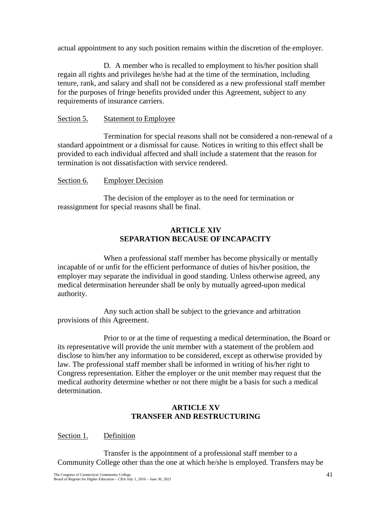actual appointment to any such position remains within the discretion of the employer.

D. A member who is recalled to employment to his/her position shall regain all rights and privileges he/she had at the time of the termination, including tenure, rank, and salary and shall not be considered as a new professional staff member for the purposes of fringe benefits provided under this Agreement, subject to any requirements of insurance carriers.

### Section 5. Statement to Employee

Termination for special reasons shall not be considered a non-renewal of a standard appointment or a dismissal for cause. Notices in writing to this effect shall be provided to each individual affected and shall include a statement that the reason for termination is not dissatisfaction with service rendered.

#### Section 6. Employer Decision

The decision of the employer as to the need for termination or reassignment for special reasons shall be final.

### **ARTICLE XIV SEPARATION BECAUSE OFINCAPACITY**

When a professional staff member has become physically or mentally incapable of or unfit for the efficient performance of duties of his/her position, the employer may separate the individual in good standing. Unless otherwise agreed, any medical determination hereunder shall be only by mutually agreed-upon medical authority.

Any such action shall be subject to the grievance and arbitration provisions of this Agreement.

Prior to or at the time of requesting a medical determination, the Board or its representative will provide the unit member with a statement of the problem and disclose to him/her any information to be considered, except as otherwise provided by law. The professional staff member shall be informed in writing of his/her right to Congress representation. Either the employer or the unit member may request that the medical authority determine whether or not there might be a basis for such a medical determination.

## **ARTICLE XV TRANSFER AND RESTRUCTURING**

Section 1. Definition

Transfer is the appointment of a professional staff member to a Community College other than the one at which he/she is employed. Transfers may be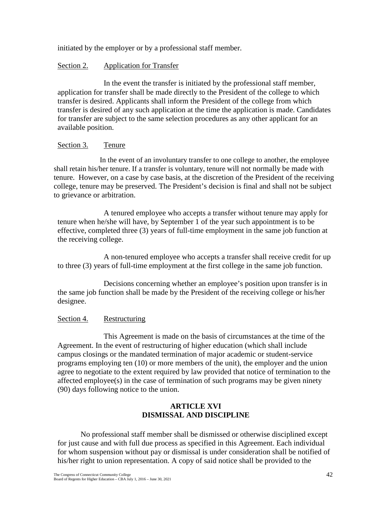initiated by the employer or by a professional staff member.

### Section 2. Application for Transfer

In the event the transfer is initiated by the professional staff member, application for transfer shall be made directly to the President of the college to which transfer is desired. Applicants shall inform the President of the college from which transfer is desired of any such application at the time the application is made. Candidates for transfer are subject to the same selection procedures as any other applicant for an available position.

### Section 3. Tenure

In the event of an involuntary transfer to one college to another, the employee shall retain his/her tenure. If a transfer is voluntary, tenure will not normally be made with tenure. However, on a case by case basis, at the discretion of the President of the receiving college, tenure may be preserved. The President's decision is final and shall not be subject to grievance or arbitration.

A tenured employee who accepts a transfer without tenure may apply for tenure when he/she will have, by September 1 of the year such appointment is to be effective, completed three (3) years of full-time employment in the same job function at the receiving college.

A non-tenured employee who accepts a transfer shall receive credit for up to three (3) years of full-time employment at the first college in the same job function.

Decisions concerning whether an employee's position upon transfer is in the same job function shall be made by the President of the receiving college or his/her designee.

## Section 4. Restructuring

This Agreement is made on the basis of circumstances at the time of the Agreement. In the event of restructuring of higher education (which shall include campus closings or the mandated termination of major academic or student-service programs employing ten (10) or more members of the unit), the employer and the union agree to negotiate to the extent required by law provided that notice of termination to the affected employee(s) in the case of termination of such programs may be given ninety (90) days following notice to the union.

## **ARTICLE XVI DISMISSAL AND DISCIPLINE**

No professional staff member shall be dismissed or otherwise disciplined except for just cause and with full due process as specified in this Agreement. Each individual for whom suspension without pay or dismissal is under consideration shall be notified of his/her right to union representation. A copy of said notice shall be provided to the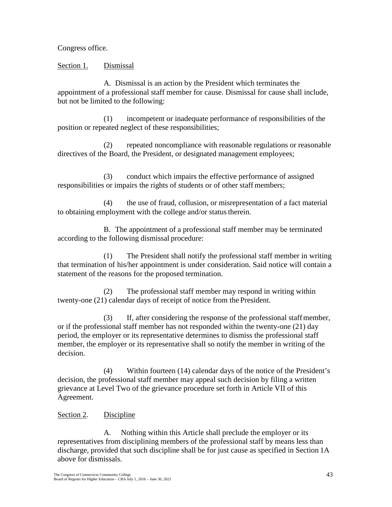Congress office.

Section 1. Dismissal

A. Dismissal is an action by the President which terminates the appointment of a professional staff member for cause. Dismissal for cause shall include, but not be limited to the following:

(1) incompetent or inadequate performance of responsibilities of the position or repeated neglect of these responsibilities;

(2) repeated noncompliance with reasonable regulations or reasonable directives of the Board, the President, or designated management employees;

(3) conduct which impairs the effective performance of assigned responsibilities or impairs the rights of students or of other staff members;

(4) the use of fraud, collusion, or misrepresentation of a fact material to obtaining employment with the college and/or status therein.

B. The appointment of a professional staff member may be terminated according to the following dismissal procedure:

(1) The President shall notify the professional staff member in writing that termination of his/her appointment is under consideration. Said notice will contain a statement of the reasons for the proposed termination.

(2) The professional staff member may respond in writing within twenty-one (21) calendar days of receipt of notice from the President.

(3) If, after considering the response of the professional staffmember, or if the professional staff member has not responded within the twenty-one (21) day period, the employer or its representative determines to dismiss the professional staff member, the employer or its representative shall so notify the member in writing of the decision.

(4) Within fourteen (14) calendar days of the notice of the President's decision, the professional staff member may appeal such decision by filing a written grievance at Level Two of the grievance procedure set forth in Article VII of this Agreement.

# Section 2. Discipline

A. Nothing within this Article shall preclude the employer or its representatives from disciplining members of the professional staff by means less than discharge, provided that such discipline shall be for just cause as specified in Section 1A above for dismissals.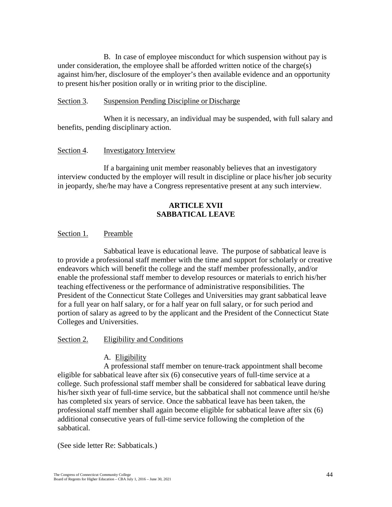B. In case of employee misconduct for which suspension without pay is under consideration, the employee shall be afforded written notice of the charge(s) against him/her, disclosure of the employer's then available evidence and an opportunity to present his/her position orally or in writing prior to the discipline.

#### Section 3. Suspension Pending Discipline or Discharge

When it is necessary, an individual may be suspended, with full salary and benefits, pending disciplinary action.

#### Section 4. **Investigatory Interview**

If a bargaining unit member reasonably believes that an investigatory interview conducted by the employer will result in discipline or place his/her job security in jeopardy, she/he may have a Congress representative present at any such interview.

### **ARTICLE XVII SABBATICAL LEAVE**

#### Section 1. Preamble

Sabbatical leave is educational leave. The purpose of sabbatical leave is to provide a professional staff member with the time and support for scholarly or creative endeavors which will benefit the college and the staff member professionally, and/or enable the professional staff member to develop resources or materials to enrich his/her teaching effectiveness or the performance of administrative responsibilities. The President of the Connecticut State Colleges and Universities may grant sabbatical leave for a full year on half salary, or for a half year on full salary, or for such period and portion of salary as agreed to by the applicant and the President of the Connecticut State Colleges and Universities.

#### Section 2. Eligibility and Conditions

#### A. Eligibility

A professional staff member on tenure-track appointment shall become eligible for sabbatical leave after six (6) consecutive years of full-time service at a college. Such professional staff member shall be considered for sabbatical leave during his/her sixth year of full-time service, but the sabbatical shall not commence until he/she has completed six years of service. Once the sabbatical leave has been taken, the professional staff member shall again become eligible for sabbatical leave after six (6) additional consecutive years of full-time service following the completion of the sabbatical.

(See side letter Re: Sabbaticals.)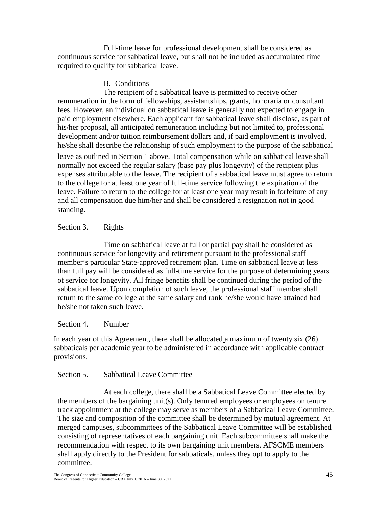Full-time leave for professional development shall be considered as continuous service for sabbatical leave, but shall not be included as accumulated time required to qualify for sabbatical leave.

### B. Conditions

The recipient of a sabbatical leave is permitted to receive other remuneration in the form of fellowships, assistantships, grants, honoraria or consultant fees. However, an individual on sabbatical leave is generally not expected to engage in paid employment elsewhere. Each applicant for sabbatical leave shall disclose, as part of his/her proposal, all anticipated remuneration including but not limited to, professional development and/or tuition reimbursement dollars and, if paid employment is involved, he/she shall describe the relationship of such employment to the purpose of the sabbatical leave as outlined in Section 1 above. Total compensation while on sabbatical leave shall normally not exceed the regular salary (base pay plus longevity) of the recipient plus

expenses attributable to the leave. The recipient of a sabbatical leave must agree to return to the college for at least one year of full-time service following the expiration of the leave. Failure to return to the college for at least one year may result in forfeiture of any and all compensation due him/her and shall be considered a resignation not in good standing.

## Section 3. Rights

Time on sabbatical leave at full or partial pay shall be considered as continuous service for longevity and retirement pursuant to the professional staff member's particular State-approved retirement plan. Time on sabbatical leave at less than full pay will be considered as full-time service for the purpose of determining years of service for longevity. All fringe benefits shall be continued during the period of the sabbatical leave. Upon completion of such leave, the professional staff member shall return to the same college at the same salary and rank he/she would have attained had he/she not taken such leave.

## Section 4. Number

In each year of this Agreement, there shall be allocated a maximum of twenty six (26) sabbaticals per academic year to be administered in accordance with applicable contract provisions.

## Section 5. Sabbatical Leave Committee

At each college, there shall be a Sabbatical Leave Committee elected by the members of the bargaining unit(s). Only tenured employees or employees on tenure track appointment at the college may serve as members of a Sabbatical Leave Committee. The size and composition of the committee shall be determined by mutual agreement. At merged campuses, subcommittees of the Sabbatical Leave Committee will be established consisting of representatives of each bargaining unit. Each subcommittee shall make the recommendation with respect to its own bargaining unit members. AFSCME members shall apply directly to the President for sabbaticals, unless they opt to apply to the committee.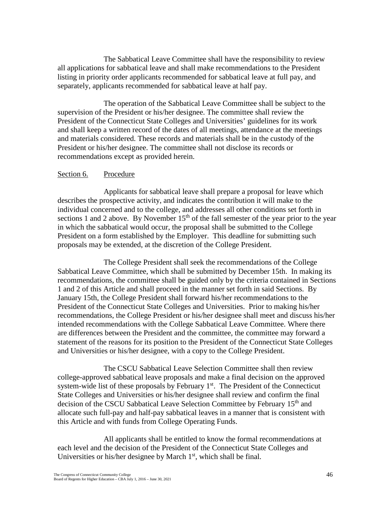The Sabbatical Leave Committee shall have the responsibility to review all applications for sabbatical leave and shall make recommendations to the President listing in priority order applicants recommended for sabbatical leave at full pay, and separately, applicants recommended for sabbatical leave at half pay.

The operation of the Sabbatical Leave Committee shall be subject to the supervision of the President or his/her designee. The committee shall review the President of the Connecticut State Colleges and Universities' guidelines for its work and shall keep a written record of the dates of all meetings, attendance at the meetings and materials considered. These records and materials shall be in the custody of the President or his/her designee. The committee shall not disclose its records or recommendations except as provided herein.

#### Section 6. Procedure

Applicants for sabbatical leave shall prepare a proposal for leave which describes the prospective activity, and indicates the contribution it will make to the individual concerned and to the college, and addresses all other conditions set forth in sections 1 and 2 above. By November  $15<sup>th</sup>$  of the fall semester of the year prior to the year in which the sabbatical would occur, the proposal shall be submitted to the College President on a form established by the Employer. This deadline for submitting such proposals may be extended, at the discretion of the College President.

The College President shall seek the recommendations of the College Sabbatical Leave Committee, which shall be submitted by December 15th. In making its recommendations, the committee shall be guided only by the criteria contained in Sections 1 and 2 of this Article and shall proceed in the manner set forth in said Sections. By January 15th, the College President shall forward his/her recommendations to the President of the Connecticut State Colleges and Universities. Prior to making his/her recommendations, the College President or his/her designee shall meet and discuss his/her intended recommendations with the College Sabbatical Leave Committee. Where there are differences between the President and the committee, the committee may forward a statement of the reasons for its position to the President of the Connecticut State Colleges and Universities or his/her designee, with a copy to the College President.

The CSCU Sabbatical Leave Selection Committee shall then review college-approved sabbatical leave proposals and make a final decision on the approved system-wide list of these proposals by February  $1<sup>st</sup>$ . The President of the Connecticut State Colleges and Universities or his/her designee shall review and confirm the final decision of the CSCU Sabbatical Leave Selection Committee by February 15<sup>th</sup> and allocate such full-pay and half-pay sabbatical leaves in a manner that is consistent with this Article and with funds from College Operating Funds.

All applicants shall be entitled to know the formal recommendations at each level and the decision of the President of the Connecticut State Colleges and Universities or his/her designee by March  $1<sup>st</sup>$ , which shall be final.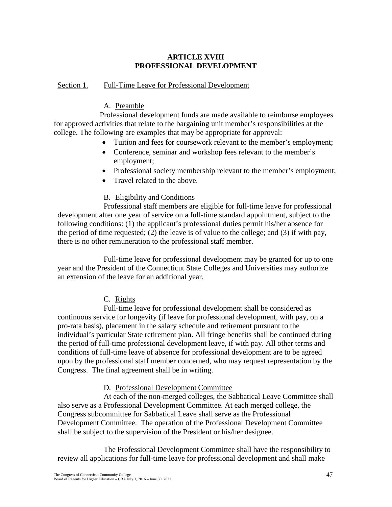## **ARTICLE XVIII PROFESSIONAL DEVELOPMENT**

### Section 1. Full-Time Leave for Professional Development

### A. Preamble

Professional development funds are made available to reimburse employees for approved activities that relate to the bargaining unit member's responsibilities at the college. The following are examples that may be appropriate for approval:

- Tuition and fees for coursework relevant to the member's employment;
- Conference, seminar and workshop fees relevant to the member's employment;
- Professional society membership relevant to the member's employment;
- Travel related to the above.

### B. Eligibility and Conditions

Professional staff members are eligible for full-time leave for professional development after one year of service on a full-time standard appointment, subject to the following conditions: (1) the applicant's professional duties permit his/her absence for the period of time requested; (2) the leave is of value to the college; and (3) if with pay, there is no other remuneration to the professional staff member.

Full-time leave for professional development may be granted for up to one year and the President of the Connecticut State Colleges and Universities may authorize an extension of the leave for an additional year.

## C. Rights

Full-time leave for professional development shall be considered as continuous service for longevity (if leave for professional development, with pay, on a pro-rata basis), placement in the salary schedule and retirement pursuant to the individual's particular State retirement plan. All fringe benefits shall be continued during the period of full-time professional development leave, if with pay. All other terms and conditions of full-time leave of absence for professional development are to be agreed upon by the professional staff member concerned, who may request representation by the Congress. The final agreement shall be in writing.

D. Professional Development Committee

At each of the non-merged colleges, the Sabbatical Leave Committee shall also serve as a Professional Development Committee. At each merged college, the Congress subcommittee for Sabbatical Leave shall serve as the Professional Development Committee. The operation of the Professional Development Committee shall be subject to the supervision of the President or his/her designee.

The Professional Development Committee shall have the responsibility to review all applications for full-time leave for professional development and shall make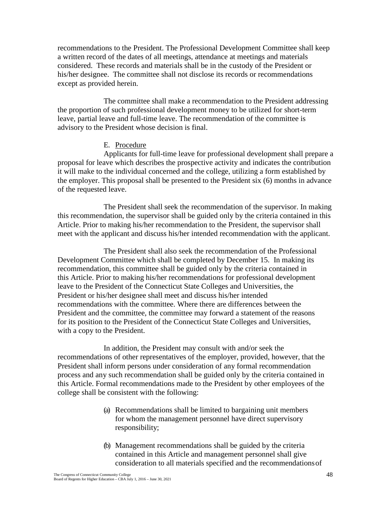recommendations to the President. The Professional Development Committee shall keep a written record of the dates of all meetings, attendance at meetings and materials considered. These records and materials shall be in the custody of the President or his/her designee. The committee shall not disclose its records or recommendations except as provided herein.

The committee shall make a recommendation to the President addressing the proportion of such professional development money to be utilized for short-term leave, partial leave and full-time leave. The recommendation of the committee is advisory to the President whose decision is final.

### E. Procedure

Applicants for full-time leave for professional development shall prepare a proposal for leave which describes the prospective activity and indicates the contribution it will make to the individual concerned and the college, utilizing a form established by the employer. This proposal shall be presented to the President six (6) months in advance of the requested leave.

The President shall seek the recommendation of the supervisor. In making this recommendation, the supervisor shall be guided only by the criteria contained in this Article. Prior to making his/her recommendation to the President, the supervisor shall meet with the applicant and discuss his/her intended recommendation with the applicant.

The President shall also seek the recommendation of the Professional Development Committee which shall be completed by December 15. In making its recommendation, this committee shall be guided only by the criteria contained in this Article. Prior to making his/her recommendations for professional development leave to the President of the Connecticut State Colleges and Universities, the President or his/her designee shall meet and discuss his/her intended recommendations with the committee. Where there are differences between the President and the committee, the committee may forward a statement of the reasons for its position to the President of the Connecticut State Colleges and Universities, with a copy to the President.

In addition, the President may consult with and/or seek the recommendations of other representatives of the employer, provided, however, that the President shall inform persons under consideration of any formal recommendation process and any such recommendation shall be guided only by the criteria contained in this Article. Formal recommendations made to the President by other employees of the college shall be consistent with the following:

- (a) Recommendations shall be limited to bargaining unit members for whom the management personnel have direct supervisory responsibility;
- (b) Management recommendations shall be guided by the criteria contained in this Article and management personnel shall give consideration to all materials specified and the recommendationsof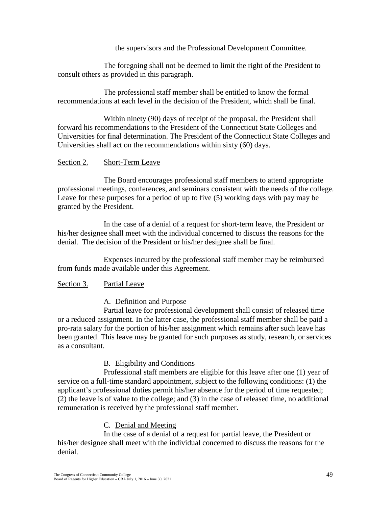the supervisors and the Professional Development Committee.

The foregoing shall not be deemed to limit the right of the President to consult others as provided in this paragraph.

The professional staff member shall be entitled to know the formal recommendations at each level in the decision of the President, which shall be final.

Within ninety (90) days of receipt of the proposal, the President shall forward his recommendations to the President of the Connecticut State Colleges and Universities for final determination. The President of the Connecticut State Colleges and Universities shall act on the recommendations within sixty (60) days.

### Section 2. Short-Term Leave

The Board encourages professional staff members to attend appropriate professional meetings, conferences, and seminars consistent with the needs of the college. Leave for these purposes for a period of up to five (5) working days with pay may be granted by the President.

In the case of a denial of a request for short-term leave, the President or his/her designee shall meet with the individual concerned to discuss the reasons for the denial. The decision of the President or his/her designee shall be final.

Expenses incurred by the professional staff member may be reimbursed from funds made available under this Agreement.

## Section 3. Partial Leave

## A. Definition and Purpose

Partial leave for professional development shall consist of released time or a reduced assignment. In the latter case, the professional staff member shall be paid a pro-rata salary for the portion of his/her assignment which remains after such leave has been granted. This leave may be granted for such purposes as study, research, or services as a consultant.

## B. Eligibility and Conditions

Professional staff members are eligible for this leave after one (1) year of service on a full-time standard appointment, subject to the following conditions: (1) the applicant's professional duties permit his/her absence for the period of time requested; (2) the leave is of value to the college; and (3) in the case of released time, no additional remuneration is received by the professional staff member.

## C. Denial and Meeting

In the case of a denial of a request for partial leave, the President or his/her designee shall meet with the individual concerned to discuss the reasons for the denial.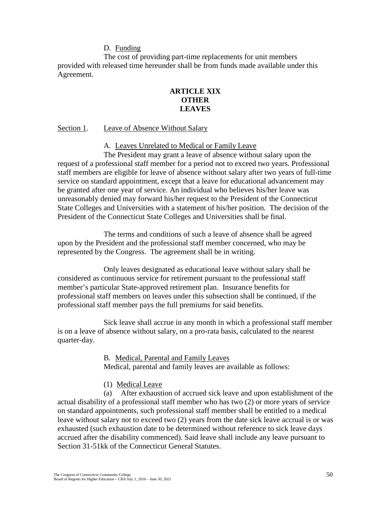#### D. Funding

The cost of providing part-time replacements for unit members provided with released time hereunder shall be from funds made available under this Agreement.

### **ARTICLE XIX OTHER LEAVES**

#### Section 1. Leave of Absence Without Salary

A. Leaves Unrelated to Medical or Family Leave

The President may grant a leave of absence without salary upon the request of a professional staff member for a period not to exceed two years. Professional staff members are eligible for leave of absence without salary after two years of full-time service on standard appointment, except that a leave for educational advancement may be granted after one year of service. An individual who believes his/her leave was unreasonably denied may forward his/her request to the President of the Connecticut State Colleges and Universities with a statement of his/her position. The decision of the President of the Connecticut State Colleges and Universities shall be final.

The terms and conditions of such a leave of absence shall be agreed upon by the President and the professional staff member concerned, who may be represented by the Congress. The agreement shall be in writing.

Only leaves designated as educational leave without salary shall be considered as continuous service for retirement pursuant to the professional staff member's particular State-approved retirement plan. Insurance benefits for professional staff members on leaves under this subsection shall be continued, if the professional staff member pays the full premiums for said benefits.

Sick leave shall accrue in any month in which a professional staff member is on a leave of absence without salary, on a pro-rata basis, calculated to the nearest quarter-day.

> B. Medical, Parental and Family Leaves Medical, parental and family leaves are available as follows:

#### (1) Medical Leave

(a) After exhaustion of accrued sick leave and upon establishment of the actual disability of a professional staff member who has two (2) or more years of service on standard appointments, such professional staff member shall be entitled to a medical leave without salary not to exceed two (2) years from the date sick leave accrual is or was exhausted (such exhaustion date to be determined without reference to sick leave days accrued after the disability commenced). Said leave shall include any leave pursuant to Section 31-51kk of the Connecticut General Statutes.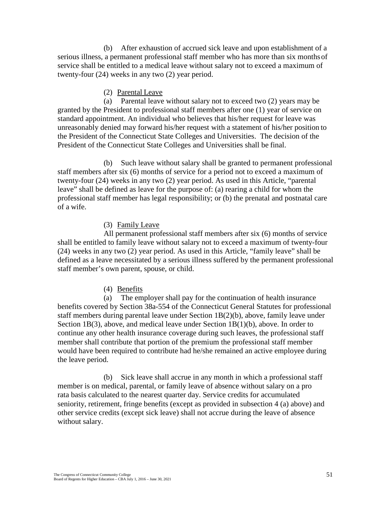(b) After exhaustion of accrued sick leave and upon establishment of a serious illness, a permanent professional staff member who has more than six monthsof service shall be entitled to a medical leave without salary not to exceed a maximum of twenty-four (24) weeks in any two (2) year period.

#### (2) Parental Leave

(a) Parental leave without salary not to exceed two (2) years may be granted by the President to professional staff members after one (1) year of service on standard appointment. An individual who believes that his/her request for leave was unreasonably denied may forward his/her request with a statement of his/her position to the President of the Connecticut State Colleges and Universities. The decision of the President of the Connecticut State Colleges and Universities shall be final.

(b) Such leave without salary shall be granted to permanent professional staff members after six (6) months of service for a period not to exceed a maximum of twenty-four (24) weeks in any two (2) year period. As used in this Article, "parental leave" shall be defined as leave for the purpose of: (a) rearing a child for whom the professional staff member has legal responsibility; or (b) the prenatal and postnatal care of a wife.

#### (3) Family Leave

All permanent professional staff members after six (6) months of service shall be entitled to family leave without salary not to exceed a maximum of twenty-four (24) weeks in any two (2) year period. As used in this Article, "family leave" shall be defined as a leave necessitated by a serious illness suffered by the permanent professional staff member's own parent, spouse, or child.

#### (4) Benefits

(a) The employer shall pay for the continuation of health insurance benefits covered by Section 38a-554 of the Connecticut General Statutes for professional staff members during parental leave under Section 1B(2)(b), above, family leave under Section 1B(3), above, and medical leave under Section 1B(1)(b), above. In order to continue any other health insurance coverage during such leaves, the professional staff member shall contribute that portion of the premium the professional staff member would have been required to contribute had he/she remained an active employee during the leave period.

(b) Sick leave shall accrue in any month in which a professional staff member is on medical, parental, or family leave of absence without salary on a pro rata basis calculated to the nearest quarter day. Service credits for accumulated seniority, retirement, fringe benefits (except as provided in subsection 4 (a) above) and other service credits (except sick leave) shall not accrue during the leave of absence without salary.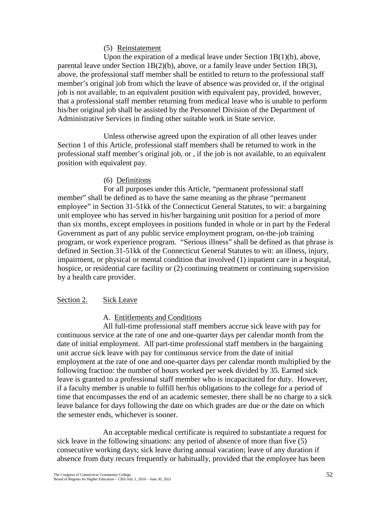#### (5) Reinstatement

Upon the expiration of a medical leave under Section 1B(1)(b), above, parental leave under Section  $1B(2)(b)$ , above, or a family leave under Section 1B(3), above, the professional staff member shall be entitled to return to the professional staff member's original job from which the leave of absence was provided or, if the original job is not available, to an equivalent position with equivalent pay, provided, however, that a professional staff member returning from medical leave who is unable to perform his/her original job shall be assisted by the Personnel Division of the Department of Administrative Services in finding other suitable work in State service.

Unless otherwise agreed upon the expiration of all other leaves under Section 1 of this Article, professional staff members shall be returned to work in the professional staff member's original job, or , if the job is not available, to an equivalent position with equivalent pay.

### (6) Definitions

For all purposes under this Article, "permanent professional staff member" shall be defined as to have the same meaning as the phrase "permanent employee" in Section 31-51kk of the Connecticut General Statutes, to wit: a bargaining unit employee who has served in his/her bargaining unit position for a period of more than six months, except employees in positions funded in whole or in part by the Federal Government as part of any public service employment program, on-the-job training program, or work experience program. "Serious illness" shall be defined as that phrase is defined in Section 31-51kk of the Connecticut General Statutes to wit: an illness, injury, impairment, or physical or mental condition that involved (1) inpatient care in a hospital, hospice, or residential care facility or (2) continuing treatment or continuing supervision by a health care provider.

## Section 2. Sick Leave

## A. Entitlements and Conditions

All full-time professional staff members accrue sick leave with pay for continuous service at the rate of one and one-quarter days per calendar month from the date of initial employment. All part-time professional staff members in the bargaining unit accrue sick leave with pay for continuous service from the date of initial employment at the rate of one and one-quarter days per calendar month multiplied by the following fraction: the number of hours worked per week divided by 35. Earned sick leave is granted to a professional staff member who is incapacitated for duty. However, if a faculty member is unable to fulfill her/his obligations to the college for a period of time that encompasses the end of an academic semester, there shall be no charge to a sick leave balance for days following the date on which grades are due or the date on which the semester ends, whichever is sooner.

An acceptable medical certificate is required to substantiate a request for sick leave in the following situations: any period of absence of more than five (5) consecutive working days; sick leave during annual vacation; leave of any duration if absence from duty recurs frequently or habitually, provided that the employee has been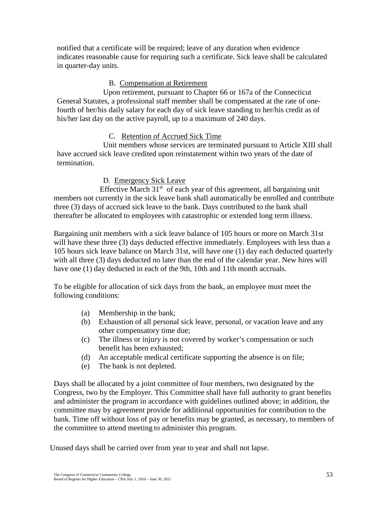notified that a certificate will be required; leave of any duration when evidence indicates reasonable cause for requiring such a certificate. Sick leave shall be calculated in quarter-day units.

#### B. Compensation at Retirement

Upon retirement, pursuant to Chapter 66 or 167a of the Connecticut General Statutes, a professional staff member shall be compensated at the rate of onefourth of her/his daily salary for each day of sick leave standing to her/his credit as of his/her last day on the active payroll, up to a maximum of 240 days.

### C. Retention of Accrued Sick Time

Unit members whose services are terminated pursuant to Article XIII shall have accrued sick leave credited upon reinstatement within two years of the date of termination.

#### D. Emergency Sick Leave

Effective March  $31<sup>st</sup>$  of each year of this agreement, all bargaining unit members not currently in the sick leave bank shall automatically be enrolled and contribute three (3) days of accrued sick leave to the bank. Days contributed to the bank shall thereafter be allocated to employees with catastrophic or extended long term illness.

Bargaining unit members with a sick leave balance of 105 hours or more on March 31st will have these three (3) days deducted effective immediately. Employees with less than a 105 hours sick leave balance on March 31st, will have one (1) day each deducted quarterly with all three (3) days deducted no later than the end of the calendar year. New hires will have one (1) day deducted in each of the 9th, 10th and 11th month accruals.

To be eligible for allocation of sick days from the bank, an employee must meet the following conditions:

- (a) Membership in the bank;
- (b) Exhaustion of all personal sick leave, personal, or vacation leave and any other compensatory time due;
- (c) The illness or injury is not covered by worker's compensation or such benefit has been exhausted;
- (d) An acceptable medical certificate supporting the absence is on file;
- (e) The bank is not depleted.

Days shall be allocated by a joint committee of four members, two designated by the Congress, two by the Employer. This Committee shall have full authority to grant benefits and administer the program in accordance with guidelines outlined above; in addition, the committee may by agreement provide for additional opportunities for contribution to the bank. Time off without loss of pay or benefits may be granted, as necessary, to members of the committee to attend meeting to administer this program.

Unused days shall be carried over from year to year and shall not lapse.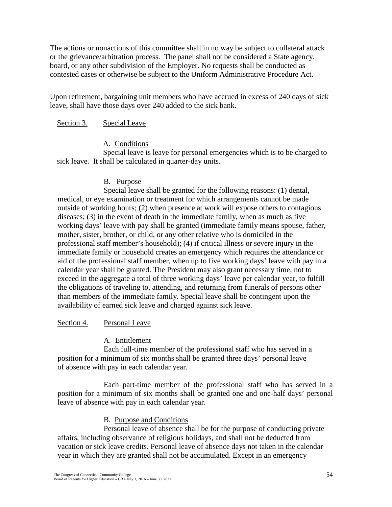The actions or nonactions of this committee shall in no way be subject to collateral attack or the grievance/arbitration process. The panel shall not be considered a State agency, board, or any other subdivision of the Employer. No requests shall be conducted as contested cases or otherwise be subject to the Uniform Administrative Procedure Act.

Upon retirement, bargaining unit members who have accrued in excess of 240 days of sick leave, shall have those days over 240 added to the sick bank.

#### Section 3. Special Leave

#### A. Conditions

Special leave is leave for personal emergencies which is to be charged to sick leave. It shall be calculated in quarter-day units.

#### B. Purpose

Special leave shall be granted for the following reasons: (1) dental, medical, or eye examination or treatment for which arrangements cannot be made outside of working hours; (2) when presence at work will expose others to contagious diseases; (3) in the event of death in the immediate family, when as much as five working days' leave with pay shall be granted (immediate family means spouse, father, mother, sister, brother, or child, or any other relative who is domiciled in the professional staff member's household); (4) if critical illness or severe injury in the immediate family or household creates an emergency which requires the attendance or aid of the professional staff member, when up to five working days' leave with pay in a calendar year shall be granted. The President may also grant necessary time, not to exceed in the aggregate a total of three working days' leave per calendar year, to fulfill the obligations of traveling to, attending, and returning from funerals of persons other than members of the immediate family. Special leave shall be contingent upon the availability of earned sick leave and charged against sick leave.

#### Section 4. Personal Leave

#### A. Entitlement

Each full-time member of the professional staff who has served in a position for a minimum of six months shall be granted three days' personal leave of absence with pay in each calendar year.

Each part-time member of the professional staff who has served in a position for a minimum of six months shall be granted one and one-half days' personal leave of absence with pay in each calendar year.

#### B. Purpose and Conditions

Personal leave of absence shall be for the purpose of conducting private affairs, including observance of religious holidays, and shall not be deducted from vacation or sick leave credits. Personal leave of absence days not taken in the calendar year in which they are granted shall not be accumulated. Except in an emergency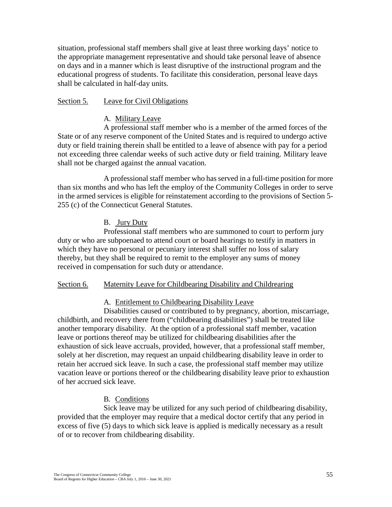situation, professional staff members shall give at least three working days' notice to the appropriate management representative and should take personal leave of absence on days and in a manner which is least disruptive of the instructional program and the educational progress of students. To facilitate this consideration, personal leave days shall be calculated in half-day units.

#### Section 5. Leave for Civil Obligations

#### A. Military Leave

A professional staff member who is a member of the armed forces of the State or of any reserve component of the United States and is required to undergo active duty or field training therein shall be entitled to a leave of absence with pay for a period not exceeding three calendar weeks of such active duty or field training. Military leave shall not be charged against the annual vacation.

A professional staff member who has served in a full-time position for more than six months and who has left the employ of the Community Colleges in order to serve in the armed services is eligible for reinstatement according to the provisions of Section 5- 255 (c) of the Connecticut General Statutes.

#### B. Jury Duty

Professional staff members who are summoned to court to perform jury duty or who are subpoenaed to attend court or board hearings to testify in matters in which they have no personal or pecuniary interest shall suffer no loss of salary thereby, but they shall be required to remit to the employer any sums of money received in compensation for such duty or attendance.

#### Section 6. Maternity Leave for Childbearing Disability and Childrearing

#### A. Entitlement to Childbearing Disability Leave

Disabilities caused or contributed to by pregnancy, abortion, miscarriage, childbirth, and recovery there from ("childbearing disabilities") shall be treated like another temporary disability. At the option of a professional staff member, vacation leave or portions thereof may be utilized for childbearing disabilities after the exhaustion of sick leave accruals, provided, however, that a professional staff member, solely at her discretion, may request an unpaid childbearing disability leave in order to retain her accrued sick leave. In such a case, the professional staff member may utilize vacation leave or portions thereof or the childbearing disability leave prior to exhaustion of her accrued sick leave.

#### B. Conditions

Sick leave may be utilized for any such period of childbearing disability, provided that the employer may require that a medical doctor certify that any period in excess of five (5) days to which sick leave is applied is medically necessary as a result of or to recover from childbearing disability.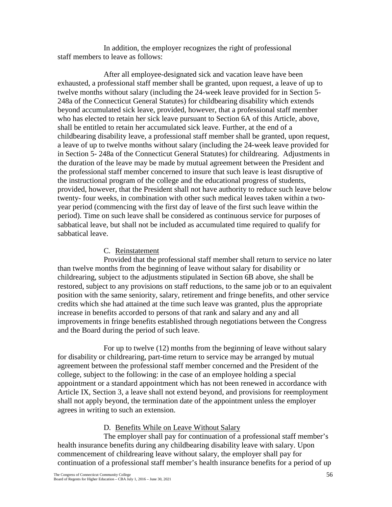In addition, the employer recognizes the right of professional staff members to leave as follows:

After all employee-designated sick and vacation leave have been exhausted, a professional staff member shall be granted, upon request, a leave of up to twelve months without salary (including the 24-week leave provided for in Section 5- 248a of the Connecticut General Statutes) for childbearing disability which extends beyond accumulated sick leave, provided, however, that a professional staff member who has elected to retain her sick leave pursuant to Section 6A of this Article, above, shall be entitled to retain her accumulated sick leave. Further, at the end of a childbearing disability leave, a professional staff member shall be granted, upon request, a leave of up to twelve months without salary (including the 24-week leave provided for in Section 5- 248a of the Connecticut General Statutes) for childrearing. Adjustments in the duration of the leave may be made by mutual agreement between the President and the professional staff member concerned to insure that such leave is least disruptive of the instructional program of the college and the educational progress of students, provided, however, that the President shall not have authority to reduce such leave below twenty- four weeks, in combination with other such medical leaves taken within a twoyear period (commencing with the first day of leave of the first such leave within the period). Time on such leave shall be considered as continuous service for purposes of sabbatical leave, but shall not be included as accumulated time required to qualify for sabbatical leave.

## C. Reinstatement

Provided that the professional staff member shall return to service no later than twelve months from the beginning of leave without salary for disability or childrearing, subject to the adjustments stipulated in Section 6B above, she shall be restored, subject to any provisions on staff reductions, to the same job or to an equivalent position with the same seniority, salary, retirement and fringe benefits, and other service credits which she had attained at the time such leave was granted, plus the appropriate increase in benefits accorded to persons of that rank and salary and any and all improvements in fringe benefits established through negotiations between the Congress and the Board during the period of such leave.

For up to twelve (12) months from the beginning of leave without salary for disability or childrearing, part-time return to service may be arranged by mutual agreement between the professional staff member concerned and the President of the college, subject to the following: in the case of an employee holding a special appointment or a standard appointment which has not been renewed in accordance with Article IX, Section 3, a leave shall not extend beyond, and provisions for reemployment shall not apply beyond, the termination date of the appointment unless the employer agrees in writing to such an extension.

## D. Benefits While on Leave Without Salary

The employer shall pay for continuation of a professional staff member's health insurance benefits during any childbearing disability leave with salary. Upon commencement of childrearing leave without salary, the employer shall pay for continuation of a professional staff member's health insurance benefits for a period of up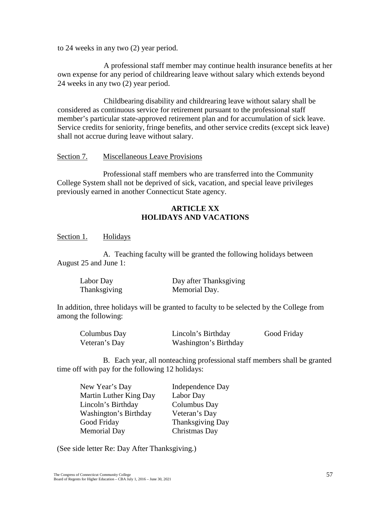to 24 weeks in any two (2) year period.

A professional staff member may continue health insurance benefits at her own expense for any period of childrearing leave without salary which extends beyond 24 weeks in any two (2) year period.

Childbearing disability and childrearing leave without salary shall be considered as continuous service for retirement pursuant to the professional staff member's particular state-approved retirement plan and for accumulation of sick leave. Service credits for seniority, fringe benefits, and other service credits (except sick leave) shall not accrue during leave without salary.

#### Section 7. Miscellaneous Leave Provisions

Professional staff members who are transferred into the Community College System shall not be deprived of sick, vacation, and special leave privileges previously earned in another Connecticut State agency.

## **ARTICLE XX HOLIDAYS AND VACATIONS**

Section 1. Holidays

A. Teaching faculty will be granted the following holidays between August 25 and June 1:

| Labor Day    | Day after Thanksgiving |
|--------------|------------------------|
| Thanksgiving | Memorial Day.          |

In addition, three holidays will be granted to faculty to be selected by the College from among the following:

| Columbus Day  | Lincoln's Birthday    | Good Friday |
|---------------|-----------------------|-------------|
| Veteran's Day | Washington's Birthday |             |

B. Each year, all nonteaching professional staff members shall be granted time off with pay for the following 12 holidays:

| New Year's Day         | Independence Day        |
|------------------------|-------------------------|
| Martin Luther King Day | Labor Day               |
| Lincoln's Birthday     | Columbus Day            |
| Washington's Birthday  | Veteran's Day           |
| Good Friday            | <b>Thanksgiving Day</b> |
| <b>Memorial Day</b>    | Christmas Day           |

(See side letter Re: Day After Thanksgiving.)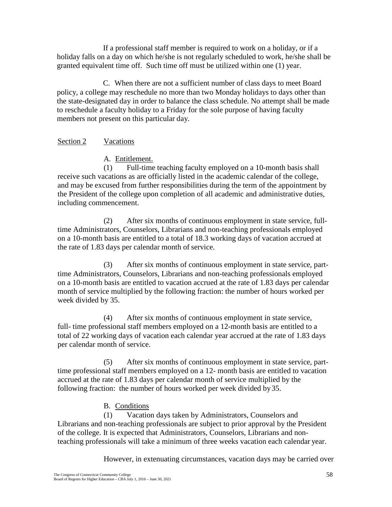If a professional staff member is required to work on a holiday, or if a holiday falls on a day on which he/she is not regularly scheduled to work, he/she shall be granted equivalent time off. Such time off must be utilized within one (1) year.

C. When there are not a sufficient number of class days to meet Board policy, a college may reschedule no more than two Monday holidays to days other than the state-designated day in order to balance the class schedule. No attempt shall be made to reschedule a faculty holiday to a Friday for the sole purpose of having faculty members not present on this particular day.

### Section 2 Vacations

A. Entitlement.

(1) Full-time teaching faculty employed on a 10-month basis shall receive such vacations as are officially listed in the academic calendar of the college, and may be excused from further responsibilities during the term of the appointment by the President of the college upon completion of all academic and administrative duties, including commencement.

(2) After six months of continuous employment in state service, fulltime Administrators, Counselors, Librarians and non-teaching professionals employed on a 10-month basis are entitled to a total of 18.3 working days of vacation accrued at the rate of 1.83 days per calendar month of service.

(3) After six months of continuous employment in state service, parttime Administrators, Counselors, Librarians and non-teaching professionals employed on a 10-month basis are entitled to vacation accrued at the rate of 1.83 days per calendar month of service multiplied by the following fraction: the number of hours worked per week divided by 35.

(4) After six months of continuous employment in state service, full- time professional staff members employed on a 12-month basis are entitled to a total of 22 working days of vacation each calendar year accrued at the rate of 1.83 days per calendar month of service.

(5) After six months of continuous employment in state service, parttime professional staff members employed on a 12- month basis are entitled to vacation accrued at the rate of 1.83 days per calendar month of service multiplied by the following fraction: the number of hours worked per week divided by35.

#### B. Conditions

(1) Vacation days taken by Administrators, Counselors and Librarians and non-teaching professionals are subject to prior approval by the President of the college. It is expected that Administrators, Counselors, Librarians and nonteaching professionals will take a minimum of three weeks vacation each calendar year.

However, in extenuating circumstances, vacation days may be carried over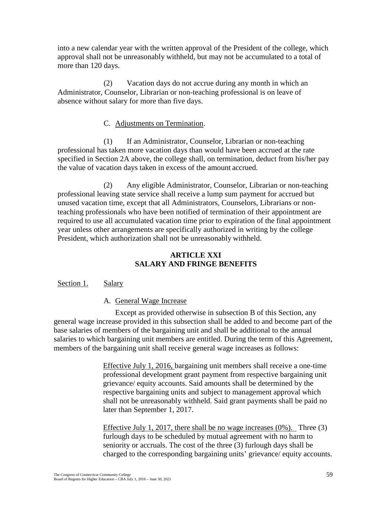into a new calendar year with the written approval of the President of the college, which approval shall not be unreasonably withheld, but may not be accumulated to a total of more than 120 days.

(2) Vacation days do not accrue during any month in which an Administrator, Counselor, Librarian or non-teaching professional is on leave of absence without salary for more than five days.

### C. Adjustments on Termination.

(1) If an Administrator, Counselor, Librarian or non-teaching professional has taken more vacation days than would have been accrued at the rate specified in Section 2A above, the college shall, on termination, deduct from his/her pay the value of vacation days taken in excess of the amount accrued.

(2) Any eligible Administrator, Counselor, Librarian or non-teaching professional leaving state service shall receive a lump sum payment for accrued but unused vacation time, except that all Administrators, Counselors, Librarians or nonteaching professionals who have been notified of termination of their appointment are required to use all accumulated vacation time prior to expiration of the final appointment year unless other arrangements are specifically authorized in writing by the college President, which authorization shall not be unreasonably withheld.

### **ARTICLE XXI SALARY AND FRINGE BENEFITS**

#### Section 1. Salary

#### A. General Wage Increase

Except as provided otherwise in subsection B of this Section, any general wage increase provided in this subsection shall be added to and become part of the base salaries of members of the bargaining unit and shall be additional to the annual salaries to which bargaining unit members are entitled. During the term of this Agreement, members of the bargaining unit shall receive general wage increases as follows:

> Effective July 1, 2016, bargaining unit members shall receive a one-time professional development grant payment from respective bargaining unit grievance/ equity accounts. Said amounts shall be determined by the respective bargaining units and subject to management approval which shall not be unreasonably withheld. Said grant payments shall be paid no later than September 1, 2017.

Effective July 1, 2017, there shall be no wage increases (0%). Three (3) furlough days to be scheduled by mutual agreement with no harm to seniority or accruals. The cost of the three (3) furlough days shall be charged to the corresponding bargaining units' grievance/ equity accounts.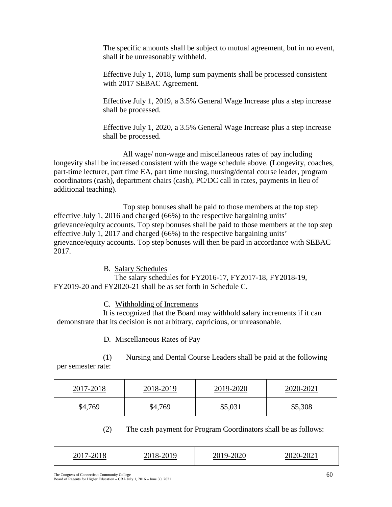The specific amounts shall be subject to mutual agreement, but in no event, shall it be unreasonably withheld.

Effective July 1, 2018, lump sum payments shall be processed consistent with 2017 SEBAC Agreement.

Effective July 1, 2019, a 3.5% General Wage Increase plus a step increase shall be processed.

Effective July 1, 2020, a 3.5% General Wage Increase plus a step increase shall be processed.

All wage/ non-wage and miscellaneous rates of pay including longevity shall be increased consistent with the wage schedule above. (Longevity, coaches, part-time lecturer, part time EA, part time nursing, nursing/dental course leader, program coordinators (cash), department chairs (cash), PC/DC call in rates, payments in lieu of additional teaching).

Top step bonuses shall be paid to those members at the top step effective July 1, 2016 and charged (66%) to the respective bargaining units' grievance/equity accounts. Top step bonuses shall be paid to those members at the top step effective July 1, 2017 and charged (66%) to the respective bargaining units' grievance/equity accounts. Top step bonuses will then be paid in accordance with SEBAC 2017.

B. Salary Schedules

The salary schedules for FY2016-17, FY2017-18, FY2018-19, FY2019-20 and FY2020-21 shall be as set forth in Schedule C.

C. Withholding of Increments

It is recognized that the Board may withhold salary increments if it can demonstrate that its decision is not arbitrary, capricious, or unreasonable.

D. Miscellaneous Rates of Pay

(1) Nursing and Dental Course Leaders shall be paid at the following

per semester rate:

| 2017-2018 | 2018-2019 | 2019-2020 | 2020-2021 |
|-----------|-----------|-----------|-----------|
| \$4,769   | \$4,769   | \$5,031   | \$5,308   |

(2) The cash payment for Program Coordinators shall be as follows:

| 201 <sup>-1</sup><br>$\prime$ $-$ | 2018<br>u<br>$\lambda$ - |  | $2020 - 20$ |
|-----------------------------------|--------------------------|--|-------------|
|-----------------------------------|--------------------------|--|-------------|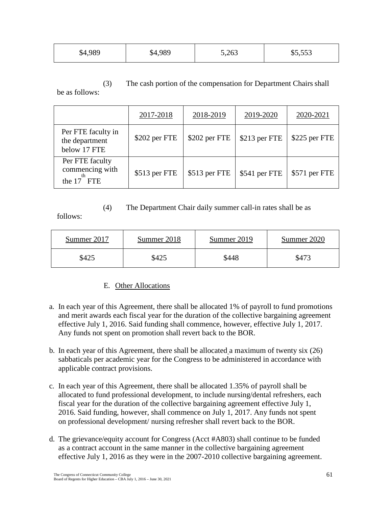| \$4,989 | \$4,989 | 5,263 | \$5,553 |
|---------|---------|-------|---------|
|         |         |       |         |

(3) The cash portion of the compensation for Department Chairs shall be as follows:

|                                                        | 2017-2018     | 2018-2019     | 2019-2020     | 2020-2021     |
|--------------------------------------------------------|---------------|---------------|---------------|---------------|
| Per FTE faculty in<br>the department<br>below 17 FTE   | \$202 per FTE | \$202 per FTE | \$213 per FTE | \$225 per FTE |
| Per FTE faculty<br>commencing with<br>th<br>the 17 FTE | \$513 per FTE | \$513 per FTE | \$541 per FTE | \$571 per FTE |

# (4) The Department Chair daily summer call-in rates shall be as

follows:

| Summer 2017 | Summer 2018 | Summer 2019 | Summer 2020 |
|-------------|-------------|-------------|-------------|
| \$425       | \$425       | \$448       | \$473       |

# E. Other Allocations

- a. In each year of this Agreement, there shall be allocated 1% of payroll to fund promotions and merit awards each fiscal year for the duration of the collective bargaining agreement effective July 1, 2016. Said funding shall commence, however, effective July 1, 2017. Any funds not spent on promotion shall revert back to the BOR.
- b. In each year of this Agreement, there shall be allocated a maximum of twenty six (26) sabbaticals per academic year for the Congress to be administered in accordance with applicable contract provisions.
- c. In each year of this Agreement, there shall be allocated 1.35% of payroll shall be allocated to fund professional development, to include nursing/dental refreshers, each fiscal year for the duration of the collective bargaining agreement effective July 1, 2016. Said funding, however, shall commence on July 1, 2017. Any funds not spent on professional development/ nursing refresher shall revert back to the BOR.
- d. The grievance/equity account for Congress (Acct #A803) shall continue to be funded as a contract account in the same manner in the collective bargaining agreement effective July 1, 2016 as they were in the 2007-2010 collective bargaining agreement.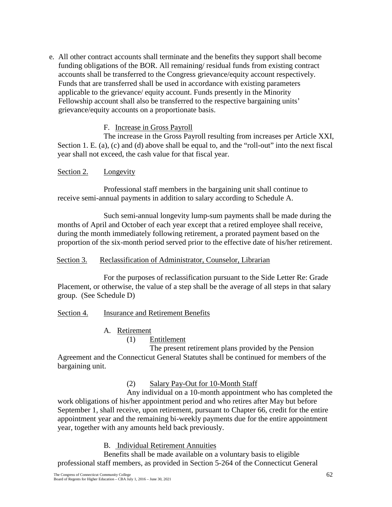e. All other contract accounts shall terminate and the benefits they support shall become funding obligations of the BOR. All remaining/ residual funds from existing contract accounts shall be transferred to the Congress grievance/equity account respectively. Funds that are transferred shall be used in accordance with existing parameters applicable to the grievance/ equity account. Funds presently in the Minority Fellowship account shall also be transferred to the respective bargaining units' grievance/equity accounts on a proportionate basis.

## F. Increase in Gross Payroll

The increase in the Gross Payroll resulting from increases per Article XXI, Section 1. E. (a), (c) and (d) above shall be equal to, and the "roll-out" into the next fiscal year shall not exceed, the cash value for that fiscal year.

## Section 2. Longevity

Professional staff members in the bargaining unit shall continue to receive semi-annual payments in addition to salary according to Schedule A.

Such semi-annual longevity lump-sum payments shall be made during the months of April and October of each year except that a retired employee shall receive, during the month immediately following retirement, a prorated payment based on the proportion of the six-month period served prior to the effective date of his/her retirement.

#### Section 3. Reclassification of Administrator, Counselor, Librarian

For the purposes of reclassification pursuant to the Side Letter Re: Grade Placement, or otherwise, the value of a step shall be the average of all steps in that salary group. (See Schedule D)

#### Section 4. Insurance and Retirement Benefits

## A. Retirement

## (1) Entitlement

The present retirement plans provided by the Pension Agreement and the Connecticut General Statutes shall be continued for members of the bargaining unit.

(2) Salary Pay-Out for 10-Month Staff

Any individual on a 10-month appointment who has completed the work obligations of his/her appointment period and who retires after May but before September 1, shall receive, upon retirement, pursuant to Chapter 66, credit for the entire appointment year and the remaining bi-weekly payments due for the entire appointment year, together with any amounts held back previously.

## B. Individual Retirement Annuities

Benefits shall be made available on a voluntary basis to eligible professional staff members, as provided in Section 5-264 of the Connecticut General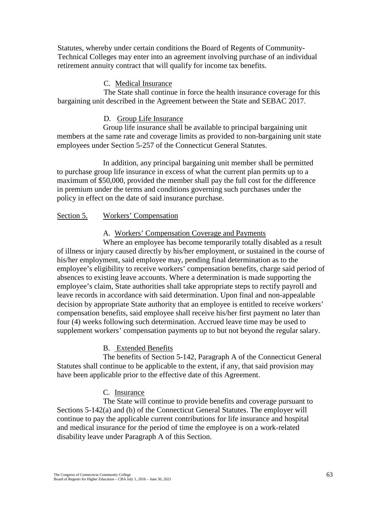Statutes, whereby under certain conditions the Board of Regents of Community-Technical Colleges may enter into an agreement involving purchase of an individual retirement annuity contract that will qualify for income tax benefits.

#### C. Medical Insurance

The State shall continue in force the health insurance coverage for this bargaining unit described in the Agreement between the State and SEBAC 2017.

#### D. Group Life Insurance

Group life insurance shall be available to principal bargaining unit members at the same rate and coverage limits as provided to non-bargaining unit state employees under Section 5-257 of the Connecticut General Statutes.

In addition, any principal bargaining unit member shall be permitted to purchase group life insurance in excess of what the current plan permits up to a maximum of \$50,000, provided the member shall pay the full cost for the difference in premium under the terms and conditions governing such purchases under the policy in effect on the date of said insurance purchase.

#### Section 5. Workers' Compensation

#### A. Workers' Compensation Coverage and Payments

Where an employee has become temporarily totally disabled as a result of illness or injury caused directly by his/her employment, or sustained in the course of his/her employment, said employee may, pending final determination as to the employee's eligibility to receive workers' compensation benefits, charge said period of absences to existing leave accounts. Where a determination is made supporting the employee's claim, State authorities shall take appropriate steps to rectify payroll and leave records in accordance with said determination. Upon final and non-appealable decision by appropriate State authority that an employee is entitled to receive workers' compensation benefits, said employee shall receive his/her first payment no later than four (4) weeks following such determination. Accrued leave time may be used to supplement workers' compensation payments up to but not beyond the regular salary.

#### B. Extended Benefits

The benefits of Section 5-142, Paragraph A of the Connecticut General Statutes shall continue to be applicable to the extent, if any, that said provision may have been applicable prior to the effective date of this Agreement.

#### C. Insurance

The State will continue to provide benefits and coverage pursuant to Sections 5-142(a) and (b) of the Connecticut General Statutes. The employer will continue to pay the applicable current contributions for life insurance and hospital and medical insurance for the period of time the employee is on a work-related disability leave under Paragraph A of this Section.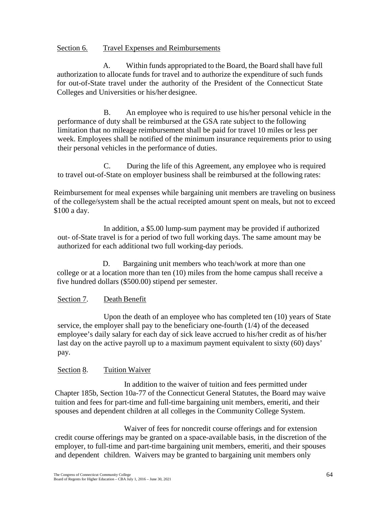### Section 6. Travel Expenses and Reimbursements

A. Within funds appropriated to the Board, the Board shall have full authorization to allocate funds for travel and to authorize the expenditure of such funds for out-of-State travel under the authority of the President of the Connecticut State Colleges and Universities or his/her designee.

B. An employee who is required to use his/her personal vehicle in the performance of duty shall be reimbursed at the GSA rate subject to the following limitation that no mileage reimbursement shall be paid for travel 10 miles or less per week. Employees shall be notified of the minimum insurance requirements prior to using their personal vehicles in the performance of duties.

C. During the life of this Agreement, any employee who is required to travel out-of-State on employer business shall be reimbursed at the following rates:

Reimbursement for meal expenses while bargaining unit members are traveling on business of the college/system shall be the actual receipted amount spent on meals, but not to exceed \$100 a day.

In addition, a \$5.00 lump-sum payment may be provided if authorized out- of-State travel is for a period of two full working days. The same amount may be authorized for each additional two full working-day periods.

D. Bargaining unit members who teach/work at more than one college or at a location more than ten (10) miles from the home campus shall receive a five hundred dollars (\$500.00) stipend per semester.

### Section 7. Death Benefit

Upon the death of an employee who has completed ten (10) years of State service, the employer shall pay to the beneficiary one-fourth (1/4) of the deceased employee's daily salary for each day of sick leave accrued to his/her credit as of his/her last day on the active payroll up to a maximum payment equivalent to sixty (60) days' pay.

### Section 8. Tuition Waiver

In addition to the waiver of tuition and fees permitted under Chapter 185b, Section 10a-77 of the Connecticut General Statutes, the Board may waive tuition and fees for part-time and full-time bargaining unit members, emeriti, and their spouses and dependent children at all colleges in the Community College System.

Waiver of fees for noncredit course offerings and for extension credit course offerings may be granted on a space-available basis, in the discretion of the employer, to full-time and part-time bargaining unit members, emeriti, and their spouses and dependent children. Waivers may be granted to bargaining unit members only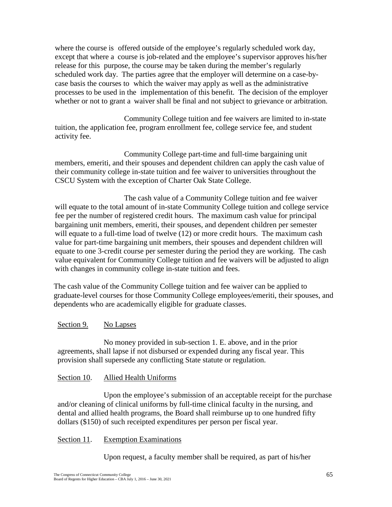where the course is offered outside of the employee's regularly scheduled work day, except that where a course is job-related and the employee's supervisor approves his/her release for this purpose, the course may be taken during the member's regularly scheduled work day. The parties agree that the employer will determine on a case-bycase basis the courses to which the waiver may apply as well as the administrative processes to be used in the implementation of this benefit. The decision of the employer whether or not to grant a waiver shall be final and not subject to grievance or arbitration.

Community College tuition and fee waivers are limited to in-state tuition, the application fee, program enrollment fee, college service fee, and student activity fee.

Community College part-time and full-time bargaining unit members, emeriti, and their spouses and dependent children can apply the cash value of their community college in-state tuition and fee waiver to universities throughout the CSCU System with the exception of Charter Oak State College.

The cash value of a Community College tuition and fee waiver will equate to the total amount of in-state Community College tuition and college service fee per the number of registered credit hours. The maximum cash value for principal bargaining unit members, emeriti, their spouses, and dependent children per semester will equate to a full-time load of twelve (12) or more credit hours. The maximum cash value for part-time bargaining unit members, their spouses and dependent children will equate to one 3-credit course per semester during the period they are working. The cash value equivalent for Community College tuition and fee waivers will be adjusted to align with changes in community college in-state tuition and fees.

The cash value of the Community College tuition and fee waiver can be applied to graduate-level courses for those Community College employees/emeriti, their spouses, and dependents who are academically eligible for graduate classes.

### Section 9. No Lapses

No money provided in sub-section 1. E. above, and in the prior agreements, shall lapse if not disbursed or expended during any fiscal year. This provision shall supersede any conflicting State statute or regulation.

### Section 10. Allied Health Uniforms

Upon the employee's submission of an acceptable receipt for the purchase and/or cleaning of clinical uniforms by full-time clinical faculty in the nursing, and dental and allied health programs, the Board shall reimburse up to one hundred fifty dollars (\$150) of such receipted expenditures per person per fiscal year.

### Section 11. Exemption Examinations

Upon request, a faculty member shall be required, as part of his/her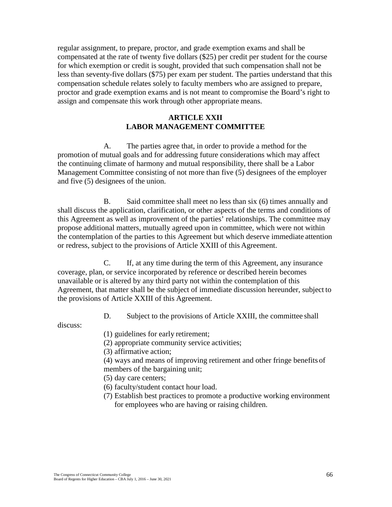regular assignment, to prepare, proctor, and grade exemption exams and shall be compensated at the rate of twenty five dollars (\$25) per credit per student for the course for which exemption or credit is sought, provided that such compensation shall not be less than seventy-five dollars (\$75) per exam per student. The parties understand that this compensation schedule relates solely to faculty members who are assigned to prepare, proctor and grade exemption exams and is not meant to compromise the Board's right to assign and compensate this work through other appropriate means.

### **ARTICLE XXII LABOR MANAGEMENT COMMITTEE**

A. The parties agree that, in order to provide a method for the promotion of mutual goals and for addressing future considerations which may affect the continuing climate of harmony and mutual responsibility, there shall be a Labor Management Committee consisting of not more than five (5) designees of the employer and five (5) designees of the union.

B. Said committee shall meet no less than six (6) times annually and shall discuss the application, clarification, or other aspects of the terms and conditions of this Agreement as well as improvement of the parties' relationships. The committee may propose additional matters, mutually agreed upon in committee, which were not within the contemplation of the parties to this Agreement but which deserve immediate attention or redress, subject to the provisions of Article XXIII of this Agreement.

C. If, at any time during the term of this Agreement, any insurance coverage, plan, or service incorporated by reference or described herein becomes unavailable or is altered by any third party not within the contemplation of this Agreement, that matter shall be the subject of immediate discussion hereunder, subject to the provisions of Article XXIII of this Agreement.

D. Subject to the provisions of Article XXIII, the committee shall

discuss:

- (1) guidelines for early retirement;
- (2) appropriate community service activities;
- (3) affirmative action;
- (4) ways and means of improving retirement and other fringe benefits of members of the bargaining unit;
- (5) day care centers;
- (6) faculty/student contact hour load.
- (7) Establish best practices to promote a productive working environment for employees who are having or raising children.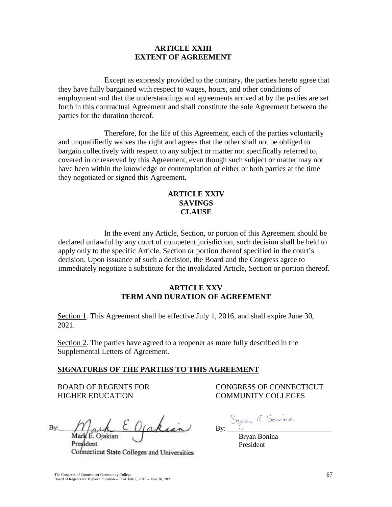### **ARTICLE XXIII EXTENT OF AGREEMENT**

Except as expressly provided to the contrary, the parties hereto agree that they have fully bargained with respect to wages, hours, and other conditions of employment and that the understandings and agreements arrived at by the parties are set forth in this contractual Agreement and shall constitute the sole Agreement between the parties for the duration thereof.

Therefore, for the life of this Agreement, each of the parties voluntarily and unqualifiedly waives the right and agrees that the other shall not be obliged to bargain collectively with respect to any subject or matter not specifically referred to, covered in or reserved by this Agreement, even though such subject or matter may not have been within the knowledge or contemplation of either or both parties at the time they negotiated or signed this Agreement.

### **ARTICLE XXIV SAVINGS CLAUSE**

In the event any Article, Section, or portion of this Agreement should be declared unlawful by any court of competent jurisdiction, such decision shall be held to apply only to the specific Article, Section or portion thereof specified in the court's decision. Upon issuance of such a decision, the Board and the Congress agree to immediately negotiate a substitute for the invalidated Article, Section or portion thereof.

### **ARTICLE XXV TERM AND DURATION OF AGREEMENT**

Section 1. This Agreement shall be effective July 1, 2016, and shall expire June 30, 2021.

Section 2. The parties have agreed to a reopener as more fully described in the Supplemental Letters of Agreement.

### **SIGNATURES OF THE PARTIES TO THIS AGREEMENT**

HIGHER EDUCATION COMMUNITY COLLEGES

 $By: \mathcal{M}_{\text{mark}} \in \mathcal{O}_{\text{j}}$  of a kian Mark E. Ojakian By: Bryan R. Bonina<br>Mark E. Ojakian Jakian By: Bryan Bonina<br>President President

President President Connecticut State Colleges and Universities

BOARD OF REGENTS FOR CONGRESS OF CONNECTICUT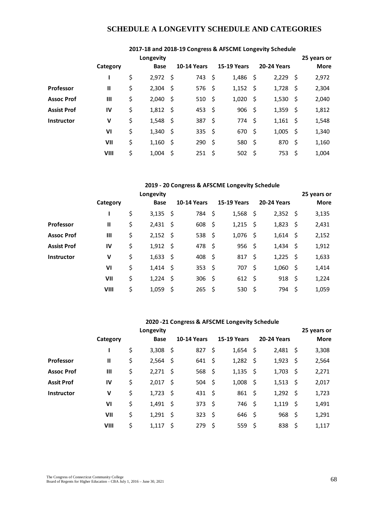### **SCHEDULE A LONGEVITY SCHEDULE AND CATEGORIES**

|                    |                |                  |      |                    |      |                    | 2017-18 and 2018-19 Congress & AFSCIVIE LONGEVILY SCHEDUIE |             |
|--------------------|----------------|------------------|------|--------------------|------|--------------------|------------------------------------------------------------|-------------|
|                    |                | Longevity        |      |                    |      |                    |                                                            | 25 years or |
|                    | Category       | <b>Base</b>      |      | <b>10-14 Years</b> |      | <b>15-19 Years</b> | <b>20-24 Years</b>                                         | <b>More</b> |
|                    | ı              | \$<br>$2,972$ \$ |      | 743                | -\$  | $1,486$ \$         | $2,229$ \$                                                 | 2,972       |
| <b>Professor</b>   | Ш              | \$<br>$2,304$ \$ |      | 576                | -\$  | $1,152$ \$         | $1,728$ \$                                                 | 2,304       |
| <b>Assoc Prof</b>  | $\mathbf{III}$ | \$<br>2,040      | - \$ | 510                | -\$  | $1,020$ \$         | $1,530$ \$                                                 | 2,040       |
| <b>Assist Prof</b> | IV             | \$<br>$1,812$ \$ |      | 453                | -\$  | $906$ \$           | $1,359$ \$                                                 | 1,812       |
| <b>Instructor</b>  | $\mathsf{v}$   | \$<br>$1,548$ \$ |      | 387                | -Ś   | 774 \$             | $1,161$ \$                                                 | 1,548       |
|                    | VI             | \$<br>1,340      | - \$ | 335                | - \$ | 670 \$             | $1,005$ \$                                                 | 1,340       |
|                    | VII            | \$<br>1,160      | - \$ | 290                | -\$  | 580 \$             | 870 \$                                                     | 1,160       |
|                    | VIII           | \$<br>1.004      | - Ś  | 251                | -\$  | 502 \$             | 753<br>- \$                                                | 1,004       |

### **2017-18 and 2018-19 Congress & AFSCME Longevity Schedule**

### **2019 - 20 Congress & AFSCME Longevity Schedule**

|                    |              | Longevity        |      |                    |     |                    |                    | 25 years or |
|--------------------|--------------|------------------|------|--------------------|-----|--------------------|--------------------|-------------|
|                    | Category     | <b>Base</b>      |      | <b>10-14 Years</b> |     | <b>15-19 Years</b> | <b>20-24 Years</b> | <b>More</b> |
|                    |              | \$<br>$3,135$ \$ |      | 784                | -\$ | $1,568$ \$         | $2,352$ \$         | 3,135       |
| Professor          | $\mathbf{u}$ | \$<br>2,431      | - \$ | 608                | -\$ | $1,215$ \$         | $1,823$ \$         | 2,431       |
| <b>Assoc Prof</b>  | Ш            | \$<br>$2,152$ \$ |      | 538                | \$, | $1,076$ \$         | $1,614$ \$         | 2,152       |
| <b>Assist Prof</b> | IV           | \$<br>$1,912$ \$ |      | 478                | -\$ | $956$ \$           | $1,434$ \$         | 1,912       |
| <b>Instructor</b>  | v            | \$<br>$1,633$ \$ |      | 408                | -\$ | $817$ \$           | $1,225$ \$         | 1,633       |
|                    | VI           | \$<br>1,414      | -\$  | 353                | -\$ | 707\$              | $1,060$ \$         | 1,414       |
|                    | VII          | \$<br>$1,224$ \$ |      | 306                | -\$ | $612 \div$         | $918 \quad $$      | 1,224       |
|                    | VIII         | \$<br>1,059      | -\$  | 265                | -\$ | 530 \$             | 794 \$             | 1,059       |

### **2020 -21 Congress & AFSCME Longevity Schedule**

|                   |                | Longevity        |      |                    |     |                    |     |                    |     | 25 years or |
|-------------------|----------------|------------------|------|--------------------|-----|--------------------|-----|--------------------|-----|-------------|
|                   | Category       | <b>Base</b>      |      | <b>10-14 Years</b> |     | <b>15-19 Years</b> |     | <b>20-24 Years</b> |     | <b>More</b> |
|                   | ı              | \$<br>3,308      | -\$  | 827                | \$  | 1,654              | \$  | $2,481$ \$         |     | 3,308       |
| Professor         | Ш              | \$<br>2,564      | - \$ | 641                | -\$ | $1,282$ \$         |     | $1,923$ \$         |     | 2,564       |
| <b>Assoc Prof</b> | $\mathbf{III}$ | \$<br>2,271      | - \$ | 568                | -\$ | $1,135$ \$         |     | $1,703$ \$         |     | 2,271       |
| <b>Assit Prof</b> | IV             | \$<br>2,017      | - \$ | 504                | -\$ | 1,008              | -\$ | $1,513$ \$         |     | 2,017       |
| Instructor        | v              | \$<br>1,723      | - \$ | 431                | -\$ | $861 \; \xi$       |     | $1,292$ \$         |     | 1,723       |
|                   | VI             | \$<br>1,491      | - \$ | 373                | -\$ | 746 \$             |     | $1,119$ \$         |     | 1,491       |
|                   | VII            | \$<br>$1,291$ \$ |      | 323                | -\$ | $646$ \$           |     | $968$ \$           |     | 1,291       |
|                   | VIII           | \$<br>1,117      | - \$ | 279                | -Ś  | 559                | \$  | 838                | -\$ | 1,117       |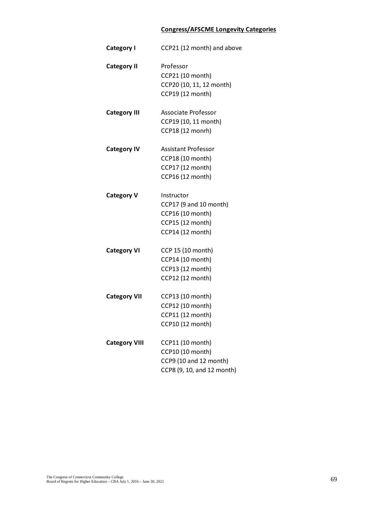### **Congress/AFSCME Longevity Categories**

| Professor<br><b>Category II</b><br>CCP21 (10 month)<br>CCP20 (10, 11, 12 month)<br>CCP19 (12 month)<br>Associate Professor<br><b>Category III</b><br>CCP19 (10, 11 month)<br>CCP18 (12 monrh)<br><b>Assistant Professor</b><br><b>Category IV</b><br>CCP18 (10 month)<br>CCP17 (12 month)<br>CCP16 (12 month)<br><b>Category V</b><br>Instructor<br>CCP17 (9 and 10 month)<br>CCP16 (10 month)<br>CCP15 (12 month)<br>CCP14 (12 month)<br>CCP 15 (10 month)<br><b>Category VI</b><br>CCP14 (10 month)<br>CCP13 (12 month)<br>CCP12 (12 month)<br>CCP13 (10 month)<br><b>Category VII</b><br>CCP12 (10 month)<br>CCP11 (12 month)<br>CCP10 (12 month)<br>CCP11 (10 month)<br><b>Category VIII</b><br>CCP10 (10 month) | <b>Category I</b> | CCP21 (12 month) and above |
|----------------------------------------------------------------------------------------------------------------------------------------------------------------------------------------------------------------------------------------------------------------------------------------------------------------------------------------------------------------------------------------------------------------------------------------------------------------------------------------------------------------------------------------------------------------------------------------------------------------------------------------------------------------------------------------------------------------------|-------------------|----------------------------|
|                                                                                                                                                                                                                                                                                                                                                                                                                                                                                                                                                                                                                                                                                                                      |                   |                            |
|                                                                                                                                                                                                                                                                                                                                                                                                                                                                                                                                                                                                                                                                                                                      |                   |                            |
|                                                                                                                                                                                                                                                                                                                                                                                                                                                                                                                                                                                                                                                                                                                      |                   |                            |
|                                                                                                                                                                                                                                                                                                                                                                                                                                                                                                                                                                                                                                                                                                                      |                   |                            |
|                                                                                                                                                                                                                                                                                                                                                                                                                                                                                                                                                                                                                                                                                                                      |                   |                            |
|                                                                                                                                                                                                                                                                                                                                                                                                                                                                                                                                                                                                                                                                                                                      |                   |                            |
|                                                                                                                                                                                                                                                                                                                                                                                                                                                                                                                                                                                                                                                                                                                      |                   |                            |
|                                                                                                                                                                                                                                                                                                                                                                                                                                                                                                                                                                                                                                                                                                                      |                   |                            |
|                                                                                                                                                                                                                                                                                                                                                                                                                                                                                                                                                                                                                                                                                                                      |                   |                            |
|                                                                                                                                                                                                                                                                                                                                                                                                                                                                                                                                                                                                                                                                                                                      |                   |                            |
|                                                                                                                                                                                                                                                                                                                                                                                                                                                                                                                                                                                                                                                                                                                      |                   |                            |
|                                                                                                                                                                                                                                                                                                                                                                                                                                                                                                                                                                                                                                                                                                                      |                   |                            |
|                                                                                                                                                                                                                                                                                                                                                                                                                                                                                                                                                                                                                                                                                                                      |                   |                            |
|                                                                                                                                                                                                                                                                                                                                                                                                                                                                                                                                                                                                                                                                                                                      |                   |                            |
|                                                                                                                                                                                                                                                                                                                                                                                                                                                                                                                                                                                                                                                                                                                      |                   |                            |
|                                                                                                                                                                                                                                                                                                                                                                                                                                                                                                                                                                                                                                                                                                                      |                   |                            |
|                                                                                                                                                                                                                                                                                                                                                                                                                                                                                                                                                                                                                                                                                                                      |                   |                            |
|                                                                                                                                                                                                                                                                                                                                                                                                                                                                                                                                                                                                                                                                                                                      |                   |                            |
|                                                                                                                                                                                                                                                                                                                                                                                                                                                                                                                                                                                                                                                                                                                      |                   |                            |
|                                                                                                                                                                                                                                                                                                                                                                                                                                                                                                                                                                                                                                                                                                                      |                   |                            |
|                                                                                                                                                                                                                                                                                                                                                                                                                                                                                                                                                                                                                                                                                                                      |                   |                            |
|                                                                                                                                                                                                                                                                                                                                                                                                                                                                                                                                                                                                                                                                                                                      |                   |                            |
|                                                                                                                                                                                                                                                                                                                                                                                                                                                                                                                                                                                                                                                                                                                      |                   |                            |
|                                                                                                                                                                                                                                                                                                                                                                                                                                                                                                                                                                                                                                                                                                                      |                   |                            |
|                                                                                                                                                                                                                                                                                                                                                                                                                                                                                                                                                                                                                                                                                                                      |                   |                            |
|                                                                                                                                                                                                                                                                                                                                                                                                                                                                                                                                                                                                                                                                                                                      |                   |                            |
|                                                                                                                                                                                                                                                                                                                                                                                                                                                                                                                                                                                                                                                                                                                      |                   | CCP9 (10 and 12 month)     |
| CCP8 (9, 10, and 12 month)                                                                                                                                                                                                                                                                                                                                                                                                                                                                                                                                                                                                                                                                                           |                   |                            |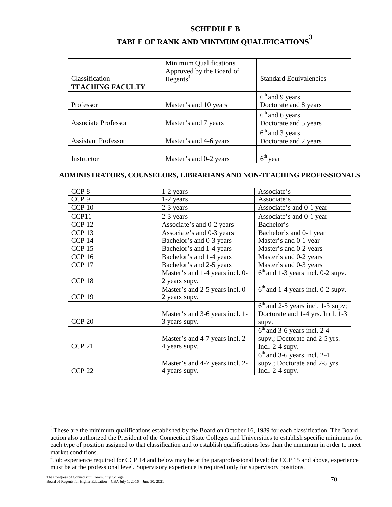### **SCHEDULE B**

|                            | Minimum Qualifications                        |                               |
|----------------------------|-----------------------------------------------|-------------------------------|
|                            | Approved by the Board of Regents <sup>4</sup> |                               |
| Classification             |                                               | <b>Standard Equivalencies</b> |
| <b>TEACHING FACULTY</b>    |                                               |                               |
|                            |                                               | $6th$ and 9 years             |
| Professor                  | Master's and 10 years                         | Doctorate and 8 years         |
|                            |                                               | $6th$ and 6 years             |
| <b>Associate Professor</b> | Master's and 7 years                          | Doctorate and 5 years         |
|                            |                                               | $6th$ and 3 years             |
| <b>Assistant Professor</b> | Master's and 4-6 years                        | Doctorate and 2 years         |
|                            |                                               |                               |
| Instructor                 | Master's and 0-2 years                        | $6th$ year                    |

# **TABLE OF RANK AND MINIMUM QUALIFICATIONS<sup>3</sup>**

### **ADMINISTRATORS, COUNSELORS, LIBRARIANS AND NON-TEACHING PROFESSIONALS**

| CCP 8             | 1-2 years                       | Associate's                         |
|-------------------|---------------------------------|-------------------------------------|
| CCP <sub>9</sub>  | 1-2 years                       | Associate's                         |
| CCP <sub>10</sub> | 2-3 years                       | Associate's and 0-1 year            |
| CCP11             | 2-3 years                       | Associate's and 0-1 year            |
| CCP <sub>12</sub> | Associate's and 0-2 years       | Bachelor's                          |
| CCP <sub>13</sub> | Associate's and 0-3 years       | Bachelor's and 0-1 year             |
| CCP <sub>14</sub> | Bachelor's and 0-3 years        | Master's and 0-1 year               |
| CCP <sub>15</sub> | Bachelor's and 1-4 years        | Master's and 0-2 years              |
| CCP <sub>16</sub> | Bachelor's and 1-4 years        | Master's and 0-2 years              |
| CCP <sub>17</sub> | Bachelor's and 2-5 years        | Master's and 0-3 years              |
|                   | Master's and 1-4 years incl. 0- | $6th$ and 1-3 years incl. 0-2 supv. |
| CCP <sub>18</sub> | 2 years supv.                   |                                     |
|                   | Master's and 2-5 years incl. 0- | $6th$ and 1-4 years incl. 0-2 supv. |
| CCP <sub>19</sub> | 2 years supv.                   |                                     |
|                   |                                 | $6th$ and 2-5 years incl. 1-3 supv; |
|                   | Master's and 3-6 years incl. 1- | Doctorate and 1-4 yrs. Incl. 1-3    |
| CCP <sub>20</sub> | 3 years supv.                   | supv.                               |
|                   |                                 | $6th$ and 3-6 years incl. 2-4       |
|                   | Master's and 4-7 years incl. 2- | supv.; Doctorate and 2-5 yrs.       |
| CCP <sub>21</sub> | 4 years supv.                   | Incl. $2-4$ supv.                   |
|                   |                                 | $6th$ and 3-6 years incl. 2-4       |
|                   | Master's and 4-7 years incl. 2- | supv.; Doctorate and 2-5 yrs.       |
| CCP <sub>22</sub> | 4 years supv.                   | Incl. $2-4$ supv.                   |

<sup>&</sup>lt;sup>3</sup> These are the minimum qualifications established by the Board on October 16, 1989 for each classification. The Board action also authorized the President of the Connecticut State Colleges and Universities to establish specific minimums for each type of position assigned to that classification and to establish qualifications less than the minimum in order to meet market conditions.

<sup>&</sup>lt;sup>4</sup> Job experience required for CCP 14 and below may be at the paraprofessional level; for CCP 15 and above, experience must be at the professional level. Supervisory experience is required only for supervisory positions.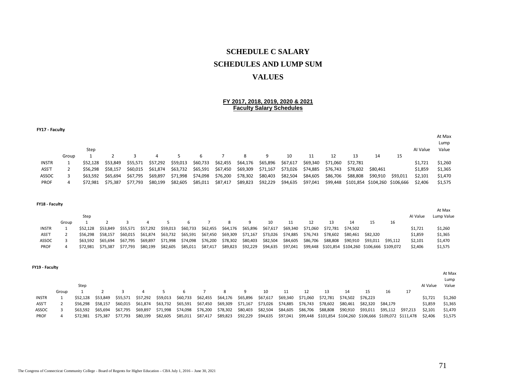# **SCHEDULE C SALARY SCHEDULES AND LUMP SUM VALUES**

#### **FY 2017, 2018, 2019, 2020 & 2021 Faculty Salary Schedules**

| FY17 - Faculty |       |          |          |          |          |          |          |          |          |          |          |          |          |                               |          |          |          |         |
|----------------|-------|----------|----------|----------|----------|----------|----------|----------|----------|----------|----------|----------|----------|-------------------------------|----------|----------|----------|---------|
|                |       |          |          |          |          |          |          |          |          |          |          |          |          |                               |          |          |          | At Max  |
|                |       |          |          |          |          |          |          |          |          |          |          |          |          |                               |          |          |          | Lump    |
|                |       | Step     |          |          |          |          |          |          |          |          |          |          |          |                               |          |          | Al Value | Value   |
|                | Group |          |          |          | 4        |          | 6        |          |          | 9        | 10       | 11       | 12       | 13                            | 14       | 15       |          |         |
| <b>INSTR</b>   |       | \$52.128 | \$53.849 | \$55.571 | \$57,292 | \$59,013 | \$60,733 | \$62,455 | \$64,176 | \$65,896 | \$67,617 | \$69,340 | \$71,060 | \$72,781                      |          |          | \$1,721  | \$1,260 |
| ASS'T          |       | \$56.298 | \$58.157 | \$60,015 | \$61,874 | \$63,732 | \$65,591 | \$67,450 | \$69,309 | \$71,167 | \$73,026 | \$74,885 | \$76,743 | \$78,602                      | \$80,461 |          | \$1,859  | \$1,365 |
| ASSOC          |       | \$63.592 | \$65.694 | \$67,795 | \$69,897 | \$71,998 | \$74,098 | \$76,200 | \$78,302 | \$80,403 | \$82,504 | \$84,605 | \$86,706 | \$88,808                      | \$90,910 | \$93,011 | \$2,101  | \$1,470 |
| <b>PROF</b>    | 4     | \$72.981 | \$75.387 | \$77,793 | \$80,199 | \$82,605 | \$85,011 | \$87,417 | \$89,823 | \$92,229 | \$94,635 | \$97,041 | \$99,448 | \$101,854 \$104,260 \$106,666 |          |          | \$2,406  | \$1,575 |

| FY18 - Faculty |       |          |                   |          |          |          |          |          |          |          |          |          |          |          |                                                  |          |          |          |            |
|----------------|-------|----------|-------------------|----------|----------|----------|----------|----------|----------|----------|----------|----------|----------|----------|--------------------------------------------------|----------|----------|----------|------------|
|                |       |          |                   |          |          |          |          |          |          |          |          |          |          |          |                                                  |          |          |          | At Max     |
|                |       | Step     |                   |          |          |          |          |          |          |          |          |          |          |          |                                                  |          |          | Al Value | Lump Value |
|                | Group |          |                   |          |          |          |          |          | 8        | 9        | 10       |          | 12       | 13       | 14                                               | 15       | 16       |          |            |
| <b>INSTR</b>   |       |          | \$52.128 \$53.849 | \$55.571 | \$57,292 | \$59,013 | \$60,733 | \$62,455 | \$64,176 | \$65,896 | \$67,617 | \$69,340 | \$71,060 | \$72,781 | \$74.502                                         |          |          | \$1,721  | \$1,260    |
| ASS'T          |       | \$56.298 | \$58.157          | \$60.015 | \$61.874 | \$63,732 | \$65,591 | \$67,450 | \$69,309 | \$71,167 | \$73,026 | \$74,885 | \$76,743 | \$78,602 | \$80.461                                         | \$82.320 |          | \$1,859  | \$1,365    |
| ASSOC          |       | \$63.592 | \$65.694          | \$67.795 | \$69.897 | \$71.998 | \$74,098 | \$76,200 | \$78,302 | \$80,403 | \$82,504 | \$84,605 | \$86,706 | \$88,808 | \$90,910                                         | \$93.011 | \$95.112 | \$2,101  | \$1,470    |
| <b>PROF</b>    |       | \$72.981 | \$75.387          | \$77.793 | \$80,199 | \$82,605 | \$85,011 | \$87,417 | \$89,823 | \$92,229 | \$94,635 | \$97,041 |          |          | \$99,448 \$101,854 \$104,260 \$106,666 \$109,072 |          |          | \$2,406  | \$1,575    |

|              |       | Step     |                   |          |          |          |                   |                            |                   |          |                            |                   |    |                                                            |    |                                     |                            |     | Al Value | At Max<br>Lump<br>Value |
|--------------|-------|----------|-------------------|----------|----------|----------|-------------------|----------------------------|-------------------|----------|----------------------------|-------------------|----|------------------------------------------------------------|----|-------------------------------------|----------------------------|-----|----------|-------------------------|
|              | Group |          |                   |          |          |          |                   |                            | 8                 | -9       | 10                         | -11               | 12 |                                                            | 14 |                                     | 16                         | -17 |          |                         |
| <b>INSTR</b> |       | \$52.128 | \$53.849          | \$55.571 | \$57.292 | \$59.013 | \$60,733          | \$62,455 \$64,176 \$65,896 |                   |          |                            |                   |    | \$67,617 \$69,340 \$71,060 \$72,781 \$74,502 \$76,223      |    |                                     |                            |     | \$1.721  | \$1,260                 |
| ASS'T        |       | \$56.298 | S58.157           | \$60.015 | \$61.874 |          |                   | \$63,732 \$65,591 \$67,450 | \$69,309 \$71,167 |          | \$73,026 \$74,885 \$76,743 |                   |    |                                                            |    | \$78,602 \$80,461 \$82,320 \$84,179 |                            |     | \$1,859  | \$1,365                 |
| ASSOC        |       | \$63.592 | S65.694           | \$67.795 | \$69.897 |          | \$71,998 \$74,098 | \$76,200                   | \$78,302 \$80,403 |          |                            |                   |    | \$82,504 \$84,605 \$86,706 \$88,808 \$90,910               |    |                                     | \$93,011 \$95,112 \$97,213 |     | \$2.101  | \$1.470                 |
| PROF         |       |          | \$72,981 \$75,387 | \$77.793 | \$80,199 | \$82,605 |                   | \$85,011 \$87,417          | \$89,823          | \$92,229 |                            | \$94,635 \$97,041 |    | \$99,448 \$101,854 \$104,260 \$106,666 \$109,072 \$111,478 |    |                                     |                            |     | \$2.406  | \$1.575                 |

**FY19 - Faculty**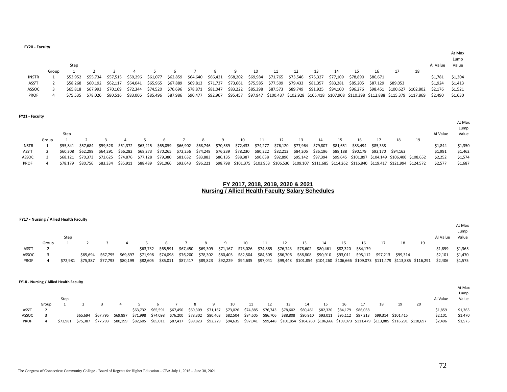| FY20 - Faculty |       |          |                   |          |                            |                   |          |                            |                            |    |                                                                                                   |          |          |          |                   |          |          |    |          |         |
|----------------|-------|----------|-------------------|----------|----------------------------|-------------------|----------|----------------------------|----------------------------|----|---------------------------------------------------------------------------------------------------|----------|----------|----------|-------------------|----------|----------|----|----------|---------|
|                |       |          |                   |          |                            |                   |          |                            |                            |    |                                                                                                   |          |          |          |                   |          |          |    |          | At Max  |
|                |       |          |                   |          |                            |                   |          |                            |                            |    |                                                                                                   |          |          |          |                   |          |          |    |          | Lump    |
|                |       | Step     |                   |          |                            |                   |          |                            |                            |    |                                                                                                   |          |          |          |                   |          |          |    | Al Value | Value   |
|                | Group |          |                   |          |                            |                   |          |                            | 8                          | 10 |                                                                                                   |          | 13       | 14       | 15                | 16       |          | 18 |          |         |
| <b>INSTR</b>   |       |          | \$53,952 \$55,734 |          | \$57,515 \$59,296 \$61,077 |                   |          |                            | \$62,859 \$64,640 \$66,421 |    | \$68,202 \$69,984 \$71,765 \$73,546 \$75,327                                                      |          |          | \$77,109 | \$78,890          | \$80,671 |          |    | \$1,781  | \$1,304 |
| ASS'T          |       |          | \$58,268 \$60,192 | \$62,117 | \$64,041                   | \$65,965          | \$67,889 | \$69,813                   | \$71,737                   |    | \$73,661 \$75,585 \$77,509                                                                        | \$79,433 | \$81,357 | \$83,281 | \$85,205 \$87,129 |          | \$89,053 |    | \$1,924  | \$1,413 |
| ASSOC          |       | \$65.818 | \$67,993          | \$70,169 | \$72,344                   | \$74,520          | \$76,696 | \$78,871                   | \$81,047                   |    | \$83,222 \$85,398 \$87,573 \$89,749 \$91,925 \$94,100 \$96,276 \$98,451 \$100,627 \$102,802       |          |          |          |                   |          |          |    | \$2,176  | \$1,521 |
| <b>PROF</b>    |       |          | \$75,535 \$78,026 | \$80,516 |                            | \$83,006 \$85,496 |          | \$87,986 \$90,477 \$92,967 |                            |    | \$95,457 \$97,947 \$100,437 \$102,928 \$105,418 \$107,908 \$110,398 \$112,888 \$115,379 \$117,869 |          |          |          |                   |          |          |    | \$2.490  | \$1,630 |
|                |       |          |                   |          |                            |                   |          |                            |                            |    |                                                                                                   |          |          |          |                   |          |          |    |          |         |
|                |       |          |                   |          |                            |                   |          |                            |                            |    |                                                                                                   |          |          |          |                   |          |          |    |          |         |

|  | FY21 - Faculty |
|--|----------------|
|--|----------------|

|              |       | Step     |                   |                   |                   |          |                                                                                                                               |          |    |                            |     |                   |          |                            |                                                                                                                                         |    | Al Value | At Max<br>Lump<br>Value |
|--------------|-------|----------|-------------------|-------------------|-------------------|----------|-------------------------------------------------------------------------------------------------------------------------------|----------|----|----------------------------|-----|-------------------|----------|----------------------------|-----------------------------------------------------------------------------------------------------------------------------------------|----|----------|-------------------------|
|              | Group |          |                   |                   |                   |          |                                                                                                                               |          | -9 | 10                         | -11 |                   |          | 16                         |                                                                                                                                         | 19 |          |                         |
| <b>INSTR</b> |       |          | \$55.841 \$57.684 |                   |                   |          | \$59,528 \$61,372 \$63,215 \$65,059 \$66,902 \$68,746                                                                         |          |    | \$70,589 \$72,433 \$74,277 |     | \$76,120 \$77,964 | \$79.807 | \$81,651 \$83,494 \$85,338 |                                                                                                                                         |    | \$1.844  | \$1.350                 |
| ASS'T        |       |          | \$60.308 \$62.299 |                   | \$64,291 \$66,282 |          | \$68,273 \$70,265 \$72,256 \$74,248 \$76,239 \$78,230 \$80,222 \$82,213 \$84,205 \$86,196 \$88,188 \$90,179 \$92,170 \$94,162 |          |    |                            |     |                   |          |                            |                                                                                                                                         |    | \$1.991  | \$1,462                 |
| ASSOC        |       |          |                   |                   |                   |          | \$68,121 \$70,373 \$72,625 \$74,876 \$77,128 \$79,380 \$81,632                                                                | \$83,883 |    |                            |     |                   |          |                            | \$86,135 \$88,387 \$90,638 \$92,890 \$95,142 \$97,394 \$99,645 \$101,897 \$104,149 \$106,400 \$108,652                                  |    | \$2,252  | \$1,574                 |
| PROF         |       | \$78.179 |                   | \$80.756 \$83.334 | \$85.911          | \$88,489 |                                                                                                                               |          |    |                            |     |                   |          |                            | \$91,066 \$93,643 \$96,221 \$98,798 \$101,375 \$103,953 \$106,530 \$109,107 \$111,685 \$114,262 \$116,840 \$119,417 \$121,994 \$124,572 |    | \$2.577  | \$1,687                 |

#### **FY 2017, 2018, 2019, 2020 & 2021 Nursing / Allied Health Faculty Salary Schedules**

| FY17 - Nursing / Allied Health Faculty |       |          |          |          |          |          |          |          |          |          |          |          |          |          |                                                                                |                   |                   |          |    |          |         |
|----------------------------------------|-------|----------|----------|----------|----------|----------|----------|----------|----------|----------|----------|----------|----------|----------|--------------------------------------------------------------------------------|-------------------|-------------------|----------|----|----------|---------|
|                                        |       |          |          |          |          |          |          |          |          |          |          |          |          |          |                                                                                |                   |                   |          |    |          | At Max  |
|                                        |       |          |          |          |          |          |          |          |          |          |          |          |          |          |                                                                                |                   |                   |          |    |          | Lump    |
|                                        |       | Step     |          |          |          |          |          |          |          |          |          |          |          |          |                                                                                |                   |                   |          |    | Al Value | Value   |
|                                        | Group |          |          |          |          |          |          |          |          |          |          |          |          |          | 14                                                                             |                   |                   | 18       | 19 |          |         |
| ASS'T                                  |       |          |          |          |          | \$63.732 | \$65.591 | \$67.450 | \$69,309 | \$71,167 | \$73,026 | \$74,885 | \$76,743 | \$78,602 | \$80,461                                                                       | \$82,320 \$84,179 |                   |          |    | \$1,859  | \$1,365 |
| ASSOC                                  |       |          | \$65.694 | \$67.795 | \$69,897 | \$71.998 | \$74.098 | \$76,200 | \$78,302 | \$80,403 | \$82,504 | \$84,605 | \$86,706 | \$88,808 | \$90,910                                                                       | \$93,011          | \$95,112 \$97,213 | \$99.314 |    | \$2,101  | \$1,470 |
| <b>PROF</b>                            |       | \$72.981 | \$75.387 | \$77.793 | \$80,199 | \$82,605 | \$85,011 | \$87,417 | \$89,823 | \$92,229 | \$94,635 | \$97,041 |          |          | \$99,448 \$101,854 \$104,260 \$106,666 \$109,073 \$111,479 \$113,885 \$116,291 |                   |                   |          |    | \$2,406  | \$1,575 |

#### **FY18 - Nursing / Allied Health Faculty**

|             |       |         |                   |                            |  |                                                                                                                      |  |    |    |    |    |    |    |    |    |                                                                                                                                                         |          | At Max<br>Lump |
|-------------|-------|---------|-------------------|----------------------------|--|----------------------------------------------------------------------------------------------------------------------|--|----|----|----|----|----|----|----|----|---------------------------------------------------------------------------------------------------------------------------------------------------------|----------|----------------|
|             |       | Step    |                   |                            |  |                                                                                                                      |  |    |    |    |    |    |    |    |    |                                                                                                                                                         | Al Value | Value          |
|             |       |         |                   |                            |  |                                                                                                                      |  |    |    |    |    |    |    |    |    |                                                                                                                                                         |          |                |
|             | Group |         |                   | $\sim$ 4                   |  | 5 6 7 8 9                                                                                                            |  | 10 | 11 | 12 | 13 | 14 | 16 | 17 | 18 |                                                                                                                                                         |          |                |
| ASS'T       |       |         |                   |                            |  | \$63,732 \$65,591 \$67,450 \$69,309 \$71,167 \$73,026 \$74,885 \$76,743 \$78,602 \$80,461 \$82,320 \$84,179 \$86,038 |  |    |    |    |    |    |    |    |    |                                                                                                                                                         | \$1,859  | \$1,365        |
| ASSOC       |       |         |                   | \$65.694 \$67.795 \$69.897 |  |                                                                                                                      |  |    |    |    |    |    |    |    |    | \$71,998 \$74,098 \$76,200 \$78,302 \$80,403 \$82,504 \$84,605 \$86,706 \$88,808 \$90,910 \$93,011 \$95,112 \$97,213 \$99,314 \$101,415                 | \$2.101  | \$1.470        |
| <b>PROF</b> | 4     | S72.981 | \$75.387 \$77.793 | \$80,199                   |  |                                                                                                                      |  |    |    |    |    |    |    |    |    | \$82,605 \$85,011 \$87,417 \$89,823 \$92,229 \$94,635 \$97,041 \$99,448 \$101,854 \$104,260 \$106,666 \$109,073 \$111,479 \$113,885 \$116,291 \$118,697 | \$2,406  | \$1.575        |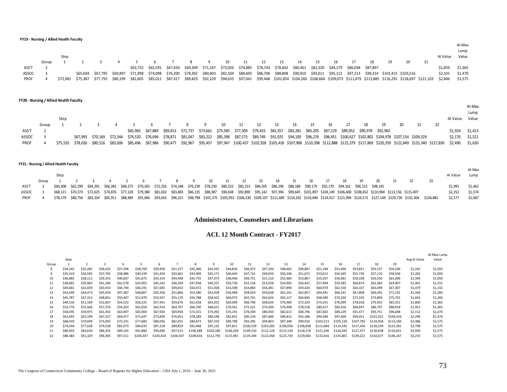**FY19 - Nursing / Allied Health Faculty**

|             |       |          |                                     |                   |          |  |  |  |  |                                                                                                                               |    |    |    |                                                                                                                                                                                    |  |                 | At Max  |
|-------------|-------|----------|-------------------------------------|-------------------|----------|--|--|--|--|-------------------------------------------------------------------------------------------------------------------------------|----|----|----|------------------------------------------------------------------------------------------------------------------------------------------------------------------------------------|--|-----------------|---------|
|             |       |          |                                     |                   |          |  |  |  |  |                                                                                                                               |    |    |    |                                                                                                                                                                                    |  |                 | Lump    |
|             |       | Step     |                                     |                   |          |  |  |  |  |                                                                                                                               |    |    |    |                                                                                                                                                                                    |  | Al Value        | Value   |
|             | Group |          | 1 2 3 4 5 6 7 8 9 10 11 12 13 14 15 |                   |          |  |  |  |  |                                                                                                                               | 16 | 17 | 18 | 19                                                                                                                                                                                 |  |                 |         |
| ASS'T       |       |          |                                     |                   |          |  |  |  |  | \$63,732 \$65,591 \$67,450 \$69,309 \$71,167 \$73,026 \$74,885 \$76,743 \$78,602 \$80,461 \$82,320 \$84,179 \$86,038 \$87,897 |    |    |    |                                                                                                                                                                                    |  | \$1,859         | \$1,365 |
| ASSOC       |       |          |                                     | \$65.694 \$67.795 | \$69.897 |  |  |  |  |                                                                                                                               |    |    |    | \$71,998 \$74,098 \$76,200 \$78,302 \$80,403 \$82,504 \$84,605 \$86,706 \$88,808 \$90,910 \$93,011 \$95,112 \$97,213 \$99,314 \$101,415 \$103,516                                  |  | \$2,101 \$1,470 |         |
| <b>PROF</b> |       | \$72.981 | \$75,387 \$77,793                   |                   |          |  |  |  |  |                                                                                                                               |    |    |    | \$80,199 \$82,605 \$85,011 \$87,417 \$89,823 \$92,229 \$94,635 \$97,041 \$99,448 \$101,854 \$104,260 \$106,666 \$109,073 \$111,479 \$113,885 \$116,291 \$118,697 \$121,103 \$2,406 |  |                 | \$1,575 |

#### **FY20 - Nursing / Allied Health Faculty**

|             |       |      |  |  |  |                        |  |  |  |    |      |    |                                                                                                                                        |    |                                                                                                                                                                                                                  |    |          | At Max  |
|-------------|-------|------|--|--|--|------------------------|--|--|--|----|------|----|----------------------------------------------------------------------------------------------------------------------------------------|----|------------------------------------------------------------------------------------------------------------------------------------------------------------------------------------------------------------------|----|----------|---------|
|             |       |      |  |  |  |                        |  |  |  |    |      |    |                                                                                                                                        |    |                                                                                                                                                                                                                  |    |          | Lump    |
|             |       | Step |  |  |  |                        |  |  |  |    |      |    |                                                                                                                                        |    |                                                                                                                                                                                                                  |    | Al Value | Value   |
|             | Group |      |  |  |  | 6 7 8 9 10 11 12 13 14 |  |  |  | 15 | - 16 | 17 | 18                                                                                                                                     | 19 |                                                                                                                                                                                                                  | 22 |          |         |
| ASS'T       |       |      |  |  |  |                        |  |  |  |    |      |    | \$65,965 \$67,889 \$69,813 \$71,737 \$73,661 \$75,585 \$77,509 \$79,433 \$81,357 \$83,281 \$85,205 \$87,129 \$89,053 \$90,978 \$92,902 |    |                                                                                                                                                                                                                  |    | \$1.924  | \$1,413 |
| ASSOC       |       |      |  |  |  |                        |  |  |  |    |      |    |                                                                                                                                        |    | \$67,993 \$70,169 \$72,344 \$74,520 \$76,696 \$78,871 \$81,047 \$83,222 \$85,398 \$87,573 \$89,749 \$91,925 \$94,100 \$96,276 \$98,451 \$100,627 \$102,802 \$104,978 \$107,154 \$109,329                         |    | \$2.176  | \$1,521 |
| <b>PROF</b> |       |      |  |  |  |                        |  |  |  |    |      |    |                                                                                                                                        |    | \$78,026 \$80,516 \$83,006 \$85,496 \$87,986 \$90,477 \$92,967 \$95,457 \$97,947 \$100,437 \$102,928 \$105,918 \$107,908 \$110,398 \$112,888 \$115,379 \$117,869 \$120,359 \$122,849 \$125,340 \$127,830 \$2,490 |    |          | \$1.630 |

|              |       | FY21 - Nursing / Allied Health Faculty |  |  |                                                                                                                                                                   |  |          |    |                |    |      |    |    |    |    |  |                                                                                                                                                                                                              |                                                                                                                                                                                                                    |           |          |         |
|--------------|-------|----------------------------------------|--|--|-------------------------------------------------------------------------------------------------------------------------------------------------------------------|--|----------|----|----------------|----|------|----|----|----|----|--|--------------------------------------------------------------------------------------------------------------------------------------------------------------------------------------------------------------|--------------------------------------------------------------------------------------------------------------------------------------------------------------------------------------------------------------------|-----------|----------|---------|
|              |       |                                        |  |  |                                                                                                                                                                   |  |          |    |                |    |      |    |    |    |    |  |                                                                                                                                                                                                              |                                                                                                                                                                                                                    |           |          | At Max  |
|              |       | Step                                   |  |  |                                                                                                                                                                   |  |          |    |                |    |      |    |    |    |    |  |                                                                                                                                                                                                              |                                                                                                                                                                                                                    |           | Al Value | Lump    |
|              | Group |                                        |  |  |                                                                                                                                                                   |  | <b>q</b> | 10 | $\frac{11}{2}$ | 12 | - 13 | 14 | 15 | 16 | 18 |  |                                                                                                                                                                                                              |                                                                                                                                                                                                                    |           |          |         |
| ASS'T        |       | \$60.308 \$62.299                      |  |  | \$64,291 \$66,282 \$68,273 \$70,265 \$72,256 \$74,248 \$76,239 \$78,230 \$80,222 \$82,213 \$84,205 \$86,196 \$88,188 \$90,179 \$92,170 \$94,162 \$96,153 \$98,145 |  |          |    |                |    |      |    |    |    |    |  |                                                                                                                                                                                                              |                                                                                                                                                                                                                    |           | \$1.991  | \$1,462 |
| <b>ASSOC</b> |       |                                        |  |  |                                                                                                                                                                   |  |          |    |                |    |      |    |    |    |    |  | \$68,121 \$70,373 \$72,625 \$74,876 \$77,128 \$79,380 \$81,632 \$83,883 \$86,135 \$88,387 \$90,638 \$92,890 \$95,142 \$97,394 \$99,645 \$101,897 \$104,149 \$106,400 \$108,652 \$110,904 \$113,156 \$115,407 |                                                                                                                                                                                                                    |           | \$2.252  | \$1.574 |
| <b>PROF</b>  |       |                                        |  |  |                                                                                                                                                                   |  |          |    |                |    |      |    |    |    |    |  |                                                                                                                                                                                                              | \$78,179 \$80,756 \$83,334 \$85,911 \$88,489 \$91,066 \$93,643 \$96,221 \$98,798 \$101,375 \$103,953 \$106,530 \$109,107 \$111,685 \$114,262 \$116,840 \$119,417 \$121,994 \$124,572 \$127,149 \$129,726 \$132,304 | \$134.881 | \$2,577  | \$1,687 |

### **Administrators, Counselors and Librarians**

#### **ACL 12 Month Contract - FY2017**

|       |          |          |              |          |           |           |           |           |           |           |           |           |           |           |           |           |           |           |           |              | At Max Lump |
|-------|----------|----------|--------------|----------|-----------|-----------|-----------|-----------|-----------|-----------|-----------|-----------|-----------|-----------|-----------|-----------|-----------|-----------|-----------|--------------|-------------|
|       | Step     |          |              |          |           |           |           |           |           |           |           |           |           |           |           |           |           |           |           | Avg AI Value | Value       |
| Group |          |          | $\mathbf{3}$ |          |           | 6         |           | 8         | 9         | 10        | 11        | 12        | 13        | 14        | 15        | 16        | 17        | 18        | 19        |              |             |
| 8     | \$34.142 | \$35,282 | \$36.432     | \$37,596 | \$38,769  | \$39,958  | \$41,157  | \$42,366  | \$43.591  | \$44,826  | \$46,072  | \$47,330  | \$48,601  | \$49,887  | \$51,184  | \$52,494  | \$53,821  | \$55,157  | \$56,506  | \$1,242      | \$1,050     |
| 9     | \$35.419 | \$36,595 | \$37.783     | \$38,986 | \$40,199  | \$41.424  | \$42,661  | \$43,909  | \$45.171  | \$46,445  | \$47,731  | \$49.033  | \$50,346  | \$51,672  | \$53,012  | \$54,365  | \$55,730  | \$57,110  | \$58,504  | \$1,282      | \$1,050     |
| 10    | \$36,882 | \$38,112 | \$39.353     | \$40,607 | \$41,875  | \$43.154  | \$44,448  | \$45,755  | \$47,073  | \$48,406  | \$49.751  | \$51,110  | \$52,483  | \$53,867  | \$55,267  | \$56,681  | \$58,108  | \$59,550  | \$61,006  | \$1,340      | \$1,050     |
| 11    | \$38,681 | \$39,965 | \$41,266     | \$42,578 | \$43,902  | \$45,242  | \$46,594  | \$47,958  | \$49,337  | \$50,730  | \$52,134  | \$53,556  | \$54,992  | \$56,441  | \$57,904  | \$59,383  | \$60,874  | \$62,383  | \$63,907  | \$1,401      | \$1,155     |
| 12    | \$40,681 | \$42,039 | \$43,410     | \$44.794 | \$46,191  | \$47,605  | \$49,032  | \$50,472  | \$51,928  | \$53,398  | \$54,883  | \$56,381  | \$57,894  | \$59,424  | \$60,970  | \$62,530  | \$64,107  | \$65,699  | \$67,307  | \$1,479      | \$1,155     |
| 13    | \$43,039 | \$44,473 | \$45,924     | \$47,387 | \$48,867  | \$50,358  | \$51,866  | \$53,390  | \$54,928  | \$56,484  | \$58,054  | \$59,638  | \$61,241  | \$62,857  | \$64,491  | \$66,141  | \$67,808  | \$69,491  | \$71.191  | \$1,564      | \$1,260     |
| 14    | \$45.787 | \$47.312 | \$48.851     | \$50,407 | \$51,979  | \$53,567  | \$55,170  | \$56,788  | \$58,422  | \$60,073  | \$61,741  | \$63,426  | \$65,127  | \$66,845  | \$68,580  | \$70,334  | \$72,105  | \$73,894  | \$75.701  | \$1,662      | \$1,260     |
| 15    | \$49,516 | \$51,169 | \$52,837     | \$54,522 | \$56,225  | \$57,941  | \$59,676  | \$61,428  | \$63,201  | \$64,989  | \$66,796  | \$68,620  | \$70,460  | \$72,324  | \$74,201  | \$76,099  | \$78,018  | \$79,955  | \$81,911  | \$1,800      | \$1,365     |
| 16    | \$53.774 | \$55,566 | \$57,376     | \$59,203 | \$61,050  | \$62,914  | \$64,797  | \$66,700  | \$68,621  | \$70,561  | \$72,521  | \$74,500  | \$76,498  | \$78,518  | \$80,557  | \$82,616  | \$84.697  | \$86,797  | \$88,918  | \$1,952      | \$1,365     |
| 17    | \$58,035 | \$59,975 | \$61,931     | \$63,907 | \$65,904  | \$67,920  | \$69,958  | \$72,015  | \$74,092  | \$76,191  | \$78,309  | \$80,450  | \$82,613  | \$84,796  | \$87,002  | \$89,229  | \$91,477  | \$93,751  | \$96,048  | \$2,112      | \$1,470     |
| 18    | \$63,093 | \$65,199 | \$67,327     | \$69.477 | \$71,647  | \$73,839  | \$76,053  | \$78,289  | \$80,548  | \$82,831  | \$85,134  | \$87,460  | \$89,812  | \$92,186  | \$94,584  | \$97.004  | \$99,451  | \$101,921 | \$104,416 | \$2,296      | \$1,470     |
| 19    | \$68,419 | \$70,699 | \$73,003     | \$75,331 | \$77.683  | \$80,056  | \$82,455  | \$84,873  | \$87,319  | \$89,789  | \$92,285  | \$94,803  | \$97,348  | \$99,916  | \$102.513 | \$105.134 | \$107.783 | \$110,458 | \$113,160 | \$2,486      | \$1,575     |
| 20    | \$74.544 | \$77,028 | \$79.538     | \$82,073 | \$84,633  | \$87.218  | \$89,829  | \$92,468  | \$95,132  | \$97,821  | \$100.539 | \$103.285 | \$106.058 | \$108,858 | \$111,684 | \$114,541 | S117.426  | \$120.339 | \$123,281 | \$2,708      | \$1,575     |
| 21    | \$80,933 | \$83,630 | \$86,355     | \$89,105 | \$91,884  | \$94,690  | \$97.523  | \$100,388 | \$103,280 | \$106,200 | \$109,150 | \$112,129 | \$115.139 | \$118,176 | \$121,246 | \$124,345 | \$127,477 | \$130.638 | \$133,831 | \$2,939      | \$1,575     |
| 22    | \$88,384 | \$91,329 | \$94,305     | \$97,311 | \$100.347 | \$103,410 | \$106,507 | \$109,634 | \$112,793 | \$115,981 | \$119,204 | \$122,458 | \$125,743 | \$129,063 | \$132,416 | \$135,801 | \$139,222 | \$142.677 | \$146.167 | \$3,210      | \$1,575     |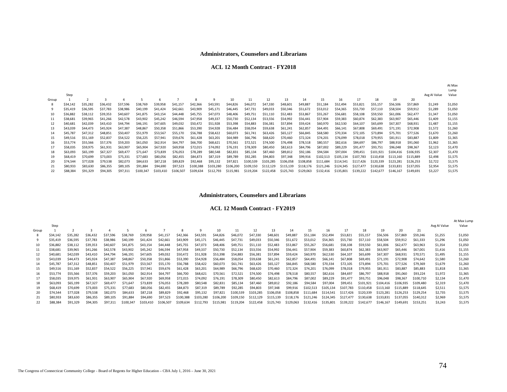#### **ACL 12 Month Contract - FY2018**

|       |          |          |          |          |           |           |           |           |           |           |           |           |           |           |           |           |           |           |           |           |              | At Max<br>Lump |
|-------|----------|----------|----------|----------|-----------|-----------|-----------|-----------|-----------|-----------|-----------|-----------|-----------|-----------|-----------|-----------|-----------|-----------|-----------|-----------|--------------|----------------|
|       | Step     |          |          |          |           |           |           |           |           |           |           |           |           |           |           |           |           |           |           |           | Avg AI Value | Value          |
| Group |          |          |          |          |           | 6         |           | 8         | 9         | 10        | 11        | 12        | 13        | 14        | 15        | 16        | 17        | 18        | 19        | 20        |              |                |
| -8    | \$34,142 | \$35,282 | \$36,432 | \$37,596 | \$38,769  | \$39,958  | \$41,157  | \$42,366  | \$43,591  | \$44,826  | \$46,072  | \$47,330  | \$48,601  | \$49,887  | \$51,184  | \$52,494  | \$53,821  | \$55,157  | \$56,506  | \$57,869  | \$1,249      | \$1,050        |
| 9     | \$35,419 | \$36,595 | \$37,783 | \$38,986 | \$40,199  | \$41,424  | \$42,661  | \$43,909  | \$45,171  | \$46,445  | \$47,731  | \$49,033  | \$50,346  | \$51,672  | \$53,012  | \$54,365  | \$55,730  | \$57,110  | \$58,504  | \$59,912  | \$1,289      | \$1,050        |
| 10    | \$36,882 | \$38,112 | \$39,353 | \$40,607 | \$41,875  | \$43,154  | \$44,448  | \$45,755  | \$47,073  | \$48,406  | \$49,751  | \$51,110  | \$52,483  | \$53,867  | \$55,267  | \$56,681  | \$58,108  | \$59,550  | \$61,006  | \$62,477  | \$1,347      | \$1,050        |
| 11    | \$38,681 | \$39,965 | \$41,266 | \$42,578 | \$43,902  | \$45,242  | \$46,594  | \$47,958  | \$49,337  | \$50,730  | \$52,134  | \$53,556  | \$54,992  | \$56,441  | \$57,904  | \$59,383  | \$60,874  | \$62,383  | \$63,907  | \$65,446  | \$1,409      | \$1,155        |
| 12    | \$40,681 | \$42,039 | \$43,410 | \$44,794 | \$46,191  | \$47,605  | \$49,032  | \$50,472  | \$51,928  | \$53,398  | \$54,883  | \$56,381  | \$57,894  | \$59,424  | \$60,970  | \$62,530  | \$64,107  | \$65,699  | \$67,307  | \$68,931  | \$1,487      | \$1,155        |
| 13    | \$43,039 | \$44,473 | \$45,924 | \$47,387 | \$48,867  | \$50,358  | \$51,866  | \$53,390  | \$54,928  | \$56,484  | \$58,054  | \$59,638  | \$61,241  | \$62,857  | \$64,491  | \$66,141  | \$67,808  | \$69,491  | \$71,191  | \$72,908  | \$1,572      | \$1,260        |
| 14    | \$45,787 | \$47,312 | \$48,851 | \$50,407 | \$51,979  | \$53,567  | \$55,170  | \$56,788  | \$58,422  | \$60,073  | \$61,741  | \$63,426  | \$65,127  | \$66,845  | \$68,580  | \$70,334  | \$72,105  | \$73,894  | \$75,701  | \$77,526  | \$1,670      | \$1,260        |
| 15    | \$49,516 | \$51,169 | \$52,837 | \$54,522 | \$56,225  | \$57,941  | \$59,676  | \$61,428  | \$63,201  | \$64,989  | \$66,796  | \$68,620  | \$70,460  | \$72,324  | \$74,201  | \$76,099  | \$78,018  | \$79,955  | \$81,911  | \$83,887  | \$1,809      | \$1,365        |
| 16    | \$53,774 | \$55,566 | \$57,376 | \$59,203 | \$61,050  | \$62,914  | \$64,797  | \$66,700  | \$68,621  | \$70,561  | \$72,521  | \$74,500  | \$76,498  | \$78,518  | \$80,557  | \$82,616  | \$84,697  | \$86,797  | \$88,918  | \$91,060  | \$1,962      | \$1,365        |
| 17    | \$58,035 | \$59,975 | \$61,931 | \$63,907 | \$65,904  | \$67,920  | \$69,958  | \$72,015  | \$74,092  | \$76,191  | \$78,309  | \$80,450  | \$82,613  | \$84,796  | \$87,002  | \$89,229  | \$91,477  | \$93,751  | \$96,048  | \$98,367  | \$2,123      | \$1,470        |
| 18    | \$63,093 | \$65,199 | \$67,327 | \$69,477 | \$71,647  | \$73,839  | \$76,053  | \$78,289  | \$80,548  | \$82,831  | \$85,134  | \$87,460  | \$89,812  | \$92,186  | \$94,584  | \$97,004  | \$99,451  | \$101.921 | \$104.416 | \$106.935 | \$2,307      | \$1,470        |
| 19    | \$68,419 | \$70,699 | \$73,003 | \$75,331 | \$77,683  | \$80,056  | \$82,455  | \$84,873  | \$87,319  | \$89,789  | \$92,285  | \$94,803  | \$97,348  | \$99,916  | \$102,513 | \$105.134 | \$107.783 | \$110,458 | \$113.160 | \$115,889 | \$2,498      | \$1,575        |
| 20    | \$74,544 | \$77.028 | \$79,538 | \$82,073 | \$84,633  | \$87,218  | \$89,829  | \$92,468  | \$95,132  | \$97,821  | \$100,539 | \$103,285 | \$106,058 | \$108,858 | \$111,684 | \$114.541 | \$117.426 | \$120.339 | \$123.281 | \$126.253 | \$2,722      | \$1,575        |
| 21    | \$80,933 | \$83,630 | \$86,355 | \$89,105 | \$91,884  | \$94,690  | \$97,523  | \$100.388 | \$103,280 | \$106,200 | \$109.150 | \$112,129 | \$115.139 | \$118.176 | \$121,246 | \$124.345 | \$127,477 | \$130,638 | \$133.831 | \$137.055 | \$2,954      | \$1,575        |
| 22    | \$88,384 | \$91,329 | \$94,305 | \$97,311 | \$100,347 | \$103,410 | \$106,507 | \$109,634 | \$112,793 | \$115,981 | \$119,204 | \$122,458 | \$125,743 | \$129,063 | \$132,416 | \$135,801 | \$139,222 | \$142,677 | \$146,167 | \$149.691 | \$3,227      | \$1,575        |

#### **Administrators, Counselors and Librarians**

#### **ACL 12 Month Contract - FY2019**

|       |          |          |          |          |           |           |           |           |           |           |           |           |           |           |           |           |                       |           |           |           |           |              | At Max Lump |
|-------|----------|----------|----------|----------|-----------|-----------|-----------|-----------|-----------|-----------|-----------|-----------|-----------|-----------|-----------|-----------|-----------------------|-----------|-----------|-----------|-----------|--------------|-------------|
|       | Step     |          |          |          |           |           |           |           |           |           |           |           |           |           |           |           |                       |           |           |           |           | Avg AI Value | Value       |
| Group |          |          |          |          |           |           |           | 8         | 9         | 10        | 11        | 12        | 13        | 14        | 15        | 16        |                       | 18        | 19        | 20        | 21        |              |             |
| 8     | \$34,142 | \$35,282 | \$36,432 | \$37,596 | \$38.769  | \$39,958  | \$41,157  | \$42,366  | \$43,591  | \$44,826  | \$46,072  | \$47,330  | \$48,601  | \$49,887  | \$51,184  | \$52,494  | \$53,821              | \$55,157  | \$56,506  | \$57,869  | \$59,246  | \$1,255      | \$1,050     |
|       | \$35,419 | \$36,595 | \$37.783 | \$38,986 | \$40,199  | \$41,424  | \$42,661  | \$43,909  | \$45,171  | \$46,445  | \$47,731  | \$49,033  | \$50,346  | \$51,672  | \$53,012  | \$54,365  | \$55,730              | \$57,110  | \$58,504  | \$59,912  | \$61,333  | \$1,296      | \$1,050     |
| 10    | \$36,882 | \$38,112 | \$39,353 | \$40,607 | \$41,875  | \$43,154  | \$44,448  | \$45,755  | \$47,073  | \$48,406  | \$49,751  | \$51,110  | \$52,483  | \$53,867  | \$55,267  | \$56,681  | \$58,108              | \$59,550  | \$61,006  | \$62,477  | \$63,963  | \$1,354      | \$1,050     |
| 11    | \$38,681 | \$39,965 | \$41,266 | \$42,578 | \$43,902  | \$45,242  | \$46,594  | \$47,958  | \$49,337  | \$50,730  | \$52,134  | \$53,556  | \$54,992  | \$56,441  | \$57,904  | \$59,383  | \$60,874              | \$62,383  | \$63,907  | \$65,446  | \$67,001  | \$1,416      | \$1,155     |
| 12    | \$40,681 | \$42,039 | \$43,410 | \$44,794 | \$46,191  | \$47,605  | \$49,032  | \$50,472  | \$51,928  | \$53,398  | \$54,883  | \$56,381  | \$57.894  | \$59,424  | \$60,970  | \$62,530  | \$64,107              | \$65,699  | \$67,307  | \$68,931  | \$70.571  | \$1,495      | \$1,155     |
| 13    | \$43,039 | \$44,473 | \$45,924 | \$47,387 | \$48,867  | \$50,358  | \$51,866  | \$53,390  | \$54,928  | \$56,484  | \$58,054  | \$59,638  | \$61,241  | \$62,857  | \$64,491  | \$66,141  | \$67,808              | \$69,491  | \$71,191  | \$72,908  | \$74,642  | \$1,580      | \$1,260     |
| 14    | \$45.787 | \$47,312 | \$48,851 | \$50,407 | \$51,979  | \$53,567  | \$55,170  | \$56,788  | \$58,422  | \$60,073  | \$61,741  | \$63,426  | \$65,127  | \$66,845  | \$68,580  | \$70,334  | \$72,105              | \$73,894  | \$75.701  | \$77.526  | \$79,369  | \$1,679      | \$1,260     |
| 15    | \$49,516 | \$51,169 | \$52,837 | \$54,522 | \$56,225  | \$57,941  | \$59,676  | \$61,428  | \$63,201  | \$64,989  | \$66,796  | \$68,620  | \$70,460  | \$72,324  | \$74,201  | \$76,099  | \$78,018              | \$79,955  | \$81,911  | \$83,887  | \$85,883  | \$1,818      | \$1,365     |
| 16    | \$53,774 | \$55,566 | \$57,376 | \$59,203 | \$61,050  | \$62,914  | \$64,797  | \$66,700  | \$68,621  | \$70,561  | \$72,521  | \$74,500  | \$76,498  | \$78,518  | \$80,557  | \$82,616  | \$84,697              | \$86,797  | \$88,918  | \$91,060  | \$93,224  | \$1,972      | \$1,365     |
| 17    | \$58,035 | \$59,975 | \$61,931 | \$63,907 | \$65,904  | \$67,920  | \$69,958  | \$72,015  | \$74,092  | \$76,191  | \$78,309  | \$80,450  | \$82,613  | \$84,796  | \$87,002  | \$89,229  | \$91.477              | \$93,751  | \$96,048  | \$98,367  | \$100.710 | \$2.134      | \$1,470     |
| 18    | \$63,093 | \$65.199 | \$67,327 | \$69,477 | \$71.647  | \$73.839  | \$76,053  | \$78,289  | \$80,548  | \$82,831  | \$85,134  | \$87,460  | \$89,812  | \$92,186  | \$94,584  | \$97,004  | \$99,451              | \$101.921 | \$104.416 | \$106.935 | \$109,480 | \$2,319      | \$1,470     |
| 19    | \$68,419 | \$70,699 | \$73,003 | \$75,331 | \$77,683  | \$80,056  | \$82,455  | \$84,873  | \$87,319  | \$89,789  | \$92,285  | \$94,803  | \$97,348  | \$99,916  | \$102,513 | \$105,134 | \$107.783             | \$110.458 | \$113.160 | S115.889  | \$118,645 | \$2,511      | \$1,575     |
| 20    | \$74,544 | \$77.028 | \$79,538 | \$82,073 | \$84,633  | \$87,218  | \$89,829  | \$92,468  | \$95,132  | \$97.821  | \$100,539 | \$103.285 | \$106,058 | \$108.858 | \$111.684 | \$114.541 | S <sub>117</sub> .426 | \$120.339 | \$123.281 | \$126,253 | \$129.254 | \$2,735      | \$1,575     |
| 21    | \$80,933 | \$83,630 | \$86,355 | \$89,105 | \$91,884  | \$94,690  | \$97,523  | \$100.388 | \$103,280 | \$106,200 | \$109.150 | \$112.129 | \$115.139 | \$118,176 | \$121,246 | \$124.345 | \$127,477             | \$130,638 | \$133,831 | \$137.055 | \$140.312 | \$2,969      | \$1,575     |
| 22    | \$88,384 | \$91,329 | \$94,305 | \$97.311 | \$100.347 | \$103,410 | \$106,507 | \$109.634 | \$112,793 | \$115,981 | \$119,204 | \$122,458 | \$125.743 | \$129,063 | \$132.416 | \$135,801 | \$139.222             | \$142,677 | \$146.167 | \$149.691 | \$153.251 | \$3.243      | \$1.575     |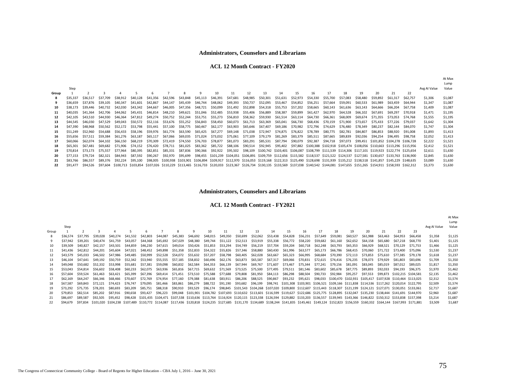#### **ACL 12 Month Contract - FY2020**

|                      |          |          |          |          |          |          |          |          |                 |                      |                                                       |          |          |          |          |          |          |          |          |          |          |                                                                                                                                                                                                                                                                                                                                                                                                                                                                                                                                                                                                                                                                                                                                                                                                      | Lump    |
|----------------------|----------|----------|----------|----------|----------|----------|----------|----------|-----------------|----------------------|-------------------------------------------------------|----------|----------|----------|----------|----------|----------|----------|----------|----------|----------|------------------------------------------------------------------------------------------------------------------------------------------------------------------------------------------------------------------------------------------------------------------------------------------------------------------------------------------------------------------------------------------------------------------------------------------------------------------------------------------------------------------------------------------------------------------------------------------------------------------------------------------------------------------------------------------------------------------------------------------------------------------------------------------------------|---------|
| Step                 |          |          |          |          |          |          |          |          |                 |                      |                                                       |          |          |          |          |          |          |          |          |          |          | Avg AI Value                                                                                                                                                                                                                                                                                                                                                                                                                                                                                                                                                                                                                                                                                                                                                                                         | Value   |
|                      |          |          |          |          | 6        |          | 8        |          | 10 <sup>1</sup> | 11                   | 12                                                    | 13       | 14       | 15       | 16       | 17       | 18       | 19       | 20       | 21       | 22       |                                                                                                                                                                                                                                                                                                                                                                                                                                                                                                                                                                                                                                                                                                                                                                                                      |         |
| \$35.337             |          | \$37,709 | \$38.912 | \$40.128 | \$41.356 | \$42,596 | \$43,848 | \$45.113 | \$46.391        | \$47.681             | \$48.985                                              | \$50.301 | \$51.631 | \$52.973 | \$54.330 | \$55,700 | \$57,083 | \$58,480 | \$59.892 | \$61.317 | \$62.757 | \$1,306                                                                                                                                                                                                                                                                                                                                                                                                                                                                                                                                                                                                                                                                                                                                                                                              | \$1,087 |
| \$36.659             | \$37.876 | \$39,105 | \$40.347 | \$41.601 | \$42.867 | \$44.147 | \$45.439 | \$46.744 | \$48.062        | \$49.393             | \$50.737                                              | \$52.095 | \$53,467 | \$54.852 | \$56.251 | \$57.664 | \$59,091 | \$60,533 | \$61.989 | S63.459  | \$64,944 | \$1,347                                                                                                                                                                                                                                                                                                                                                                                                                                                                                                                                                                                                                                                                                                                                                                                              | \$1,087 |
| \$38.173             | \$39,446 | \$40.732 | \$42,030 | \$43.342 | \$44,667 | \$46,005 | \$47.356 | \$48.721 | \$50.099        | \$51.492             | \$52.898                                              | \$54.318 | \$55.753 | \$57.202 | \$58.665 | \$60.143 | \$61.636 | \$63,143 | \$64.666 | S66.204  | \$67.758 | \$1,409                                                                                                                                                                                                                                                                                                                                                                                                                                                                                                                                                                                                                                                                                                                                                                                              | \$1,087 |
| \$40.035             | \$41.364 | \$42,706 | \$44,062 | \$45,431 | \$46,814 | \$48,210 | \$49.621 | \$51.046 | \$52.485        | \$53.938             | \$55.406                                              | \$56.889 | \$58.387 | \$59.899 | \$61.427 | \$62.970 | \$64.528 | \$66.102 | \$67.691 | \$69,297 | \$70.918 | \$1,471                                                                                                                                                                                                                                                                                                                                                                                                                                                                                                                                                                                                                                                                                                                                                                                              | \$1,195 |
| S <sub>42</sub> .105 | \$43.510 | \$44,930 | S46.364  | \$47,812 | \$49,274 | \$50.752 | \$52.244 | \$53.751 | \$55.273        | \$56.810             | \$58.362                                              | \$59.930 | \$61.514 | \$63.114 | \$64.730 | \$66.361 | \$68,009 | \$69,674 | \$71.355 | \$73.053 | \$74.768 | \$1,555                                                                                                                                                                                                                                                                                                                                                                                                                                                                                                                                                                                                                                                                                                                                                                                              | \$1,195 |
| \$44.545             | \$46,030 | \$47.529 | \$49,043 | \$50.572 | S52.116  | \$53.676 | \$55.252 | \$56.843 | \$58,450        | \$60.073             | \$61.713                                              | \$63.369 | \$65.041 | \$66.730 | \$68.436 | \$70.159 | S71.900  | S73.657  | \$75.433 | \$77,226 | \$79.037 | \$1,642                                                                                                                                                                                                                                                                                                                                                                                                                                                                                                                                                                                                                                                                                                                                                                                              | \$1,304 |
| \$47.390             | S48.968  | \$50.562 | \$52.172 | \$53.798 | \$55.441 | \$57.100 | \$58.775 | \$60,467 | \$62.177        | \$63.903             | \$65.646                                              | \$67.407 | \$69.186 | \$70.982 | \$72.796 | \$74.629 | \$76.480 | \$78.349 | S80.237  | S82.144  | \$84,070 | \$1,747                                                                                                                                                                                                                                                                                                                                                                                                                                                                                                                                                                                                                                                                                                                                                                                              | \$1,304 |
| \$51,249             | \$52.960 | \$54,688 | \$56.433 | \$58.196 | \$59.976 | \$61.774 | \$63.590 | \$65.425 | \$67.277        | \$69.148             | \$71.038                                              | \$72.947 | \$74.875 | \$76.822 | \$78.789 | \$80.775 | \$82.781 | \$84.807 | \$86,853 | \$88,920 | \$91,008 | \$1,893                                                                                                                                                                                                                                                                                                                                                                                                                                                                                                                                                                                                                                                                                                                                                                                              | \$1,413 |
| \$55.656             | \$57.511 | \$59.384 | \$61.276 | \$63.187 | \$65.117 | \$67.066 | \$69.035 | \$71.024 | \$73.032        | \$75.061             | \$77.109                                              | \$79.179 | \$81.269 | \$83.379 | \$85.511 | \$87.665 | \$89.839 | \$92.036 | \$94.254 | \$96.495 | \$98.758 | \$2,052                                                                                                                                                                                                                                                                                                                                                                                                                                                                                                                                                                                                                                                                                                                                                                                              | \$1,413 |
| \$60,066             | \$62.074 | \$64.102 | \$66.150 | \$68.219 | \$70.309 | \$72.419 | \$74.550 | \$76.703 | \$78.877        |                      | \$83.291                                              | \$85,531 |          | \$90.079 | \$92.387 |          |          |          |          |          |          | \$2,222                                                                                                                                                                                                                                                                                                                                                                                                                                                                                                                                                                                                                                                                                                                                                                                              | \$1,521 |
| \$65.301             | \$67.481 | \$69.682 | \$71.906 | \$74.152 | \$76.420 | \$78.711 | \$81.025 |          |                 |                      | \$90.514                                              |          |          |          |          |          |          |          |          |          |          | \$2,412                                                                                                                                                                                                                                                                                                                                                                                                                                                                                                                                                                                                                                                                                                                                                                                              | \$1,521 |
| \$70.814             | \$73.173 | \$75.557 | \$77.964 | \$80.395 | \$82.851 | \$85.331 | \$87.836 |          |                 |                      |                                                       |          |          |          |          |          |          |          |          |          |          | \$2,611                                                                                                                                                                                                                                                                                                                                                                                                                                                                                                                                                                                                                                                                                                                                                                                              | \$1,630 |
| \$77.153             | \$79.724 | \$82.321 | \$84.943 | \$87.592 | \$90.267 | \$92.970 | \$95.699 |          |                 |                      |                                                       |          |          |          |          |          |          |          |          |          |          | \$2,845                                                                                                                                                                                                                                                                                                                                                                                                                                                                                                                                                                                                                                                                                                                                                                                              | \$1,630 |
| \$83.766             | \$86.557 | \$89.376 | \$92,224 | \$95.100 | \$98,005 |          |          |          |                 |                      |                                                       |          |          |          |          |          |          |          |          |          |          | \$3,089                                                                                                                                                                                                                                                                                                                                                                                                                                                                                                                                                                                                                                                                                                                                                                                              | \$1,630 |
| \$91.477             | S94.526  | \$97.604 |          |          |          |          |          |          |                 |                      |                                                       |          |          |          |          |          |          |          |          |          |          | \$3,373                                                                                                                                                                                                                                                                                                                                                                                                                                                                                                                                                                                                                                                                                                                                                                                              | \$1,630 |
|                      |          |          |          |          |          |          |          |          |                 | \$90.366<br>\$98.455 | \$81.073<br>\$88.106<br>\$83,362 \$85,722<br>\$92.922 |          |          | \$87.794 |          |          | \$94.718 | \$97.073 |          |          |          | \$99,451 \$101,852 \$104,278 \$106,728<br>\$92,945 \$95,402 \$97,882 \$100,388 \$102,918 \$105,474 \$108,056 \$110,663 \$113,296 \$115,956<br>S95.502     \$98.109    \$100.742   \$103.401   \$106.087   \$108.799   \$111.539   \$114.306   \$117.101   \$119.923   \$122.774   \$125.654<br>\$101.239 \$104.051 \$106.891 \$109.759 \$112.656 \$115.582 \$118.537 \$121.522 \$124.537 \$127.581 \$130.657 \$133.763 \$136.900<br>\$100.938 \$103.901 \$106.894 \$109.917 \$112.970 \$116.053 \$119.168 \$122.313 \$125.490 \$128.698 \$131.939 \$135.212 \$138.518 \$141.857 \$145.229 \$148.635<br>\$100,713 \$103,854 \$107,026 \$110,229 \$113,465 \$116,733 \$120,033 \$123,367 \$126,734 \$130,135 \$133,569 \$137,038 \$140,542 \$144,081 \$147,655 \$151,265 \$154,911 \$158,593 \$162,312 |         |

#### **Administrators, Counselors and Librarians**

#### **ACL 12 Month Contract - FY2021**

|       | Step     |          |                                                                                                                                                                                                                   |          |          |          |          |          |                   |          |                                                                                                                                                                                              |          |          |          |          |          |                                                                                                    |          |          |          |          |                     |          | Avg AI Value | At Max<br>Lump<br>Value |
|-------|----------|----------|-------------------------------------------------------------------------------------------------------------------------------------------------------------------------------------------------------------------|----------|----------|----------|----------|----------|-------------------|----------|----------------------------------------------------------------------------------------------------------------------------------------------------------------------------------------------|----------|----------|----------|----------|----------|----------------------------------------------------------------------------------------------------|----------|----------|----------|----------|---------------------|----------|--------------|-------------------------|
| Group |          |          |                                                                                                                                                                                                                   |          |          |          |          |          |                   | 10       | 11                                                                                                                                                                                           | 12       |          | 14       | 15       | 16       |                                                                                                    |          | 19       | 20       | 21       | 22                  | 23       |              |                         |
|       | \$36.574 | \$37.795 | \$39.028                                                                                                                                                                                                          | \$40,274 | \$41.532 | \$42,803 | \$44,087 | \$45,383 | \$46,692          | \$48,015 | \$49,350                                                                                                                                                                                     | \$50,699 | \$52,062 | \$53,438 | \$54,828 | \$56,231 | \$57.649                                                                                           | \$59,081 | \$60.527 | \$61,988 | S63.463  | S64.953             | S66.458  | \$1,358      | \$1,125                 |
|       | \$37.942 | \$39,201 | S <sub>40.474</sub>                                                                                                                                                                                               | \$41.759 | \$43.057 | \$44.368 | \$45.692 | \$47.029 | \$48.380          | \$49.744 | \$51.122                                                                                                                                                                                     | \$52.513 | \$53.919 | \$55.338 | \$56.772 | \$58,220 | \$59.682                                                                                           | S61.160  | \$62,652 | \$64.158 | \$65,680 | S67.218             | \$68,770 | \$1,401      | \$1,125                 |
|       | \$39.509 | \$40,827 | S42.157                                                                                                                                                                                                           | \$43.501 | \$44,859 | \$46.230 | \$47.615 | \$49,014 | \$50.426          | \$51,853 | \$53,294                                                                                                                                                                                     | \$54.749 | \$56.219 | \$57.704 | \$59,204 | \$60.718 | \$62,248                                                                                           | \$63.793 | \$65,353 | \$66,929 | S68.521  | \$70,129            | \$71.753 | \$1,466      | \$1,125                 |
|       | \$41,436 | \$42,812 | \$44,201                                                                                                                                                                                                          | \$45.604 | \$47.021 | \$48.452 | \$49.898 | \$51.358 | \$52.833          | \$54.322 | \$55.826                                                                                                                                                                                     | \$57.346 | \$58.880 | \$60.430 | \$61.996 | \$63.577 | \$65.173                                                                                           | \$66.786 | \$68,415 | \$70,060 | \$71,722 | \$73,400            | \$75.096 | \$1,530      | \$1,237                 |
|       | \$43.579 | \$45.033 | \$46,502                                                                                                                                                                                                          | \$47.986 | \$49,485 | \$50,999 | \$52.528 | \$54.072 | \$55.632          | \$57.207 | \$58.798                                                                                                                                                                                     | \$60,405 | \$62,028 | \$63,667 | \$65,323 | \$66.995 | \$68.684                                                                                           | \$70.390 | \$72.113 | \$73,853 | \$75.610 | \$77.385            | \$79.178 | \$1,618      | \$1,237                 |
| 13    | \$46.104 | \$47.641 | \$49.192                                                                                                                                                                                                          | \$50.759 | \$52.342 | \$53.940 | \$55.555 | \$57.185 | \$58.832          | \$60.496 | \$62.176                                                                                                                                                                                     | \$63.873 | \$65.587 | \$67.317 | \$69,066 | \$70.831 | \$72.615                                                                                           | \$74.416 | \$76.235 | \$78.073 | \$79.929 | \$81.803            | S83.696  | \$1,709      | \$1,350                 |
| 14    | S49.048  | S50.682  | \$52.332                                                                                                                                                                                                          | \$53,998 | \$55.681 | \$57.381 | \$59.098 | \$60.832 | \$62.584          | \$64.353 | \$66.139                                                                                                                                                                                     | \$67.944 | \$69,767 | \$71,607 | \$73.467 | \$75.344 | \$77.241                                                                                           | \$79.156 | S81.091  | S83.045  | S85.019  | S87.012             | \$89,025 | \$1,817      | \$1,350                 |
| 15    | \$53.043 | \$54.814 | \$56,602                                                                                                                                                                                                          | \$58,408 | \$60.233 | \$62.075 | \$63.936 | \$65.816 | \$67.715          | \$69.632 | \$71.569                                                                                                                                                                                     | \$73.525 | \$75,500 | \$77.495 | \$79.511 | \$81.546 | \$83.602                                                                                           | \$85.678 | \$87.775 | \$89.893 | \$92,033 | \$94.193            | \$96.375 | \$1,970      | \$1,462                 |
| 16    | \$57.604 | \$59.524 | \$61.463                                                                                                                                                                                                          | \$63.421 | \$65.399 | \$67,396 | \$69.414 | \$71.451 | \$73.510          | \$75.588 | \$77.688                                                                                                                                                                                     | \$79.808 | \$81.950 | \$84.113 | \$86.298 | \$88.504 | \$90.733                                                                                           | \$92.984 | \$95.257 | \$97.553 | \$99.873 | \$102.215 \$104.581 |          | \$2.135      | \$1,462                 |
| 17    | \$62,169 | \$64,247 | \$66.346                                                                                                                                                                                                          | \$68.466 | \$70,607 | \$72.769 | \$74.954 | \$77.160 | \$79.388          | \$81,638 | \$83,911                                                                                                                                                                                     | \$86,206 | \$88.525 | \$90.867 |          |          | \$93,232 \$95,621 \$98,033 \$100,470 \$102,931 \$105,417 \$107,928 \$110,464 \$113,025             |          |          |          |          |                     |          | \$2,312      | \$1,574                 |
| 18    | \$67.587 | \$69,843 | \$72.121                                                                                                                                                                                                          | \$74.423 | \$76.747 | \$79.095 | \$81.466 | \$83.861 | \$86.279          |          | \$88,722 \$91.190                                                                                                                                                                            | \$93.682 | \$96.199 |          |          |          | \$98,741 \$101,308 \$103,901 \$106,521 \$109,166 \$111,838 \$114,536 \$117,262 \$120,014 \$122,795 |          |          |          |          |                     |          | \$2.509      | \$1,574                 |
| 19    | \$73.292 | \$75.735 | \$78.201                                                                                                                                                                                                          | \$80.693 | \$83,209 | \$85.751 | \$88.318 |          | \$90.910 \$93.529 |          | \$96.174 \$98.845 \$101.543 \$104.268 \$107.020 \$109.800 \$112.607 \$115.443 \$118.307 \$121.199 \$124.121 \$127.071 \$130.051 \$133.061                                                    |          |          |          |          |          |                                                                                                    |          |          |          |          |                     |          | \$2,717      | \$1,687                 |
|       | \$79.853 | \$82.514 | \$85.202                                                                                                                                                                                                          | \$87.916 | \$90.658 | \$93.427 | \$96.223 |          |                   |          | \$99,048 \$101,901 \$104,782 \$107,693 \$110,632 \$113,601 \$116,599 \$119,627 \$122,686 \$125,775 \$128,895 \$132,047 \$135,230 \$138,444 \$141,691 \$144,970                               |          |          |          |          |          |                                                                                                    |          |          |          |          |                     |          | \$2,960      | \$1,687                 |
| 21    | \$86,697 | \$89,587 | \$92.505                                                                                                                                                                                                          | \$95.452 |          |          |          |          |                   |          | \$98,428 \$101,435 \$104,471 \$107,538 \$110,636 \$113,764 \$116,924 \$120,115 \$123,338 \$126,594 \$129,882 \$133,203 \$136,557 \$139,945 \$143,366 \$146,822 \$150,312 \$153,838 \$157,398 |          |          |          |          |          |                                                                                                    |          |          |          |          |                     |          | \$3,214      | \$1,687                 |
|       | \$94.679 | \$97.834 | \$101,020 \$104,238 \$107,489 \$110,772 \$114,087 \$117,436 \$120,818 \$124,235 \$127,685 \$131,170 \$134,689 \$138,244 \$141,835 \$145,461 \$149,124 \$152,823 \$156,559 \$160,332 \$164,144 \$167,993 \$171,881 |          |          |          |          |          |                   |          |                                                                                                                                                                                              |          |          |          |          |          |                                                                                                    |          |          |          |          |                     |          | \$3,509      | \$1,687                 |

At Max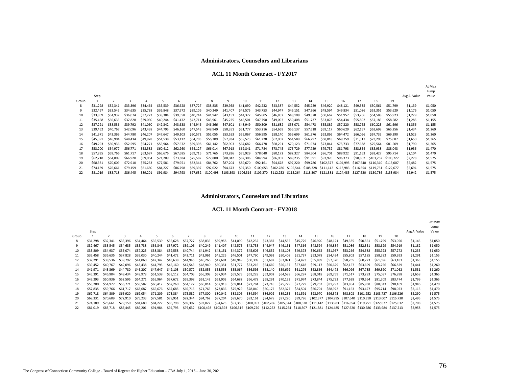#### **ACL 11 Month Contract - FY2017**

|       |          |          |          |          |          |          |          |          |          |          |           |          |          |          |          |          |          |                                                                                                                         |          |              | At Max<br>Lump |
|-------|----------|----------|----------|----------|----------|----------|----------|----------|----------|----------|-----------|----------|----------|----------|----------|----------|----------|-------------------------------------------------------------------------------------------------------------------------|----------|--------------|----------------|
|       | Step     |          |          |          |          |          |          |          |          |          |           |          |          |          |          |          |          |                                                                                                                         |          | Avg AI Value | Value          |
| Group |          |          | 3        | $\Delta$ |          | 6        |          | 8        | 9        | 10       | 11        | 12       | 13       | 14       | 15       | 16       | 17       | 18                                                                                                                      | 19       |              |                |
|       | \$31,298 | \$32,341 | \$33.396 | \$34,464 | \$35,539 | \$36,628 | \$37,727 | \$38,835 | \$39,958 | \$41,090 | \$42,232  | \$43,387 | \$44,552 | \$45.729 | \$46,920 | \$48,121 | \$49.335 | \$50,561                                                                                                                | \$51,799 | \$1,139      | \$1,050        |
|       | \$32,467 | \$33.545 | \$34,635 | \$35,738 | \$36,848 | \$37.972 | \$39,106 | \$40,249 | \$41,407 | \$42,575 | \$43,753  | \$44,947 | \$46,151 | \$47,366 | \$48,594 | \$49,834 | \$51,086 | \$52,351                                                                                                                | \$53.629 | \$1,176      | \$1,050        |
| 10    | \$33,809 | \$34.937 | \$36,074 | \$37,223 | \$38,384 | \$39,558 | \$40,744 | \$41,942 | \$43.151 | \$44,372 | \$45,605  | \$46,852 | \$48,108 | \$49,378 | \$50,662 | \$51,957 | \$53,266 | \$54,588                                                                                                                | \$55.923 | \$1,229      | \$1,050        |
| 11    | \$35,458 | \$36.635 | \$37.828 | \$39,030 | \$40,244 | \$41,472 | \$42,711 | \$43,961 | \$45,225 | \$46,501 | \$47,790  | \$49,093 | \$50,408 | \$51.737 | \$53,078 | \$54,434 | \$55,802 | \$57,185                                                                                                                | \$58,582 | \$1,285      | \$1,155        |
| 12    | \$37.291 | \$38,536 | \$39.792 | \$41,060 | \$42,342 | \$43,638 | \$44,946 | \$46,266 | \$47.601 | \$48,949 | \$50,309  | \$51,682 | \$53.071 | \$54,473 | \$55,889 | \$57,320 | \$58.765 | \$60,223                                                                                                                | \$61,696 | \$1,356      | \$1,155        |
| 13    | \$39.452 | \$40,767 | \$42,096 | \$43,438 | \$44.795 | \$46,160 | \$47,543 | \$48,940 | \$50,351 | \$51,777 | \$53,216  | \$54,669 | \$56,137 | \$57.618 | \$59,117 | \$60,629 | \$62,157 | \$63,699                                                                                                                | \$65,256 | \$1,434      | \$1,260        |
| 14    | \$41,971 | \$43,369 | \$44,780 | \$46,207 | \$47,647 | \$49,103 | \$50,572 | \$52,055 | \$53,553 | \$55,067 | \$56,595  | \$58,140 | \$59,699 | \$61,276 | \$62,866 | \$64,472 | \$66,096 | \$67.735                                                                                                                | \$69,390 | \$1,523      | \$1,260        |
| 15    | \$45,391 | \$46,904 | \$48,434 | \$49,978 | \$51.538 | \$53.112 | \$54,703 | \$56,309 | \$57,934 | \$59,573 | \$61,228  | \$62,902 | \$64,589 | \$66,297 | \$68,018 | \$69.759 | \$71.517 | \$73.293                                                                                                                | \$75,087 | \$1,650      | \$1,365        |
| 16    | \$49,293 | \$50,936 | \$52,595 | \$54,271 | \$55.964 | \$57.672 | \$59,398 | \$61,142 | \$62,903 | \$64,682 | \$66.478  | \$68,291 | \$70,123 | \$71,974 | \$73.844 | \$75.733 | \$77.638 | \$79.564                                                                                                                | \$81,509 | \$1,790      | \$1,365        |
| 17    | \$53,200 | \$54,977 | \$56,771 | \$58,582 | \$60,412 | \$62,260 | \$64,127 | \$66,014 | \$67,918 | \$69,841 | \$71,784  | \$73,745 | \$75,729 | \$77,729 | \$79,752 | \$81,793 | \$83,854 | \$85,938                                                                                                                | \$88,043 | \$1,936      | \$1,470        |
| 18    | \$57.835 | \$59.766 | \$61,717 | \$63,687 | \$65.676 | \$67.685 | \$69,715 | \$71.765 | \$73.836 | \$75.929 | \$78,040  | \$80,172 | \$82,327 | \$84.504 | \$86,701 | \$88,922 | \$91.163 | \$93,427                                                                                                                | \$95.714 | \$2,104      | \$1,470        |
| 19    | \$62,718 | \$64,809 | \$66,920 | \$69,054 | \$71,209 | \$73.384 | \$75.582 | \$77,800 | \$80,042 | \$82,306 | \$84,594  | \$86,902 | \$89,235 | \$91,591 | \$93,970 | \$96,373 | \$98,802 | \$101.252 \$103.727                                                                                                     |          | \$2,278      | \$1,575        |
| 20    | \$68,331 | \$70,609 | \$72.910 | \$75.233 | \$77.581 | \$79.951 | \$82,344 | \$84,762 | \$87,204 | \$89.670 | \$92,161  | \$94,678 | \$97.220 | \$99.786 |          |          |          | \$102,377 \$104,995 \$107,640 \$110,310 \$113,007                                                                       |          | \$2,482      | \$1,575        |
| 21    | \$74.189 | \$76.661 | \$79.159 | \$81,680 | \$84,227 | \$86,798 | \$89,397 | \$92,022 | \$94,673 | \$97.350 | \$100,053 |          |          |          |          |          |          | \$102,786 \$105,544 \$108,328 \$111,142 \$113,983 \$116,854 \$119,751 \$122,677                                         |          | \$2,694      | \$1,575        |
| 22    | \$81,019 | \$83.718 | \$86,445 | \$89,201 | \$91,984 | \$94,793 | \$97.632 |          |          |          |           |          |          |          |          |          |          | \$100,498 \$103,393 \$106,316 \$109,270 \$112,252 \$115,264 \$118,307 \$121,381 \$124,485 \$127,620 \$130,786 \$133,984 |          | \$2,942      | \$1,575        |

#### **Administrators, Counselors and Librarians**

#### **ACL 11 Month Contract - FY2018**

|       |          |          |          |          |          |          |          |          |                                                                                                                                   |          |          |          |          |          |          |          |          |           |                                                                                                    |           |              | At Max  |
|-------|----------|----------|----------|----------|----------|----------|----------|----------|-----------------------------------------------------------------------------------------------------------------------------------|----------|----------|----------|----------|----------|----------|----------|----------|-----------|----------------------------------------------------------------------------------------------------|-----------|--------------|---------|
|       |          |          |          |          |          |          |          |          |                                                                                                                                   |          |          |          |          |          |          |          |          |           |                                                                                                    |           |              | Lump    |
|       | Step     |          |          |          |          |          |          |          |                                                                                                                                   |          |          |          |          |          |          |          |          |           |                                                                                                    |           | Avg AI Value | Value   |
| Group |          |          |          |          |          | 6        |          | 8        |                                                                                                                                   | 10       | 11       | 12       | 13       | 14       | 15       | 16       | 17       | 18        | 19                                                                                                 | 20        |              |         |
|       | \$31,298 | \$32,341 | \$33,396 | \$34,464 | \$35.539 | \$36,628 | \$37.727 | \$38,835 | \$39,958                                                                                                                          | \$41,090 | \$42,232 | \$43,387 | \$44,552 | \$45.729 | \$46,920 | \$48.121 | \$49,335 | \$50,561  | \$51,799                                                                                           | \$53,050  | \$1,145      | \$1,050 |
|       | \$32,467 | \$33.545 | \$34.635 | \$35.738 | \$36,848 | \$37.972 | \$39,106 | \$40,249 | \$41,407                                                                                                                          | \$42.575 | \$43.753 | \$44,947 | \$46,151 | \$47.366 | \$48,594 | \$49,834 | \$51,086 | \$52.351  | \$53,629                                                                                           | S54.919   | \$1,182      | \$1,050 |
| 10    | \$33,809 | \$34,937 | \$36,074 | \$37.223 | \$38.384 | \$39.558 | \$40.744 | \$41,942 | \$43.151                                                                                                                          | \$44,372 | \$45,605 | \$46,852 | \$48,108 | \$49.378 | \$50.662 | \$51,957 | \$53,266 | S54.588   | \$55.923                                                                                           | \$57,272  | \$1.235      | \$1,050 |
| 11    | \$35,458 | \$36.635 | \$37.828 | \$39,030 | \$40.244 | \$41.472 | \$42.711 | \$43.961 | \$45.225                                                                                                                          | \$46,501 | \$47.790 | \$49,093 | \$50,408 | \$51,737 | \$53,078 | \$54,434 | \$55,802 | \$57.185  | \$58,582                                                                                           | \$59,993  | \$1.291      | \$1,155 |
| 12    | \$37.291 | \$38,536 | \$39.792 | \$41,060 | \$42.342 | \$43.638 | \$44.946 | \$46,266 | \$47.601                                                                                                                          | \$48.949 | \$50,309 | \$51,682 | \$53.071 | \$54.473 | \$55,889 | \$57,320 | \$58.765 | \$60,223  | \$61.696                                                                                           | \$63.183  | \$1,363      | \$1,155 |
| 13    | \$39,452 | \$40,767 | \$42,096 | \$43,438 | \$44.795 | \$46.160 | \$47.543 | \$48,940 | \$50,351                                                                                                                          | \$51.777 | \$53.216 | \$54.669 | \$56.137 | \$57.618 | \$59,117 | \$60,629 | \$62,157 | S63.699   | S65.256                                                                                            | S66,829   | \$1,441      | \$1,260 |
| 14    | \$41.971 | \$43.369 | \$44,780 | \$46,207 | \$47,647 | \$49,103 | \$50.572 | \$52,055 | \$53,553                                                                                                                          | \$55,067 | \$56,595 | \$58,140 | \$59.699 | \$61.276 | \$62,866 | \$64,472 | \$66,096 | \$67.735  | \$69,390                                                                                           | S71.062   | \$1,531      | \$1,260 |
| 15    | \$45.391 | \$46,904 | \$48.434 | \$49,978 | \$51.538 | \$53.112 | \$54.703 | \$56,309 | \$57,934                                                                                                                          | \$59.573 | \$61.228 | \$62,902 | \$64.589 | \$66,297 | \$68,018 | \$69.759 | \$71.517 | \$73.293  | \$75.087                                                                                           | \$76,898  | \$1,658      | \$1,365 |
| 16    | \$49,293 | \$50,936 | \$52.595 | S54.271  | \$55.964 | \$57.672 | \$59.398 | \$61.142 | \$62,903                                                                                                                          | \$64,682 | \$66,478 | \$68,291 | \$70.123 | \$71.974 | \$73.844 | \$75.733 | \$77.638 | \$79.564  | \$81,509                                                                                           | S83.474   | \$1,799      | \$1,365 |
|       | \$53,200 | \$54.977 | \$56,771 | \$58.582 | \$60,412 | \$62,260 | \$64,127 | \$66,014 | \$67.918                                                                                                                          | \$69,841 | \$71.784 | \$73.745 | \$75.729 | \$77.729 | \$79.752 | \$81,793 | \$83.854 | \$85.938  | \$88,043                                                                                           | \$90,169  | \$1,946      | \$1,470 |
| 18    | \$57.835 | \$59,766 | S61.717  | \$63,687 | S65.676  | \$67.685 | \$69.715 | \$71.765 | \$73.836                                                                                                                          | \$75.929 | \$78,040 | \$80,172 | \$82,327 | \$84.504 | \$86,701 | \$88,922 | \$91.163 | S93.427   | S95.714                                                                                            | S98.023   | \$2,115      | \$1,470 |
| 19    | \$62,718 | \$64,809 | \$66,920 | \$69,054 | \$71,209 | \$73.384 | \$75.582 | \$77.800 | \$80,042                                                                                                                          | \$82,306 | \$84,594 | \$86,902 | \$89,235 | \$91.591 | \$93,970 | \$96.373 | \$98,802 | \$101.252 | \$103.727                                                                                          | \$106.226 | \$2.290      | \$1,575 |
| 20    | \$68,331 | \$70,609 | \$72,910 | \$75.233 | \$77.581 | \$79.951 | \$82.344 | \$84,762 | \$87,204                                                                                                                          | \$89.670 | \$92.161 | \$94,678 | \$97.220 | \$99.786 |          |          |          |           | \$102.377 \$104.995 \$107.640 \$110.310 \$113.007                                                  | \$115.730 | \$2,495      | \$1,575 |
| 21    | \$74,189 | \$76.661 | \$79.159 | \$81,680 | \$84,227 | \$86,798 | \$89,397 | \$92.022 | \$94,673                                                                                                                          |          |          |          |          |          |          |          |          |           | \$97,350 \$100,053 \$102,786 \$105,544 \$108,328 \$111,142 \$113,983 \$116,854 \$119,751 \$122,677 | \$125.632 | \$2,708      | \$1,575 |
|       | \$81,019 | \$83.718 | \$86,445 | \$89,201 | \$91.984 | \$94,793 | \$97.632 |          | \$100,498 \$103,393 \$106,316 \$109,270 \$112,252 \$115,264 \$118,307 \$121,381 \$124,485 \$127,620 \$130,786 \$133,984 \$137,213 |          |          |          |          |          |          |          |          |           |                                                                                                    |           | \$2,958      | \$1,575 |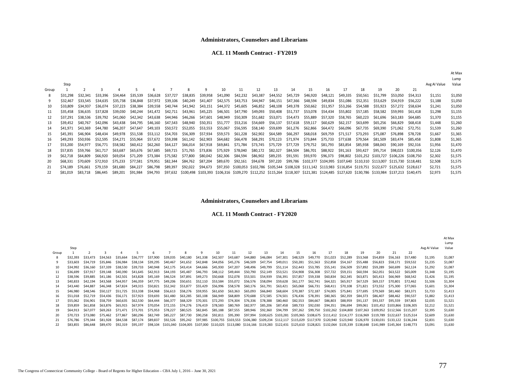#### **ACL 11 Month Contract - FY2019**

|       | Step     |          |          |          |          |          |          |          |          |          |          |          |                   |          |          |          |          |          |          |                                                                                                                                                      |           | Avg AI Value | At Max<br>Lump<br>Value |
|-------|----------|----------|----------|----------|----------|----------|----------|----------|----------|----------|----------|----------|-------------------|----------|----------|----------|----------|----------|----------|------------------------------------------------------------------------------------------------------------------------------------------------------|-----------|--------------|-------------------------|
| Group |          |          |          |          |          | 6        |          |          | 9        | 10       | 11       | 12       | 13                | 14       | 15       | 16       | 17       | 18       | 19       | 20                                                                                                                                                   | 21        |              |                         |
|       | \$31,298 | \$32.341 | \$33,396 | \$34,464 | \$35.539 | \$36.628 | \$37.727 | \$38,835 | \$39,958 | \$41,090 | \$42,232 | \$43,387 | \$44,552          | \$45,729 | \$46,920 | \$48.121 | \$49,335 | \$50.561 | \$51.799 | \$53.050                                                                                                                                             | \$54.313  | \$1,151      | \$1,050                 |
| 9     | \$32,467 | \$33.545 | \$34.635 | \$35.738 | \$36.848 | \$37.972 | \$39.106 | \$40.249 | S41.407  | \$42,575 | \$43.753 | \$44,947 | \$46.151          | \$47,366 | \$48.594 | \$49.834 | \$51.086 | \$52.351 | \$53.629 | \$54.919                                                                                                                                             | \$56.222  | \$1,188      | \$1,050                 |
| 10    | \$33,809 | \$34.937 | \$36.074 | \$37.223 | \$38.384 | \$39.558 | \$40.744 | \$41,942 | \$43,151 | \$44,372 | \$45,605 | \$46,852 | \$48.108          | \$49,378 | \$50.662 | \$51,957 | \$53,266 | \$54.588 | \$55.923 | \$57.272                                                                                                                                             | \$58.634  | \$1,241      | \$1,050                 |
| 11    | \$35.458 | \$36.635 | \$37.828 | \$39.030 | \$40.244 | \$41.472 | \$42.711 | \$43.961 | \$45.225 | \$46.501 | \$47.790 | \$49,093 | \$50.408          | \$51,737 | \$53.078 | \$54.434 | \$55.802 | \$57.185 | \$58.582 | \$59,993                                                                                                                                             | \$61.418  | \$1,298      | \$1,155                 |
| 12    | \$37.291 | \$38.536 | \$39.792 | \$41,060 | \$42.342 | \$43.638 | \$44.946 | \$46.266 | \$47.601 | \$48.949 | \$50.309 | \$51,682 | \$53.071          | \$54.473 | \$55.889 | \$57.320 | \$58.765 | \$60.223 | \$61.696 | \$63.183                                                                                                                                             | \$64,685  | \$1,370      | \$1,155                 |
| 13    | \$39.452 | \$40.767 | \$42.096 | \$43.438 | S44.795  | \$46.160 | S47.543  | \$48.940 | \$50.351 | \$51.777 | \$53.216 | \$54.669 | \$56.137          | \$57.618 | \$59.117 | \$60.629 | \$62.157 | \$63.699 | \$65.256 | \$66,829                                                                                                                                             | \$68,418  | \$1,448      | \$1,260                 |
| 14    | \$41.971 | \$43,369 | \$44.780 | \$46.207 | \$47.647 | \$49.103 | \$50.572 | \$52.055 | \$53.553 | \$55.067 | \$56.595 | \$58.140 | \$59.699          | \$61.276 | \$62.866 | \$64.472 | \$66.096 | \$67.735 | \$69,390 | \$71.062                                                                                                                                             | \$72.751  | \$1,539      | \$1,260                 |
| 15    | \$45.391 | \$46.904 | S48.434  | S49.978  | \$51.538 | \$53.112 | \$54.703 | \$56.309 | \$57.934 | \$59,573 | \$61,228 |          | \$62,902 \$64,589 | \$66,297 | \$68,018 | \$69.759 | \$71.517 | \$73.293 | \$75.087 | \$76.898                                                                                                                                             | \$78.728  | \$1,667      | \$1,365                 |
| 16    | \$49.293 | \$50.936 | \$52.595 | \$54.271 | \$55.964 | \$57.672 | \$59.398 | \$61.142 | \$62.903 | \$64,682 | \$66.478 | \$68,291 | \$70,123          | \$71,974 | \$73.844 | \$75.733 | \$77,638 | \$79.564 | \$81.509 | \$83.474                                                                                                                                             | \$85.458  | \$1,808      | \$1,365                 |
| 17    | \$53.200 | \$54.977 | \$56.771 | \$58.582 | \$60.412 | \$62.260 | \$64.127 | \$66.014 | \$67.918 | \$69.841 | \$71.784 | \$73.745 | \$75.729          | \$77.729 | \$79.752 | \$81.793 | \$83.854 | \$85.938 | \$88,043 | \$90.169                                                                                                                                             | \$92.316  | \$1,956      | \$1,470                 |
| 18    | \$57.835 | \$59.766 | \$61.717 | \$63.687 | \$65,676 | \$67.685 | \$69,715 | \$71.765 | \$73.836 | \$75,929 | \$78,040 |          | \$80,172 \$82,327 | \$84,504 | \$86,701 | \$88,922 | \$91,163 | \$93,427 | \$95.714 | \$98.023                                                                                                                                             | \$100.356 | \$2,126      | \$1,470                 |
| 19    | \$62,718 | \$64.809 | \$66.920 | \$69.054 | \$71.209 | \$73.384 | \$75.582 | \$77.800 | \$80.042 | \$82,306 | \$84.594 |          | \$86,902 \$89,235 | \$91,591 | \$93,970 | \$96.373 |          |          |          | \$98.802 \$101.252 \$103.727 \$106.226 \$108.750                                                                                                     |           | \$2,302      | \$1,575                 |
| 20    | \$68,331 | \$70,609 | \$72.910 | \$75.233 | \$77.581 | \$79.951 | \$82.344 | \$84.762 | \$87.204 | \$89.670 | \$92,161 |          |                   |          |          |          |          |          |          | \$94,678 \$97,220 \$99,786 \$102,377 \$104,995 \$107,640 \$110,310 \$113,007 \$115,730 \$118,481                                                     |           | \$2,508      | \$1,575                 |
| 21    | \$74.189 | \$76.661 | \$79,159 | \$81.680 | \$84.227 | \$86.798 | \$89.397 | \$92.022 | \$94,673 |          |          |          |                   |          |          |          |          |          |          | \$97,350 \$100,053 \$102,786 \$105,544 \$108,328 \$111,142 \$113,983 \$116,854 \$119,751 \$122,677 \$125,632 \$128,617                               |           | \$2,721      | \$1,575                 |
| 22    | \$81.019 | \$83.718 | \$86.445 | \$89.201 | S91.984  | S94.793  |          |          |          |          |          |          |                   |          |          |          |          |          |          | \$97,632 \$100,498 \$103,393 \$106,316 \$109,270 \$112,252 \$115,264 \$118,307 \$121,381 \$124,485 \$127,620 \$130,786 \$133,984 \$137,213 \$140,475 |           | \$2,973      | \$1,575                 |

#### **Administrators, Counselors and Librarians**

**ACL 11 Month Contract - FY2020**

|       |          |          |          |          |          |          |          |          |          |                 |          |          |          |          |          |          |          |          |          |                                                                                                                                                                 |          |          |              | At Max  |
|-------|----------|----------|----------|----------|----------|----------|----------|----------|----------|-----------------|----------|----------|----------|----------|----------|----------|----------|----------|----------|-----------------------------------------------------------------------------------------------------------------------------------------------------------------|----------|----------|--------------|---------|
|       |          |          |          |          |          |          |          |          |          |                 |          |          |          |          |          |          |          |          |          |                                                                                                                                                                 |          |          |              | Lump    |
|       | Step     |          |          |          |          |          |          |          |          |                 |          |          |          |          |          |          |          |          |          |                                                                                                                                                                 |          |          | Avg AI Value | Value   |
| Group |          |          |          |          |          |          |          |          |          | 10 <sup>1</sup> | 11       | 12       | 13       | 14       | 15       | 16       | 17       | 18       | 19       | 20                                                                                                                                                              | 21       | 22       |              |         |
|       | \$32,393 | \$33,473 | \$34,563 | \$35,664 | \$36,777 | \$37,900 | \$39.035 | \$40.180 | \$41.338 | \$42,507        | \$43.687 | \$44,880 | \$46,084 | \$47,301 | \$48.529 | \$49.770 | \$51.023 | \$52,289 | \$53.568 | \$54.859                                                                                                                                                        | \$56.163 | \$57,480 | \$1.195      | \$1,087 |
|       | \$33,603 | \$34.719 | \$35.846 | \$36.984 | \$38,134 | \$39,295 | \$40,467 | \$41.652 | \$42,848 | \$44.056        | \$45.276 | \$46.509 | \$47.754 | \$49.011 | \$50.281 | \$51.563 | \$52.858 | \$54.167 | \$55.488 | \$56,823                                                                                                                                                        | \$58.171 | \$59.532 | \$1,235      | \$1,087 |
| 10    | \$34.992 | \$36,160 | \$37.339 | \$38,530 | \$39.733 | \$40,948 | \$42.175 | \$43.414 | \$44.666 | \$45.930        | \$47.207 | \$48.496 | \$49.799 | \$51.114 | \$52.443 | \$53.785 | \$55.141 | \$56.509 | \$57.892 | \$59,289                                                                                                                                                        | \$60,699 | \$62.124 | \$1,292      | \$1,087 |
| 11    | \$36,699 | \$37.917 | \$39,148 | \$40.390 | \$41.645 | \$42.913 | \$44.193 | \$45.487 | \$46.793 | \$48.112        | \$49,444 | \$50.790 | \$52.149 | \$53.521 | \$54.908 | \$56.308 | \$57.722 | \$59.151 | \$60,594 | \$62.051                                                                                                                                                        | \$63.522 | \$65,009 | \$1,348      | \$1,195 |
| 12    | \$38.596 | \$39,885 | \$41.186 | \$42.501 | \$43.828 | \$45.169 | \$46.524 | \$47.891 | \$49.273 | \$50.668        | \$52.078 | \$53.501 | \$54.939 | \$56.391 | \$57.857 | \$59.338 | \$60,834 | \$62,345 | \$63.871 | \$65,413                                                                                                                                                        | \$66,969 | \$68,542 | \$1,426      | \$1,195 |
| 13    | \$40.833 | \$42,194 | \$43,568 | \$44,957 | \$46.359 | S47.775  | \$49.206 | \$50.651 | \$52.110 | \$53.584        | \$55.072 | \$56.576 | \$58.094 | \$59.628 | \$61.177 | \$62.741 | \$64.321 | \$65.917 | \$67.529 | \$69,157                                                                                                                                                        | \$70.801 | \$72.462 | \$1,506      | \$1,304 |
| 14    | \$43,440 | \$44,887 | \$46.348 | \$47.824 | \$49.315 | \$50.821 | \$52.342 | \$53.877 | \$55.429 | \$56.996        | \$58.578 | \$60.176 | \$61.791 | \$63.421 | \$65.068 | \$66.731 | \$68.411 | \$70.108 | \$71.821 | \$73.552                                                                                                                                                        | \$75.300 | \$77.065 | \$1,601      | \$1,304 |
| 15    | \$46,980 | \$48.546 | \$50.127 | \$51.725 | \$53.338 | \$54.968 | \$56.613 | \$58.276 | \$59.955 | \$61.650        | \$63.363 | \$65.093 | \$66.840 | \$68.604 | \$70.387 | \$72.187 | \$74.005 | \$75.841 | \$77.695 | \$79.569                                                                                                                                                        | S81.460  | \$83.371 | \$1,733      | \$1,413 |
| 16    | \$51.018 | \$52.719 | \$54.436 | \$56.171 | \$57.923 | \$59.693 | \$61,480 | \$63.285 | \$65.108 | \$66.949        | \$68,809 | \$70.688 | \$72.585 | \$74.501 | \$76.436 | \$78.391 | \$80.365 | \$82.359 | \$84.373 | \$86,407                                                                                                                                                        | S88.462  | \$90.537 | \$1,882      | \$1,413 |
| 17    | \$55,062 | \$56.901 | \$58.759 | \$60.635 | \$62.530 | \$64,444 | \$66,377 | \$68,329 | \$70.301 | \$72.293        | \$74.304 | \$76.336 | \$78.388 | \$80.460 | \$82.553 | \$84.667 | \$86,803 | \$88.959 | \$91,137 | \$93.337                                                                                                                                                        | \$95,559 | \$97.803 | \$2,035      | \$1,521 |
|       | \$59,859 | \$61.858 | \$63.876 | \$65.915 | \$67.974 | \$70.054 | \$72.155 | \$74.276 | \$76.419 | \$78.583        | \$80.769 | \$82.977 | \$85.206 | \$87.458 | \$89.733 | \$92.030 | \$94.351 | \$96,694 | \$99,061 | \$101.452 \$103.866 \$106.305                                                                                                                                   |          |          | \$2,212      | \$1,521 |
| 19    | \$64,913 | \$67.077 | \$69,263 | \$71.471 | \$73.701 | \$75.953 | \$78.227 | \$80.525 | \$82.845 | \$85.188        | \$87.555 | \$89.946 | \$92.360 | \$94.799 | \$97.262 | \$99.750 |          |          |          | \$102,262 \$104,800 \$107,363 \$109,952 \$112,566 \$115,207                                                                                                     |          |          | \$2,395      | \$1,630 |
| 20    | \$70.723 | \$73.080 | \$75.462 | \$77.867 | \$80,296 | \$82.749 | \$85.227 | \$87.730 | \$90.258 | \$92.811        | \$95.390 | \$97.994 |          |          |          |          |          |          |          | \$100,625 \$103,281 \$105,965 \$108,675 \$111,412 \$114,177 \$116,969 \$119,789 \$122,637 \$125,514                                                             |          |          | \$2,609      | \$1,630 |
| 21    | \$76.786 | \$79.344 | \$81.928 | \$84.538 | \$87.174 | \$89.837 | \$92.526 | \$95.242 | \$97.985 |                 |          |          |          |          |          |          |          |          |          | \$100.755 \$103.553 \$106.380 \$109.234 \$112.117 \$115.029 \$117.970 \$120.940 \$123.940 \$126.970 \$130.031 \$133.122 \$136.244                               |          |          | \$2,831      | \$1,630 |
|       | S83.855  | \$86.648 | S89.470  | S92.319  | S95.197  | \$98,104 |          |          |          |                 |          |          |          |          |          |          |          |          |          | \$101,040 \$104,005 \$107,000 \$110,025 \$113,080 \$116,166 \$119,283 \$122,431 \$125,610 \$128,821 \$132,064 \$135,339 \$138,648 \$141,989 \$145,364 \$148,773 |          |          | \$3,091      | \$1,630 |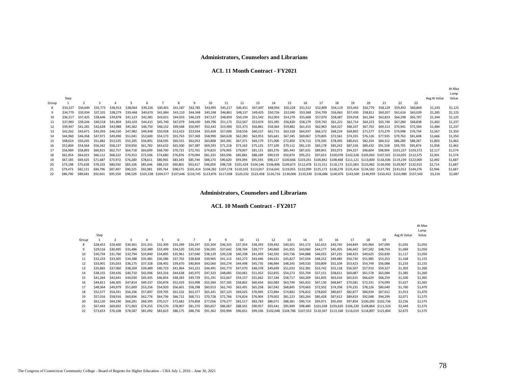**ACL 11 Month Contract - FY2021**

|       |          |          |          |          |          |                                                                                                                                                                                                                |          |          |          |                 |          |                   |          |          |                                                                                                                                                                |          |          |          |          |          |          |                                                                      |          |              | At Max  |
|-------|----------|----------|----------|----------|----------|----------------------------------------------------------------------------------------------------------------------------------------------------------------------------------------------------------------|----------|----------|----------|-----------------|----------|-------------------|----------|----------|----------------------------------------------------------------------------------------------------------------------------------------------------------------|----------|----------|----------|----------|----------|----------|----------------------------------------------------------------------|----------|--------------|---------|
|       |          |          |          |          |          |                                                                                                                                                                                                                |          |          |          |                 |          |                   |          |          |                                                                                                                                                                |          |          |          |          |          |          |                                                                      |          |              | Lump    |
|       | Step     |          |          |          |          |                                                                                                                                                                                                                |          |          |          |                 |          |                   |          |          |                                                                                                                                                                |          |          |          |          |          |          |                                                                      |          | Avg AI Value | Value   |
| Group |          |          |          |          |          |                                                                                                                                                                                                                |          |          |          | 10 <sup>1</sup> | 11       | 12                | 13       |          | 15                                                                                                                                                             | 16       | 17       | 18       | 19       | 20       | 21       | 22                                                                   | 23       |              |         |
|       | \$33.527 | \$34.644 | \$35,773 | \$36.913 | \$38,064 | \$39,226                                                                                                                                                                                                       | \$40,401 | \$41.587 | \$42,785 | \$43,995        | \$45.217 | \$46.451          | \$47.697 | \$48.956 | \$50,228                                                                                                                                                       | \$51.512 | \$52,809 | \$54,119 | \$55.443 | \$56,779 | \$58,129 | \$59.492                                                             | \$60,869 | \$1.243      | \$1,125 |
|       | \$34,779 | \$35.934 | \$37.101 | \$38,279 | \$39,468 | \$40,670                                                                                                                                                                                                       | \$41.884 | \$43.110 | \$44.348 | \$45.598        | \$46.861 | \$48.137          | \$49.425 | \$50.726 | \$52,040                                                                                                                                                       | \$53.368 | \$54.709 | \$56,063 | \$57.430 | \$58,811 | S60.207  | S61.616                                                              | \$63.039 | \$1,285      | \$1,125 |
| 10    | \$36,217 | \$37.425 | \$38.646 | \$39.878 | \$41.123 | \$42,381                                                                                                                                                                                                       | \$43,651 | \$44.933 | \$46.229 | \$47.537        | \$48.859 | \$50.194          | \$51.542 | \$52.903 | \$54.279                                                                                                                                                       | \$55,668 | \$57.070 | \$58,487 | \$59,918 | S61.364  | \$62.824 | \$64,298                                                             | S65.787  | \$1,344      | \$1,125 |
| 11    | \$37.983 | \$39,244 | \$40.518 | \$41.804 | \$43,103 | \$44,415                                                                                                                                                                                                       | \$45.740 | \$47.079 | \$48,430 | \$49.796        | \$51.175 | \$52.567          | \$53.974 | \$55.395 | \$56.830                                                                                                                                                       | \$58.279 | \$59.743 | \$61.221 | \$62.714 | \$64.223 | \$65.746 | S67.284                                                              | \$68,838 | \$1,402      | \$1,237 |
| 12    | \$39,947 | \$41.281 | \$42.628 | \$43.988 | \$45.362 | \$46.750                                                                                                                                                                                                       | \$48.152 | \$49.568 | \$50.997 | \$52.442        | \$53.900 | \$55.373          | \$56.861 | \$58.364 | \$59.882                                                                                                                                                       | \$61.415 | \$62.963 | \$64,527 | \$66.107 | \$67.702 | \$69,313 | \$70.941                                                             | \$72.584 | \$1,484      | \$1,237 |
| 13    | \$42,262 | \$43.671 | \$45.093 | S46,530  | \$47.982 | \$49,448                                                                                                                                                                                                       | \$50.928 | \$52.423 | \$53.934 | \$55.459        | \$57,000 | \$58,556          | \$60,127 | \$61,715 | \$63,318                                                                                                                                                       | \$64.937 | \$66,572 | \$68,224 | \$69.892 | S71.577  | \$73.279 | S74.998                                                              | S76.734  | \$1,567      | \$1,350 |
|       | \$44,960 | \$46,458 | \$47.971 | \$49,498 | \$51.041 | \$52,600                                                                                                                                                                                                       | \$54.173 | \$55.763 | \$57.369 | \$58,990        | \$60.628 | \$62.283          | \$63.953 | \$65.641 | \$67.345                                                                                                                                                       | \$69.067 | \$70.805 | \$72.561 | \$74.335 | \$76.126 | \$77.935 | \$79.763                                                             | \$81.608 | \$1,666      | \$1,350 |
| 15    | \$48,624 | \$50.245 | \$51.882 | \$53.535 | \$55.205 | \$56.891                                                                                                                                                                                                       | \$58.595 | \$60.315 | \$62.053 | \$63,808        | \$65,581 | \$67.371          | \$69.179 | \$71,006 | \$72.850                                                                                                                                                       | \$74.713 | \$76.595 | \$78.495 | \$80.415 | \$82.354 | \$84.312 | \$86,289                                                             | \$88.287 | \$1,803      | \$1,462 |
| 16    | \$52,804 | S54.564  | \$56.342 | \$58,137 | \$59.950 | \$61.782                                                                                                                                                                                                       | \$63.632 | \$65.500 | \$67,387 | \$69.293        | \$71,218 | \$73,162          | \$75,125 | \$77.109 | \$79,112                                                                                                                                                       | \$81.135 | \$83,178 | \$85,242 | \$87.326 | \$89.432 | S91.558  | \$93.705                                                             | \$95.874 | \$1,958      | \$1,462 |
| 17    | \$56,989 | \$58.893 | \$60.815 | \$62.757 | \$64.718 | \$66.699                                                                                                                                                                                                       | \$68.700 | \$70.721 | \$72.761 | \$74.823        | \$76.905 | \$79.007          | \$81.131 | \$83.276 | \$85.443                                                                                                                                                       | \$87.631 | \$89.841 | \$92.073 | \$94.327 | \$96.604 | \$98.904 | S101.227 S103.572                                                    |          | \$2,117      | \$1,574 |
| 18    | \$61.954 | \$64.023 | S66.112  | \$68.222 | \$70.353 | \$72.506                                                                                                                                                                                                       | \$74.680 | \$76.876 | \$79.094 | \$81.333        |          | \$83.596 \$85.881 | \$88,189 | \$90.519 | \$92.874                                                                                                                                                       | \$95.251 |          |          |          |          |          | \$97.653 \$100.078 \$102.528 \$105.002 \$107.501 \$110.025 \$112.575 |          | \$2,301      | \$1,574 |
| 19    | \$67.185 | \$69.425 | \$71.687 | \$73.972 | \$76.280 | \$78.611                                                                                                                                                                                                       | \$80.965 | \$83.343 | \$85.744 | \$88.170        |          |                   |          |          | 990.620 \$93.094 \$95.593 \$98.117 \$100.666 \$103.241 \$105.842 \$108.468 \$111.121 \$113.800 \$116.506 \$119.239 \$122.000 \$                                |          |          |          |          |          |          |                                                                      |          | \$2,492      | \$1,687 |
| 20    | S73.198  | \$75.638 | \$78.103 | \$80.592 | \$83.106 | \$85.646                                                                                                                                                                                                       | \$88.210 | \$90.801 | \$93.417 | \$96.059        |          |                   |          |          | \$98,728 \$101,424 \$104,146 \$106,896 \$109,673 \$112,478 \$115,311 \$118,173 \$121,063 \$123,982 \$126,930 \$129,907 \$132,915                               |          |          |          |          |          |          |                                                                      |          | \$2,714      | \$1,687 |
| 21    | \$79.473 | \$82.121 | \$84.796 | \$87.497 | \$90.225 | \$92.981                                                                                                                                                                                                       | \$95.764 |          |          |                 |          |                   |          |          | \$98,575 \$101,414 \$104,282 \$107,178 \$110,103 \$113,057 \$116,041 \$119,055 \$122,099 \$125,173 \$128,278 \$131,414 \$134,582 \$137,781 \$141,012 \$144,276 |          |          |          |          |          |          |                                                                      |          | \$2,946      | \$1,687 |
| 22    | \$86.790 | \$89.681 |          |          |          | \$92,601 \$95,550 \$98,529 \$101,538 \$104,577 \$107,646 \$110,745 \$113,876 \$117,038 \$120,232 \$123,458 \$126,716 \$130,006 \$133,330 \$136,686 \$140,076 \$143,500 \$146,959 \$150,452 \$153,980 \$157,543 |          |          |          |                 |          |                   |          |          |                                                                                                                                                                |          |          |          |          |          |          |                                                                      |          | \$3,216      | \$1,687 |

#### **Administrators, Counselors and Librarians**

#### **ACL 10 Month Contract - FY2017**

|       |          |          |          |          |          |                                              |          |          |                   |          |          |                                                                                                   |          |          |          |          |          |                                                            |          |              | At Max  |
|-------|----------|----------|----------|----------|----------|----------------------------------------------|----------|----------|-------------------|----------|----------|---------------------------------------------------------------------------------------------------|----------|----------|----------|----------|----------|------------------------------------------------------------|----------|--------------|---------|
|       |          |          |          |          |          |                                              |          |          |                   |          |          |                                                                                                   |          |          |          |          |          |                                                            |          |              | Lump    |
|       | Step     |          |          |          |          |                                              |          |          |                   |          |          |                                                                                                   |          |          |          |          |          |                                                            |          | Avg AI Value | Value   |
| Group |          |          |          | 4        |          | 6                                            |          | 8        | 9                 | 10       | 11       | 12                                                                                                | 13       | 14       | 15       | 16       | 17       | 18                                                         | 19       |              |         |
| 8     | \$28,453 | \$29,400 | \$30,361 | \$31,331 | \$32,309 | \$33,299                                     | \$34.297 | \$35,304 | \$36.325          | \$37.354 | \$38,393 | \$39,442                                                                                          | \$40,501 | \$41.572 | \$42,653 | \$43.745 | \$44,849 | \$45.964                                                   | \$47,090 | \$1,035      | \$1,050 |
|       | \$29.516 | \$30,495 | \$31,486 | \$32,489 | \$33,499 | \$34.520                                     | \$35,550 | \$36.591 | \$37.642          | \$38,704 | \$39,777 | \$40,860                                                                                          | \$41.955 | \$43.060 | \$44,177 | \$45,305 | \$46,442 | \$47,592                                                   | \$48.754 | \$1,069      | \$1,050 |
| 10    | \$30.734 | \$31,760 | \$32,794 | \$33,840 | \$34,895 | \$35.961                                     | \$37,040 | \$38,129 | \$39,228          | \$40,338 | \$41,459 | \$42.592                                                                                          | \$43.736 | \$44,888 | \$46,055 | \$47,235 | \$48,423 | S49.625                                                    | \$50,839 | \$1,117      | \$1,050 |
| 11    | \$32,233 | \$33.305 | \$34,388 | \$35,481 | \$36,586 | \$37.702                                     | \$38,828 | \$39.965 | \$41,115          | \$42.273 | \$43,446 | \$44.631                                                                                          | \$45.827 | \$47.034 | \$48,252 | \$49,485 | \$50,730 | \$51,985                                                   | \$53,253 | \$1,168      | \$1,155 |
| 12    | \$33,901 | \$35.033 | \$36.175 | \$37.328 | \$38,492 | \$39.670                                     | \$40.859 | \$42,060 | \$43,274          | \$44.498 | \$45,735 | \$46,984                                                                                          | \$48.245 | \$49.520 | \$50,809 | \$52,109 | \$53.423 | \$54,749                                                   | \$56,088 | \$1,233      | \$1,155 |
| 13    | \$35.865 | \$37,060 | \$38,269 | \$39,489 | \$40,723 | \$41,964                                     | \$43,221 | \$44,491 | \$45,773          | \$47,070 | \$48,378 | \$49,699                                                                                          | \$51,033 | \$52,381 | \$53,742 | \$55,118 | \$56,507 | \$57,910                                                   | S59.327  | \$1,303      | \$1,260 |
| 14    | \$38,155 | \$39,426 | \$40,710 | \$42,006 | \$43.316 | \$44,638                                     | \$45.975 | \$47,323 | \$48.685          | \$50,061 | \$51,452 | \$52.855                                                                                          | \$54.273 | \$55.704 | \$57.151 | \$58,611 | \$60,087 | \$61,578                                                   | \$63,084 | \$1,385      | \$1,260 |
| 15    | \$41.264 | \$42,641 | \$44,030 | \$45,435 | \$46,854 | \$48,283                                     | \$49.729 | \$51,191 | \$52,667          | \$54,157 | \$55,662 | \$57,184                                                                                          | \$58.717 | \$60,269 | \$61.835 | \$63,416 | \$65,015 | \$66,629                                                   | \$68,259 | \$1,500      | \$1,365 |
| 16    | \$44.811 | \$46,305 | \$47.814 | \$49,337 | \$50.876 | \$52,429                                     | \$53.998 | \$55.584 | \$57.185          | \$58.802 | \$60,434 | \$62.083                                                                                          | \$63.749 | \$65,432 | \$67.130 | \$68,847 | \$70,581 | \$72.331                                                   | \$74,099 | \$1,627      | \$1,365 |
| 17    | \$48.364 | \$49,979 | \$51,609 | \$53.256 | \$54.920 | \$56.601                                     | \$58,298 | \$60,013 | \$61,743          | \$63.491 | \$65,258 | \$67.042                                                                                          | \$68.845 | \$70,663 | \$72.502 | \$74.358 | \$76.231 | \$78.126                                                   | \$80,040 | \$1,760      | \$1,470 |
| 18    | \$52,577 | \$54.331 | \$56,106 | \$57.897 | \$59.705 | \$61.532                                     | \$63.377 | \$65.241 | \$67.123          | \$69,025 | \$70,945 | \$72.884                                                                                          | \$74.842 | \$76.822 | \$78,820 | \$80,837 | \$82,877 | \$84.934                                                   | \$87.012 | \$1,913      | \$1,470 |
| 19    | \$57.016 | \$58,916 | \$60.836 | \$62.776 | \$64.736 | \$66.712                                     | \$68.711 |          | \$70.728 \$72.766 | \$74.824 | \$76,904 | \$79.002                                                                                          | \$81.123 | \$83.264 | \$85.428 | \$87.612 | \$89.819 | \$92,048                                                   | \$94.299 | \$2.071      | \$1,575 |
| 20    | \$62,120 | \$64,190 | \$66,281 | \$68,395 | \$70.527 | \$72.682                                     | \$74.858 | \$77,056 | \$79,277          | \$81,517 | \$83,783 | \$86,071                                                                                          | \$88,381 | \$90,714 | \$93,071 | \$95.450 | \$97.854 | \$100,283 \$102,736                                        |          | \$2,256      | \$1,575 |
| 21    | \$67,443 | \$69.692 | \$71,963 | \$74.255 | \$76.570 | \$78.907                                     | \$81.270 | \$83,657 | \$86,067          | \$88,501 | \$90,957 | \$93.441                                                                                          | \$95,949 |          |          |          |          | \$98,480 \$101,038 \$103,620 \$106,230 \$108,864 \$111,524 |          | \$2,449      | \$1,575 |
| 22    | \$73,653 | \$76.108 | \$78,587 | \$81,092 |          | \$83,623 \$86,175 \$88,756 \$91,362 \$93,994 |          |          |                   |          |          | \$96,651 \$99,336 \$102,048 \$104,786 \$107,553 \$110,347 \$113,168 \$116,019 \$118,897 \$121,804 |          |          |          |          |          |                                                            |          | \$2,675      | \$1,575 |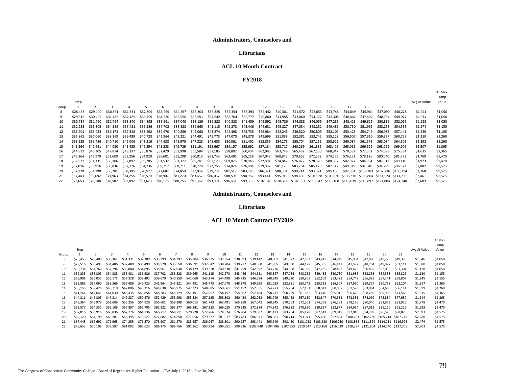### **Administrators, Counselors and**

#### **Librarians**

#### **ACL 10 Month Contract**

**FY2018**

|          |          |          |          |          |          |          |          |          |          |          |                                  |          |          |                      |          |          |          |          |          |                                                                                                                                                                                                             | Lump    |
|----------|----------|----------|----------|----------|----------|----------|----------|----------|----------|----------|----------------------------------|----------|----------|----------------------|----------|----------|----------|----------|----------|-------------------------------------------------------------------------------------------------------------------------------------------------------------------------------------------------------------|---------|
| Step     |          |          |          |          |          |          |          |          |          |          |                                  |          |          |                      |          |          |          |          |          | Avg AI Value                                                                                                                                                                                                | Value   |
|          |          | 3        |          |          | 6        |          | 8        | 9        | 10       | 11       | 12                               | 13       | 14       | 15                   | 16       | 17       | 18       | 19       | 20       |                                                                                                                                                                                                             |         |
| \$28,453 | \$29,400 | \$30,361 | \$31.331 | \$32.309 | \$33.299 | \$34.297 | \$35,304 | \$36,325 | \$37,354 | \$38,393 | \$39,442                         | \$40.501 | \$41,572 | \$42.653             | \$43.745 | \$44.849 | \$45,964 | \$47,090 | \$48,228 | \$1,041                                                                                                                                                                                                     | \$1,050 |
| \$29.516 | \$30.495 | \$31.486 | \$32,489 | \$33.499 | \$34.520 | \$35.550 | \$36.591 | \$37,642 | \$38.704 | \$39,777 | \$40,860                         |          | \$43,060 | \$44,177             | \$45.305 | \$46,442 | \$47.592 | \$48,754 | \$49,927 | \$1.074                                                                                                                                                                                                     | \$1,050 |
| \$30.734 | \$31.760 | \$32.794 | \$33,840 | \$34.895 | \$35.961 | \$37.040 | \$38.129 | \$39,228 |          | \$41,459 | \$42,592                         |          | \$44,888 | \$46.055             | \$47.235 | \$48.423 | \$49.625 | \$50.839 | \$52.065 | \$1,123                                                                                                                                                                                                     | \$1,050 |
| \$32,233 | \$33.305 | \$34,388 | \$35.481 | \$36.586 | \$37.702 | \$38.828 | \$39.965 | \$41.115 | \$42.273 | \$43.446 | \$44.631                         | \$45.827 | \$47.034 | \$48,252             | \$49,485 | \$50.730 | \$51.985 | \$53.253 | \$54.533 | \$1,174                                                                                                                                                                                                     | \$1,155 |
| \$33.901 | \$35.033 | \$36.175 | \$37.328 | \$38.492 | \$39.670 | \$40.859 | \$42,060 | \$43.274 |          | \$45.735 | \$46.984                         | \$48.245 | \$49.520 | \$50,809             | \$52,109 | \$53.423 | \$54.749 | \$56,088 | \$57.441 | \$1.239                                                                                                                                                                                                     | \$1,155 |
| \$35.865 | \$37,060 | \$38,269 | \$39,489 | \$40.723 | \$41.964 | \$43.221 | \$44.491 | \$45.773 | \$47.070 | \$48,378 | \$49,699                         | \$51,033 | \$52,381 | \$53,742             | \$55,118 | \$56.507 | \$57.910 | \$59.327 | \$60,758 | \$1,310                                                                                                                                                                                                     | \$1,260 |
| \$38.155 | \$39.426 | \$40.710 | \$42,006 | \$43.316 | \$44.638 | \$45.975 | \$47.323 | \$48.685 | \$50.061 | \$51.452 | \$52.855                         | \$54.273 | \$55.704 | \$57.151             | \$58,611 | \$60,087 | \$61.578 | \$63.084 | \$64,605 | \$1,392                                                                                                                                                                                                     | \$1,260 |
| \$41.264 | \$42.641 | \$44.030 | \$45.435 | \$46.854 | \$48.283 | \$49.729 | \$51.191 | \$52,667 | \$54,157 | \$55,662 | \$57,184                         | \$58.717 | \$60.269 | \$61,835             | \$63.416 | \$65,015 | \$66,629 | \$68,259 | \$69,906 | \$1,507                                                                                                                                                                                                     | \$1,365 |
| \$44,811 | \$46.305 | \$47.814 | \$49,337 | \$50.876 | \$52.429 | \$53.998 | \$55.584 | \$57.185 |          | \$60.434 | \$62.083                         | \$63.749 | \$65.432 | \$67.130             | \$68,847 | \$70.581 | \$72.331 | \$74.099 | \$75.884 | \$1,635                                                                                                                                                                                                     | \$1,365 |
| \$48,364 | \$49.979 | \$51.609 | \$53.256 | \$54.920 | \$56.601 | \$58.298 | \$60,013 | \$61.743 | \$63.491 | \$65.258 | \$67.042                         | \$68.845 | \$70.663 |                      | \$74.358 | \$76.231 | \$78.126 | \$80.040 | \$81.973 | \$1,769                                                                                                                                                                                                     | \$1,470 |
| \$52.577 | \$54.331 | \$56.106 | \$57.897 | \$59.705 | \$61.532 | \$63.377 | \$65.241 | \$67.123 | \$69.025 | \$70.945 | \$72.884                         | \$74.842 | \$76.822 | \$78.820             | \$80,837 | \$82.877 | \$84.934 | \$87.012 | \$89,110 | \$1,923                                                                                                                                                                                                     | \$1,470 |
| \$57.016 | \$58.916 | \$60.836 | \$62.776 | \$64.736 | \$66.712 | \$68,711 | \$70.728 | \$72.766 | \$74.824 | \$76,904 | \$79,002                         | \$81.123 | \$83.264 | \$85.428             | \$87.612 | \$89.819 | \$92.048 | \$94.299 | \$96.573 | \$2,082                                                                                                                                                                                                     | \$1,575 |
| \$62,120 | \$64,190 | \$66.281 | \$68.395 | \$70.527 | \$72.682 | \$74,858 | \$77.056 | \$79.277 | \$81.517 | \$83,783 | \$86,071                         | \$88,381 | \$90.714 | \$93.071             | \$95.450 | \$97.854 |          |          |          | \$2,268                                                                                                                                                                                                     | \$1,575 |
| \$67,443 | \$69.692 | \$71.963 | \$74.255 | \$76.570 | \$78,907 | \$81,270 | \$83.657 | \$86,067 | \$88,501 | \$90,957 | \$93,441                         | \$95,949 |          |                      |          |          |          |          |          | \$2,461                                                                                                                                                                                                     | \$1,575 |
| \$73.653 | \$76.108 | \$78.587 | \$81.092 | \$83.623 | \$86.175 | \$88.756 | \$91,362 | \$93,994 | \$96,651 |          |                                  |          |          |                      |          |          |          |          |          | \$2,689                                                                                                                                                                                                     | \$1,575 |
|          |          |          |          |          |          |          |          |          |          |          | \$40,338<br>\$44.498<br>\$58.802 |          |          | \$41.955<br>\$43.736 |          | \$72.502 |          |          |          | \$100,283 \$102,736 \$105,214<br>\$98.480 \$101.038 \$103.620 \$106.230 \$108.864 \$111.524 \$114.211<br>\$99,336 \$102,048 \$104,786 \$107,553 \$110,347 \$113,168 \$116,019 \$118,897 \$121,804 \$124,740 |         |

#### **Administrators, Counselors and**

#### **Librarians**

#### **ACL 10 Month Contract FY2019**

|       |          |          |          |          |          |          |          |                   |          |          |          |          |          |          |          |          |          |          |          |                                                                                                              |          |              | At Max  |
|-------|----------|----------|----------|----------|----------|----------|----------|-------------------|----------|----------|----------|----------|----------|----------|----------|----------|----------|----------|----------|--------------------------------------------------------------------------------------------------------------|----------|--------------|---------|
|       |          |          |          |          |          |          |          |                   |          |          |          |          |          |          |          |          |          |          |          |                                                                                                              |          |              | Lump    |
|       | Step     |          |          |          |          |          |          |                   |          |          |          |          |          |          |          |          |          |          |          |                                                                                                              |          | Avg AI Value | Value   |
| Group |          |          |          |          |          | 6        |          | R                 | q        |          |          | 12       | 13       | 14       | 15       | 16       | 17       | 18       | 19       | 20                                                                                                           | 21       |              |         |
|       | \$28,453 | \$29,400 | \$30.361 | \$31.331 | \$32,309 | \$33,299 | \$34.297 | \$35.304          | \$36.325 | \$37.354 | \$38,393 | \$39,442 | \$40,501 | \$41.572 | \$42,653 | \$43.745 | \$44,849 | \$45.964 | \$47,090 | \$48.228                                                                                                     | \$49,376 | \$1,046      | \$1,050 |
|       | \$29.516 | \$30,495 | \$31.486 | \$32.489 | \$33.499 | \$34.520 | \$35.550 | \$36.591          | \$37,642 | \$38.704 | \$39.777 | \$40.860 | \$41.955 | \$43,060 | \$44.177 | \$45.305 | \$46.442 | \$47.592 | \$48.754 | S <sub>49.927</sub>                                                                                          | \$51.111 | \$1,080      | \$1,050 |
| 10    | \$30.734 | \$31.760 | \$32.794 | \$33.840 | \$34.895 | \$35.961 | \$37.040 | \$38.129          | \$39.228 | \$40.338 | \$41.459 | \$42.592 | \$43.736 | \$44.888 | \$46.055 | \$47.235 | \$48.423 | \$49.625 | \$50,839 | \$52.065                                                                                                     | \$53.304 | \$1.128      | \$1,050 |
| 11    | \$32.233 | \$33,305 | \$34.388 | \$35.481 | \$36.586 | \$37.702 | \$38.828 | \$39.965          | \$41.115 | \$42.273 | \$43.446 | \$44.631 | \$45.827 | \$47.034 | \$48.252 | \$49.485 | \$50.730 | \$51.985 | \$53.253 | \$54,533                                                                                                     | \$55.826 | \$1,180      | \$1,155 |
| 12    | \$33,901 | \$35.033 | \$36.175 | \$37.328 | \$38.492 | \$39.670 | \$40.859 | \$42,060          | \$43.274 | \$44.498 | \$45.735 | \$46.984 | \$48.245 | \$49.520 | \$50.809 | \$52.109 | \$53.423 | \$54.749 | \$56,088 | \$57.441                                                                                                     | \$58,807 | \$1,245      | \$1,155 |
| 13    | \$35.865 | \$37.060 | \$38.269 | \$39.489 | \$40.723 | \$41.964 | \$43.221 | \$44.491          | \$45.773 | \$47.070 | \$48.378 | \$49.699 | \$51.033 | \$52,381 | \$53.742 | \$55.118 | \$56.507 | \$57.910 | \$59.327 | \$60.758                                                                                                     | \$62,204 | \$1,317      | \$1,260 |
| 14    | \$38.155 | \$39.426 | \$40.710 | \$42,006 | \$43.316 | \$44.638 | \$45.975 | \$47.323          | \$48.685 | \$50.061 | \$51.452 | \$52.855 | \$54.273 | \$55.704 | \$57.151 | \$58.611 | \$60,087 | \$61.578 | \$63.084 | \$64,605                                                                                                     | \$66.141 | \$1,399      | \$1,260 |
| 15    | \$41.264 | \$42.641 | \$44.030 | \$45.435 | \$46.854 | \$48.283 | \$49.729 | \$51.191          | \$52.667 | \$54.157 | \$55.662 | \$57.184 | \$58.717 | \$60,269 | \$61.835 | \$63.416 | \$65.015 | \$66.629 | \$68,259 | \$69,906                                                                                                     | \$71.568 | \$1,515      | \$1,365 |
| 16    | \$44,811 | \$46.305 | \$47.814 | \$49.337 | \$50.876 | \$52.429 | \$53.998 | \$55.584          | \$57.185 | \$58.802 | \$60.434 | \$62.083 | \$63.749 | \$65.432 | \$67.130 | \$68.847 | \$70.581 | \$72.331 | \$74.099 | \$75.884                                                                                                     | \$77.687 | \$1.644      | \$1,365 |
| 17    | \$48,364 | \$49.979 | \$51.609 | \$53.256 | \$54.920 | \$56.601 | \$58.298 | \$60,013          | \$61.743 | \$63.491 | \$65.258 | \$67.042 | \$68.845 | \$70.663 | \$72.502 | \$74.358 | \$76.231 | \$78.126 | \$80,040 | \$81.973                                                                                                     | \$83.925 | \$1,778      | \$1,470 |
| 18    | \$52.577 | \$54.331 | \$56.106 | \$57.897 | \$59.705 | \$61.532 | \$63.377 | \$65.241          | \$67.123 | \$69,025 | \$70.945 | \$72.884 | \$74.842 | \$76,822 | \$78.820 | \$80,837 | \$82.877 | \$84.934 | \$87.012 | \$89.110                                                                                                     | \$91.229 | \$1,933      | \$1,470 |
|       | \$57.016 | \$58.916 | \$60.836 | \$62.776 | \$64.736 | \$66.712 | \$68.711 | \$70.728          | \$72.766 | \$74.824 | \$76.904 | \$79,002 | \$81.123 | \$83,264 | \$85,428 | \$87.612 | \$89.819 | \$92.048 | \$94.299 | \$96.573                                                                                                     | \$98,870 | \$2,093      | \$1,575 |
| 20    | \$62,120 | \$64.190 | \$66.281 | \$68.395 | \$70.527 | \$72.682 | \$74.858 | \$77.056          | \$79.277 | \$81,517 | \$83.783 | \$86,071 | \$88.381 | \$90,714 | \$93.071 | \$95,450 |          |          |          | \$97.854 \$100.283 \$102.736 \$105.214 \$107.717                                                             |          | \$2,280      | \$1,575 |
| 21    | \$67,443 | \$69.692 | \$71.963 | \$74.255 | \$76.570 | \$78,907 | \$81.270 | \$83,657          | \$86,067 | \$88,501 | \$90.957 | \$93,441 | \$95,949 | \$98,480 |          |          |          |          |          | \$101.038 \$103.620 \$106.230 \$108.864 \$111.524 \$114.211 \$116.925                                        |          | \$2,474      | \$1,575 |
|       | \$73.653 | \$76.108 | \$78.587 | \$81.092 | \$83,623 | \$86,175 | \$88,756 | \$91,362 \$93,994 |          | \$96,651 |          |          |          |          |          |          |          |          |          | \$99,336 \$102,048 \$104,786 \$107,553 \$110,347 \$113,168 \$116,019 \$118,897 \$121,804 \$124,740 \$127,705 |          | \$2,703      | \$1,575 |

At Max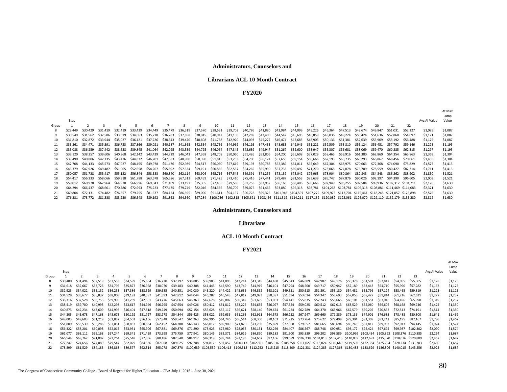#### **Administrators, Counselors and**

#### **Librarians ACL 10 Month Contract**

#### **FY2020**

|       |          |          |          |          |          |          |          |          |          |                                                                                                                                   |                   |          |          |          |          |                                                                                                    |          |          |          |          |                                                             |          |              | At Max<br>Lump |
|-------|----------|----------|----------|----------|----------|----------|----------|----------|----------|-----------------------------------------------------------------------------------------------------------------------------------|-------------------|----------|----------|----------|----------|----------------------------------------------------------------------------------------------------|----------|----------|----------|----------|-------------------------------------------------------------|----------|--------------|----------------|
|       | Step     |          |          |          |          |          |          |          |          |                                                                                                                                   |                   |          |          |          |          |                                                                                                    |          |          |          |          |                                                             |          | Avg Al Value | Value          |
| Group |          |          |          |          |          |          |          |          |          |                                                                                                                                   | 11                | 12       | 13       | 14       | 15       | 16                                                                                                 | 17       | 18       | 19       | 20       | 21                                                          | 22       |              |                |
|       | \$29,449 | \$30,429 | \$31,419 | \$32,419 | \$33.429 | \$34,449 | \$35.479 | \$36.519 | \$37.570 | \$38,631                                                                                                                          | \$39.703          | \$40,786 | \$41,880 | \$42.984 | \$44,099 | \$45.226                                                                                           | \$46,364 | \$47.513 | \$48,674 | \$49,847 | \$51.031                                                    | \$52,227 | \$1,085      | \$1,087        |
|       | \$30,549 | \$31.562 | \$32.586 | \$33.619 | \$34.663 | \$35.718 | \$36.783 | \$37.858 | \$38.945 | \$40.042                                                                                                                          | \$41.150          | \$42.269 | \$43,400 | \$44.542 | \$45.695 | \$46.859                                                                                           | \$48.036 | \$49.224 | \$50,424 | S51.636  | \$52,860                                                    | S54.097  | \$1,121      | \$1,087        |
| 10    | \$31.810 | \$32.872 | \$33.944 | \$35.027 | \$36.121 | \$37.226 | \$38.343 | \$39.470 | \$40.608 | \$41.758                                                                                                                          | \$42.920          | \$44.093 | \$45,277 | \$46,474 | \$47.683 | \$48.903                                                                                           | \$50.136 | \$51.381 | \$52.639 | \$53,909 | \$55.192                                                    | \$56,488 | \$1,175      | \$1,087        |
| -11   | \$33.361 | \$34,471 | \$35.591 | \$36.723 | \$37.866 | \$39,021 | \$40.187 | \$41.365 | \$42.554 | \$43.756                                                                                                                          | \$44.969          | \$46,195 | \$47.433 | \$48.683 | \$49.946 | \$51.221                                                                                           | \$52.509 | \$53.810 | \$55.124 | \$56.451 | S57.792                                                     | \$59.146 | \$1,228      | \$1,195        |
| 12    | \$35,088 | \$36,259 | \$37.442 | \$38,638 | \$39,845 | \$41.064 | \$42,295 | \$43.539 | \$44.795 | \$46.064                                                                                                                          | \$47.345          | \$48.639 | \$49.947 | \$51.267 | \$52.600 | \$53.947                                                                                           | \$55.307 | \$56.681 | \$58.069 | \$59.470 | \$60.885                                                    | \$62.315 | \$1,297      | \$1,195        |
| 13    | \$37.120 | \$38,357 | \$39,606 | \$40.868 | \$42.142 | \$43.429 | \$44.729 | \$46.042 | \$47.368 | \$48.708                                                                                                                          | \$50,060          | \$51.426 | \$52.806 | \$54.200 | \$55.608 | \$57.029                                                                                           | \$58.465 | \$59.916 | \$61.380 | \$62.860 | \$64.354                                                    | \$65,863 | \$1,369      | \$1,304        |
| 14    | \$39,490 | \$40,806 | \$42.135 | \$43.476 | \$44.832 | \$46.201 | \$47.583 | \$48.980 | \$50.390 |                                                                                                                                   | \$51.815 \$53.253 | \$54.706 | \$56.174 | \$57.656 | \$59.154 | \$60.666                                                                                           | \$62.193 | \$63.735 | \$65.293 | \$66,867 | \$68.456                                                    | \$70.061 | \$1,456      | \$1,304        |
| 15    | \$42,708 | \$44.133 | \$45.573 | \$47.027 | \$48.495 | \$49.978 | \$51.476 | \$52.989 | \$54.517 | \$56.060                                                                                                                          | \$57.619          | \$59.193 | \$60.783 | \$62.389 | \$64.011 | \$65.649                                                                                           | \$67.304 | \$68.975 | \$70.663 | \$72.368 | \$74.090                                                    | \$75.829 | \$1,577      | \$1,413        |
| 16    | \$46,379 | \$47.926 | \$49,487 | \$51.065 | \$52.658 | \$54.267 | \$55.892 | \$57.534 | \$59.191 |                                                                                                                                   | \$60,866 \$62,557 | \$64.265 | \$65.990 | \$67.733 | \$69.492 | \$71.270                                                                                           | \$73.065 | \$74.878 | \$76.709 | \$78.559 | \$80.427                                                    | \$82.314 | \$1,711      | \$1,413        |
| 17    | \$50,057 | \$51,728 | \$53,417 | \$55.122 | \$56.844 | \$58.583 | \$60.340 | \$62.114 |          | \$63,906 \$65,716 \$67,545                                                                                                        |                   | \$69,391 | \$71.256 | \$73.139 | \$75.042 | \$76.963                                                                                           | \$78.904 | \$80,864 | \$82.843 | \$84.843 | \$86.862                                                    | \$88,902 | \$1,850      | \$1,521        |
| 18    | \$54,417 | \$56,233 | \$58,066 | \$59,918 | \$61.788 | \$63,678 | \$65.586 | \$67.513 | \$69.459 | \$71.425                                                                                                                          | \$73.410          | \$75.416 | \$77.441 | \$79.487 | \$81.553 | \$83.639                                                                                           | \$85.747 | \$87.876 | \$90.026 | \$92.197 | \$94.390                                                    | \$96,605 | \$2,009      | \$1,521        |
|       | \$59,012 | \$60,978 | \$62,964 | \$64,970 | \$66,996 | \$69.043 | \$71.109 | \$73.197 | \$75.305 | \$77.435                                                                                                                          | \$79.586          | \$81.758 | \$83.952 | \$86.168 | \$88,406 | \$90.666                                                                                           | \$92.949 | \$95,255 | \$97.584 | \$99.936 | \$102.312 \$104.711                                         |          | \$2,176      | \$1,630        |
| 20    | \$64,294 | \$66,437 | \$68,601 | \$70.786 | \$72.993 | \$75.223 | \$77.475 | \$79.749 | \$82.046 | \$84.366                                                                                                                          | \$86.709          | \$89.076 | \$91.466 | \$93.880 | \$96.318 | \$98.781                                                                                           |          |          |          |          | \$101.268 \$103.781 \$106.318 \$108.881 \$111.469 \$114.083 |          | \$2,371      | \$1,630        |
| 21    | \$69,804 | \$72.131 | \$74,482 | \$76.857 | \$79.255 | \$81.677 | \$84.124 | \$86,595 | \$89,090 | \$91.611                                                                                                                          | \$94.157          | \$96,728 |          |          |          | \$99.325 \$101.948 \$104.597 \$107.272 \$109.975 \$112.704 \$115.461 \$118.245 \$121.057 \$123.898 |          |          |          |          |                                                             |          | \$2,576      | \$1,630        |
|       | \$76.231 | \$78,772 | \$81,338 | \$83,930 | \$86.548 | \$89.192 | \$91.863 | \$94.560 | \$97.284 | \$100,036 \$102,815 \$105,621 \$108,456 \$111,319 \$114,211 \$117,132 \$120,082 \$123,061 \$126,070 \$129,110 \$132,179 \$135,280 |                   |          |          |          |          |                                                                                                    |          |          |          |          |                                                             |          | \$2,812      | \$1,630        |

#### **Administrators, Counselors and**

#### **Librarians**

#### **ACL 10 Month Contract**

#### **FY2021**

|       |          |          |          |                   |          |                                     |          |                   |                   |          |          |          |                                              |          |                   |          |          |                   |                                                                                                                                                                |          |          |          |                    |              | Lump    |
|-------|----------|----------|----------|-------------------|----------|-------------------------------------|----------|-------------------|-------------------|----------|----------|----------|----------------------------------------------|----------|-------------------|----------|----------|-------------------|----------------------------------------------------------------------------------------------------------------------------------------------------------------|----------|----------|----------|--------------------|--------------|---------|
|       | Step     |          |          |                   |          |                                     |          |                   |                   |          |          |          |                                              |          |                   |          |          |                   |                                                                                                                                                                |          |          |          |                    | Avg AI Value | Value   |
| Group |          |          |          |                   |          |                                     |          |                   | $\mathbf{q}$      | 10       | 11       | 12       | 13                                           | 14       | 15                | 16       | 17       | 18                | 19                                                                                                                                                             | 20       | 21       | 22       | 23                 |              |         |
|       | \$30,480 | \$31.494 | \$32.519 | \$33.553          | \$34.599 | \$35.654                            | \$36.720 | \$37.797          | \$38,885          | \$39.983 | \$41.093 | \$42.214 | \$43.345                                     | \$44.488 | \$45.643          | \$46.809 | \$47.987 | \$49,176          | \$50.378                                                                                                                                                       | \$51.591 | \$52.817 | \$54,055 | \$55,305           | \$1,128      | \$1,125 |
|       | \$31,618 | \$32.667 |          | \$33.726 \$34.796 | \$35.877 | \$36.968                            | \$38.070 | \$39.183          | \$40.308          | \$41.443 | \$42.590 |          | \$43,749 \$44,919 \$46,101                   |          | \$47,294          | \$48.500 | \$49.717 | \$50.947          | \$52.189                                                                                                                                                       | \$53.443 | \$54.710 | S55.990  | \$57.282           | \$1,167      | \$1,125 |
| 10    | \$32.923 | \$34.022 | \$35.132 | \$36.253          | \$37.386 | \$38.529                            | \$39.685 | \$40.851          | \$42.030          |          |          |          | \$43.220 \$44.422 \$45.636 \$46.862 \$48.101 |          | \$49,351          | \$50.615 | \$51,891 | \$53.180          | \$54.481                                                                                                                                                       | \$55.796 | \$57.124 | \$58.465 | \$59.819           | \$1,223      | \$1,125 |
| 11    | \$34.529 | \$35.677 | \$36,837 | \$38,008          | \$39.192 | \$40.387                            | \$41.593 | \$42.812          | \$44.044          | \$45.287 |          |          | \$46,543 \$47,812 \$49,093                   | \$50.387 | \$51.694          | \$53.014 | \$54.347 | \$55.693          | \$57.053                                                                                                                                                       | \$58.427 | \$59.814 | S61.216  | \$62.631           | \$1,277      | \$1,237 |
| 12    | \$36,316 | \$37.528 | \$38.753 | \$39.990          | \$41.239 | \$42.501                            | \$43.776 | \$45.063          | \$46.363          |          |          |          | \$47.676 \$49.002 \$50.342 \$51.695          | \$53.061 | \$54.441          | \$55.835 | \$57.243 | \$58.665          | \$60.101                                                                                                                                                       | \$61.551 | \$63.016 | S64.496  | \$65,990           | \$1,349      | \$1,237 |
| 13    | \$38,419 | \$39.700 | \$40.993 | \$42.298          | \$43.617 | \$44.949                            | \$46.295 | \$47.654          | \$49.026          | \$50.412 |          |          | \$51,812 \$53,226 \$54,655 \$56,097          |          | \$57.554          | \$59.025 | \$60.512 | \$62.013          | \$63.529                                                                                                                                                       | \$65.060 | \$66.606 | S68.168  | \$69.746           | \$1,424      | \$1,350 |
|       | \$40.873 | \$42.234 | \$43.609 | \$44.998          | \$46.401 | \$47.818                            | \$49.249 | \$50.694          | \$52.154          | \$53.628 | \$55.117 |          | \$56.621 \$58.140                            | \$59.674 | \$61,224          | \$62.789 | \$64.370 | \$65.966          | \$67.579                                                                                                                                                       | S69.207  | \$70.852 | S72.513  | S74.191            | \$1,514      | \$1,350 |
| 15    | \$44,203 | \$45.678 | \$47.168 | \$48.673          | \$50.192 | \$51.727                            |          | \$53,278 \$54,844 | \$56.425          | \$58.022 |          |          | \$59,636 \$61,265 \$62,911 \$64,573          |          | \$66,252 \$67,947 |          | \$69.660 | \$71.389          | \$73.136                                                                                                                                                       | \$74.901 | \$76.683 | S78.483  | \$80.300           | \$1,641      | \$1,462 |
| 16    | \$48,003 | \$49.603 | \$51.219 |                   |          | \$52,852 \$54,501 \$56,166 \$57,848 |          | \$59.547          | \$61.263          |          |          |          | \$62.996 \$64.746 \$66.514 \$68.300 \$70.103 |          | \$71,925 \$73,764 |          |          | \$75.622 \$77.499 | \$79.394                                                                                                                                                       | \$81.309 | \$83.242 | \$85.195 | \$87.167           | \$1,780      | \$1,462 |
| 17    | \$51.809 | \$53.539 | \$55.286 | \$57.051          | \$58.833 | \$60.634                            | \$62.452 |                   | \$64.288 \$66.143 | \$68.017 |          |          | \$69,909 \$71,820 \$73,750 \$75,699          |          | \$77.668 \$79.657 |          |          | \$81,665 \$83,694 | \$85.743                                                                                                                                                       | \$87.812 | \$89.902 | \$92.013 | \$94.145           | \$1,924      | \$1,574 |
| 18    | \$56.322 | \$58.201 | \$60.098 | \$62.015          | \$63.951 | \$65.906                            | \$67.881 |                   | \$69,876 \$71,890 | \$73.925 | \$75.980 |          | \$78.055 \$80.151                            | \$82.269 | \$84.407          | \$86.567 | \$88.748 | \$90.951          | \$93.177                                                                                                                                                       | \$95.424 | \$97.694 |          | \$99,987 \$102,302 | \$2,090      | \$1.574 |
| 19    | \$61,077 | \$63.112 | \$65.168 | \$67.244          | \$69.341 | \$71.459                            | \$73.598 | \$75.759          | \$77.941          | \$80.145 | \$82,371 | \$84.619 | \$86,890                                     | \$89,183 | \$91,500          | \$93,839 | \$96,202 |                   | \$98,589 \$100,999 \$103,434 \$105,893 \$108,376 \$110,885                                                                                                     |          |          |          |                    | \$2,264      | \$1,687 |
| 20    | \$66.544 | \$68.762 | \$71.002 | \$73.264          | \$75.548 | \$77.856                            | \$80.186 | \$82.540          | \$84.917          | \$87.319 | \$89.744 | \$92.193 | \$94.667                                     | \$97.166 |                   |          |          |                   | \$99,689 \$102,238 \$104,813 \$107,413 \$110,039 \$112,691 \$115,370 \$118,076 \$120,809                                                                       |          |          |          |                    | \$2,467      | \$1,687 |
| 21    | \$72,247 | \$74.656 | \$77.089 | \$79.547          | \$82.029 | \$84.536                            | \$87.068 | \$89.625          | \$92.208          | \$94.817 |          |          |                                              |          |                   |          |          |                   | \$97,452 \$100,113 \$102,801 \$105,516 \$108,258 \$111,027 \$113,824 \$116,649 \$119,502 \$122,384 \$125,294 \$128,234 \$131,203                               |          |          |          |                    | \$2,680      | \$1,687 |
| 22    | \$78.899 | \$81.529 | \$84.185 | \$86.868          | \$89.577 | \$92.314                            | \$95.078 |                   |                   |          |          |          |                                              |          |                   |          |          |                   | \$97,870 \$100,689 \$103,537 \$106,413 \$109,318 \$112,252 \$115,215 \$118,209 \$121,231 \$124,285 \$127,368 \$130,483 \$133,629 \$136,806 \$140,015 \$143,256 |          |          |          |                    | \$2.925      | \$1,687 |

At Max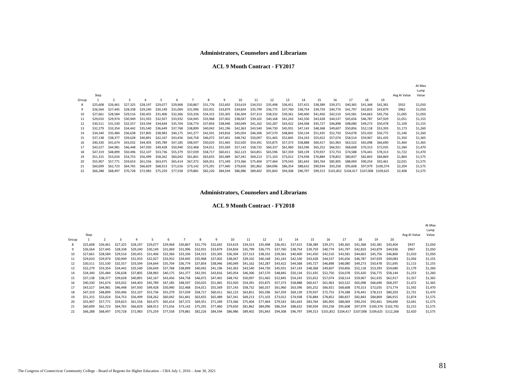#### **ACL 9 Month Contract - FY2017**

|       |          |          |          |                |          |          |                   |          |          |                                     |          |          |          |          |          |                                         |          |          |           |              | At Max<br>Lump |
|-------|----------|----------|----------|----------------|----------|----------|-------------------|----------|----------|-------------------------------------|----------|----------|----------|----------|----------|-----------------------------------------|----------|----------|-----------|--------------|----------------|
|       | Step     |          |          |                |          |          |                   |          |          |                                     |          |          |          |          |          |                                         |          |          |           | Avg AI Value | Value          |
| Group |          |          |          | $\overline{a}$ |          | 6        |                   | 8        | 9        | 10                                  | 11       | 12       | 13       | 14       | 15       | 16                                      | 17       | 18       | 19        |              |                |
|       | \$25,608 | \$26,461 | \$27.325 | \$28.197       | \$29,077 | \$29,968 | \$30,867          | \$31.776 | \$32.692 | \$33,619                            | \$34,553 | \$35,498 | \$36,451 | \$37,415 | \$38,389 | \$39,371                                | \$40,365 | \$41,368 | \$42,381  | \$932        | \$1,050        |
|       | \$26,564 | \$27,445 | \$28,338 | \$29,240       | \$30,149 | \$31,069 | \$31,996          | \$32,931 | \$33,879 | \$34,834                            | \$35,799 | \$36,775 | \$37,760 | \$38,754 | \$39,759 | \$40,774                                | \$41,797 | \$42,833 | \$43,879  | \$962        | \$1,050        |
| 10    | \$27.661 | \$28.584 | \$29,516 | \$30,455       | \$31,406 | \$32,366 | \$33,336          | \$34,315 | \$35,305 | \$36,304                            | \$37,313 | \$38,332 | \$39,361 | \$40,400 | \$41,450 | \$42,510                                | \$43.581 | \$44,663 | \$45,756  | \$1,005      | \$1,050        |
|       | \$29,010 | \$29,974 | \$30,949 | \$31,933       | \$32.927 | \$33.932 | \$34.945          | \$35,968 | \$37.002 | \$38,047                            | \$39,102 | \$40,168 | \$41.243 | \$42,330 | \$43,428 | \$44,537                                | \$45,656 | \$46,787 | \$47,929  | \$1,051      | \$1,155        |
|       | \$30.511 | \$31.530 | \$32,557 | \$33.594       | \$34,644 | \$35.704 | \$36.774          | \$37.854 | \$38.946 | \$40.049                            | \$41,162 | \$42,287 | \$43.422 | \$44,568 | \$45,727 | \$46,898                                | \$48,080 | \$49,273 | \$50,478  | \$1,109      | \$1,155        |
| 13    | \$32,279 | \$33,354 | \$34.442 | \$35,540       | \$36,649 | \$37.768 | \$38.899          | \$40,042 | \$41.196 | \$42,363                            | \$43,540 | \$44.730 | \$45.931 | \$47.143 | \$48.368 | \$49,607                                | \$50,856 | S52.118  | \$53,393  | \$1,173      | \$1,260        |
| 14    | \$34,340 | \$35,484 | \$36,638 | \$37.805       | \$38,983 | \$40.175 | \$41.377          | \$42,591 | \$43.816 | \$45,054                            | \$46,306 | \$47,570 | \$48.845 | \$50.134 | \$51,435 | \$52.750                                | \$54,078 | \$55,420 | S56.775   | \$1,246      | \$1,260        |
| 15    | \$37.138 | \$38,377 | \$39,628 | \$40,891       | \$42.167 |          | \$43,456 \$44,758 |          |          | \$46,072 \$47,401 \$48,742 \$50,097 |          | \$51,465 | \$52.845 | \$54.243 | \$55.652 | \$57.074                                | \$58.514 | \$59,967 | \$61,435  | \$1,350      | \$1,365        |
| 16    | \$40,330 | \$41.674 | \$43.032 | \$44,403       | \$45.789 | \$47,185 | \$48,597          | \$50,025 | \$51,465 | \$52,920 \$54,391                   |          | \$55,875 | \$57,373 | \$58,888 | \$60,417 | \$61,963                                | \$63.522 | \$65,098 | \$66,690  | \$1,464      | \$1,365        |
| 17    | \$43.527 | \$44,981 | \$46,448 | \$47,930       | \$49.428 | \$50.940 | \$52.468          | \$54,011 | \$55,569 | \$57,143                            | \$58,732 | \$60,337 | \$61.960 | \$63.596 | \$65,252 | \$66.921                                | \$68,608 | \$70.313 | \$72,035  | \$1,584      | \$1,470        |
| 18    | \$47,319 | \$48,899 | \$50,496 | \$52,107       | \$53.736 | \$55.379 | \$57.039          | \$58.717 | \$60.411 | \$62,123                            | \$63,851 | \$65,596 | \$67.359 | \$69,139 | \$70.937 | \$72.753                                | \$74.588 | \$76,441 | \$78.313  | \$1,722      | \$1,470        |
|       | \$51,315 | \$53.024 | \$54.753 | \$56,499       | \$58,262 | \$60,042 | \$61,841          | \$63,655 | \$65.489 | \$67,341                            | \$69,213 | \$71,103 | \$73.012 | \$74,938 | \$76.884 | \$78.852                                | \$80,837 | \$82,843 | \$84,869  | \$1,864      | \$1,575        |
| 20    | \$55,907 | \$57.771 | \$59,653 | \$61,556       | \$63,475 | \$65,414 | \$67.372          | \$69,351 | \$71,349 | \$73,366                            | \$75,404 | \$77,464 | \$79,543 | \$81,643 | \$83,764 | \$85,905                                | \$88,069 | \$90,254 | \$92,461  | \$2,031      | \$1,575        |
| 21    | \$60,699 | \$62,723 | \$64,765 | \$66,829       | \$68,913 | \$71,016 | \$73.142          | \$75,291 | \$77,460 | \$79.650                            | \$81,862 | \$84,096 | \$86,354 | \$88,632 | \$90,934 | \$93,258                                | \$95,608 | \$97.979 | \$100.374 | \$2,204      | \$1,575        |
| 22    | \$66,288 | \$68,497 | \$70.728 | \$72.983       | \$75,259 | \$77,558 | \$79,881          | \$82,226 | \$84,594 | \$86,986                            | \$89,402 | \$91,843 | \$94,308 | \$96,797 | \$99,313 | \$101,852 \$104,417 \$107,008 \$109,625 |          |          |           | \$2,408      | \$1,575        |

#### **Administrators, Counselors and Librarians**

#### **ACL 9 Month Contract - FY2018**

|       |          |          |          |          |          |          |          |          |          |                 |          |          |          |          |          |          |          |          |                                                   |           |              | At Max  |
|-------|----------|----------|----------|----------|----------|----------|----------|----------|----------|-----------------|----------|----------|----------|----------|----------|----------|----------|----------|---------------------------------------------------|-----------|--------------|---------|
|       |          |          |          |          |          |          |          |          |          |                 |          |          |          |          |          |          |          |          |                                                   |           |              | Lump    |
|       | Step     |          |          |          |          |          |          |          |          |                 |          |          |          |          |          |          |          |          |                                                   |           | Avg AI Value | Value   |
| Group |          |          |          |          |          | 6        |          | 8        |          | 10 <sup>2</sup> | 11       | 12       | 13       | 14       | 15       | 16       |          | 18       | 19                                                | 20        |              |         |
| 8     | \$25,608 | \$26,461 | \$27,325 | \$28,197 | \$29,077 | \$29,968 | \$30,867 | \$31,776 | \$32,692 | \$33,619        | \$34,553 | \$35,498 | \$36,451 | \$37.415 | \$38,389 | \$39,371 | \$40,365 | \$41,368 | \$42,381                                          | \$43,404  | \$937        | \$1,050 |
|       | \$26.564 | \$27,445 | \$28,338 | \$29,240 | \$30,149 | \$31,069 | \$31.996 | \$32.931 | \$33,879 | \$34.834        | \$35,799 | \$36,775 | \$37,760 | \$38,754 | \$39.759 | \$40,774 | \$41,797 | \$42.833 | \$43,879                                          | \$44,936  | \$967        | \$1,050 |
| 10    | \$27.661 | \$28,584 | \$29,516 | \$30,455 | \$31,406 | \$32,366 | \$33.336 | \$34.315 | \$35.305 | \$36.304        | \$37,313 | \$38,332 | \$39,361 | \$40,400 | \$41.450 | \$42,510 | \$43.581 | \$44,663 | \$45,756                                          | \$46,860  | \$1,010      | \$1,050 |
| 11    | \$29,010 | \$29,974 | \$30,949 | \$31.933 | \$32.927 | \$33.932 | \$34.945 | \$35,968 | \$37.002 | \$38,047        | \$39,102 | \$40,168 | \$41,243 | \$42,330 | \$43.428 | S44.537  | \$45,656 | \$46,787 | \$47,929                                          | \$49,083  | \$1,056      | \$1,155 |
| 12    | \$30,511 | \$31,530 | \$32.557 | \$33.594 | \$34,644 | \$35,704 | \$36,774 | \$37.854 | \$38,946 | \$40,049        | \$41.162 | \$42,287 | \$43,422 | \$44,568 | \$45.727 | \$46,898 | \$48,080 | \$49,273 | S50.478                                           | \$51.695  | \$1,115      | \$1,155 |
| 13    | \$32,279 | \$33,354 | \$34,442 | \$35,540 | \$36,649 | \$37.768 | \$38,899 | \$40,042 | \$41.196 | \$42.363        | \$43.540 | \$44.730 | \$45.931 | \$47.143 | \$48,368 | \$49,607 | \$50,856 | \$52,118 | \$53,393                                          | \$54,680  | \$1.179      | \$1,260 |
| 14    | \$34,340 | \$35,484 | \$36,638 | \$37.805 | \$38,983 | \$40,175 | \$41.377 | \$42,591 | \$43.816 | \$45.054        | \$46.306 | \$47.570 | \$48,845 | \$50.134 | \$51.435 | \$52,750 | \$54,078 | \$55.420 | S56.775                                           | S58.144   | \$1,253      | \$1,260 |
| 15    | \$37.138 | \$38,377 | \$39,628 | \$40,891 | \$42,167 | \$43,456 | \$44.758 | \$46,072 | \$47.401 | \$48.742        | \$50.097 | \$51.465 | \$52,845 | \$54.243 | \$55.652 | \$57.074 | \$58,514 | \$59,967 | \$61,435                                          | S62.917   | \$1,357      | \$1,365 |
| 16    | \$40,330 | \$41.674 | \$43.032 | \$44,403 | \$45.789 | \$47.185 | \$48,597 | \$50,025 | \$51.465 | \$52.920        | \$54.391 | \$55.875 | \$57.373 | \$58.888 | \$60,417 | \$61,963 | \$63.522 | \$65,098 | \$66,690                                          | \$68,297  | \$1,472      | \$1,365 |
| 17    | \$43.527 | \$44,981 | \$46,448 | \$47,930 | \$49,428 | \$50,940 | \$52,468 | \$54,011 | \$55.569 | \$57.143        | \$58.732 | \$60.337 | \$61.960 | \$63,596 | \$65.252 | \$66,921 | \$68,608 | \$70.313 | \$72,035                                          | S73.774   | \$1,592      | \$1,470 |
| 18    | \$47.319 | \$48,899 | \$50,496 | \$52,107 | \$53.736 | \$55.379 | \$57.039 | \$58,717 | \$60,411 | \$62.123        | \$63,851 | \$65.596 | \$67,359 | \$69.139 | \$70.937 | \$72.753 | \$74,588 | \$76.441 | \$78.313                                          | \$80,203  | \$1.731      | \$1,470 |
| 19    | \$51,315 | \$53.024 | \$54,753 | \$56,499 | \$58,262 | \$60,042 | \$61,841 | \$63,655 | \$65,489 | \$67.341        | \$69,213 | \$71.103 | \$73.012 | \$74.938 | \$76.884 | \$78.852 | \$80,837 | \$82.843 | \$84,869                                          | S86.915   | \$1.874      | \$1,575 |
| 20    | \$55,907 | \$57,771 | \$59,653 | \$61,556 | \$63,475 | \$65,414 | \$67,372 | \$69,351 | \$71.349 | \$73.366        | \$75.404 | \$77,464 | \$79.543 | \$81.643 | \$83.764 | \$85,905 | \$88,069 | \$90,254 | \$92,461                                          | \$94,690  | \$2.041      | \$1,575 |
| 21    | \$60,699 | \$62,723 | \$64,765 | \$66,829 | \$68,913 | \$71,016 | \$73.142 | \$75.291 | \$77.460 | \$79.650        | \$81,862 | \$84,096 | \$86,354 | \$88.632 | \$90.934 | \$93,258 | \$95,608 | \$97.979 | \$100.374                                         | \$102.792 | \$2.215      | \$1,575 |
| 22    | \$66,288 | \$68,497 | \$70,728 | \$72.983 | \$75.259 | \$77.558 | \$79.881 | \$82,226 | \$84,594 | \$86,986        | \$89,402 | \$91.843 | \$94,308 | \$96.797 | \$99,313 |          |          |          | \$101,852 \$104,417 \$107,008 \$109,625 \$112,268 |           | \$2,420      | \$1,575 |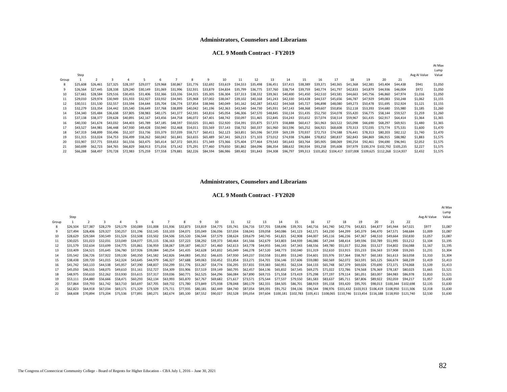#### **ACL 9 Month Contract - FY2019**

|       |          |          |          |          |          |          |                   |          |                                     |                                     |                   |          |                   |          |          |          |          |          |          |                                                             |          |              | Lump    |
|-------|----------|----------|----------|----------|----------|----------|-------------------|----------|-------------------------------------|-------------------------------------|-------------------|----------|-------------------|----------|----------|----------|----------|----------|----------|-------------------------------------------------------------|----------|--------------|---------|
|       | Step     |          |          |          |          |          |                   |          |                                     |                                     |                   |          |                   |          |          |          |          |          |          |                                                             |          | Avg AI Value | Value   |
| Group |          |          |          |          | 5        | 6        |                   |          |                                     | 10 <sup>2</sup>                     | 11                | 12       | 13                | 14       | 15       | 16       | 17       | 18       | 19       | 20                                                          | 21       |              |         |
|       | \$25,608 |          | \$27.325 | \$28.197 | \$29,077 | \$29,968 | \$30,867          | \$31.776 | \$32.692                            | \$33.619                            | \$34.553          | \$35.498 | \$36,451          | \$37.415 | \$38,389 | \$39.371 | \$40,365 | \$41,368 | \$42,381 | \$43,404                                                    | \$44.438 | \$941        | \$1,050 |
|       | \$26,564 | \$27.445 | \$28,338 | \$29,240 | \$30.149 | \$31.069 | \$31.996          | \$32.931 | \$33,879                            | \$34,834                            | \$35,799          | \$36,775 | \$37.760          | \$38,754 | \$39,759 | \$40,774 | \$41.797 | \$42,833 | \$43.879 | S44.936                                                     | \$46,004 | \$972        | \$1,050 |
| 10    | \$27.661 | \$28.584 | \$29.516 | \$30.455 | \$31,406 | \$32.366 | \$33.336          | \$34.315 | \$35.305                            | \$36,304                            | \$37,313          | \$38,332 | \$39,361          | \$40,400 | \$41.450 | \$42.510 | \$43.581 | \$44,663 | \$45.756 | \$46,860                                                    | \$47.974 | \$1,016      | \$1,050 |
|       | \$29,010 | \$29.974 | \$30,949 | \$31.933 | \$32.927 | \$33.932 | \$34.945          | \$35,968 | \$37,002                            | \$38,047                            | \$39.102          | \$40,168 | \$41.243          | \$42.330 | \$43.428 | \$44.537 | \$45.656 | \$46,787 | \$47.929 | \$49,083                                                    | \$50,248 | \$1,062      | \$1,155 |
|       | \$30.511 | \$31.530 | \$32.557 | \$33.594 | \$34.644 | \$35.704 | \$36,774          | \$37,854 | \$38.946                            | \$40,049                            | \$41.162          | \$42,287 | \$43.422          | \$44.568 | \$45.727 | \$46.898 | \$48,080 | \$49,273 | \$50.478 | \$51.695                                                    | \$52.924 | \$1,121      | \$1,155 |
| 13    | \$32,279 | \$33.354 | \$34,442 | \$35.540 | \$36,649 | \$37.768 | \$38.899          | \$40,042 | \$41.196                            | \$42.363                            | \$43.540          | \$44,730 | \$45.931          | \$47.143 | \$48.368 | \$49.607 | \$50.856 | \$52,118 | \$53.393 | \$54,680                                                    | \$55.980 | \$1,185      | \$1,260 |
|       | \$34,340 | \$35.484 | \$36.638 | \$37.805 | \$38.983 |          | \$40.175 \$41.377 | \$42.591 | \$43.816                            | \$45,054 \$46,306 \$47,570 \$48,845 |                   |          |                   | \$50.134 | \$51.435 | \$52.750 | \$54.078 | \$55.420 | \$56.775 | \$58.144                                                    | \$59.527 | \$1,259      | \$1,260 |
| 15    | \$37.138 | \$38.377 | \$39.628 | \$40.891 | \$42.167 |          | \$43,456 \$44,758 |          | \$46,072 \$47,401 \$48,742 \$50,097 |                                     |                   | \$51,465 | \$52,845 \$54,243 |          | \$55.652 | \$57.074 | \$58.514 | \$59.967 | \$61.435 | \$62.917                                                    | \$64,414 | \$1,364      | \$1,365 |
| 16    | \$40.330 | \$41.674 | \$43.032 | \$44,403 | \$45.789 | \$47.185 | \$48.597          | \$50.025 | \$51.465                            |                                     | \$52.920 \$54.391 | \$55.875 | \$57.373          | \$58.888 | \$60.417 | \$61.963 | \$63.522 | \$65,098 | \$66.690 | \$68,297                                                    | \$69.921 | \$1,480      | \$1,365 |
|       | \$43.527 | \$44.981 | \$46,448 | \$47.930 | \$49.428 | \$50.940 | \$52.468          | \$54.011 | \$55.569                            | \$57.143                            | \$58.732          | \$60.337 | \$61.960          | \$63.596 | \$65.252 | \$66.921 | \$68,608 | \$70.313 | \$72.035 | S73.774                                                     | \$75.531 | \$1,600      | \$1,470 |
| 18    | \$47.319 | \$48.899 | \$50,496 | \$52,107 | \$53.736 | \$55.379 | \$57.039          | \$58.717 | \$60.411                            | \$62,123                            | \$63.851          | \$65.596 | \$67.359          | \$69.139 | \$70.937 | \$72.753 | \$74.588 | \$76.441 | \$78.313 | \$80,203                                                    | \$82.112 | \$1,740      | \$1,470 |
| 19    | \$51.315 | \$53.024 | \$54,753 | \$56.499 | \$58,262 | \$60.042 | \$61.841          | \$63.655 | \$65.489                            | \$67.341                            | \$69.213          | \$71.103 | \$73.012          | \$74.938 | \$76.884 | \$78.852 | \$80,837 | \$82.843 | \$84,869 | \$86,915                                                    | \$88,982 | \$1,883      | \$1,575 |
| 20    | \$55.907 | \$57.771 | \$59,653 | \$61.556 | \$63,475 | \$65.414 | \$67.372          | \$69.351 | \$71.349                            | \$73.366                            | \$75.404          | \$77.464 | \$79.543          | \$81.643 | \$83.764 | \$85.905 | \$88,069 | \$90,254 | \$92.461 | \$94,690                                                    | \$96.941 | \$2.052      | \$1,575 |
|       | \$60,699 | \$62.723 | \$64,765 | \$66,829 | \$68,913 | \$71,016 | \$73.142          | \$75.291 | \$77.460                            | \$79,650                            | \$81.862          | \$84.096 | \$86,354          | \$88,632 | \$90,934 | \$93.258 | \$95,608 | \$97.979 |          | S100.374 S102.792 S105.235                                  |          | \$2,227      | \$1,575 |
|       | \$66.288 | S68.497  | \$70.728 | \$72.983 | \$75.259 | \$77.558 | \$79.881          | \$82.226 | \$84.594                            | \$86,986                            | \$89,402          | \$91,843 | \$94,308          | \$96,797 | \$99,313 |          |          |          |          | \$101.852 \$104.417 \$107.008 \$109.625 \$112.268 \$114.937 |          | \$2,432      | \$1,575 |

#### **Administrators, Counselors and Librarians**

#### **ACL 9 Month Contract - FY2020**

|       |          |          |          |          |          |          |          |          |          |          |          |          |                   |                            |          |          |                   |          |          |                                                                                                    |                     |          |              | At Max<br>Lump |
|-------|----------|----------|----------|----------|----------|----------|----------|----------|----------|----------|----------|----------|-------------------|----------------------------|----------|----------|-------------------|----------|----------|----------------------------------------------------------------------------------------------------|---------------------|----------|--------------|----------------|
|       | Step     |          |          |          |          |          |          |          |          |          |          |          |                   |                            |          |          |                   |          |          |                                                                                                    |                     |          | Avg AI Value | Value          |
| Group |          |          |          |          |          |          |          |          | q        | 10       | 11       | 12       | 13                | 14                         | 15       | 16       | 17                | 18       | 19       | 20                                                                                                 | 21                  | 22       |              |                |
|       | \$26,504 | \$27.387 | \$28,279 | \$29,179 | \$30,089 | \$31,008 | \$31.936 | \$32.873 | \$33,819 | \$34.775 | \$35.741 | \$36.716 | \$37.701          | \$38.696                   | \$39.701 | \$40.716 | \$41.740          | \$42.776 | \$43.821 | \$44,877                                                                                           | \$45.944            | S47.021  | \$977        | \$1,087        |
|       | \$27.494 | \$28,406 | \$29.327 | \$30.257 | \$31.196 | \$32.145 | \$33.103 | \$34.071 | \$35.049 | \$36.036 | \$37.034 | \$38.041 | \$39.058          | \$40.086                   | \$41.123 | \$42.171 | \$43.230          | \$44.299 | \$45.379 | \$46,470                                                                                           | \$47.571            | \$48,684 | \$1,009      | \$1,087        |
|       | \$28,629 | \$29.584 | \$30,549 | \$31.524 | \$32,508 | \$33.502 | \$34.506 | \$35.520 | \$36,544 | \$37.579 | \$38.624 | \$39.679 | \$40.745          | \$41.821                   | \$42.908 | \$44.007 | \$45.116          | \$46.236 | \$47.367 | \$48.510                                                                                           | \$49.664            | \$50.830 | \$1,057      | \$1,087        |
|       | \$30.025 | \$31.023 | \$32.031 | \$33.049 | \$34,077 | \$35.115 | \$36.163 | \$37.223 | \$38,292 | \$39.373 | \$40,464 | \$41.566 |                   | \$42,679 \$43,803          | \$44.939 | \$46.086 | \$47.244          | \$48,414 | \$49.596 | \$50.789                                                                                           | \$51,995            | \$53.212 | \$1,104      | \$1,195        |
|       | \$31.579 | \$32.634 | \$33.699 | \$34,775 | \$35,861 | \$36.959 | \$38,067 | \$39.187 | \$40.317 | \$41.460 | \$42.613 | \$43.778 | \$44,955 \$46,143 |                            | \$47.343 | \$48.556 | \$49.780          | \$51.017 | \$52.266 | \$53.527                                                                                           | \$54.802            | \$56,088 | \$1,167      | \$1,195        |
|       | \$33,409 | \$34.521 | \$35.645 | \$36.780 | \$37.926 | \$39.084 | \$40.254 | \$41.435 | \$42.628 | \$43.832 | \$45.049 | \$46.278 | \$47.520 \$48.773 |                            | \$50.040 | \$51.319 | \$52.610          | \$53.915 | \$55.233 | \$56,563                                                                                           | \$57.908            | \$59.265 | \$1,231      | \$1,304        |
|       | \$35.542 | \$36.726 | \$37.922 | \$39.130 | \$40.350 | \$41.582 | \$42.826 | \$44.083 | \$45.352 | \$46.635 | \$47.930 | \$49.237 |                   | \$50.558 \$51.893          | \$53.240 | \$54.601 | \$55.976 \$57.364 |          | \$58.767 | \$60.183                                                                                           | \$61.613            | \$63.058 | \$1,310      | \$1,304        |
| 15    | \$38,438 | \$39.720 | \$41.015 | \$42.324 | \$43.645 | \$44.979 | \$46.327 | \$47.688 | \$49.063 | \$50.452 | \$51.854 | \$53.271 |                   | \$54,701 \$56,146 \$57,606 |          | \$59.080 | \$60.569          | \$62.072 | \$63.591 | \$65.125                                                                                           | \$66.674            | \$68,239 | \$1,419      | \$1,413        |
|       | \$41.742 | \$43.133 | \$44.538 | \$45.957 | \$47.390 | \$48.837 | \$50.299 | \$51.776 | \$53.267 | \$54.774 | \$56.295 | \$57.831 | \$59.383          | \$60.951                   | \$62.534 | \$64.133 | \$65.748          | \$67.379 | \$69.026 | \$70.690                                                                                           | \$72.371            | \$74,068 | \$1,539      | \$1,413        |
|       | \$45.050 | \$46,555 | \$48,075 | \$49.610 | \$51.161 | \$52.727 | \$54.309 | \$55.906 | \$57.519 | \$59.149 | \$60.795 | \$62.457 |                   | \$64.136 \$65.832          | \$67.545 | \$69.275 | \$71.022          | \$72.786 | \$74.568 | \$76.369                                                                                           | \$78.187            | \$80,023 | \$1,665      | \$1,521        |
|       | \$48,975 | S50.610  | \$52,262 | \$53.930 | \$55.615 | S57.317  | \$59.036 | \$60.771 | \$62,525 | \$64.296 | \$66.084 | \$67.890 | \$69.715          | \$71.558                   | \$73.419 | \$75.298 | \$77.197          | \$79.114 | S81.051  | S83.007                                                                                            | S84.983             | S86.978  | \$1,810      | \$1,521        |
|       | \$53.111 | \$54,880 | \$56,666 | S58.471  | \$60,293 | \$62.134 | \$63.993 | \$65.870 | \$67.767 | \$69.682 | \$71.617 | \$73.571 | \$75.544          | \$77.537                   | \$79.550 | \$81.583 | \$83.637          | \$85.711 | \$87,806 | \$89.922                                                                                           | \$92,059            | \$94.217 | \$1,957      | \$1,630        |
|       | \$57.864 | \$59,793 | \$61,742 | \$63.710 | \$65,697 | \$67.705 | \$69.732 | \$71.780 | \$73.849 | \$75.938 | \$78.048 | \$80.179 | \$82.331          | \$84.505                   | \$86.701 | \$88.919 | \$91.158          | \$93.420 | \$95.705 | \$98.013                                                                                           | \$100.344 \$102.698 |          | \$2,135      | \$1,630        |
| 21    | \$62,823 | \$64,918 | \$67.034 | \$69.171 | \$71.329 | \$73.509 | \$75.711 | \$77.935 | \$80.181 | \$82.449 | \$84.740 | \$87.054 | \$89.391          | \$91.752                   | \$94.136 | \$96.544 |                   |          |          | \$98,976 \$101,432 \$103,913 \$106,419 \$108,950 \$111,506                                         |                     |          | \$2,318      | \$1,630        |
|       | \$68,608 | \$70.894 | \$73.204 | \$75.536 | \$77.891 | \$80,271 | \$82.674 | \$85.100 | \$87.552 | \$90,027 | \$92,528 | \$95,054 |                   |                            |          |          |                   |          |          | \$97,604 \$100,181 \$102,783 \$105,411 \$108,065 \$110,746 \$113,454 \$116,188 \$118,950 \$121,740 |                     |          | \$2,530      | \$1,630        |

At Max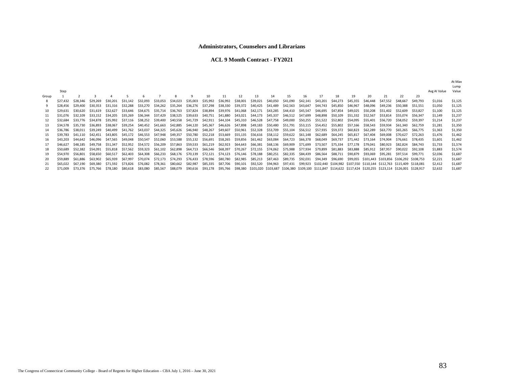#### **ACL 9 Month Contract - FY2021**

|       |          |          |          |          |          |                            |          |          |                            |          |                            |          |                                                                         |          |          |                   |                   |                                                                                                                                 |          |                                                  |          |          |          |              | Lump    |
|-------|----------|----------|----------|----------|----------|----------------------------|----------|----------|----------------------------|----------|----------------------------|----------|-------------------------------------------------------------------------|----------|----------|-------------------|-------------------|---------------------------------------------------------------------------------------------------------------------------------|----------|--------------------------------------------------|----------|----------|----------|--------------|---------|
|       | Step     |          |          |          |          |                            |          |          |                            |          |                            |          |                                                                         |          |          |                   |                   |                                                                                                                                 |          |                                                  |          |          |          | Avg Al Value | Value   |
| Group |          |          |          |          |          |                            |          |          |                            | 10       | 11                         | 12       | 13                                                                      | 14       | 15       | 16                | 17                | 18                                                                                                                              | 19       | 20                                               | 21       | 22       | 23       |              |         |
|       | \$27,432 | \$28,346 | \$29,269 | \$30,201 | \$31.142 | \$32.093                   | \$33.053 | \$34.023 | \$35.003                   | \$35.992 | \$36,992                   | \$38,001 | \$39,021                                                                | \$40.050 | \$41,090 | \$42,141          | \$43,201          | \$44,273                                                                                                                        | \$45.355 | \$46,448                                         | \$47.552 | \$48,667 | \$49.793 | \$1,016      | \$1,125 |
|       | \$28,456 | \$29,400 | \$30.353 | \$31.316 | \$32.288 | \$33.270                   | \$34.262 | \$35.264 | \$36.276                   | \$37.298 |                            |          | \$38.330 \$39.372 \$40.425 \$41.489                                     |          |          | \$42.563 \$43.647 | \$44.743          | \$45.850                                                                                                                        | \$46.967 | \$48.096                                         | \$49.236 | \$50.388 | S51.551  | \$1,050      | \$1,125 |
| 10    | \$29.631 | \$30.620 | \$31.619 | \$32.627 | \$33.646 | \$34.675                   | \$35.714 | \$36.763 | \$37.824                   | \$38.894 |                            |          | \$39.976 \$41.068 \$42.171 \$43.285 \$44.410 \$45.547                   |          |          |                   | \$46.695          | \$47.854                                                                                                                        | \$49.025 | \$50.208                                         | \$51.402 | S52.609  | \$53.827 | \$1,100      | \$1.125 |
| 11    | \$31.076 | \$32,109 | \$33.152 | \$34.205 | \$35.269 | \$36.344                   | \$37.429 | \$38.525 | \$39.633                   | \$40.751 | \$41.880                   |          | \$43.021 \$44.173 \$45.337                                              |          |          | \$46,512 \$47,699 | \$48.898          | \$50.109                                                                                                                        | \$51.332 | \$52.567                                         | \$53.814 | \$55.074 | S56.347  | \$1.149      | \$1,237 |
| 12    | \$32,684 | \$33.776 | \$34.878 | \$35.992 | \$37.116 | \$38.252                   | \$39,400 | \$40.558 | \$41.729                   | \$42.911 | \$44.104                   |          | \$45,310 \$46,528 \$47,758                                              |          | \$49,000 | \$50,255          | \$51,522          | \$52.802                                                                                                                        | \$54,095 | \$55,401                                         | \$56.720 | S58.052  | S59.397  | \$1,214      | \$1,237 |
| 13    | \$34.578 | \$35.730 | \$36.893 | \$38,067 | \$39,254 | \$40.452                   | \$41.663 | \$42.885 | \$44.120                   | \$45.367 | \$46,626 \$47,898 \$49,183 |          |                                                                         | \$50.480 |          |                   |                   | \$55.802                                                                                                                        | \$57.166 | \$58.543                                         | \$59.934 | S61.340  | \$62.759 | \$1,281      | \$1,350 |
| 14    | \$36.786 | \$38,011 | \$39.249 | \$40.499 | \$41.762 | \$43.037                   | \$44.325 |          | \$45,626 \$46.940          | \$48.267 | \$49,607                   |          | \$50,961 \$52,328 \$53,709                                              |          | \$55,104 |                   | \$56.512 \$57.935 | \$59,372                                                                                                                        | \$60.823 | \$62.289                                         | \$63.770 | S65.265  | S66.775  | \$1,363      | \$1,350 |
|       | \$39.783 | \$41.110 | \$42.451 | \$43.805 | \$45.172 | \$46.553                   | \$47.948 | \$49.357 |                            |          |                            |          | \$50,780 \$52,218 \$53,669 \$55,135 \$56,616 \$58,112 \$59,622 \$61,148 |          |          |                   | \$62.689          | \$64.245                                                                                                                        | \$65.817 | \$67.404                                         | \$69.008 | \$70.627 | \$72.263 | \$1,476      | \$1,462 |
| 16    | \$43.203 | \$44.642 | \$46.096 | \$47.565 | \$49.048 | \$50.547                   | \$52.060 | \$53.588 |                            |          |                            |          | \$55.132 \$56.691 \$58.265 \$59.856 \$61.462 \$63.084 \$64.723          |          |          | \$66.378          | \$68.049          | \$69.737                                                                                                                        |          | \$71.442 \$73.164                                | \$74.904 | \$76.661 | \$78.435 | \$1,601      | \$1,462 |
| 17    | \$46.627 | \$48.185 | \$49.758 | \$51.347 |          | \$52.952 \$54.572 \$56.209 |          | \$57.863 | \$59.533                   |          |                            |          | \$61,219 \$62,923 \$64,643 \$66,381 \$68,136 \$69,909                   |          |          | \$71.699          | \$73.507          | \$75.334                                                                                                                        | \$77.178 | S79.041 \$80.923                                 |          | \$82.824 | \$84.743 | \$1,733      | \$1,574 |
| 18    | \$50.689 | \$52.382 | \$54.091 | \$55.818 | \$57.562 | \$59.323                   | \$61.102 | \$62.898 | \$64.713 \$66.546 \$68.397 |          |                            | \$70.267 | \$72.155 \$74.062 \$75.988 \$77.934                                     |          |          |                   | \$79.899          | \$81.883                                                                                                                        | \$83.888 | \$85.912 \$87.957                                |          | \$90.022 | \$92.108 | \$1,883      | \$1,574 |
| 19    | \$54.970 | \$56.801 | \$58.650 | \$60.517 | \$62.403 | \$64.308                   | \$66.233 | \$68.176 | \$70.139                   | \$72.121 |                            |          | \$74,123 \$76,146 \$78,188 \$80,251                                     |          | \$82.335 | \$84.439          | \$86.564          | \$88.711                                                                                                                        | \$90.879 | \$93.069                                         | \$95.281 | \$97.514 | \$99.771 | \$2,036      | \$1,687 |
| 20    | \$59.889 | \$61.886 | \$63.902 | \$65.939 | \$67.997 | \$70.074                   | \$72.173 | \$74.293 | \$76.433                   | \$78.596 | \$80.780                   |          | \$82,985 \$85,213                                                       | \$87.463 | \$89.735 | \$92.031          | \$94.349          | \$96.690                                                                                                                        |          | \$99.055 \$101.443 \$103.856 \$106.292 \$108.753 |          |          |          | \$2,221      | \$1,687 |
| 21    | \$65,022 | \$67.190 | \$69,380 | \$71.592 | \$73.826 | \$76.082                   | \$78.361 | \$80,662 | \$82.987                   | \$85.335 | \$87.706                   | \$90.101 | \$92.520                                                                | \$94.963 | \$97.431 |                   |                   | \$99,923 \$102,440 \$104,982 \$107,550 \$110,144 \$112,763 \$115,409 \$118,081                                                  |          |                                                  |          |          |          | \$2,412      | \$1,687 |
|       | \$71,009 | \$73.376 | \$75.766 | \$78.180 | \$80.618 | \$83.080                   | \$85.567 | \$88.079 | \$90.616                   | \$93,178 |                            |          |                                                                         |          |          |                   |                   | \$95,766 \$98,380 \$101,020 \$103,687 \$106,380 \$109,100 \$111,847 \$114,622 \$117,424 \$120,255 \$123,114 \$126,001 \$128,917 |          |                                                  |          |          |          | \$2,632      | \$1,687 |

At Max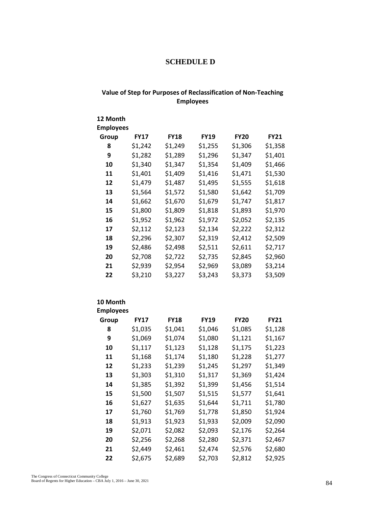### **SCHEDULE D**

### **Value of Step for Purposes of Reclassification of Non-Teaching Employees**

| 12 Month<br><b>Employees</b> |             |             |             |             |             |
|------------------------------|-------------|-------------|-------------|-------------|-------------|
| Group                        | <b>FY17</b> | <b>FY18</b> | <b>FY19</b> | <b>FY20</b> | <b>FY21</b> |
| 8                            | \$1,242     | \$1,249     | \$1,255     | \$1,306     | \$1,358     |
| 9                            | \$1,282     | \$1,289     | \$1,296     | \$1,347     | \$1,401     |
| 10                           | \$1,340     | \$1,347     | \$1,354     | \$1,409     | \$1,466     |
| 11                           | \$1,401     | \$1,409     | \$1,416     | \$1,471     | \$1,530     |
| 12                           | \$1,479     | \$1,487     | \$1,495     | \$1,555     | \$1,618     |
| 13                           | \$1,564     | \$1,572     | \$1,580     | \$1,642     | \$1,709     |
| 14                           | \$1,662     | \$1,670     | \$1,679     | \$1,747     | \$1,817     |
| 15                           | \$1,800     | \$1,809     | \$1,818     | \$1,893     | \$1,970     |
| 16                           | \$1,952     | \$1,962     | \$1,972     | \$2,052     | \$2,135     |
| 17                           | \$2,112     | \$2,123     | \$2,134     | \$2,222     | \$2,312     |
| 18                           | \$2,296     | \$2,307     | \$2,319     | \$2,412     | \$2,509     |
| 19                           | \$2,486     | \$2,498     | \$2,511     | \$2,611     | \$2,717     |
| 20                           | \$2,708     | \$2,722     | \$2,735     | \$2,845     | \$2,960     |
| 21                           | \$2,939     | \$2,954     | \$2,969     | \$3,089     | \$3,214     |
| 22                           | \$3,210     | \$3,227     | \$3,243     | \$3,373     | \$3,509     |

### **10 Month**

| <b>Employees</b> |             |             |             |             |             |
|------------------|-------------|-------------|-------------|-------------|-------------|
| Group            | <b>FY17</b> | <b>FY18</b> | <b>FY19</b> | <b>FY20</b> | <b>FY21</b> |
| 8                | \$1,035     | \$1,041     | \$1,046     | \$1,085     | \$1,128     |
| 9                | \$1,069     | \$1,074     | \$1,080     | \$1,121     | \$1,167     |
| 10               | \$1,117     | \$1,123     | \$1,128     | \$1,175     | \$1,223     |
| 11               | \$1,168     | \$1,174     | \$1,180     | \$1,228     | \$1,277     |
| 12               | \$1,233     | \$1,239     | \$1,245     | \$1,297     | \$1,349     |
| 13               | \$1,303     | \$1,310     | \$1,317     | \$1,369     | \$1,424     |
| 14               | \$1,385     | \$1,392     | \$1,399     | \$1,456     | \$1,514     |
| 15               | \$1,500     | \$1,507     | \$1,515     | \$1,577     | \$1,641     |
| 16               | \$1,627     | \$1,635     | \$1,644     | \$1,711     | \$1,780     |
| 17               | \$1,760     | \$1,769     | \$1,778     | \$1,850     | \$1,924     |
| 18               | \$1,913     | \$1,923     | \$1,933     | \$2,009     | \$2,090     |
| 19               | \$2,071     | \$2,082     | \$2,093     | \$2,176     | \$2,264     |
| 20               | \$2,256     | \$2,268     | \$2,280     | \$2,371     | \$2,467     |
| 21               | \$2,449     | \$2,461     | \$2,474     | \$2,576     | \$2,680     |
| 22               | \$2,675     | \$2,689     | \$2,703     | \$2,812     | \$2,925     |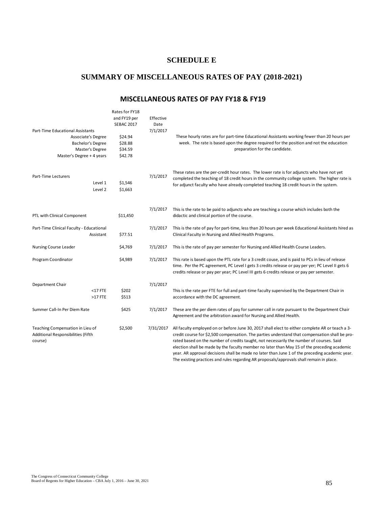### **SCHEDULE E**

### **SUMMARY OF MISCELLANEOUS RATES OF PAY (2018-2021)**

### **MISCELLANEOUS RATES OF PAY FY18 & FY19**

|                                                                                                                             | Rates for FY18<br>and FY19 per<br><b>SEBAC 2017</b> | Effective<br>Date |                                                                                                                                                                                                                                                                                                                                                                                                                                                                                                                                                                                            |
|-----------------------------------------------------------------------------------------------------------------------------|-----------------------------------------------------|-------------------|--------------------------------------------------------------------------------------------------------------------------------------------------------------------------------------------------------------------------------------------------------------------------------------------------------------------------------------------------------------------------------------------------------------------------------------------------------------------------------------------------------------------------------------------------------------------------------------------|
| Part-Time Educational Assistants<br>Associate's Degree<br>Bachelor's Degree<br>Master's Degree<br>Master's Degree + 4 years | \$24.94<br>\$28.88<br>\$34.59<br>\$42.78            | 7/1/2017          | These hourly rates are for part-time Educational Assistants working fewer than 20 hours per<br>week. The rate is based upon the degree required for the position and not the education<br>preparation for the candidate.                                                                                                                                                                                                                                                                                                                                                                   |
| Part-Time Lecturers<br>Level 1<br>Level 2                                                                                   | \$1,546<br>\$1,663                                  | 7/1/2017          | These rates are the per-credit hour rates. The lower rate is for adjuncts who have not yet<br>completed the teaching of 18 credit hours in the community college system. The higher rate is<br>for adjunct faculty who have already completed teaching 18 credit hours in the system.                                                                                                                                                                                                                                                                                                      |
| PTL with Clinical Component                                                                                                 | \$11,450                                            | 7/1/2017          | This is the rate to be paid to adjuncts who are teaching a course which includes both the<br>didactic and clinical portion of the course.                                                                                                                                                                                                                                                                                                                                                                                                                                                  |
| Part-Time Clinical Faculty - Educational<br>Assistant                                                                       | \$77.51                                             | 7/1/2017          | This is the rate of pay for part-time, less than 20 hours per week Educational Assistants hired as<br>Clinical Faculty in Nursing and Allied Health Programs.                                                                                                                                                                                                                                                                                                                                                                                                                              |
| Nursing Course Leader                                                                                                       | \$4,769                                             | 7/1/2017          | This is the rate of pay per semester for Nursing and Allied Health Course Leaders.                                                                                                                                                                                                                                                                                                                                                                                                                                                                                                         |
| Program Coordinator                                                                                                         | \$4,989                                             | 7/1/2017          | This rate is based upon the PTL rate for a 3 credit couse, and is paid to PCs in lieu of release<br>time. Per the PC agreement, PC Level I gets 3 credits release or pay per yer; PC Level II gets 6<br>credits release or pay per year; PC Level III gets 6 credits release or pay per semester.                                                                                                                                                                                                                                                                                          |
| Department Chair<br>$<$ 17 FTE<br>$>17$ FTE                                                                                 | \$202<br>\$513                                      | 7/1/2017          | This is the rate per FTE for full and part-time faculty supervised by the Department Chair in<br>accordance with the DC agreement.                                                                                                                                                                                                                                                                                                                                                                                                                                                         |
| Summer Call-In Per Diem Rate                                                                                                | \$425                                               | 7/1/2017          | These are the per diem rates of pay for summer call in rate pursuant to the Department Chair<br>Agreement and the arbitration award for Nursing and Allied Health.                                                                                                                                                                                                                                                                                                                                                                                                                         |
| Teaching Compensation in Lieu of<br>Additional Responsibilities (Fifth<br>course)                                           | \$2,500                                             | 7/31/2017         | All faculty employed on or before June 30, 2017 shall elect to either complete AR or teach a 3-<br>credit course for \$2,500 compensation. The parties understand that compensation shall be pro-<br>rated based on the number of credits taught, not necessarily the number of courses. Said<br>election shall be made by the faculty member no later than May 15 of the preceding academic<br>year. AR approval decisions shall be made no later than June 1 of the preceding academic year.<br>The existing practices and rules regarding AR proposals/approvals shall remain in place. |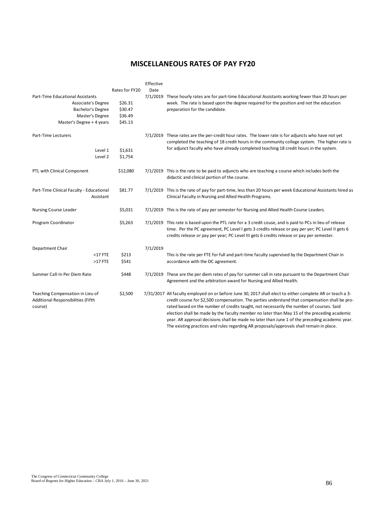### **MISCELLANEOUS RATES OF PAY FY20**

|                                                                                   |                | Effective |                                                                                                                                                                                                                                                                                                                                                                                                                                                                                                                                                                                                      |
|-----------------------------------------------------------------------------------|----------------|-----------|------------------------------------------------------------------------------------------------------------------------------------------------------------------------------------------------------------------------------------------------------------------------------------------------------------------------------------------------------------------------------------------------------------------------------------------------------------------------------------------------------------------------------------------------------------------------------------------------------|
|                                                                                   | Rates for FY20 | Date      |                                                                                                                                                                                                                                                                                                                                                                                                                                                                                                                                                                                                      |
| Part-Time Educational Assistants                                                  |                |           | 7/1/2019 These hourly rates are for part-time Educational Assistants working fewer than 20 hours per                                                                                                                                                                                                                                                                                                                                                                                                                                                                                                 |
| Associate's Degree                                                                | \$26.31        |           | week. The rate is based upon the degree required for the position and not the education                                                                                                                                                                                                                                                                                                                                                                                                                                                                                                              |
| Bachelor's Degree                                                                 | \$30.47        |           | preparation for the candidate.                                                                                                                                                                                                                                                                                                                                                                                                                                                                                                                                                                       |
| Master's Degree                                                                   | \$36.49        |           |                                                                                                                                                                                                                                                                                                                                                                                                                                                                                                                                                                                                      |
| Master's Degree + 4 years                                                         | \$45.13        |           |                                                                                                                                                                                                                                                                                                                                                                                                                                                                                                                                                                                                      |
| Part-Time Lecturers                                                               |                |           | 7/1/2019 These rates are the per-credit hour rates. The lower rate is for adjuncts who have not yet<br>completed the teaching of 18 credit hours in the community college system. The higher rate is                                                                                                                                                                                                                                                                                                                                                                                                 |
| Level 1                                                                           | \$1,631        |           | for adjunct faculty who have already completed teaching 18 credit hours in the system.                                                                                                                                                                                                                                                                                                                                                                                                                                                                                                               |
| Level 2                                                                           | \$1,754        |           |                                                                                                                                                                                                                                                                                                                                                                                                                                                                                                                                                                                                      |
|                                                                                   |                |           |                                                                                                                                                                                                                                                                                                                                                                                                                                                                                                                                                                                                      |
| PTL with Clinical Component                                                       | \$12,080       |           | 7/1/2019 This is the rate to be paid to adjuncts who are teaching a course which includes both the<br>didactic and clinical portion of the course.                                                                                                                                                                                                                                                                                                                                                                                                                                                   |
| Part-Time Clinical Faculty - Educational<br>Assistant                             | \$81.77        |           | 7/1/2019 This is the rate of pay for part-time, less than 20 hours per week Educational Assistants hired as<br>Clinical Faculty in Nursing and Allied Health Programs.                                                                                                                                                                                                                                                                                                                                                                                                                               |
| <b>Nursing Course Leader</b>                                                      | \$5,031        |           | 7/1/2019 This is the rate of pay per semester for Nursing and Allied Health Course Leaders.                                                                                                                                                                                                                                                                                                                                                                                                                                                                                                          |
| Program Coordinator                                                               | \$5,263        |           | 7/1/2019 This rate is based upon the PTL rate for a 3 credit couse, and is paid to PCs in lieu of release<br>time. Per the PC agreement, PC Level I gets 3 credits release or pay per yer; PC Level II gets 6<br>credits release or pay per year; PC Level III gets 6 credits release or pay per semester.                                                                                                                                                                                                                                                                                           |
| Department Chair                                                                  |                | 7/1/2019  |                                                                                                                                                                                                                                                                                                                                                                                                                                                                                                                                                                                                      |
| $<$ 17 FTE                                                                        | \$213          |           | This is the rate per FTE for full and part-time faculty supervised by the Department Chair in                                                                                                                                                                                                                                                                                                                                                                                                                                                                                                        |
| >17 FTE                                                                           | \$541          |           | accordance with the DC agreement.                                                                                                                                                                                                                                                                                                                                                                                                                                                                                                                                                                    |
| Summer Call-In Per Diem Rate                                                      | \$448          |           | 7/1/2019 These are the per diem rates of pay for summer call in rate pursuant to the Department Chair<br>Agreement and the arbitration award for Nursing and Allied Health.                                                                                                                                                                                                                                                                                                                                                                                                                          |
| Teaching Compensation in Lieu of<br>Additional Responsibilities (Fifth<br>course) | \$2,500        |           | 7/31/2017 All faculty employed on or before June 30, 2017 shall elect to either complete AR or teach a 3-<br>credit course for \$2,500 compensation. The parties understand that compensation shall be pro-<br>rated based on the number of credits taught, not necessarily the number of courses. Said<br>election shall be made by the faculty member no later than May 15 of the preceding academic<br>year. AR approval decisions shall be made no later than June 1 of the preceding academic year.<br>The existing practices and rules regarding AR proposals/approvals shall remain in place. |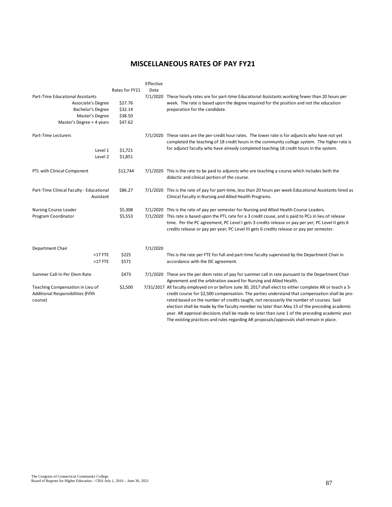# **MISCELLANEOUS RATES OF PAY FY21**

|                                                                                   |                | Effective |                                                                                                                                                                                                                                                                                                                                                                                                                                                                                                                                                                                                      |
|-----------------------------------------------------------------------------------|----------------|-----------|------------------------------------------------------------------------------------------------------------------------------------------------------------------------------------------------------------------------------------------------------------------------------------------------------------------------------------------------------------------------------------------------------------------------------------------------------------------------------------------------------------------------------------------------------------------------------------------------------|
|                                                                                   | Rates for FY21 | Date      |                                                                                                                                                                                                                                                                                                                                                                                                                                                                                                                                                                                                      |
| Part-Time Educational Assistants                                                  |                |           | 7/1/2020 These hourly rates are for part-time Educational Assistants working fewer than 20 hours per                                                                                                                                                                                                                                                                                                                                                                                                                                                                                                 |
| Associate's Degree                                                                | \$27.76        |           | week. The rate is based upon the degree required for the position and not the education                                                                                                                                                                                                                                                                                                                                                                                                                                                                                                              |
| Bachelor's Degree                                                                 | \$32.14        |           | preparation for the candidate.                                                                                                                                                                                                                                                                                                                                                                                                                                                                                                                                                                       |
| Master's Degree                                                                   | \$38.50        |           |                                                                                                                                                                                                                                                                                                                                                                                                                                                                                                                                                                                                      |
| Master's Degree + 4 years                                                         | \$47.62        |           |                                                                                                                                                                                                                                                                                                                                                                                                                                                                                                                                                                                                      |
| Part-Time Lecturers                                                               |                |           | 7/1/2020 These rates are the per-credit hour rates. The lower rate is for adjuncts who have not yet<br>completed the teaching of 18 credit hours in the community college system. The higher rate is                                                                                                                                                                                                                                                                                                                                                                                                 |
| Level 1                                                                           | \$1,721        |           | for adjunct faculty who have already completed teaching 18 credit hours in the system.                                                                                                                                                                                                                                                                                                                                                                                                                                                                                                               |
| Level 2                                                                           | \$1,851        |           |                                                                                                                                                                                                                                                                                                                                                                                                                                                                                                                                                                                                      |
|                                                                                   |                |           |                                                                                                                                                                                                                                                                                                                                                                                                                                                                                                                                                                                                      |
| PTL with Clinical Component                                                       | \$12,744       |           | 7/1/2020 This is the rate to be paid to adjuncts who are teaching a course which includes both the<br>didactic and clinical portion of the course.                                                                                                                                                                                                                                                                                                                                                                                                                                                   |
| Part-Time Clinical Faculty - Educational<br>Assistant                             | \$86.27        |           | 7/1/2020 This is the rate of pay for part-time, less than 20 hours per week Educational Assistants hired as<br>Clinical Faculty in Nursing and Allied Health Programs.                                                                                                                                                                                                                                                                                                                                                                                                                               |
| Nursing Course Leader                                                             | \$5,308        |           | 7/1/2020 This is the rate of pay per semester for Nursing and Allied Health Course Leaders.                                                                                                                                                                                                                                                                                                                                                                                                                                                                                                          |
| Program Coordinator                                                               | \$5,553        |           | 7/1/2020 This rate is based upon the PTL rate for a 3 credit couse, and is paid to PCs in lieu of release<br>time. Per the PC agreement, PC Level I gets 3 credits release or pay per yer; PC Level II gets 6<br>credits release or pay per year; PC Level III gets 6 credits release or pay per semester.                                                                                                                                                                                                                                                                                           |
| Department Chair                                                                  |                | 7/1/2020  |                                                                                                                                                                                                                                                                                                                                                                                                                                                                                                                                                                                                      |
| $<$ 17 FTE                                                                        | \$225          |           | This is the rate per FTE for full and part-time faculty supervised by the Department Chair in                                                                                                                                                                                                                                                                                                                                                                                                                                                                                                        |
| $>17$ FTE                                                                         | \$571          |           | accordance with the DC agreement.                                                                                                                                                                                                                                                                                                                                                                                                                                                                                                                                                                    |
| Summer Call-In Per Diem Rate                                                      | \$473          |           | 7/1/2020 These are the per diem rates of pay for summer call in rate pursuant to the Department Chair<br>Agreement and the arbitration award for Nursing and Allied Health.                                                                                                                                                                                                                                                                                                                                                                                                                          |
| Teaching Compensation in Lieu of<br>Additional Responsibilities (Fifth<br>course) | \$2,500        |           | 7/31/2017 All faculty employed on or before June 30, 2017 shall elect to either complete AR or teach a 3-<br>credit course for \$2,500 compensation. The parties understand that compensation shall be pro-<br>rated based on the number of credits taught, not necessarily the number of courses. Said<br>election shall be made by the faculty member no later than May 15 of the preceding academic<br>year. AR approval decisions shall be made no later than June 1 of the preceding academic year.<br>The existing practices and rules regarding AR proposals/approvals shall remain in place. |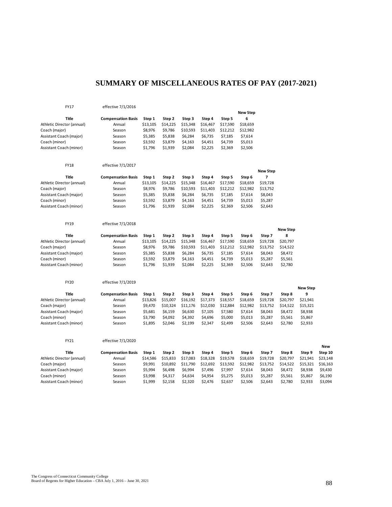# **SUMMARY OF MISCELLANEOUS RATES OF PAY (2017-2021)**

#### FY17 effective 7/1/2016

|                            |                           |          |          |          |          |          | <b>New Step</b> |                 |                      |                      |            |
|----------------------------|---------------------------|----------|----------|----------|----------|----------|-----------------|-----------------|----------------------|----------------------|------------|
| <b>Title</b>               | <b>Compensation Basis</b> | Step 1   | Step 2   | Step 3   | Step 4   | Step 5   | 6               |                 |                      |                      |            |
| Athletic Director (annual) | Annual                    | \$13,105 | \$14,225 | \$15,348 | \$16,467 | \$17,590 | \$18,659        |                 |                      |                      |            |
| Coach (major)              | Season                    | \$8,976  | \$9,786  | \$10,593 | \$11,403 | \$12,212 | \$12,982        |                 |                      |                      |            |
| Assistant Coach (major)    | Season                    | \$5,385  | \$5,838  | \$6,284  | \$6,735  | \$7,185  | \$7,614         |                 |                      |                      |            |
| Coach (minor)              | Season                    | \$3,592  | \$3,879  | \$4,163  | \$4,451  | \$4,739  | \$5,013         |                 |                      |                      |            |
| Assistant Coach (minor)    | Season                    | \$1,796  | \$1,939  | \$2,084  | \$2,225  | \$2,369  | \$2,506         |                 |                      |                      |            |
|                            |                           |          |          |          |          |          |                 |                 |                      |                      |            |
| <b>FY18</b>                | effective 7/1/2017        |          |          |          |          |          |                 |                 |                      |                      |            |
|                            |                           |          |          |          |          |          |                 | <b>New Step</b> |                      |                      |            |
| <b>Title</b>               | <b>Compensation Basis</b> | Step 1   | Step 2   | Step 3   | Step 4   | Step 5   | Step 6          | $\overline{7}$  |                      |                      |            |
| Athletic Director (annual) | Annual                    | \$13,105 | \$14,225 | \$15,348 | \$16,467 | \$17,590 | \$18,659        | \$19,728        |                      |                      |            |
| Coach (major)              | Season                    | \$8,976  | \$9,786  | \$10,593 | \$11,403 | \$12,212 | \$12,982        | \$13,752        |                      |                      |            |
| Assistant Coach (major)    | Season                    | \$5,385  | \$5,838  | \$6,284  | \$6,735  | \$7,185  | \$7,614         | \$8,043         |                      |                      |            |
| Coach (minor)              | Season                    | \$3,592  | \$3,879  | \$4,163  | \$4,451  | \$4,739  | \$5,013         | \$5,287         |                      |                      |            |
| Assistant Coach (minor)    | Season                    | \$1,796  | \$1,939  | \$2,084  | \$2,225  | \$2,369  | \$2,506         | \$2,643         |                      |                      |            |
|                            |                           |          |          |          |          |          |                 |                 |                      |                      |            |
| <b>FY19</b>                | effective 7/1/2018        |          |          |          |          |          |                 |                 |                      |                      |            |
| <b>Title</b>               | <b>Compensation Basis</b> | Step 1   | Step 2   | Step 3   | Step 4   | Step 5   | Step 6          | Step 7          | <b>New Step</b><br>8 |                      |            |
| Athletic Director (annual) | Annual                    | \$13,105 | \$14,225 | \$15,348 | \$16,467 | \$17,590 | \$18,659        | \$19,728        | \$20,797             |                      |            |
| Coach (major)              | Season                    | \$8,976  | \$9,786  | \$10,593 | \$11,403 | \$12,212 | \$12,982        | \$13,752        | \$14,522             |                      |            |
| Assistant Coach (major)    | Season                    | \$5,385  | \$5,838  | \$6,284  | \$6,735  | \$7,185  | \$7,614         | \$8,043         | \$8,472              |                      |            |
| Coach (minor)              | Season                    | \$3,592  | \$3,879  | \$4,163  | \$4,451  | \$4,739  | \$5,013         | \$5,287         | \$5,561              |                      |            |
| Assistant Coach (minor)    | Season                    | \$1,796  | \$1,939  | \$2,084  | \$2,225  | \$2,369  | \$2,506         | \$2,643         | \$2,780              |                      |            |
|                            |                           |          |          |          |          |          |                 |                 |                      |                      |            |
| <b>FY20</b>                | effective 7/1/2019        |          |          |          |          |          |                 |                 |                      |                      |            |
| <b>Title</b>               | <b>Compensation Basis</b> | Step 1   | Step 2   | Step 3   | Step 4   | Step 5   | Step 6          | Step 7          | Step 8               | <b>New Step</b><br>9 |            |
| Athletic Director (annual) | Annual                    | \$13,826 | \$15,007 | \$16,192 | \$17,373 | \$18,557 | \$18,659        | \$19,728        | \$20,797             | \$21,941             |            |
| Coach (major)              | Season                    | \$9,470  | \$10,324 | \$11,176 | \$12,030 | \$12,884 | \$12,982        | \$13,752        | \$14,522             | \$15,321             |            |
| Assistant Coach (major)    | Season                    | \$5,681  | \$6,159  | \$6,630  | \$7,105  | \$7,580  | \$7,614         | \$8,043         | \$8,472              | \$8,938              |            |
| Coach (minor)              | Season                    | \$3,790  | \$4,092  | \$4,392  | \$4,696  | \$5,000  | \$5,013         | \$5,287         | \$5,561              | \$5,867              |            |
| Assistant Coach (minor)    | Season                    | \$1,895  | \$2,046  | \$2,199  | \$2,347  | \$2,499  | \$2,506         | \$2,643         | \$2,780              | \$2,933              |            |
|                            |                           |          |          |          |          |          |                 |                 |                      |                      |            |
| FY21                       | effective 7/1/2020        |          |          |          |          |          |                 |                 |                      |                      | <b>New</b> |
| <b>Title</b>               | <b>Compensation Basis</b> | Step 1   | Step 2   | Step 3   | Step 4   | Step 5   | Step 6          | Step 7          | Step 8               | Step 9               | Step 10    |
| Athletic Director (annual) | Annual                    | \$14,586 | \$15,833 | \$17,083 | \$18,328 | \$19,578 | \$18,659        | \$19,728        | \$20,797             | \$21,941             | \$23,148   |
| Coach (major)              | Season                    | \$9,991  | \$10,892 | \$11,790 | \$12,692 | \$13,592 | \$12,982        | \$13,752        | \$14,522             | \$15,321             | \$16,163   |
| Assistant Coach (major)    | Season                    | \$5,994  | \$6,498  | \$6,994  | \$7,496  | \$7,997  | \$7,614         | \$8,043         | \$8,472              | \$8,938              | \$9,430    |
| Coach (minor)              | Season                    | \$3,998  | \$4,317  | \$4,634  | \$4,954  | \$5,275  | \$5,013         | \$5,287         | \$5,561              | \$5,867              | \$6,190    |
| Assistant Coach (minor)    | Season                    | \$1,999  | \$2,158  | \$2,320  | \$2,476  | \$2,637  | \$2,506         | \$2,643         | \$2,780              | \$2,933              | \$3,094    |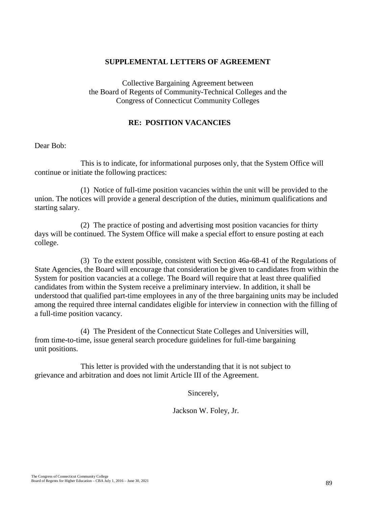### **SUPPLEMENTAL LETTERS OF AGREEMENT**

Collective Bargaining Agreement between the Board of Regents of Community-Technical Colleges and the Congress of Connecticut Community Colleges

### **RE: POSITION VACANCIES**

Dear Bob:

This is to indicate, for informational purposes only, that the System Office will continue or initiate the following practices:

(1) Notice of full-time position vacancies within the unit will be provided to the union. The notices will provide a general description of the duties, minimum qualifications and starting salary.

(2) The practice of posting and advertising most position vacancies for thirty days will be continued. The System Office will make a special effort to ensure posting at each college.

(3) To the extent possible, consistent with Section 46a-68-41 of the Regulations of State Agencies, the Board will encourage that consideration be given to candidates from within the System for position vacancies at a college. The Board will require that at least three qualified candidates from within the System receive a preliminary interview. In addition, it shall be understood that qualified part-time employees in any of the three bargaining units may be included among the required three internal candidates eligible for interview in connection with the filling of a full-time position vacancy.

(4) The President of the Connecticut State Colleges and Universities will, from time-to-time, issue general search procedure guidelines for full-time bargaining unit positions.

This letter is provided with the understanding that it is not subject to grievance and arbitration and does not limit Article III of the Agreement.

Sincerely,

Jackson W. Foley, Jr.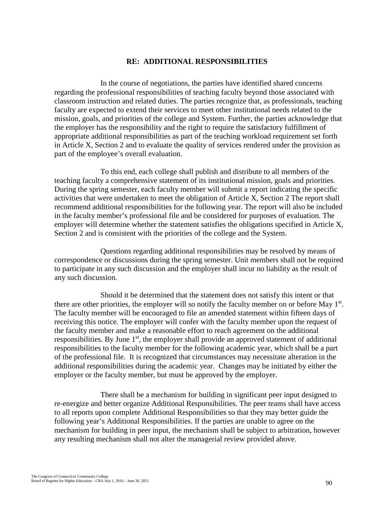### **RE: ADDITIONAL RESPONSIBILITIES**

In the course of negotiations, the parties have identified shared concerns regarding the professional responsibilities of teaching faculty beyond those associated with classroom instruction and related duties. The parties recognize that, as professionals, teaching faculty are expected to extend their services to meet other institutional needs related to the mission, goals, and priorities of the college and System. Further, the parties acknowledge that the employer has the responsibility and the right to require the satisfactory fulfillment of appropriate additional responsibilities as part of the teaching workload requirement set forth in Article X, Section 2 and to evaluate the quality of services rendered under the provision as part of the employee's overall evaluation.

To this end, each college shall publish and distribute to all members of the teaching faculty a comprehensive statement of its institutional mission, goals and priorities. During the spring semester, each faculty member will submit a report indicating the specific activities that were undertaken to meet the obligation of Article X, Section 2 The report shall recommend additional responsibilities for the following year. The report will also be included in the faculty member's professional file and be considered for purposes of evaluation. The employer will determine whether the statement satisfies the obligations specified in Article X, Section 2 and is consistent with the priorities of the college and the System.

Questions regarding additional responsibilities may be resolved by means of correspondence or discussions during the spring semester. Unit members shall not be required to participate in any such discussion and the employer shall incur no liability as the result of any such discussion.

Should it be determined that the statement does not satisfy this intent or that there are other priorities, the employer will so notify the faculty member on or before May 1<sup>st</sup>. The faculty member will be encouraged to file an amended statement within fifteen days of receiving this notice. The employer will confer with the faculty member upon the request of the faculty member and make a reasonable effort to reach agreement on the additional responsibilities. By June  $1<sup>st</sup>$ , the employer shall provide an approved statement of additional responsibilities to the faculty member for the following academic year, which shall be a part of the professional file. It is recognized that circumstances may necessitate alteration in the additional responsibilities during the academic year. Changes may be initiated by either the employer or the faculty member, but must be approved by the employer.

There shall be a mechanism for building in significant peer input designed to re-energize and better organize Additional Responsibilities. The peer teams shall have access to all reports upon complete Additional Responsibilities so that they may better guide the following year's Additional Responsibilities. If the parties are unable to agree on the mechanism for building in peer input, the mechanism shall be subject to arbitration, however any resulting mechanism shall not alter the managerial review provided above.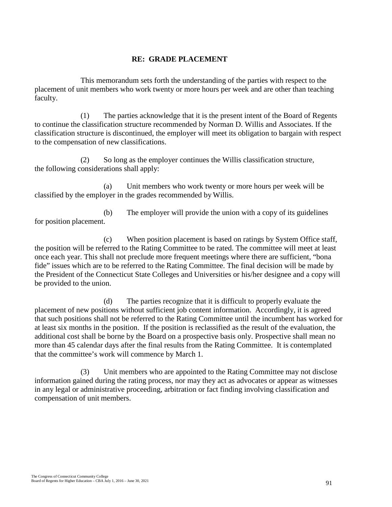### **RE: GRADE PLACEMENT**

This memorandum sets forth the understanding of the parties with respect to the placement of unit members who work twenty or more hours per week and are other than teaching faculty.

(1) The parties acknowledge that it is the present intent of the Board of Regents to continue the classification structure recommended by Norman D. Willis and Associates. If the classification structure is discontinued, the employer will meet its obligation to bargain with respect to the compensation of new classifications.

(2) So long as the employer continues the Willis classification structure, the following considerations shall apply:

(a) Unit members who work twenty or more hours per week will be classified by the employer in the grades recommended by Willis.

(b) The employer will provide the union with a copy of its guidelines for position placement.

(c) When position placement is based on ratings by System Office staff, the position will be referred to the Rating Committee to be rated. The committee will meet at least once each year. This shall not preclude more frequent meetings where there are sufficient, "bona fide" issues which are to be referred to the Rating Committee. The final decision will be made by the President of the Connecticut State Colleges and Universities or his/her designee and a copy will be provided to the union.

(d) The parties recognize that it is difficult to properly evaluate the placement of new positions without sufficient job content information. Accordingly, it is agreed that such positions shall not be referred to the Rating Committee until the incumbent has worked for at least six months in the position. If the position is reclassified as the result of the evaluation, the additional cost shall be borne by the Board on a prospective basis only. Prospective shall mean no more than 45 calendar days after the final results from the Rating Committee. It is contemplated that the committee's work will commence by March 1.

(3) Unit members who are appointed to the Rating Committee may not disclose information gained during the rating process, nor may they act as advocates or appear as witnesses in any legal or administrative proceeding, arbitration or fact finding involving classification and compensation of unit members.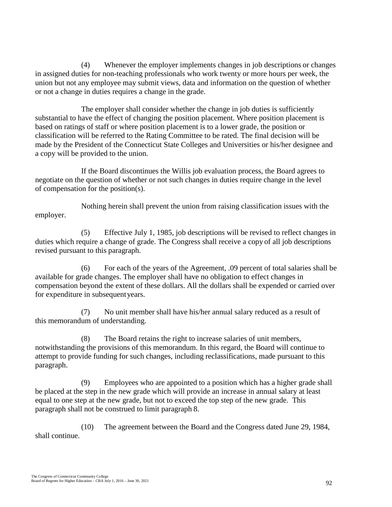(4) Whenever the employer implements changes in job descriptions or changes in assigned duties for non-teaching professionals who work twenty or more hours per week, the union but not any employee may submit views, data and information on the question of whether or not a change in duties requires a change in the grade.

The employer shall consider whether the change in job duties is sufficiently substantial to have the effect of changing the position placement. Where position placement is based on ratings of staff or where position placement is to a lower grade, the position or classification will be referred to the Rating Committee to be rated. The final decision will be made by the President of the Connecticut State Colleges and Universities or his/her designee and a copy will be provided to the union.

If the Board discontinues the Willis job evaluation process, the Board agrees to negotiate on the question of whether or not such changes in duties require change in the level of compensation for the position(s).

Nothing herein shall prevent the union from raising classification issues with the employer.

(5) Effective July 1, 1985, job descriptions will be revised to reflect changes in duties which require a change of grade. The Congress shall receive a copy of all job descriptions revised pursuant to this paragraph.

(6) For each of the years of the Agreement, .09 percent of total salaries shall be available for grade changes. The employer shall have no obligation to effect changes in compensation beyond the extent of these dollars. All the dollars shall be expended or carried over for expenditure in subsequentyears.

(7) No unit member shall have his/her annual salary reduced as a result of this memorandum of understanding.

(8) The Board retains the right to increase salaries of unit members, notwithstanding the provisions of this memorandum. In this regard, the Board will continue to attempt to provide funding for such changes, including reclassifications, made pursuant to this paragraph.

(9) Employees who are appointed to a position which has a higher grade shall be placed at the step in the new grade which will provide an increase in annual salary at least equal to one step at the new grade, but not to exceed the top step of the new grade. This paragraph shall not be construed to limit paragraph 8.

(10) The agreement between the Board and the Congress dated June 29, 1984, shall continue.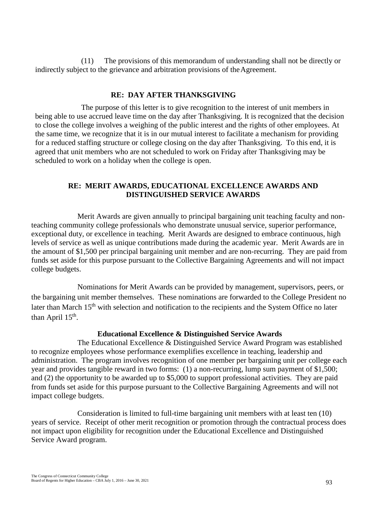(11) The provisions of this memorandum of understanding shall not be directly or indirectly subject to the grievance and arbitration provisions of the Agreement.

### **RE: DAY AFTER THANKSGIVING**

The purpose of this letter is to give recognition to the interest of unit members in being able to use accrued leave time on the day after Thanksgiving. It is recognized that the decision to close the college involves a weighing of the public interest and the rights of other employees. At the same time, we recognize that it is in our mutual interest to facilitate a mechanism for providing for a reduced staffing structure or college closing on the day after Thanksgiving. To this end, it is agreed that unit members who are not scheduled to work on Friday after Thanksgiving may be scheduled to work on a holiday when the college is open.

### **RE: MERIT AWARDS, EDUCATIONAL EXCELLENCE AWARDS AND DISTINGUISHED SERVICE AWARDS**

Merit Awards are given annually to principal bargaining unit teaching faculty and nonteaching community college professionals who demonstrate unusual service, superior performance, exceptional duty, or excellence in teaching. Merit Awards are designed to embrace continuous, high levels of service as well as unique contributions made during the academic year. Merit Awards are in the amount of \$1,500 per principal bargaining unit member and are non-recurring. They are paid from funds set aside for this purpose pursuant to the Collective Bargaining Agreements and will not impact college budgets.

Nominations for Merit Awards can be provided by management, supervisors, peers, or the bargaining unit member themselves. These nominations are forwarded to the College President no later than March 15<sup>th</sup> with selection and notification to the recipients and the System Office no later than April  $15<sup>th</sup>$ .

### **Educational Excellence & Distinguished Service Awards**

The Educational Excellence & Distinguished Service Award Program was established to recognize employees whose performance exemplifies excellence in teaching, leadership and administration. The program involves recognition of one member per bargaining unit per college each year and provides tangible reward in two forms: (1) a non-recurring, lump sum payment of \$1,500; and (2) the opportunity to be awarded up to \$5,000 to support professional activities. They are paid from funds set aside for this purpose pursuant to the Collective Bargaining Agreements and will not impact college budgets.

Consideration is limited to full-time bargaining unit members with at least ten (10) years of service. Receipt of other merit recognition or promotion through the contractual process does not impact upon eligibility for recognition under the Educational Excellence and Distinguished Service Award program.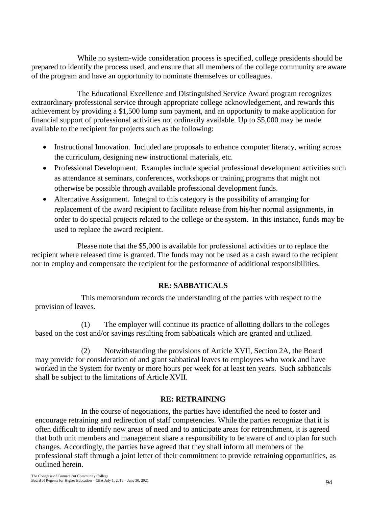While no system-wide consideration process is specified, college presidents should be prepared to identify the process used, and ensure that all members of the college community are aware of the program and have an opportunity to nominate themselves or colleagues.

The Educational Excellence and Distinguished Service Award program recognizes extraordinary professional service through appropriate college acknowledgement, and rewards this achievement by providing a \$1,500 lump sum payment, and an opportunity to make application for financial support of professional activities not ordinarily available. Up to \$5,000 may be made available to the recipient for projects such as the following:

- Instructional Innovation. Included are proposals to enhance computer literacy, writing across the curriculum, designing new instructional materials, etc.
- Professional Development. Examples include special professional development activities such as attendance at seminars, conferences, workshops or training programs that might not otherwise be possible through available professional development funds.
- Alternative Assignment. Integral to this category is the possibility of arranging for replacement of the award recipient to facilitate release from his/her normal assignments, in order to do special projects related to the college or the system. In this instance, funds may be used to replace the award recipient.

Please note that the \$5,000 is available for professional activities or to replace the recipient where released time is granted. The funds may not be used as a cash award to the recipient nor to employ and compensate the recipient for the performance of additional responsibilities.

# **RE: SABBATICALS**

This memorandum records the understanding of the parties with respect to the provision of leaves.

(1) The employer will continue its practice of allotting dollars to the colleges based on the cost and/or savings resulting from sabbaticals which are granted and utilized.

(2) Notwithstanding the provisions of Article XVII, Section 2A, the Board may provide for consideration of and grant sabbatical leaves to employees who work and have worked in the System for twenty or more hours per week for at least ten years. Such sabbaticals shall be subject to the limitations of Article XVII.

# **RE: RETRAINING**

In the course of negotiations, the parties have identified the need to foster and encourage retraining and redirection of staff competencies. While the parties recognize that it is often difficult to identify new areas of need and to anticipate areas for retrenchment, it is agreed that both unit members and management share a responsibility to be aware of and to plan for such changes. Accordingly, the parties have agreed that they shall inform all members of the professional staff through a joint letter of their commitment to provide retraining opportunities, as outlined herein.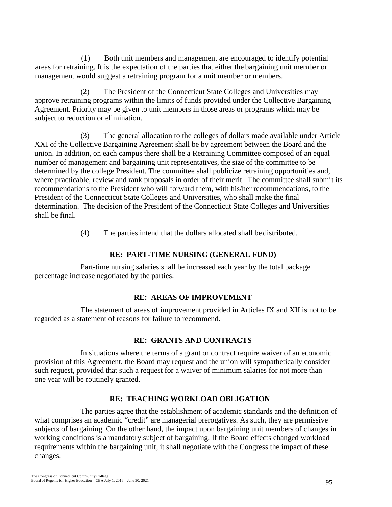(1) Both unit members and management are encouraged to identify potential areas for retraining. It is the expectation of the parties that either the bargaining unit member or management would suggest a retraining program for a unit member or members.

(2) The President of the Connecticut State Colleges and Universities may approve retraining programs within the limits of funds provided under the Collective Bargaining Agreement. Priority may be given to unit members in those areas or programs which may be subject to reduction or elimination.

(3) The general allocation to the colleges of dollars made available under Article XXI of the Collective Bargaining Agreement shall be by agreement between the Board and the union. In addition, on each campus there shall be a Retraining Committee composed of an equal number of management and bargaining unit representatives, the size of the committee to be determined by the college President. The committee shall publicize retraining opportunities and, where practicable, review and rank proposals in order of their merit. The committee shall submit its recommendations to the President who will forward them, with his/her recommendations, to the President of the Connecticut State Colleges and Universities, who shall make the final determination. The decision of the President of the Connecticut State Colleges and Universities shall be final.

(4) The parties intend that the dollars allocated shall be distributed.

### **RE: PART-TIME NURSING (GENERAL FUND)**

Part-time nursing salaries shall be increased each year by the total package percentage increase negotiated by the parties.

### **RE: AREAS OF IMPROVEMENT**

The statement of areas of improvement provided in Articles IX and XII is not to be regarded as a statement of reasons for failure to recommend.

### **RE: GRANTS AND CONTRACTS**

In situations where the terms of a grant or contract require waiver of an economic provision of this Agreement, the Board may request and the union will sympathetically consider such request, provided that such a request for a waiver of minimum salaries for not more than one year will be routinely granted.

### **RE: TEACHING WORKLOAD OBLIGATION**

The parties agree that the establishment of academic standards and the definition of what comprises an academic "credit" are managerial prerogatives. As such, they are permissive subjects of bargaining. On the other hand, the impact upon bargaining unit members of changes in working conditions is a mandatory subject of bargaining. If the Board effects changed workload requirements within the bargaining unit, it shall negotiate with the Congress the impact of these changes.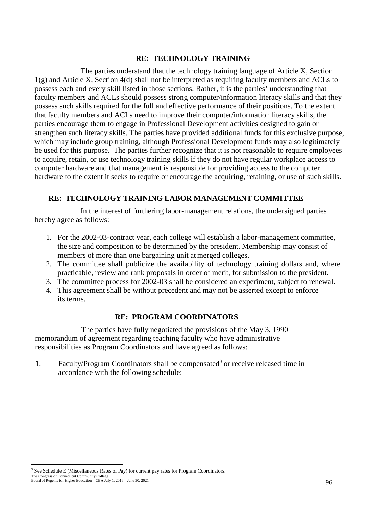### **RE: TECHNOLOGY TRAINING**

The parties understand that the technology training language of Article X, Section 1(g) and Article X, Section 4(d) shall not be interpreted as requiring faculty members and ACLs to possess each and every skill listed in those sections. Rather, it is the parties' understanding that faculty members and ACLs should possess strong computer/information literacy skills and that they possess such skills required for the full and effective performance of their positions. To the extent that faculty members and ACLs need to improve their computer/information literacy skills, the parties encourage them to engage in Professional Development activities designed to gain or strengthen such literacy skills. The parties have provided additional funds for this exclusive purpose, which may include group training, although Professional Development funds may also legitimately be used for this purpose. The parties further recognize that it is not reasonable to require employees to acquire, retain, or use technology training skills if they do not have regular workplace access to computer hardware and that management is responsible for providing access to the computer hardware to the extent it seeks to require or encourage the acquiring, retaining, or use of such skills.

### **RE: TECHNOLOGY TRAINING LABOR MANAGEMENT COMMITTEE**

In the interest of furthering labor-management relations, the undersigned parties hereby agree as follows:

- 1. For the 2002-03-contract year, each college will establish a labor-management committee, the size and composition to be determined by the president. Membership may consist of members of more than one bargaining unit at merged colleges.
- 2. The committee shall publicize the availability of technology training dollars and, where practicable, review and rank proposals in order of merit, for submission to the president.
- 3. The committee process for 2002-03 shall be considered an experiment, subject to renewal.
- 4. This agreement shall be without precedent and may not be asserted except to enforce its terms.

### **RE: PROGRAM COORDINATORS**

The parties have fully negotiated the provisions of the May 3, 1990 memorandum of agreement regarding teaching faculty who have administrative responsibilities as Program Coordinators and have agreed as follows:

1. Faculty/Program Coordinators shall be compensated<sup>[3](#page-104-0)</sup> or receive released time in accordance with the following schedule:

<span id="page-104-0"></span>The Congress of Connecticut Community College Board of Regents for Higher Education – CBA July 1, 2016 – June 30, 2021 <sup>3</sup> See Schedule E (Miscellaneous Rates of Pay) for current pay rates for Program Coordinators.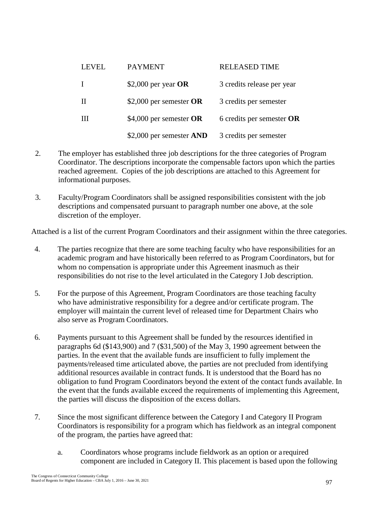| <b>LEVEL</b> | <b>PAYMENT</b>            | <b>RELEASED TIME</b>        |
|--------------|---------------------------|-----------------------------|
| L            | \$2,000 per year $OR$     | 3 credits release per year  |
| H            | \$2,000 per semester $OR$ | 3 credits per semester      |
| Ш            | \$4,000 per semester $OR$ | 6 credits per semester $OR$ |
|              | \$2,000 per semester AND  | 3 credits per semester      |

- 2. The employer has established three job descriptions for the three categories of Program Coordinator. The descriptions incorporate the compensable factors upon which the parties reached agreement. Copies of the job descriptions are attached to this Agreement for informational purposes.
- 3. Faculty/Program Coordinators shall be assigned responsibilities consistent with the job descriptions and compensated pursuant to paragraph number one above, at the sole discretion of the employer.

Attached is a list of the current Program Coordinators and their assignment within the three categories.

- 4. The parties recognize that there are some teaching faculty who have responsibilities for an academic program and have historically been referred to as Program Coordinators, but for whom no compensation is appropriate under this Agreement inasmuch as their responsibilities do not rise to the level articulated in the Category I Job description.
- 5. For the purpose of this Agreement, Program Coordinators are those teaching faculty who have administrative responsibility for a degree and/or certificate program. The employer will maintain the current level of released time for Department Chairs who also serve as Program Coordinators.
- 6. Payments pursuant to this Agreement shall be funded by the resources identified in paragraphs 6d (\$143,900) and 7 (\$31,500) of the May 3, 1990 agreement between the parties. In the event that the available funds are insufficient to fully implement the payments/released time articulated above, the parties are not precluded from identifying additional resources available in contract funds. It is understood that the Board has no obligation to fund Program Coordinators beyond the extent of the contact funds available. In the event that the funds available exceed the requirements of implementing this Agreement, the parties will discuss the disposition of the excess dollars.
- 7. Since the most significant difference between the Category I and Category II Program Coordinators is responsibility for a program which has fieldwork as an integral component of the program, the parties have agreed that:
	- a. Coordinators whose programs include fieldwork as an option or a required component are included in Category II. This placement is based upon the following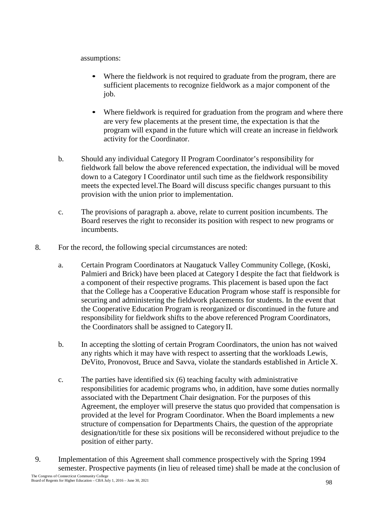assumptions:

- Where the fieldwork is not required to graduate from the program, there are sufficient placements to recognize fieldwork as a major component of the job.
- Where fieldwork is required for graduation from the program and where there are very few placements at the present time, the expectation is that the program will expand in the future which will create an increase in fieldwork activity for the Coordinator.
- b. Should any individual Category II Program Coordinator's responsibility for fieldwork fall below the above referenced expectation, the individual will be moved down to a Category I Coordinator until such time as the fieldwork responsibility meets the expected level.The Board will discuss specific changes pursuant to this provision with the union prior to implementation.
- c. The provisions of paragraph a. above, relate to current position incumbents. The Board reserves the right to reconsider its position with respect to new programs or incumbents.
- 8. For the record, the following special circumstances are noted:
	- a. Certain Program Coordinators at Naugatuck Valley Community College, (Koski, Palmieri and Brick) have been placed at Category I despite the fact that fieldwork is a component of their respective programs. This placement is based upon the fact that the College has a Cooperative Education Program whose staff is responsible for securing and administering the fieldwork placements for students. In the event that the Cooperative Education Program is reorganized or discontinued in the future and responsibility for fieldwork shifts to the above referenced Program Coordinators, the Coordinators shall be assigned to Category II.
	- b. In accepting the slotting of certain Program Coordinators, the union has not waived any rights which it may have with respect to asserting that the workloads Lewis, DeVito, Pronovost, Bruce and Savva, violate the standards established in Article X.
	- c. The parties have identified six (6) teaching faculty with administrative responsibilities for academic programs who, in addition, have some duties normally associated with the Department Chair designation. For the purposes of this Agreement, the employer will preserve the status quo provided that compensation is provided at the level for Program Coordinator. When the Board implements a new structure of compensation for Departments Chairs, the question of the appropriate designation/title for these six positions will be reconsidered without prejudice to the position of either party.
- 9. Implementation of this Agreement shall commence prospectively with the Spring 1994 semester. Prospective payments (in lieu of released time) shall be made at the conclusion of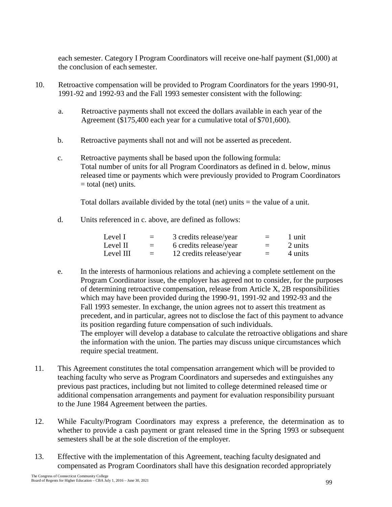each semester. Category I Program Coordinators will receive one-half payment (\$1,000) at the conclusion of each semester.

- 10. Retroactive compensation will be provided to Program Coordinators for the years 1990-91, 1991-92 and 1992-93 and the Fall 1993 semester consistent with the following:
	- a. Retroactive payments shall not exceed the dollars available in each year of the Agreement (\$175,400 each year for a cumulative total of \$701,600).
	- b. Retroactive payments shall not and will not be asserted as precedent.
	- c. Retroactive payments shall be based upon the following formula: Total number of units for all Program Coordinators as defined in d. below, minus released time or payments which were previously provided to Program Coordinators  $=$  total (net) units.

Total dollars available divided by the total (net) units = the value of a unit.

d. Units referenced in c. above, are defined as follows:

| Level I   | $=$ | 3 credits release/year  | $=$ | 1 unit  |
|-----------|-----|-------------------------|-----|---------|
| Level II  | $=$ | 6 credits release/year  | $=$ | 2 units |
| Level III | $=$ | 12 credits release/year | $=$ | 4 units |

- e. In the interests of harmonious relations and achieving a complete settlement on the Program Coordinator issue, the employer has agreed not to consider, for the purposes of determining retroactive compensation, release from Article X, 2B responsibilities which may have been provided during the 1990-91, 1991-92 and 1992-93 and the Fall 1993 semester. In exchange, the union agrees not to assert this treatment as precedent, and in particular, agrees not to disclose the fact of this payment to advance its position regarding future compensation of such individuals. The employer will develop a database to calculate the retroactive obligations and share the information with the union. The parties may discuss unique circumstances which require special treatment.
- 11. This Agreement constitutes the total compensation arrangement which will be provided to teaching faculty who serve as Program Coordinators and supersedes and extinguishes any previous past practices, including but not limited to college determined released time or additional compensation arrangements and payment for evaluation responsibility pursuant to the June 1984 Agreement between the parties.
- 12. While Faculty/Program Coordinators may express a preference, the determination as to whether to provide a cash payment or grant released time in the Spring 1993 or subsequent semesters shall be at the sole discretion of the employer.
- 13. Effective with the implementation of this Agreement, teaching faculty designated and compensated as Program Coordinators shall have this designation recorded appropriately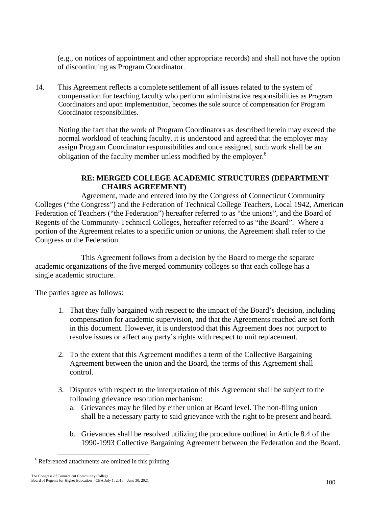(e.g., on notices of appointment and other appropriate records) and shall not have the option of discontinuing as Program Coordinator.

14. This Agreement reflects a complete settlement of all issues related to the system of compensation for teaching faculty who perform administrative responsibilities as Program Coordinators and upon implementation, becomes the sole source of compensation for Program Coordinator responsibilities.

Noting the fact that the work of Program Coordinators as described herein may exceed the normal workload of teaching faculty, it is understood and agreed that the employer may assign Program Coordinator responsibilities and once assigned, such work shall be an obligation of the faculty member unless modified by the employer.<sup>6</sup>

# **RE: MERGED COLLEGE ACADEMIC STRUCTURES (DEPARTMENT CHAIRS AGREEMENT)**

Agreement, made and entered into by the Congress of Connecticut Community Colleges ("the Congress") and the Federation of Technical College Teachers, Local 1942, American Federation of Teachers ("the Federation") hereafter referred to as "the unions", and the Board of Regents of the Community-Technical Colleges, hereafter referred to as "the Board". Where a portion of the Agreement relates to a specific union or unions, the Agreement shall refer to the Congress or the Federation.

This Agreement follows from a decision by the Board to merge the separate academic organizations of the five merged community colleges so that each college has a single academic structure.

The parties agree as follows:

- 1. That they fully bargained with respect to the impact of the Board's decision, including compensation for academic supervision, and that the Agreements reached are set forth in this document. However, it is understood that this Agreement does not purport to resolve issues or affect any party's rights with respect to unit replacement.
- 2. To the extent that this Agreement modifies a term of the Collective Bargaining Agreement between the union and the Board, the terms of this Agreement shall control.
- 3. Disputes with respect to the interpretation of this Agreement shall be subject to the following grievance resolution mechanism:
	- a. Grievances may be filed by either union at Board level. The non-filing union shall be a necessary party to said grievance with the right to be present and heard.
	- b. Grievances shall be resolved utilizing the procedure outlined in Article 8.4 of the 1990-1993 Collective Bargaining Agreement between the Federation and the Board.

<sup>&</sup>lt;sup>6</sup> Referenced attachments are omitted in this printing.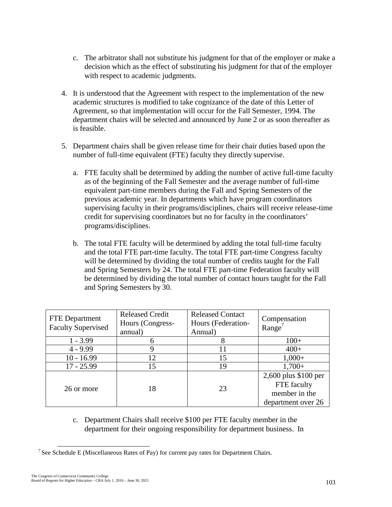- c. The arbitrator shall not substitute his judgment for that of the employer or make a decision which as the effect of substituting his judgment for that of the employer with respect to academic judgments.
- 4. It is understood that the Agreement with respect to the implementation of the new academic structures is modified to take cognizance of the date of this Letter of Agreement, so that implementation will occur for the Fall Semester, 1994. The department chairs will be selected and announced by June 2 or as soon thereafter as is feasible.
- 5. Department chairs shall be given release time for their chair duties based upon the number of full-time equivalent (FTE) faculty they directly supervise.
	- a. FTE faculty shall be determined by adding the number of active full-time faculty as of the beginning of the Fall Semester and the average number of full-time equivalent part-time members during the Fall and Spring Semesters of the previous academic year. In departments which have program coordinators supervising faculty in their programs/disciplines, chairs will receive release-time credit for supervising coordinators but no for faculty in the coordinators' programs/disciplines.
	- b. The total FTE faculty will be determined by adding the total full-time faculty and the total FTE part-time faculty. The total FTE part-time Congress faculty will be determined by dividing the total number of credits taught for the Fall and Spring Semesters by 24. The total FTE part-time Federation faculty will be determined by dividing the total number of contact hours taught for the Fall and Spring Semesters by 30.

| <b>FTE</b> Department<br><b>Faculty Supervised</b> | <b>Released Credit</b><br>Hours (Congress-<br>annual) | <b>Released Contact</b><br>Hours (Federation-<br>Annual) | Compensation<br>Range <sup>'</sup>                                         |
|----------------------------------------------------|-------------------------------------------------------|----------------------------------------------------------|----------------------------------------------------------------------------|
| $1 - 3.99$                                         |                                                       | 8                                                        | $100+$                                                                     |
| $4 - 9.99$                                         | 9                                                     | 11                                                       | $400+$                                                                     |
| $10 - 16.99$                                       | 12                                                    | 15                                                       | $1,000+$                                                                   |
| $17 - 25.99$                                       | 15                                                    | 19                                                       | $1,700+$                                                                   |
| 26 or more                                         | 18                                                    | 23                                                       | 2,600 plus \$100 per<br>FTE faculty<br>member in the<br>department over 26 |

c. Department Chairs shall receive \$100 per FTE faculty member in the department for their ongoing responsibility for department business. In

<sup>&</sup>lt;sup>7</sup> See Schedule E (Miscellaneous Rates of Pay) for current pay rates for Department Chairs.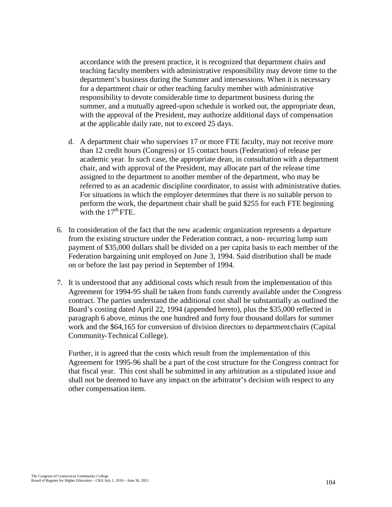accordance with the present practice, it is recognized that department chairs and teaching faculty members with administrative responsibility may devote time to the department's business during the Summer and intersessions. When it is necessary for a department chair or other teaching faculty member with administrative responsibility to devote considerable time to department business during the summer, and a mutually agreed-upon schedule is worked out, the appropriate dean, with the approval of the President, may authorize additional days of compensation at the applicable daily rate, not to exceed 25 days.

- d. A department chair who supervises 17 or more FTE faculty, may not receive more than 12 credit hours (Congress) or 15 contact hours (Federation) of release per academic year. In such case, the appropriate dean, in consultation with a department chair, and with approval of the President, may allocate part of the release time assigned to the department to another member of the department, who may be referred to as an academic discipline coordinator, to assist with administrative duties. For situations in which the employer determines that there is no suitable person to perform the work, the department chair shall be paid \$255 for each FTE beginning with the  $17<sup>th</sup>$  FTE.
- 6. In consideration of the fact that the new academic organization represents a departure from the existing structure under the Federation contract, a non- recurring lump sum payment of \$35,000 dollars shall be divided on a per capita basis to each member of the Federation bargaining unit employed on June 3, 1994. Said distribution shall be made on or before the last pay period in September of 1994.
- 7. It is understood that any additional costs which result from the implementation of this Agreement for 1994-95 shall be taken from funds currently available under the Congress contract. The parties understand the additional cost shall be substantially as outlined the Board's costing dated April 22, 1994 (appended hereto), plus the \$35,000 reflected in paragraph 6 above, minus the one hundred and forty four thousand dollars for summer work and the \$64,165 for conversion of division directors to departmentchairs (Capital Community-Technical College).

Further, it is agreed that the costs which result from the implementation of this Agreement for 1995-96 shall be a part of the cost structure for the Congress contract for that fiscal year. This cost shall be submitted in any arbitration as a stipulated issue and shall not be deemed to have any impact on the arbitrator's decision with respect to any other compensation item.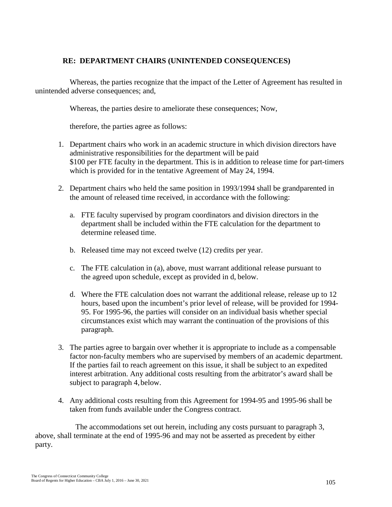# **RE: DEPARTMENT CHAIRS (UNINTENDED CONSEQUENCES)**

Whereas, the parties recognize that the impact of the Letter of Agreement has resulted in unintended adverse consequences; and,

Whereas, the parties desire to ameliorate these consequences; Now,

therefore, the parties agree as follows:

- 1. Department chairs who work in an academic structure in which division directors have administrative responsibilities for the department will be paid \$100 per FTE faculty in the department. This is in addition to release time for part-timers which is provided for in the tentative Agreement of May 24, 1994.
- 2. Department chairs who held the same position in 1993/1994 shall be grandparented in the amount of released time received, in accordance with the following:
	- a. FTE faculty supervised by program coordinators and division directors in the department shall be included within the FTE calculation for the department to determine released time.
	- b. Released time may not exceed twelve (12) credits per year.
	- c. The FTE calculation in (a), above, must warrant additional release pursuant to the agreed upon schedule, except as provided in d, below.
	- d. Where the FTE calculation does not warrant the additional release, release up to 12 hours, based upon the incumbent's prior level of release, will be provided for 1994- 95. For 1995-96, the parties will consider on an individual basis whether special circumstances exist which may warrant the continuation of the provisions of this paragraph.
- 3. The parties agree to bargain over whether it is appropriate to include as a compensable factor non-faculty members who are supervised by members of an academic department. If the parties fail to reach agreement on this issue, it shall be subject to an expedited interest arbitration. Any additional costs resulting from the arbitrator's award shall be subject to paragraph 4, below.
- 4. Any additional costs resulting from this Agreement for 1994-95 and 1995-96 shall be taken from funds available under the Congress contract.

The accommodations set out herein, including any costs pursuant to paragraph 3, above, shall terminate at the end of 1995-96 and may not be asserted as precedent by either party.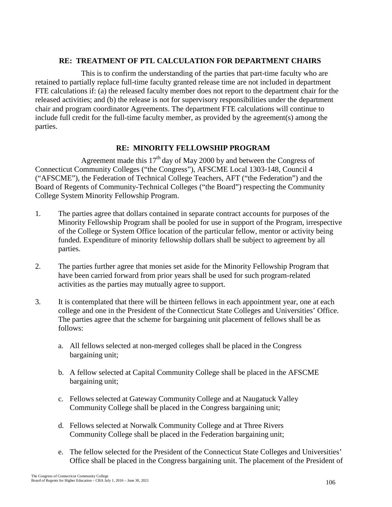## **RE: TREATMENT OF PTL CALCULATION FOR DEPARTMENT CHAIRS**

This is to confirm the understanding of the parties that part-time faculty who are retained to partially replace full-time faculty granted release time are not included in department FTE calculations if: (a) the released faculty member does not report to the department chair for the released activities; and (b) the release is not for supervisory responsibilities under the department chair and program coordinator Agreements. The department FTE calculations will continue to include full credit for the full-time faculty member, as provided by the agreement(s) among the parties.

# **RE: MINORITY FELLOWSHIP PROGRAM**

Agreement made this  $17<sup>th</sup>$  day of May 2000 by and between the Congress of Connecticut Community Colleges ("the Congress"), AFSCME Local 1303-148, Council 4 ("AFSCME"), the Federation of Technical College Teachers, AFT ("the Federation") and the Board of Regents of Community-Technical Colleges ("the Board") respecting the Community College System Minority Fellowship Program.

- 1. The parties agree that dollars contained in separate contract accounts for purposes of the Minority Fellowship Program shall be pooled for use in support of the Program, irrespective of the College or System Office location of the particular fellow, mentor or activity being funded. Expenditure of minority fellowship dollars shall be subject to agreement by all parties.
- 2. The parties further agree that monies set aside for the Minority Fellowship Program that have been carried forward from prior years shall be used for such program-related activities as the parties may mutually agree to support.
- 3. It is contemplated that there will be thirteen fellows in each appointment year, one at each college and one in the President of the Connecticut State Colleges and Universities' Office. The parties agree that the scheme for bargaining unit placement of fellows shall be as follows:
	- a. All fellows selected at non-merged colleges shall be placed in the Congress bargaining unit;
	- b. A fellow selected at Capital Community College shall be placed in the AFSCME bargaining unit;
	- c. Fellows selected at Gateway Community College and at Naugatuck Valley Community College shall be placed in the Congress bargaining unit;
	- d. Fellows selected at Norwalk Community College and at Three Rivers Community College shall be placed in the Federation bargaining unit;
	- e. The fellow selected for the President of the Connecticut State Colleges and Universities' Office shall be placed in the Congress bargaining unit. The placement of the President of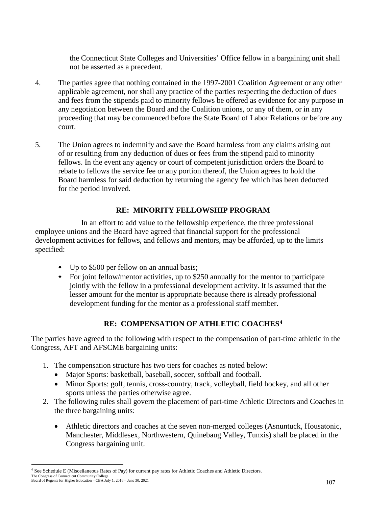the Connecticut State Colleges and Universities' Office fellow in a bargaining unit shall not be asserted as a precedent.

- 4. The parties agree that nothing contained in the 1997-2001 Coalition Agreement or any other applicable agreement, nor shall any practice of the parties respecting the deduction of dues and fees from the stipends paid to minority fellows be offered as evidence for any purpose in any negotiation between the Board and the Coalition unions, or any of them, or in any proceeding that may be commenced before the State Board of Labor Relations or before any court.
- 5. The Union agrees to indemnify and save the Board harmless from any claims arising out of or resulting from any deduction of dues or fees from the stipend paid to minority fellows. In the event any agency or court of competent jurisdiction orders the Board to rebate to fellows the service fee or any portion thereof, the Union agrees to hold the Board harmless for said deduction by returning the agency fee which has been deducted for the period involved.

# **RE: MINORITY FELLOWSHIP PROGRAM**

In an effort to add value to the fellowship experience, the three professional employee unions and the Board have agreed that financial support for the professional development activities for fellows, and fellows and mentors, may be afforded, up to the limits specified:

- Up to \$500 per fellow on an annual basis;
- For joint fellow/mentor activities, up to \$250 annually for the mentor to participate jointly with the fellow in a professional development activity. It is assumed that the lesser amount for the mentor is appropriate because there is already professional development funding for the mentor as a professional staff member.

# **RE: COMPENSATION OF ATHLETIC COACHES[4](#page-113-0)**

The parties have agreed to the following with respect to the compensation of part-time athletic in the Congress, AFT and AFSCME bargaining units:

- 1. The compensation structure has two tiers for coaches as noted below:
	- Major Sports: basketball, baseball, soccer, softball and football.
	- Minor Sports: golf, tennis, cross-country, track, volleyball, field hockey, and all other sports unless the parties otherwise agree.
- 2. The following rules shall govern the placement of part-time Athletic Directors and Coaches in the three bargaining units:
	- Athletic directors and coaches at the seven non-merged colleges (Asnuntuck, Housatonic, Manchester, Middlesex, Northwestern, Quinebaug Valley, Tunxis) shall be placed in the Congress bargaining unit.

<span id="page-113-0"></span>The Congress of Connecticut Community College Board of Regents for Higher Education – CBA July 1, 2016 – June 30, 2021 4 See Schedule E (Miscellaneous Rates of Pay) for current pay rates for Athletic Coaches and Athletic Directors.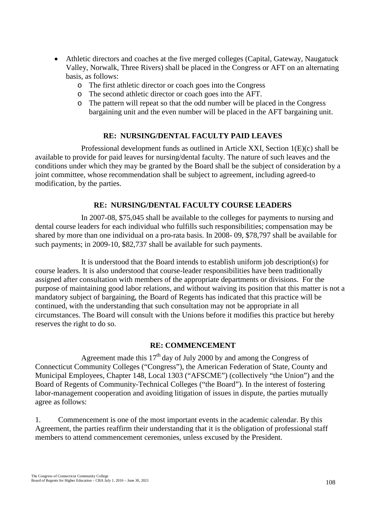- Athletic directors and coaches at the five merged colleges (Capital, Gateway, Naugatuck Valley, Norwalk, Three Rivers) shall be placed in the Congress or AFT on an alternating basis, as follows:
	- o The first athletic director or coach goes into the Congress
	- o The second athletic director or coach goes into the AFT.
	- o The pattern will repeat so that the odd number will be placed in the Congress bargaining unit and the even number will be placed in the AFT bargaining unit.

## **RE: NURSING/DENTAL FACULTY PAID LEAVES**

Professional development funds as outlined in Article XXI, Section 1(E)(c) shall be available to provide for paid leaves for nursing/dental faculty. The nature of such leaves and the conditions under which they may be granted by the Board shall be the subject of consideration by a joint committee, whose recommendation shall be subject to agreement, including agreed-to modification, by the parties.

## **RE: NURSING/DENTAL FACULTY COURSE LEADERS**

In 2007-08, \$75,045 shall be available to the colleges for payments to nursing and dental course leaders for each individual who fulfills such responsibilities; compensation may be shared by more than one individual on a pro-rata basis. In 2008- 09, \$78,797 shall be available for such payments; in 2009-10, \$82,737 shall be available for such payments.

It is understood that the Board intends to establish uniform job description(s) for course leaders. It is also understood that course-leader responsibilities have been traditionally assigned after consultation with members of the appropriate departments or divisions. For the purpose of maintaining good labor relations, and without waiving its position that this matter is not a mandatory subject of bargaining, the Board of Regents has indicated that this practice will be continued, with the understanding that such consultation may not be appropriate in all circumstances. The Board will consult with the Unions before it modifies this practice but hereby reserves the right to do so.

#### **RE: COMMENCEMENT**

Agreement made this  $17<sup>th</sup>$  day of July 2000 by and among the Congress of Connecticut Community Colleges ("Congress"), the American Federation of State, County and Municipal Employees, Chapter 148, Local 1303 ("AFSCME") (collectively "the Union") and the Board of Regents of Community-Technical Colleges ("the Board"). In the interest of fostering labor-management cooperation and avoiding litigation of issues in dispute, the parties mutually agree as follows:

1. Commencement is one of the most important events in the academic calendar. By this Agreement, the parties reaffirm their understanding that it is the obligation of professional staff members to attend commencement ceremonies, unless excused by the President.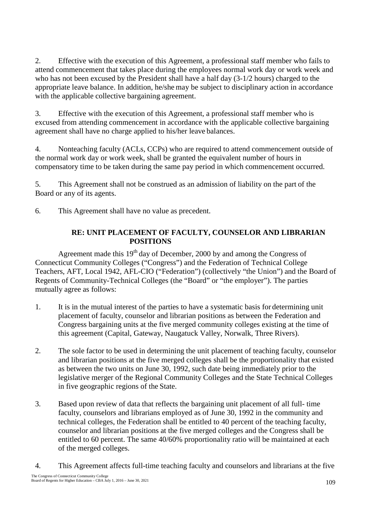2. Effective with the execution of this Agreement, a professional staff member who fails to attend commencement that takes place during the employees normal work day or work week and who has not been excused by the President shall have a half day (3-1/2 hours) charged to the appropriate leave balance. In addition, he/she may be subject to disciplinary action in accordance with the applicable collective bargaining agreement.

3. Effective with the execution of this Agreement, a professional staff member who is excused from attending commencement in accordance with the applicable collective bargaining agreement shall have no charge applied to his/her leave balances.

4. Nonteaching faculty (ACLs, CCPs) who are required to attend commencement outside of the normal work day or work week, shall be granted the equivalent number of hours in compensatory time to be taken during the same pay period in which commencement occurred.

5. This Agreement shall not be construed as an admission of liability on the part of the Board or any of its agents.

6. This Agreement shall have no value as precedent.

# **RE: UNIT PLACEMENT OF FACULTY, COUNSELOR AND LIBRARIAN POSITIONS**

Agreement made this  $19<sup>th</sup>$  day of December, 2000 by and among the Congress of Connecticut Community Colleges ("Congress") and the Federation of Technical College Teachers, AFT, Local 1942, AFL-CIO ("Federation") (collectively "the Union") and the Board of Regents of Community-Technical Colleges (the "Board" or "the employer"). The parties mutually agree as follows:

- 1. It is in the mutual interest of the parties to have a systematic basis for determining unit placement of faculty, counselor and librarian positions as between the Federation and Congress bargaining units at the five merged community colleges existing at the time of this agreement (Capital, Gateway, Naugatuck Valley, Norwalk, Three Rivers).
- 2. The sole factor to be used in determining the unit placement of teaching faculty, counselor and librarian positions at the five merged colleges shall be the proportionality that existed as between the two units on June 30, 1992, such date being immediately prior to the legislative merger of the Regional Community Colleges and the State Technical Colleges in five geographic regions of the State.
- 3. Based upon review of data that reflects the bargaining unit placement of all full- time faculty, counselors and librarians employed as of June 30, 1992 in the community and technical colleges, the Federation shall be entitled to 40 percent of the teaching faculty, counselor and librarian positions at the five merged colleges and the Congress shall be entitled to 60 percent. The same 40/60% proportionality ratio will be maintained at each of the merged colleges.
- 4. This Agreement affects full-time teaching faculty and counselors and librarians at the five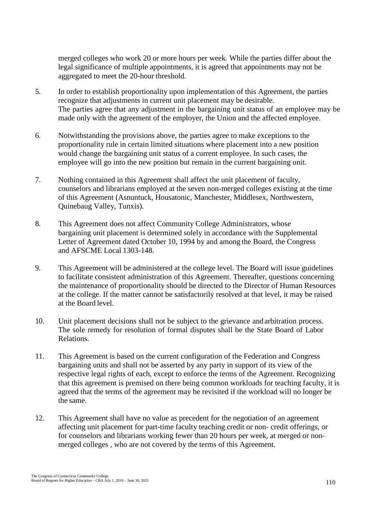merged colleges who work 20 or more hours per week. While the parties differ about the legal significance of multiple appointments, it is agreed that appointments may not be aggregated to meet the 20-hour threshold.

- 5. In order to establish proportionality upon implementation of this Agreement, the parties recognize that adjustments in current unit placement may be desirable. The parties agree that any adjustment in the bargaining unit status of an employee may be made only with the agreement of the employer, the Union and the affected employee.
- 6. Notwithstanding the provisions above, the parties agree to make exceptions to the proportionality rule in certain limited situations where placement into a new position would change the bargaining unit status of a current employee. In such cases, the employee will go into the new position but remain in the current bargaining unit.
- 7. Nothing contained in this Agreement shall affect the unit placement of faculty, counselors and librarians employed at the seven non-merged colleges existing at the time of this Agreement (Asnuntuck, Housatonic, Manchester, Middlesex, Northwestern, Quinebaug Valley, Tunxis).
- 8. This Agreement does not affect Community College Administrators, whose bargaining unit placement is determined solely in accordance with the Supplemental Letter of Agreement dated October 10, 1994 by and among the Board, the Congress and AFSCME Local 1303-148.
- 9. This Agreement will be administered at the college level. The Board will issue guidelines to facilitate consistent administration of this Agreement. Thereafter, questions concerning the maintenance of proportionality should be directed to the Director of Human Resources at the college. If the matter cannot be satisfactorily resolved at that level, it may be raised at the Board level.
- 10. Unit placement decisions shall not be subject to the grievance and arbitration process. The sole remedy for resolution of formal disputes shall be the State Board of Labor Relations.
- 11. This Agreement is based on the current configuration of the Federation and Congress bargaining units and shall not be asserted by any party in support of its view of the respective legal rights of each, except to enforce the terms of the Agreement. Recognizing that this agreement is premised on there being common workloads for teaching faculty, it is agreed that the terms of the agreement may be revisited if the workload will no longer be the same.
- 12. This Agreement shall have no value as precedent for the negotiation of an agreement affecting unit placement for part-time faculty teaching credit or non- credit offerings, or for counselors and librarians working fewer than 20 hours per week, at merged or nonmerged colleges , who are not covered by the terms of this Agreement.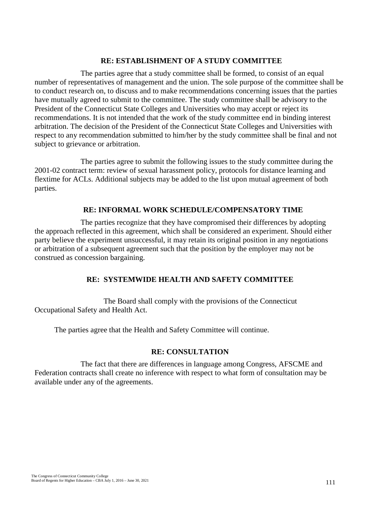#### **RE: ESTABLISHMENT OF A STUDY COMMITTEE**

The parties agree that a study committee shall be formed, to consist of an equal number of representatives of management and the union. The sole purpose of the committee shall be to conduct research on, to discuss and to make recommendations concerning issues that the parties have mutually agreed to submit to the committee. The study committee shall be advisory to the President of the Connecticut State Colleges and Universities who may accept or reject its recommendations. It is not intended that the work of the study committee end in binding interest arbitration. The decision of the President of the Connecticut State Colleges and Universities with respect to any recommendation submitted to him/her by the study committee shall be final and not subject to grievance or arbitration.

The parties agree to submit the following issues to the study committee during the 2001-02 contract term: review of sexual harassment policy, protocols for distance learning and flextime for ACLs. Additional subjects may be added to the list upon mutual agreement of both parties.

#### **RE: INFORMAL WORK SCHEDULE/COMPENSATORY TIME**

The parties recognize that they have compromised their differences by adopting the approach reflected in this agreement, which shall be considered an experiment. Should either party believe the experiment unsuccessful, it may retain its original position in any negotiations or arbitration of a subsequent agreement such that the position by the employer may not be construed as concession bargaining.

## **RE: SYSTEMWIDE HEALTH AND SAFETY COMMITTEE**

The Board shall comply with the provisions of the Connecticut Occupational Safety and Health Act.

The parties agree that the Health and Safety Committee will continue.

#### **RE: CONSULTATION**

The fact that there are differences in language among Congress, AFSCME and Federation contracts shall create no inference with respect to what form of consultation may be available under any of the agreements.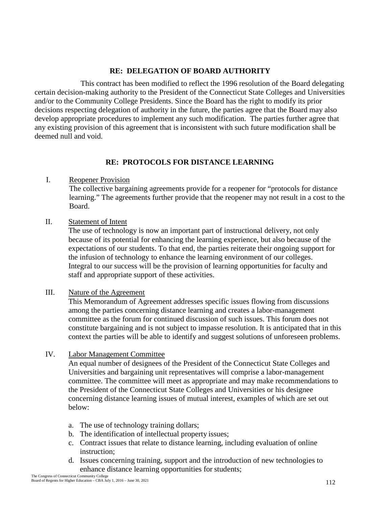# **RE: DELEGATION OF BOARD AUTHORITY**

This contract has been modified to reflect the 1996 resolution of the Board delegating certain decision-making authority to the President of the Connecticut State Colleges and Universities and/or to the Community College Presidents. Since the Board has the right to modify its prior decisions respecting delegation of authority in the future, the parties agree that the Board may also develop appropriate procedures to implement any such modification. The parties further agree that any existing provision of this agreement that is inconsistent with such future modification shall be deemed null and void.

# **RE: PROTOCOLS FOR DISTANCE LEARNING**

## I. Reopener Provision

The collective bargaining agreements provide for a reopener for "protocols for distance learning." The agreements further provide that the reopener may not result in a cost to the Board.

# II. Statement of Intent

The use of technology is now an important part of instructional delivery, not only because of its potential for enhancing the learning experience, but also because of the expectations of our students. To that end, the parties reiterate their ongoing support for the infusion of technology to enhance the learning environment of our colleges. Integral to our success will be the provision of learning opportunities for faculty and staff and appropriate support of these activities.

# III. Nature of the Agreement

This Memorandum of Agreement addresses specific issues flowing from discussions among the parties concerning distance learning and creates a labor-management committee as the forum for continued discussion of such issues. This forum does not constitute bargaining and is not subject to impasse resolution. It is anticipated that in this context the parties will be able to identify and suggest solutions of unforeseen problems.

# IV. Labor Management Committee

An equal number of designees of the President of the Connecticut State Colleges and Universities and bargaining unit representatives will comprise a labor-management committee. The committee will meet as appropriate and may make recommendations to the President of the Connecticut State Colleges and Universities or his designee concerning distance learning issues of mutual interest, examples of which are set out below:

- a. The use of technology training dollars;
- b. The identification of intellectual property issues;
- c. Contract issues that relate to distance learning, including evaluation of online instruction;
- d. Issues concerning training, support and the introduction of new technologies to enhance distance learning opportunities for students;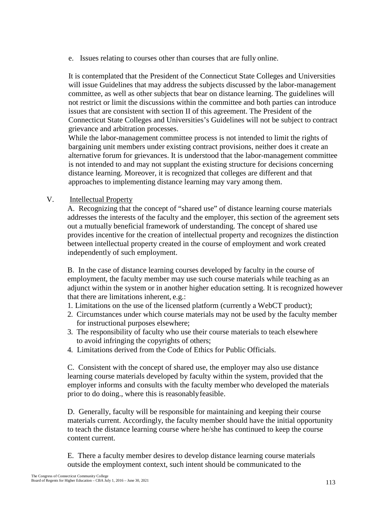e. Issues relating to courses other than courses that are fully online.

It is contemplated that the President of the Connecticut State Colleges and Universities will issue Guidelines that may address the subjects discussed by the labor-management committee, as well as other subjects that bear on distance learning. The guidelines will not restrict or limit the discussions within the committee and both parties can introduce issues that are consistent with section II of this agreement. The President of the Connecticut State Colleges and Universities's Guidelines will not be subject to contract grievance and arbitration processes.

While the labor-management committee process is not intended to limit the rights of bargaining unit members under existing contract provisions, neither does it create an alternative forum for grievances. It is understood that the labor-management committee is not intended to and may not supplant the existing structure for decisions concerning distance learning. Moreover, it is recognized that colleges are different and that approaches to implementing distance learning may vary among them.

V. Intellectual Property

A. Recognizing that the concept of "shared use" of distance learning course materials addresses the interests of the faculty and the employer, this section of the agreement sets out a mutually beneficial framework of understanding. The concept of shared use provides incentive for the creation of intellectual property and recognizes the distinction between intellectual property created in the course of employment and work created independently of such employment.

B. In the case of distance learning courses developed by faculty in the course of employment, the faculty member may use such course materials while teaching as an adjunct within the system or in another higher education setting. It is recognized however that there are limitations inherent, e.g.:

- 1. Limitations on the use of the licensed platform (currently a WebCT product);
- 2. Circumstances under which course materials may not be used by the faculty member for instructional purposes elsewhere;
- 3. The responsibility of faculty who use their course materials to teach elsewhere to avoid infringing the copyrights of others;
- 4. Limitations derived from the Code of Ethics for Public Officials.

C. Consistent with the concept of shared use, the employer may also use distance learning course materials developed by faculty within the system, provided that the employer informs and consults with the faculty member who developed the materials prior to do doing., where this is reasonablyfeasible.

D. Generally, faculty will be responsible for maintaining and keeping their course materials current. Accordingly, the faculty member should have the initial opportunity to teach the distance learning course where he/she has continued to keep the course content current.

E. There a faculty member desires to develop distance learning course materials outside the employment context, such intent should be communicated to the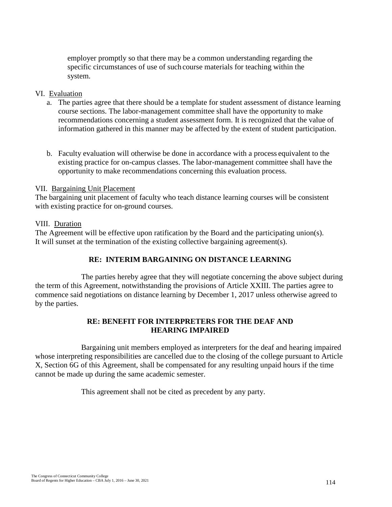employer promptly so that there may be a common understanding regarding the specific circumstances of use of such course materials for teaching within the system.

#### VI. Evaluation

- a. The parties agree that there should be a template for student assessment of distance learning course sections. The labor-management committee shall have the opportunity to make recommendations concerning a student assessment form. It is recognized that the value of information gathered in this manner may be affected by the extent of student participation.
- b. Faculty evaluation will otherwise be done in accordance with a process equivalent to the existing practice for on-campus classes. The labor-management committee shall have the opportunity to make recommendations concerning this evaluation process.

#### VII. Bargaining Unit Placement

The bargaining unit placement of faculty who teach distance learning courses will be consistent with existing practice for on-ground courses.

#### VIII. Duration

The Agreement will be effective upon ratification by the Board and the participating union(s). It will sunset at the termination of the existing collective bargaining agreement(s).

# **RE: INTERIM BARGAINING ON DISTANCE LEARNING**

The parties hereby agree that they will negotiate concerning the above subject during the term of this Agreement, notwithstanding the provisions of Article XXIII. The parties agree to commence said negotiations on distance learning by December 1, 2017 unless otherwise agreed to by the parties.

#### **RE: BENEFIT FOR INTERPRETERS FOR THE DEAF AND HEARING IMPAIRED**

Bargaining unit members employed as interpreters for the deaf and hearing impaired whose interpreting responsibilities are cancelled due to the closing of the college pursuant to Article X, Section 6G of this Agreement, shall be compensated for any resulting unpaid hours if the time cannot be made up during the same academic semester.

This agreement shall not be cited as precedent by any party.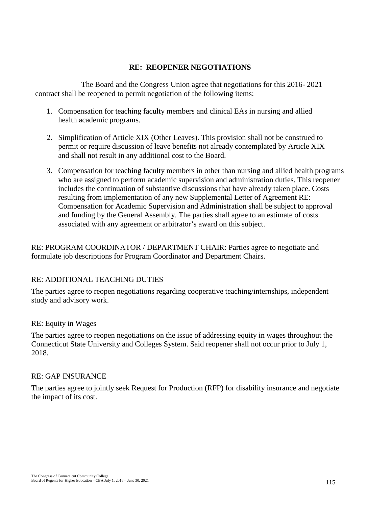## **RE: REOPENER NEGOTIATIONS**

The Board and the Congress Union agree that negotiations for this 2016- 2021 contract shall be reopened to permit negotiation of the following items:

- 1. Compensation for teaching faculty members and clinical EAs in nursing and allied health academic programs.
- 2. Simplification of Article XIX (Other Leaves). This provision shall not be construed to permit or require discussion of leave benefits not already contemplated by Article XIX and shall not result in any additional cost to the Board.
- 3. Compensation for teaching faculty members in other than nursing and allied health programs who are assigned to perform academic supervision and administration duties. This reopener includes the continuation of substantive discussions that have already taken place. Costs resulting from implementation of any new Supplemental Letter of Agreement RE: Compensation for Academic Supervision and Administration shall be subject to approval and funding by the General Assembly. The parties shall agree to an estimate of costs associated with any agreement or arbitrator's award on this subject.

RE: PROGRAM COORDINATOR / DEPARTMENT CHAIR: Parties agree to negotiate and formulate job descriptions for Program Coordinator and Department Chairs.

# RE: ADDITIONAL TEACHING DUTIES

The parties agree to reopen negotiations regarding cooperative teaching/internships, independent study and advisory work.

# RE: Equity in Wages

The parties agree to reopen negotiations on the issue of addressing equity in wages throughout the Connecticut State University and Colleges System. Said reopener shall not occur prior to July 1, 2018.

# RE: GAP INSURANCE

The parties agree to jointly seek Request for Production (RFP) for disability insurance and negotiate the impact of its cost.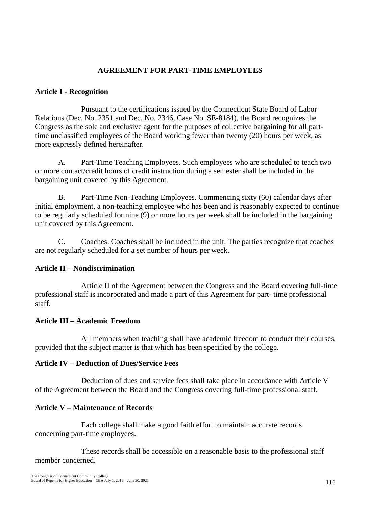## **AGREEMENT FOR PART-TIME EMPLOYEES**

#### **Article I - Recognition**

Pursuant to the certifications issued by the Connecticut State Board of Labor Relations (Dec. No. 2351 and Dec. No. 2346, Case No. SE-8184), the Board recognizes the Congress as the sole and exclusive agent for the purposes of collective bargaining for all parttime unclassified employees of the Board working fewer than twenty (20) hours per week, as more expressly defined hereinafter.

A. Part-Time Teaching Employees. Such employees who are scheduled to teach two or more contact/credit hours of credit instruction during a semester shall be included in the bargaining unit covered by this Agreement.

B. Part-Time Non-Teaching Employees. Commencing sixty (60) calendar days after initial employment, a non-teaching employee who has been and is reasonably expected to continue to be regularly scheduled for nine (9) or more hours per week shall be included in the bargaining unit covered by this Agreement.

C. Coaches. Coaches shall be included in the unit. The parties recognize that coaches are not regularly scheduled for a set number of hours per week.

#### **Article II – Nondiscrimination**

Article II of the Agreement between the Congress and the Board covering full-time professional staff is incorporated and made a part of this Agreement for part- time professional staff.

#### **Article III – Academic Freedom**

All members when teaching shall have academic freedom to conduct their courses, provided that the subject matter is that which has been specified by the college.

#### **Article IV – Deduction of Dues/Service Fees**

Deduction of dues and service fees shall take place in accordance with Article V of the Agreement between the Board and the Congress covering full-time professional staff.

#### **Article V – Maintenance of Records**

Each college shall make a good faith effort to maintain accurate records concerning part-time employees.

These records shall be accessible on a reasonable basis to the professional staff member concerned.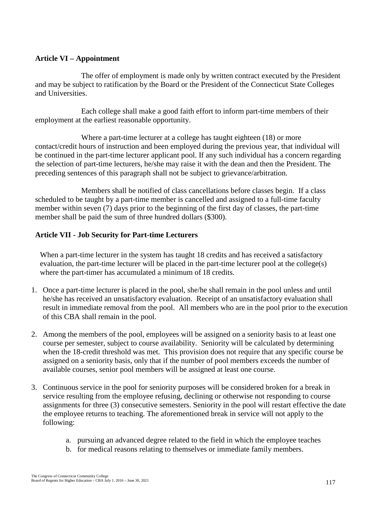## **Article VI – Appointment**

The offer of employment is made only by written contract executed by the President and may be subject to ratification by the Board or the President of the Connecticut State Colleges and Universities.

Each college shall make a good faith effort to inform part-time members of their employment at the earliest reasonable opportunity.

Where a part-time lecturer at a college has taught eighteen (18) or more contact/credit hours of instruction and been employed during the previous year, that individual will be continued in the part-time lecturer applicant pool. If any such individual has a concern regarding the selection of part-time lecturers, he/she may raise it with the dean and then the President. The preceding sentences of this paragraph shall not be subject to grievance/arbitration.

Members shall be notified of class cancellations before classes begin. If a class scheduled to be taught by a part-time member is cancelled and assigned to a full-time faculty member within seven (7) days prior to the beginning of the first day of classes, the part-time member shall be paid the sum of three hundred dollars (\$300).

## **Article VII - Job Security for Part-time Lecturers**

When a part-time lecturer in the system has taught 18 credits and has received a satisfactory evaluation, the part-time lecturer will be placed in the part-time lecturer pool at the college(s) where the part-timer has accumulated a minimum of 18 credits.

- 1. Once a part-time lecturer is placed in the pool, she/he shall remain in the pool unless and until he/she has received an unsatisfactory evaluation. Receipt of an unsatisfactory evaluation shall result in immediate removal from the pool. All members who are in the pool prior to the execution of this CBA shall remain in the pool.
- 2. Among the members of the pool, employees will be assigned on a seniority basis to at least one course per semester, subject to course availability. Seniority will be calculated by determining when the 18-credit threshold was met. This provision does not require that any specific course be assigned on a seniority basis, only that if the number of pool members exceeds the number of available courses, senior pool members will be assigned at least one course.
- 3. Continuous service in the pool for seniority purposes will be considered broken for a break in service resulting from the employee refusing, declining or otherwise not responding to course assignments for three (3) consecutive semesters. Seniority in the pool will restart effective the date the employee returns to teaching. The aforementioned break in service will not apply to the following:
	- a. pursuing an advanced degree related to the field in which the employee teaches
	- b. for medical reasons relating to themselves or immediate family members.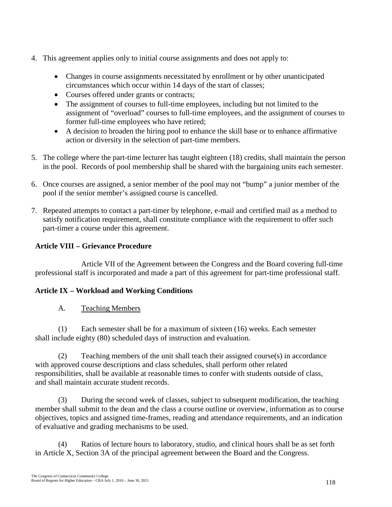- 4. This agreement applies only to initial course assignments and does not apply to:
	- Changes in course assignments necessitated by enrollment or by other unanticipated circumstances which occur within 14 days of the start of classes;
	- Courses offered under grants or contracts;
	- The assignment of courses to full-time employees, including but not limited to the assignment of "overload" courses to full-time employees, and the assignment of courses to former full-time employees who have retired;
	- A decision to broaden the hiring pool to enhance the skill base or to enhance affirmative action or diversity in the selection of part-time members.
- 5. The college where the part-time lecturer has taught eighteen (18) credits, shall maintain the person in the pool. Records of pool membership shall be shared with the bargaining units each semester.
- 6. Once courses are assigned, a senior member of the pool may not "bump" a junior member of the pool if the senior member's assigned course is cancelled.
- 7. Repeated attempts to contact a part-timer by telephone, e-mail and certified mail as a method to satisfy notification requirement, shall constitute compliance with the requirement to offer such part-timer a course under this agreement.

# **Article VIII – Grievance Procedure**

Article VII of the Agreement between the Congress and the Board covering full-time professional staff is incorporated and made a part of this agreement for part-time professional staff.

# **Article IX – Workload and Working Conditions**

A. Teaching Members

(1) Each semester shall be for a maximum of sixteen (16) weeks. Each semester shall include eighty (80) scheduled days of instruction and evaluation.

(2) Teaching members of the unit shall teach their assigned course(s) in accordance with approved course descriptions and class schedules, shall perform other related responsibilities, shall be available at reasonable times to confer with students outside of class, and shall maintain accurate student records.

(3) During the second week of classes, subject to subsequent modification, the teaching member shall submit to the dean and the class a course outline or overview, information as to course objectives, topics and assigned time-frames, reading and attendance requirements, and an indication of evaluative and grading mechanisms to be used.

(4) Ratios of lecture hours to laboratory, studio, and clinical hours shall be as set forth in Article X, Section 3A of the principal agreement between the Board and the Congress.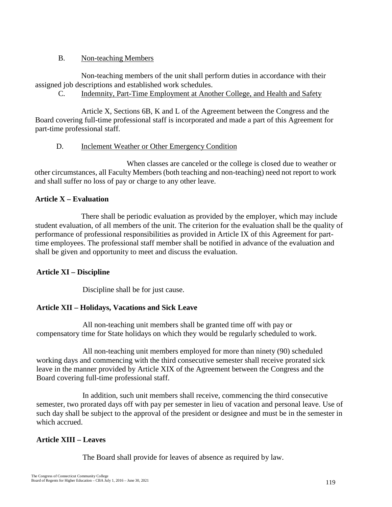# B. Non-teaching Members

Non-teaching members of the unit shall perform duties in accordance with their assigned job descriptions and established work schedules.

C. Indemnity, Part-Time Employment at Another College, and Health and Safety

Article X, Sections 6B, K and L of the Agreement between the Congress and the Board covering full-time professional staff is incorporated and made a part of this Agreement for part-time professional staff.

# D. Inclement Weather or Other Emergency Condition

When classes are canceled or the college is closed due to weather or other circumstances, all Faculty Members (both teaching and non-teaching) need not report to work and shall suffer no loss of pay or charge to any other leave.

# **Article X – Evaluation**

There shall be periodic evaluation as provided by the employer, which may include student evaluation, of all members of the unit. The criterion for the evaluation shall be the quality of performance of professional responsibilities as provided in Article IX of this Agreement for parttime employees. The professional staff member shall be notified in advance of the evaluation and shall be given and opportunity to meet and discuss the evaluation.

# **Article XI – Discipline**

Discipline shall be for just cause.

# **Article XII – Holidays, Vacations and Sick Leave**

All non-teaching unit members shall be granted time off with pay or compensatory time for State holidays on which they would be regularly scheduled to work.

All non-teaching unit members employed for more than ninety (90) scheduled working days and commencing with the third consecutive semester shall receive prorated sick leave in the manner provided by Article XIX of the Agreement between the Congress and the Board covering full-time professional staff.

In addition, such unit members shall receive, commencing the third consecutive semester, two prorated days off with pay per semester in lieu of vacation and personal leave. Use of such day shall be subject to the approval of the president or designee and must be in the semester in which accrued.

# **Article XIII – Leaves**

The Board shall provide for leaves of absence as required by law.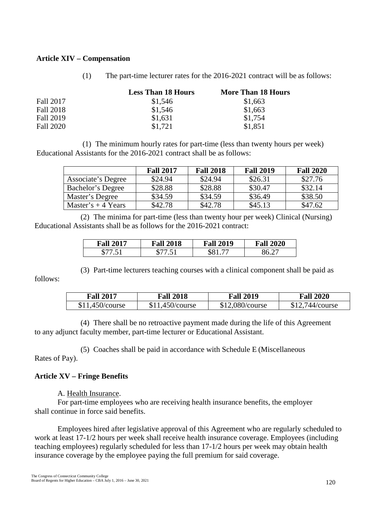#### **Article XIV – Compensation**

(1) The part-time lecturer rates for the 2016-2021 contract will be as follows:

|                  | <b>Less Than 18 Hours</b> | <b>More Than 18 Hours</b> |  |
|------------------|---------------------------|---------------------------|--|
| Fall 2017        | \$1,546                   | \$1,663                   |  |
| <b>Fall 2018</b> | \$1,546                   | \$1,663                   |  |
| Fall 2019        | \$1,631                   | \$1,754                   |  |
| <b>Fall 2020</b> | \$1.721                   | \$1,851                   |  |

(1) The minimum hourly rates for part-time (less than twenty hours per week) Educational Assistants for the 2016-2021 contract shall be as follows:

|                          | <b>Fall 2017</b> | <b>Fall 2018</b> | <b>Fall 2019</b> | <b>Fall 2020</b> |
|--------------------------|------------------|------------------|------------------|------------------|
| Associate's Degree       | \$24.94          | \$24.94          | \$26.31          | \$27.76          |
| <b>Bachelor's Degree</b> | \$28.88          | \$28.88          | \$30.47          | \$32.14          |
| Master's Degree          | \$34.59          | \$34.59          | \$36.49          | \$38.50          |
| Master's $+4$ Years      | \$42.78          | \$42.78          | \$45.13          | \$47.62          |

(2) The minima for part-time (less than twenty hour per week) Clinical (Nursing) Educational Assistants shall be as follows for the 2016-2021 contract:

| <b>Fall 2017</b> | <b>Fall 2018</b> | <b>Fall 2019</b> | <b>Fall 2020</b> |
|------------------|------------------|------------------|------------------|
| D                |                  |                  |                  |

(3) Part-time lecturers teaching courses with a clinical component shall be paid as follows:

| <b>Fall 2017</b> | <b>Fall 2018</b> | <b>Fall 2019</b> | <b>Fall 2020</b> |
|------------------|------------------|------------------|------------------|
| \$11,450/course  | \$11,450/course  | \$12,080/course  | \$12,744/course  |

(4) There shall be no retroactive payment made during the life of this Agreement to any adjunct faculty member, part-time lecturer or Educational Assistant.

(5) Coaches shall be paid in accordance with Schedule E (Miscellaneous Rates of Pay).

# **Article XV – Fringe Benefits**

A. Health Insurance.

For part-time employees who are receiving health insurance benefits, the employer shall continue in force said benefits.

Employees hired after legislative approval of this Agreement who are regularly scheduled to work at least 17-1/2 hours per week shall receive health insurance coverage. Employees (including teaching employees) regularly scheduled for less than 17-1/2 hours per week may obtain health insurance coverage by the employee paying the full premium for said coverage.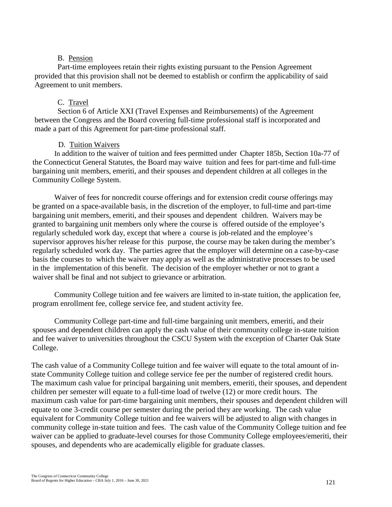#### B. Pension

Part-time employees retain their rights existing pursuant to the Pension Agreement provided that this provision shall not be deemed to establish or confirm the applicability of said Agreement to unit members.

#### C. Travel

Section 6 of Article XXI (Travel Expenses and Reimbursements) of the Agreement between the Congress and the Board covering full-time professional staff is incorporated and made a part of this Agreement for part-time professional staff.

#### D. Tuition Waivers

In addition to the waiver of tuition and fees permitted under Chapter 185b, Section 10a-77 of the Connecticut General Statutes, the Board may waive tuition and fees for part-time and full-time bargaining unit members, emeriti, and their spouses and dependent children at all colleges in the Community College System.

Waiver of fees for noncredit course offerings and for extension credit course offerings may be granted on a space-available basis, in the discretion of the employer, to full-time and part-time bargaining unit members, emeriti, and their spouses and dependent children. Waivers may be granted to bargaining unit members only where the course is offered outside of the employee's regularly scheduled work day, except that where a course is job-related and the employee's supervisor approves his/her release for this purpose, the course may be taken during the member's regularly scheduled work day. The parties agree that the employer will determine on a case-by-case basis the courses to which the waiver may apply as well as the administrative processes to be used in the implementation of this benefit. The decision of the employer whether or not to grant a waiver shall be final and not subject to grievance or arbitration.

Community College tuition and fee waivers are limited to in-state tuition, the application fee, program enrollment fee, college service fee, and student activity fee.

Community College part-time and full-time bargaining unit members, emeriti, and their spouses and dependent children can apply the cash value of their community college in-state tuition and fee waiver to universities throughout the CSCU System with the exception of Charter Oak State College.

The cash value of a Community College tuition and fee waiver will equate to the total amount of instate Community College tuition and college service fee per the number of registered credit hours. The maximum cash value for principal bargaining unit members, emeriti, their spouses, and dependent children per semester will equate to a full-time load of twelve (12) or more credit hours. The maximum cash value for part-time bargaining unit members, their spouses and dependent children will equate to one 3-credit course per semester during the period they are working. The cash value equivalent for Community College tuition and fee waivers will be adjusted to align with changes in community college in-state tuition and fees. The cash value of the Community College tuition and fee waiver can be applied to graduate-level courses for those Community College employees/emeriti, their spouses, and dependents who are academically eligible for graduate classes.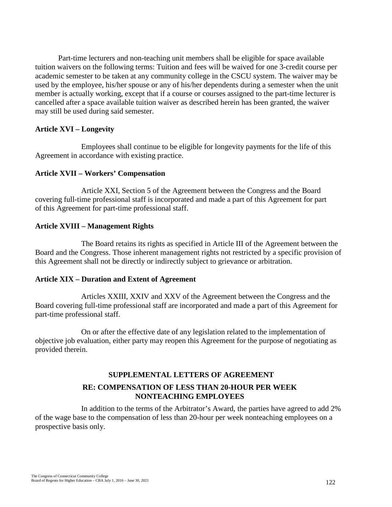Part-time lecturers and non-teaching unit members shall be eligible for space available tuition waivers on the following terms: Tuition and fees will be waived for one 3-credit course per academic semester to be taken at any community college in the CSCU system. The waiver may be used by the employee, his/her spouse or any of his/her dependents during a semester when the unit member is actually working, except that if a course or courses assigned to the part-time lecturer is cancelled after a space available tuition waiver as described herein has been granted, the waiver may still be used during said semester.

#### **Article XVI – Longevity**

Employees shall continue to be eligible for longevity payments for the life of this Agreement in accordance with existing practice.

## **Article XVII – Workers' Compensation**

Article XXI, Section 5 of the Agreement between the Congress and the Board covering full-time professional staff is incorporated and made a part of this Agreement for part of this Agreement for part-time professional staff.

## **Article XVIII – Management Rights**

The Board retains its rights as specified in Article III of the Agreement between the Board and the Congress. Those inherent management rights not restricted by a specific provision of this Agreement shall not be directly or indirectly subject to grievance or arbitration.

#### **Article XIX – Duration and Extent of Agreement**

Articles XXIII, XXIV and XXV of the Agreement between the Congress and the Board covering full-time professional staff are incorporated and made a part of this Agreement for part-time professional staff.

On or after the effective date of any legislation related to the implementation of objective job evaluation, either party may reopen this Agreement for the purpose of negotiating as provided therein.

# **SUPPLEMENTAL LETTERS OF AGREEMENT RE: COMPENSATION OF LESS THAN 20-HOUR PER WEEK NONTEACHING EMPLOYEES**

In addition to the terms of the Arbitrator's Award, the parties have agreed to add 2% of the wage base to the compensation of less than 20-hour per week nonteaching employees on a prospective basis only.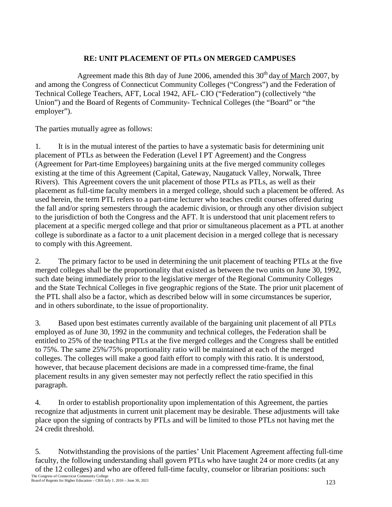# **RE: UNIT PLACEMENT OF PTLs ON MERGED CAMPUSES**

Agreement made this 8th day of June 2006, amended this  $30<sup>th</sup>$  day of March 2007, by and among the Congress of Connecticut Community Colleges ("Congress") and the Federation of Technical College Teachers, AFT, Local 1942, AFL- CIO ("Federation") (collectively "the Union") and the Board of Regents of Community- Technical Colleges (the "Board" or "the employer").

The parties mutually agree as follows:

1. It is in the mutual interest of the parties to have a systematic basis for determining unit placement of PTLs as between the Federation (Level I PT Agreement) and the Congress (Agreement for Part-time Employees) bargaining units at the five merged community colleges existing at the time of this Agreement (Capital, Gateway, Naugatuck Valley, Norwalk, Three Rivers). This Agreement covers the unit placement of those PTLs as PTLs, as well as their placement as full-time faculty members in a merged college, should such a placement be offered. As used herein, the term PTL refers to a part-time lecturer who teaches credit courses offered during the fall and/or spring semesters through the academic division, or through any other division subject to the jurisdiction of both the Congress and the AFT. It is understood that unit placement refers to placement at a specific merged college and that prior or simultaneous placement as a PTL at another college is subordinate as a factor to a unit placement decision in a merged college that is necessary to comply with this Agreement.

2. The primary factor to be used in determining the unit placement of teaching PTLs at the five merged colleges shall be the proportionality that existed as between the two units on June 30, 1992, such date being immediately prior to the legislative merger of the Regional Community Colleges and the State Technical Colleges in five geographic regions of the State. The prior unit placement of the PTL shall also be a factor, which as described below will in some circumstances be superior, and in others subordinate, to the issue of proportionality.

3. Based upon best estimates currently available of the bargaining unit placement of all PTLs employed as of June 30, 1992 in the community and technical colleges, the Federation shall be entitled to 25% of the teaching PTLs at the five merged colleges and the Congress shall be entitled to 75%. The same 25%/75% proportionality ratio will be maintained at each of the merged colleges. The colleges will make a good faith effort to comply with this ratio. It is understood, however, that because placement decisions are made in a compressed time-frame, the final placement results in any given semester may not perfectly reflect the ratio specified in this paragraph.

4. In order to establish proportionality upon implementation of this Agreement, the parties recognize that adjustments in current unit placement may be desirable. These adjustments will take place upon the signing of contracts by PTLs and will be limited to those PTLs not having met the 24 credit threshold.

5. Notwithstanding the provisions of the parties' Unit Placement Agreement affecting full-time faculty, the following understanding shall govern PTLs who have taught 24 or more credits (at any of the 12 colleges) and who are offered full-time faculty, counselor or librarian positions: such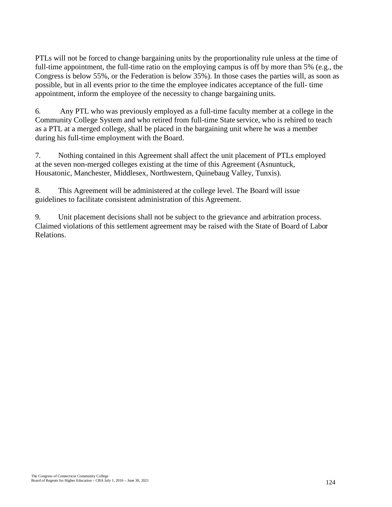PTLs will not be forced to change bargaining units by the proportionality rule unless at the time of full-time appointment, the full-time ratio on the employing campus is off by more than 5% (e.g., the Congress is below 55%, or the Federation is below 35%). In those cases the parties will, as soon as possible, but in all events prior to the time the employee indicates acceptance of the full- time appointment, inform the employee of the necessity to change bargaining units.

6. Any PTL who was previously employed as a full-time faculty member at a college in the Community College System and who retired from full-time State service, who is rehired to teach as a PTL at a merged college, shall be placed in the bargaining unit where he was a member during his full-time employment with the Board.

7. Nothing contained in this Agreement shall affect the unit placement of PTLs employed at the seven non-merged colleges existing at the time of this Agreement (Asnuntuck, Housatonic, Manchester, Middlesex, Northwestern, Quinebaug Valley, Tunxis).

8. This Agreement will be administered at the college level. The Board will issue guidelines to facilitate consistent administration of this Agreement.

9. Unit placement decisions shall not be subject to the grievance and arbitration process. Claimed violations of this settlement agreement may be raised with the State of Board of Labor Relations.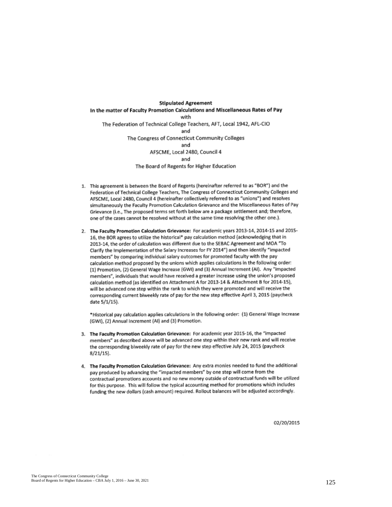**Stipulated Agreement** In the matter of Faculty Promotion Calculations and Miscellaneous Rates of Pay with The Federation of Technical College Teachers, AFT, Local 1942, AFL-CIO and The Congress of Connecticut Community Colleges and AFSCME, Local 2480, Council 4 and The Board of Regents for Higher Education

- 1. This agreement is between the Board of Regents (hereinafter referred to as "BOR") and the Federation of Technical College Teachers, The Congress of Connecticut Community Colleges and AFSCME, Local 2480, Council 4 (hereinafter collectively referred to as "unions") and resolves simultaneously the Faculty Promotion Calculation Grievance and the Miscellaneous Rates of Pay Grievance (i.e., The proposed terms set forth below are a package settlement and; therefore, one of the cases cannot be resolved without at the same time resolving the other one.).
- 2. The Faculty Promotion Calculation Grievance: For academic years 2013-14, 2014-15 and 2015-16, the BOR agrees to utilize the historical\* pay calculation method (acknowledging that in 2013-14, the order of calculation was different due to the SEBAC Agreement and MOA "To Clarify the Implementation of the Salary Increases for FY 2014") and then identify "impacted members" by comparing individual salary outcomes for promoted faculty with the pay calculation method proposed by the unions which applies calculations in the following order: (1) Promotion, (2) General Wage Increase (GWI) and (3) Annual Increment (AI). Any "impacted members", individuals that would have received a greater increase using the union's proposed calculation method (as identified on Attachment A for 2013-14 & Attachment B for 2014-15), will be advanced one step within the rank to which they were promoted and will receive the corresponding current biweekly rate of pay for the new step effective April 3, 2015 (paycheck date 5/1/15).

\*Historical pay calculation applies calculations in the following order: (1) General Wage Increase (GWI), (2) Annual Increment (AI) and (3) Promotion.

- 3. The Faculty Promotion Calculation Grievance: For academic year 2015-16, the "impacted members" as described above will be advanced one step within their new rank and will receive the corresponding biweekly rate of pay for the new step effective July 24, 2015 (paycheck  $8/21/15$ .
- 4. The Faculty Promotion Calculation Grievance: Any extra monies needed to fund the additional pay produced by advancing the "impacted members" by one step will come from the contractual promotions accounts and no new money outside of contractual funds will be utilized for this purpose. This will follow the typical accounting method for promotions which includes funding the new dollars (cash amount) required. Rollout balances will be adjusted accordingly.

02/20/2015